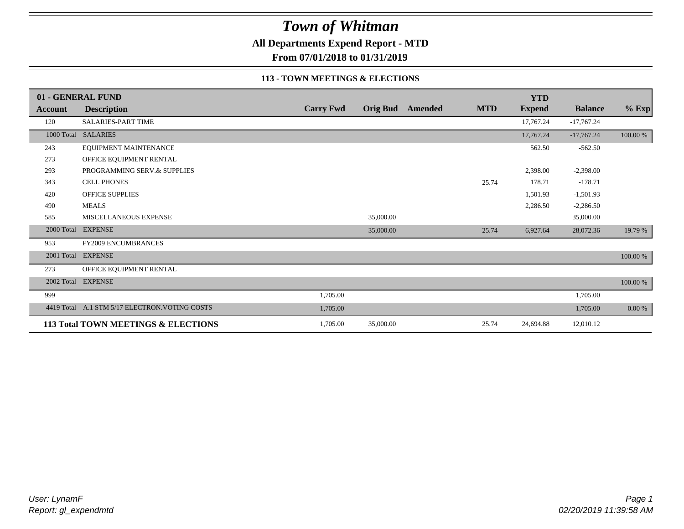**All Departments Expend Report - MTD**

**From 07/01/2018 to 01/31/2019**

#### **113 - TOWN MEETINGS & ELECTIONS**

|            | 01 - GENERAL FUND                   |                  |           |                  |            | <b>YTD</b>    |                |          |
|------------|-------------------------------------|------------------|-----------|------------------|------------|---------------|----------------|----------|
| Account    | <b>Description</b>                  | <b>Carry Fwd</b> |           | Orig Bud Amended | <b>MTD</b> | <b>Expend</b> | <b>Balance</b> | $%$ Exp  |
| 120        | SALARIES-PART TIME                  |                  |           |                  |            | 17,767.24     | $-17,767.24$   |          |
|            | 1000 Total SALARIES                 |                  |           |                  |            | 17,767.24     | $-17,767.24$   | 100.00 % |
| 243        | EQUIPMENT MAINTENANCE               |                  |           |                  |            | 562.50        | $-562.50$      |          |
| 273        | OFFICE EQUIPMENT RENTAL             |                  |           |                  |            |               |                |          |
| 293        | PROGRAMMING SERV.& SUPPLIES         |                  |           |                  |            | 2,398.00      | $-2,398.00$    |          |
| 343        | <b>CELL PHONES</b>                  |                  |           |                  | 25.74      | 178.71        | $-178.71$      |          |
| 420        | OFFICE SUPPLIES                     |                  |           |                  |            | 1,501.93      | $-1,501.93$    |          |
| 490        | <b>MEALS</b>                        |                  |           |                  |            | 2,286.50      | $-2,286.50$    |          |
| 585        | MISCELLANEOUS EXPENSE               |                  | 35,000.00 |                  |            |               | 35,000.00      |          |
| 2000 Total | <b>EXPENSE</b>                      |                  | 35,000.00 |                  | 25.74      | 6,927.64      | 28,072.36      | 19.79 %  |
| 953        | <b>FY2009 ENCUMBRANCES</b>          |                  |           |                  |            |               |                |          |
| 2001 Total | <b>EXPENSE</b>                      |                  |           |                  |            |               |                | 100.00 % |
| 273        | OFFICE EQUIPMENT RENTAL             |                  |           |                  |            |               |                |          |
|            | 2002 Total EXPENSE                  |                  |           |                  |            |               |                | 100.00 % |
| 999        |                                     | 1,705.00         |           |                  |            |               | 1,705.00       |          |
| 4419 Total | A.1 STM 5/17 ELECTRON. VOTING COSTS | 1,705.00         |           |                  |            |               | 1,705.00       | 0.00 %   |
|            | 113 Total TOWN MEETINGS & ELECTIONS | 1,705.00         | 35,000.00 |                  | 25.74      | 24,694.88     | 12,010.12      |          |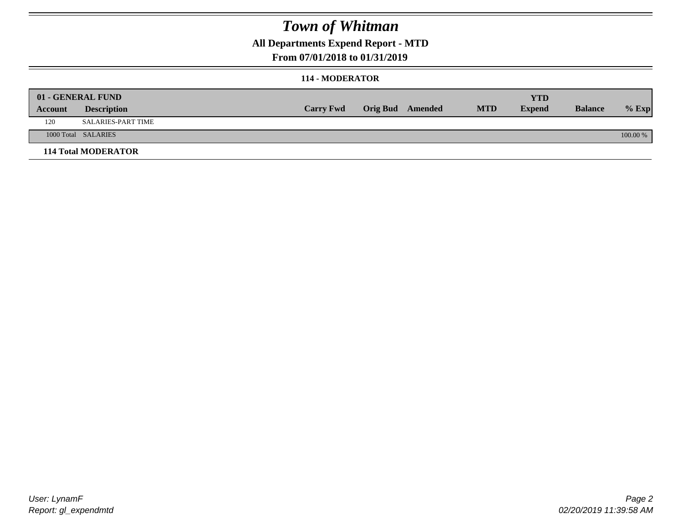### **All Departments Expend Report - MTD**

### **From 07/01/2018 to 01/31/2019**

#### **114 - MODERATOR**

|         | 01 - GENERAL FUND          |                  |                         |            | YTD           |                |            |
|---------|----------------------------|------------------|-------------------------|------------|---------------|----------------|------------|
| Account | <b>Description</b>         | <b>Carry Fwd</b> | <b>Orig Bud</b> Amended | <b>MTD</b> | <b>Expend</b> | <b>Balance</b> | $%$ Exp    |
| 120     | SALARIES-PART TIME         |                  |                         |            |               |                |            |
|         | 1000 Total SALARIES        |                  |                         |            |               |                | $100.00\%$ |
|         | <b>114 Total MODERATOR</b> |                  |                         |            |               |                |            |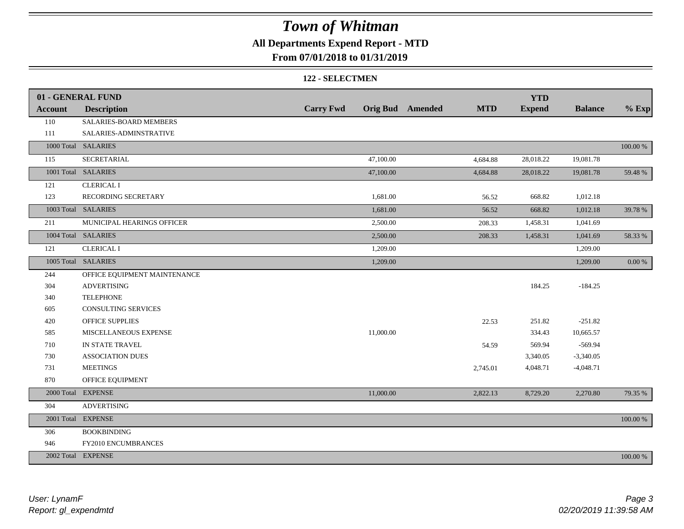### **All Departments Expend Report - MTD**

### **From 07/01/2018 to 01/31/2019**

#### **122 - SELECTMEN**

|                | 01 - GENERAL FUND            |                  |           |                         |            | <b>YTD</b>    |                |            |
|----------------|------------------------------|------------------|-----------|-------------------------|------------|---------------|----------------|------------|
| <b>Account</b> | <b>Description</b>           | <b>Carry Fwd</b> |           | <b>Orig Bud</b> Amended | <b>MTD</b> | <b>Expend</b> | <b>Balance</b> | $%$ Exp    |
| 110            | SALARIES-BOARD MEMBERS       |                  |           |                         |            |               |                |            |
| 111            | SALARIES-ADMINSTRATIVE       |                  |           |                         |            |               |                |            |
|                | 1000 Total SALARIES          |                  |           |                         |            |               |                | 100.00 %   |
| 115            | SECRETARIAL                  |                  | 47,100.00 |                         | 4,684.88   | 28,018.22     | 19,081.78      |            |
|                | 1001 Total SALARIES          |                  | 47,100.00 |                         | 4,684.88   | 28,018.22     | 19,081.78      | 59.48%     |
| 121            | <b>CLERICAL I</b>            |                  |           |                         |            |               |                |            |
| 123            | RECORDING SECRETARY          |                  | 1,681.00  |                         | 56.52      | 668.82        | 1,012.18       |            |
|                | 1003 Total SALARIES          |                  | 1,681.00  |                         | 56.52      | 668.82        | 1,012.18       | 39.78 %    |
| 211            | MUNICIPAL HEARINGS OFFICER   |                  | 2,500.00  |                         | 208.33     | 1,458.31      | 1,041.69       |            |
|                | 1004 Total SALARIES          |                  | 2,500.00  |                         | 208.33     | 1,458.31      | 1,041.69       | 58.33 %    |
| 121            | <b>CLERICAL I</b>            |                  | 1,209.00  |                         |            |               | 1,209.00       |            |
|                | 1005 Total SALARIES          |                  | 1,209.00  |                         |            |               | 1,209.00       | $0.00\ \%$ |
| 244            | OFFICE EQUIPMENT MAINTENANCE |                  |           |                         |            |               |                |            |
| 304            | <b>ADVERTISING</b>           |                  |           |                         |            | 184.25        | $-184.25$      |            |
| 340            | <b>TELEPHONE</b>             |                  |           |                         |            |               |                |            |
| 605            | <b>CONSULTING SERVICES</b>   |                  |           |                         |            |               |                |            |
| 420            | <b>OFFICE SUPPLIES</b>       |                  |           |                         | 22.53      | 251.82        | $-251.82$      |            |
| 585            | MISCELLANEOUS EXPENSE        |                  | 11,000.00 |                         |            | 334.43        | 10,665.57      |            |
| 710            | IN STATE TRAVEL              |                  |           |                         | 54.59      | 569.94        | $-569.94$      |            |
| 730            | <b>ASSOCIATION DUES</b>      |                  |           |                         |            | 3,340.05      | $-3,340.05$    |            |
| 731            | <b>MEETINGS</b>              |                  |           |                         | 2,745.01   | 4,048.71      | $-4,048.71$    |            |
| 870            | OFFICE EQUIPMENT             |                  |           |                         |            |               |                |            |
|                | 2000 Total EXPENSE           |                  | 11,000.00 |                         | 2,822.13   | 8,729.20      | 2,270.80       | 79.35 %    |
| 304            | <b>ADVERTISING</b>           |                  |           |                         |            |               |                |            |
|                | 2001 Total EXPENSE           |                  |           |                         |            |               |                | 100.00 %   |
| 306            | <b>BOOKBINDING</b>           |                  |           |                         |            |               |                |            |
| 946            | FY2010 ENCUMBRANCES          |                  |           |                         |            |               |                |            |
|                | 2002 Total EXPENSE           |                  |           |                         |            |               |                | 100.00 %   |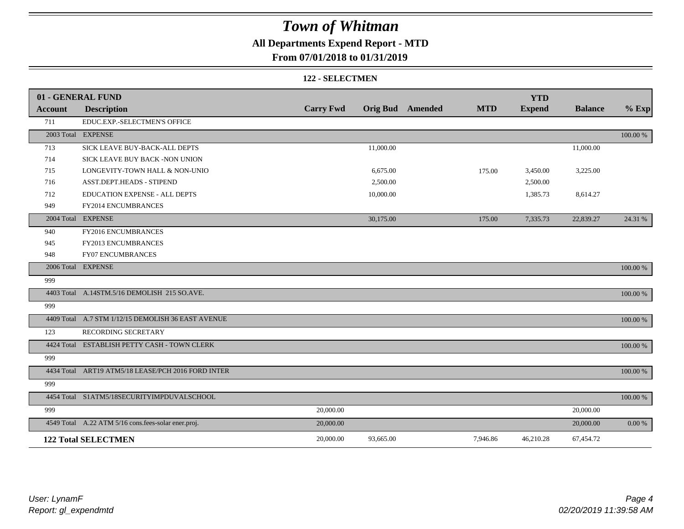### **All Departments Expend Report - MTD**

### **From 07/01/2018 to 01/31/2019**

#### **122 - SELECTMEN**

|         | 01 - GENERAL FUND                                   |                  |           |                         |            | <b>YTD</b>    |                |          |
|---------|-----------------------------------------------------|------------------|-----------|-------------------------|------------|---------------|----------------|----------|
| Account | <b>Description</b>                                  | <b>Carry Fwd</b> |           | <b>Orig Bud</b> Amended | <b>MTD</b> | <b>Expend</b> | <b>Balance</b> | $%$ Exp  |
| 711     | EDUC.EXP.-SELECTMEN'S OFFICE                        |                  |           |                         |            |               |                |          |
|         | 2003 Total EXPENSE                                  |                  |           |                         |            |               |                | 100.00 % |
| 713     | SICK LEAVE BUY-BACK-ALL DEPTS                       |                  | 11,000.00 |                         |            |               | 11,000.00      |          |
| 714     | SICK LEAVE BUY BACK -NON UNION                      |                  |           |                         |            |               |                |          |
| 715     | LONGEVITY-TOWN HALL & NON-UNIO                      |                  | 6,675.00  |                         | 175.00     | 3,450.00      | 3,225.00       |          |
| 716     | ASST.DEPT.HEADS - STIPEND                           |                  | 2,500.00  |                         |            | 2,500.00      |                |          |
| 712     | EDUCATION EXPENSE - ALL DEPTS                       |                  | 10,000.00 |                         |            | 1,385.73      | 8,614.27       |          |
| 949     | FY2014 ENCUMBRANCES                                 |                  |           |                         |            |               |                |          |
|         | 2004 Total EXPENSE                                  |                  | 30,175.00 |                         | 175.00     | 7,335.73      | 22,839.27      | 24.31 %  |
| 940     | FY2016 ENCUMBRANCES                                 |                  |           |                         |            |               |                |          |
| 945     | <b>FY2013 ENCUMBRANCES</b>                          |                  |           |                         |            |               |                |          |
| 948     | FY07 ENCUMBRANCES                                   |                  |           |                         |            |               |                |          |
|         | 2006 Total EXPENSE                                  |                  |           |                         |            |               |                | 100.00 % |
| 999     |                                                     |                  |           |                         |            |               |                |          |
|         | 4403 Total A.14STM.5/16 DEMOLISH 215 SO.AVE.        |                  |           |                         |            |               |                | 100.00 % |
| 999     |                                                     |                  |           |                         |            |               |                |          |
|         | 4409 Total A.7 STM 1/12/15 DEMOLISH 36 EAST AVENUE  |                  |           |                         |            |               |                | 100.00 % |
| 123     | RECORDING SECRETARY                                 |                  |           |                         |            |               |                |          |
|         | 4424 Total ESTABLISH PETTY CASH - TOWN CLERK        |                  |           |                         |            |               |                | 100.00 % |
| 999     |                                                     |                  |           |                         |            |               |                |          |
|         | 4434 Total ART19 ATM5/18 LEASE/PCH 2016 FORD INTER  |                  |           |                         |            |               |                | 100.00 % |
| 999     |                                                     |                  |           |                         |            |               |                |          |
|         | 4454 Total S1ATM5/18SECURITYIMPDUVALSCHOOL          |                  |           |                         |            |               |                | 100.00 % |
| 999     |                                                     | 20,000.00        |           |                         |            |               | 20,000.00      |          |
|         | 4549 Total A.22 ATM 5/16 cons.fees-solar ener.proj. | 20,000.00        |           |                         |            |               | 20,000.00      | 0.00 %   |
|         | <b>122 Total SELECTMEN</b>                          | 20,000.00        | 93,665.00 |                         | 7,946.86   | 46,210.28     | 67,454.72      |          |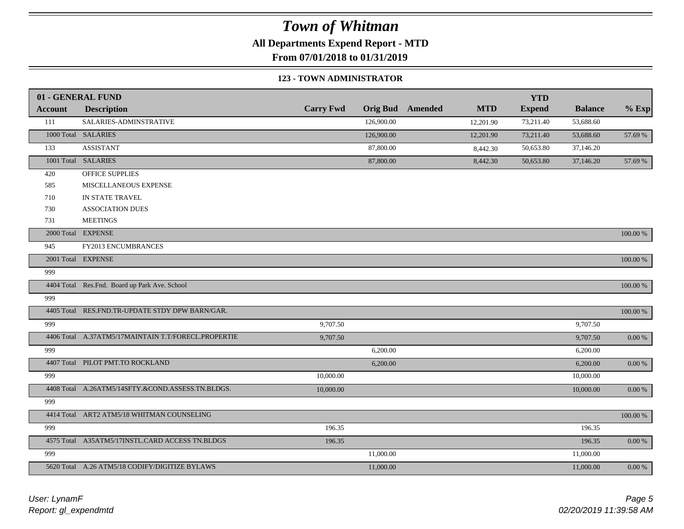**All Departments Expend Report - MTD**

**From 07/01/2018 to 01/31/2019**

#### **123 - TOWN ADMINISTRATOR**

|                | 01 - GENERAL FUND                                   |                  |                 |         |            | <b>YTD</b>    |                |             |
|----------------|-----------------------------------------------------|------------------|-----------------|---------|------------|---------------|----------------|-------------|
| <b>Account</b> | <b>Description</b>                                  | <b>Carry Fwd</b> | <b>Orig Bud</b> | Amended | <b>MTD</b> | <b>Expend</b> | <b>Balance</b> | $%$ Exp     |
| 111            | SALARIES-ADMINSTRATIVE                              |                  | 126,900.00      |         | 12,201.90  | 73,211.40     | 53,688.60      |             |
|                | 1000 Total SALARIES                                 |                  | 126,900.00      |         | 12,201.90  | 73,211.40     | 53,688.60      | 57.69 %     |
| 133            | <b>ASSISTANT</b>                                    |                  | 87,800.00       |         | 8,442.30   | 50,653.80     | 37,146.20      |             |
|                | 1001 Total SALARIES                                 |                  | 87,800.00       |         | 8,442.30   | 50,653.80     | 37,146.20      | 57.69 %     |
| 420            | <b>OFFICE SUPPLIES</b>                              |                  |                 |         |            |               |                |             |
| 585            | MISCELLANEOUS EXPENSE                               |                  |                 |         |            |               |                |             |
| 710            | IN STATE TRAVEL                                     |                  |                 |         |            |               |                |             |
| 730            | <b>ASSOCIATION DUES</b>                             |                  |                 |         |            |               |                |             |
| 731            | <b>MEETINGS</b>                                     |                  |                 |         |            |               |                |             |
|                | 2000 Total EXPENSE                                  |                  |                 |         |            |               |                | 100.00 %    |
| 945            | FY2013 ENCUMBRANCES                                 |                  |                 |         |            |               |                |             |
|                | 2001 Total EXPENSE                                  |                  |                 |         |            |               |                | 100.00 %    |
| 999            |                                                     |                  |                 |         |            |               |                |             |
|                | 4404 Total Res.Fnd. Board up Park Ave. School       |                  |                 |         |            |               |                | $100.00~\%$ |
| 999            |                                                     |                  |                 |         |            |               |                |             |
|                | 4405 Total RES.FND.TR-UPDATE STDY DPW BARN/GAR.     |                  |                 |         |            |               |                | $100.00~\%$ |
| 999            |                                                     | 9,707.50         |                 |         |            |               | 9,707.50       |             |
|                | 4406 Total A.37ATM5/17MAINTAIN T.T/FORECL.PROPERTIE | 9,707.50         |                 |         |            |               | 9,707.50       | $0.00\ \%$  |
| 999            |                                                     |                  | 6,200.00        |         |            |               | 6,200.00       |             |
|                | 4407 Total PILOT PMT.TO ROCKLAND                    |                  | 6,200.00        |         |            |               | 6,200.00       | 0.00 %      |
| 999            |                                                     | 10,000.00        |                 |         |            |               | 10,000.00      |             |
|                | 4408 Total A.26ATM5/14SFTY.&COND.ASSESS.TN.BLDGS.   | 10,000.00        |                 |         |            |               | 10,000.00      | $0.00~\%$   |
| 999            |                                                     |                  |                 |         |            |               |                |             |
|                | 4414 Total ART2 ATM5/18 WHITMAN COUNSELING          |                  |                 |         |            |               |                | 100.00 %    |
| 999            |                                                     | 196.35           |                 |         |            |               | 196.35         |             |
|                | 4575 Total A35ATM5/17INSTL.CARD ACCESS TN.BLDGS     | 196.35           |                 |         |            |               | 196.35         | $0.00~\%$   |
| 999            |                                                     |                  | 11,000.00       |         |            |               | 11,000.00      |             |
|                | 5620 Total A.26 ATM5/18 CODIFY/DIGITIZE BYLAWS      |                  | 11,000.00       |         |            |               | 11,000.00      | $0.00~\%$   |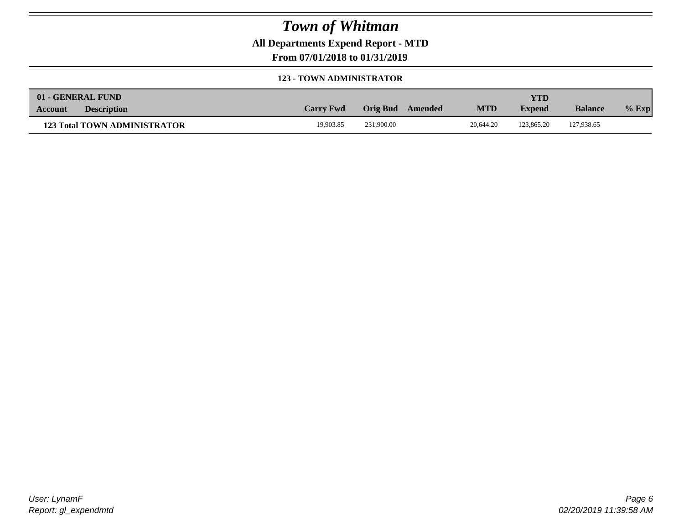**All Departments Expend Report - MTD**

**From 07/01/2018 to 01/31/2019**

#### **123 - TOWN ADMINISTRATOR**

| 01 - GENERAL FUND |                                     |                  |            |         |            | <b>YTD</b>    |                |         |
|-------------------|-------------------------------------|------------------|------------|---------|------------|---------------|----------------|---------|
| Account           | <b>Description</b>                  | <b>Carry Fwd</b> | Orig Bud   | Amended | <b>MTD</b> | <b>Expend</b> | <b>Balance</b> | $%$ Exp |
|                   | <b>123 Total TOWN ADMINISTRATOR</b> | 19.903.85        | 231,900.00 |         | 20,644.20  | 123,865.20    | 127,938.65     |         |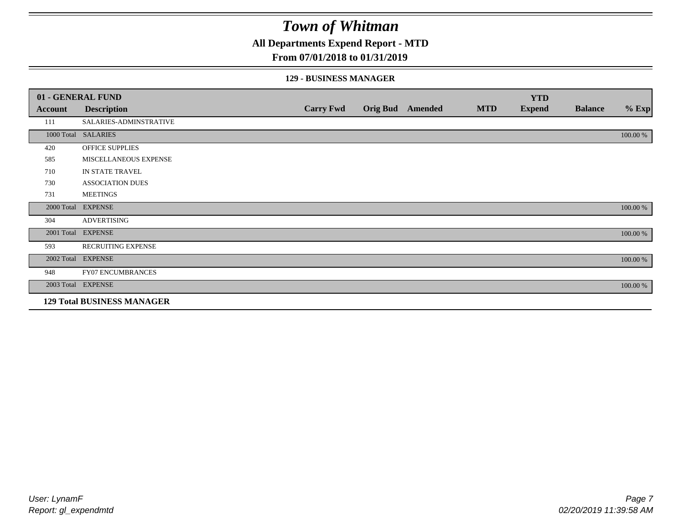**All Departments Expend Report - MTD**

### **From 07/01/2018 to 01/31/2019**

#### **129 - BUSINESS MANAGER**

|            | 01 - GENERAL FUND                 |                  |                 |         |            | <b>YTD</b>    |                |          |
|------------|-----------------------------------|------------------|-----------------|---------|------------|---------------|----------------|----------|
| Account    | <b>Description</b>                | <b>Carry Fwd</b> | <b>Orig Bud</b> | Amended | <b>MTD</b> | <b>Expend</b> | <b>Balance</b> | $%$ Exp  |
| 111        | SALARIES-ADMINSTRATIVE            |                  |                 |         |            |               |                |          |
|            | 1000 Total SALARIES               |                  |                 |         |            |               |                | 100.00 % |
| 420        | OFFICE SUPPLIES                   |                  |                 |         |            |               |                |          |
| 585        | MISCELLANEOUS EXPENSE             |                  |                 |         |            |               |                |          |
| 710        | IN STATE TRAVEL                   |                  |                 |         |            |               |                |          |
| 730        | <b>ASSOCIATION DUES</b>           |                  |                 |         |            |               |                |          |
| 731        | <b>MEETINGS</b>                   |                  |                 |         |            |               |                |          |
| 2000 Total | <b>EXPENSE</b>                    |                  |                 |         |            |               |                | 100.00 % |
| 304        | <b>ADVERTISING</b>                |                  |                 |         |            |               |                |          |
| 2001 Total | <b>EXPENSE</b>                    |                  |                 |         |            |               |                | 100.00 % |
| 593        | <b>RECRUITING EXPENSE</b>         |                  |                 |         |            |               |                |          |
|            | 2002 Total EXPENSE                |                  |                 |         |            |               |                | 100.00 % |
| 948        | <b>FY07 ENCUMBRANCES</b>          |                  |                 |         |            |               |                |          |
|            | 2003 Total EXPENSE                |                  |                 |         |            |               |                | 100.00 % |
|            | <b>129 Total BUSINESS MANAGER</b> |                  |                 |         |            |               |                |          |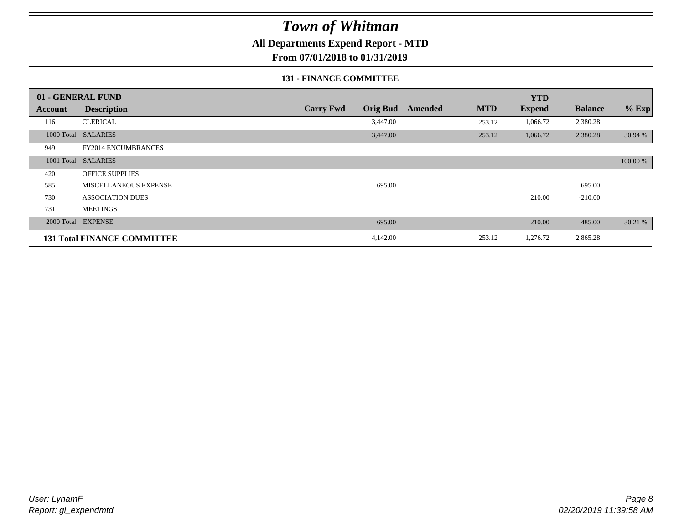**All Departments Expend Report - MTD**

**From 07/01/2018 to 01/31/2019**

### **131 - FINANCE COMMITTEE**

|         | 01 - GENERAL FUND                  |                  |                 |         |            | <b>YTD</b>    |                |          |
|---------|------------------------------------|------------------|-----------------|---------|------------|---------------|----------------|----------|
| Account | <b>Description</b>                 | <b>Carry Fwd</b> | <b>Orig Bud</b> | Amended | <b>MTD</b> | <b>Expend</b> | <b>Balance</b> | $%$ Exp  |
| 116     | <b>CLERICAL</b>                    |                  | 3,447.00        |         | 253.12     | 1,066.72      | 2,380.28       |          |
|         | 1000 Total SALARIES                |                  | 3,447.00        |         | 253.12     | 1,066.72      | 2,380.28       | 30.94 %  |
| 949     | <b>FY2014 ENCUMBRANCES</b>         |                  |                 |         |            |               |                |          |
|         | 1001 Total SALARIES                |                  |                 |         |            |               |                | 100.00 % |
| 420     | <b>OFFICE SUPPLIES</b>             |                  |                 |         |            |               |                |          |
| 585     | MISCELLANEOUS EXPENSE              |                  | 695.00          |         |            |               | 695.00         |          |
| 730     | <b>ASSOCIATION DUES</b>            |                  |                 |         |            | 210.00        | $-210.00$      |          |
| 731     | <b>MEETINGS</b>                    |                  |                 |         |            |               |                |          |
|         | 2000 Total EXPENSE                 |                  | 695.00          |         |            | 210.00        | 485.00         | 30.21 %  |
|         | <b>131 Total FINANCE COMMITTEE</b> |                  | 4,142.00        |         | 253.12     | 1,276.72      | 2,865.28       |          |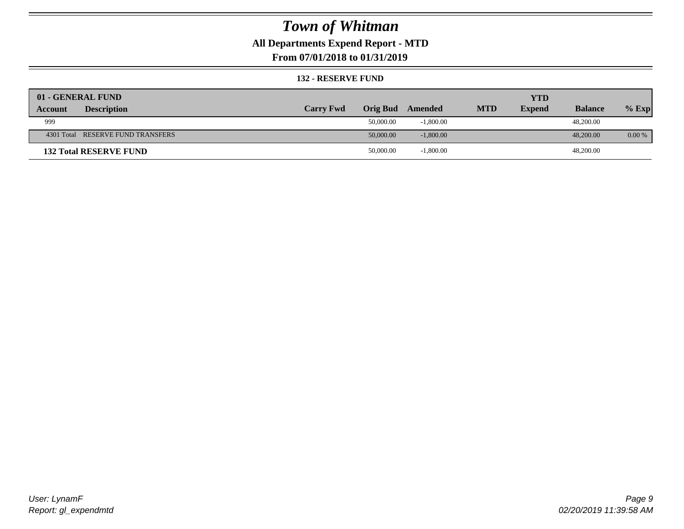### **All Departments Expend Report - MTD**

**From 07/01/2018 to 01/31/2019**

#### **132 - RESERVE FUND**

| 01 - GENERAL FUND                 |                  |                 |             |            | <b>YTD</b>    |                |          |
|-----------------------------------|------------------|-----------------|-------------|------------|---------------|----------------|----------|
| <b>Description</b><br>Account     | <b>Carry Fwd</b> | <b>Orig Bud</b> | Amended     | <b>MTD</b> | <b>Expend</b> | <b>Balance</b> | $%$ Exp  |
| 999                               |                  | 50,000.00       | $-1,800.00$ |            |               | 48,200.00      |          |
| 4301 Total RESERVE FUND TRANSFERS |                  | 50,000.00       | $-1,800.00$ |            |               | 48,200,00      | $0.00\%$ |
| <b>132 Total RESERVE FUND</b>     |                  | 50,000.00       | $-1,800.00$ |            |               | 48,200.00      |          |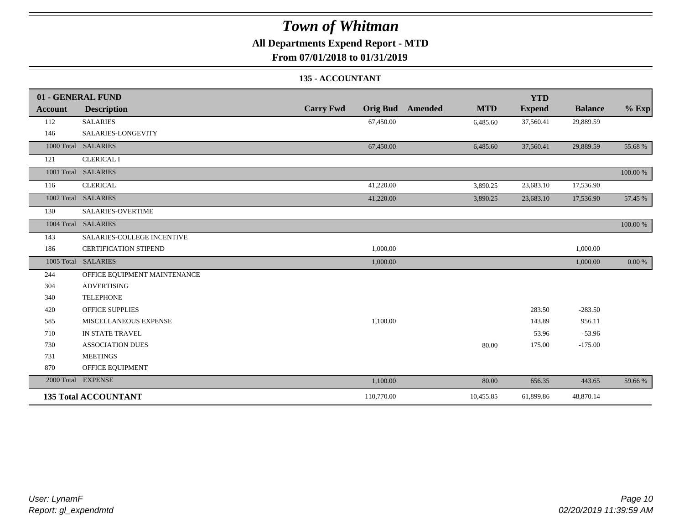### **All Departments Expend Report - MTD**

**From 07/01/2018 to 01/31/2019**

#### **135 - ACCOUNTANT**

|         | 01 - GENERAL FUND            |                                     |                              | <b>YTD</b>    |                |          |
|---------|------------------------------|-------------------------------------|------------------------------|---------------|----------------|----------|
| Account | <b>Description</b>           | <b>Carry Fwd</b><br><b>Orig Bud</b> | <b>MTD</b><br><b>Amended</b> | <b>Expend</b> | <b>Balance</b> | $%$ Exp  |
| 112     | <b>SALARIES</b>              | 67,450.00                           | 6,485.60                     | 37,560.41     | 29,889.59      |          |
| 146     | SALARIES-LONGEVITY           |                                     |                              |               |                |          |
|         | 1000 Total SALARIES          | 67,450.00                           | 6,485.60                     | 37,560.41     | 29,889.59      | 55.68 %  |
| 121     | <b>CLERICAL I</b>            |                                     |                              |               |                |          |
|         | 1001 Total SALARIES          |                                     |                              |               |                | 100.00 % |
| 116     | <b>CLERICAL</b>              | 41,220.00                           | 3,890.25                     | 23,683.10     | 17,536.90      |          |
|         | 1002 Total SALARIES          | 41,220.00                           | 3,890.25                     | 23,683.10     | 17,536.90      | 57.45 %  |
| 130     | SALARIES-OVERTIME            |                                     |                              |               |                |          |
|         | 1004 Total SALARIES          |                                     |                              |               |                | 100.00 % |
| 143     | SALARIES-COLLEGE INCENTIVE   |                                     |                              |               |                |          |
| 186     | <b>CERTIFICATION STIPEND</b> | 1,000.00                            |                              |               | 1,000.00       |          |
|         | 1005 Total SALARIES          | 1,000.00                            |                              |               | 1,000.00       | 0.00 %   |
| 244     | OFFICE EQUIPMENT MAINTENANCE |                                     |                              |               |                |          |
| 304     | <b>ADVERTISING</b>           |                                     |                              |               |                |          |
| 340     | <b>TELEPHONE</b>             |                                     |                              |               |                |          |
| 420     | <b>OFFICE SUPPLIES</b>       |                                     |                              | 283.50        | $-283.50$      |          |
| 585     | MISCELLANEOUS EXPENSE        | 1,100.00                            |                              | 143.89        | 956.11         |          |
| 710     | IN STATE TRAVEL              |                                     |                              | 53.96         | $-53.96$       |          |
| 730     | <b>ASSOCIATION DUES</b>      |                                     | 80.00                        | 175.00        | $-175.00$      |          |
| 731     | <b>MEETINGS</b>              |                                     |                              |               |                |          |
| 870     | OFFICE EQUIPMENT             |                                     |                              |               |                |          |
|         | 2000 Total EXPENSE           | 1,100.00                            | 80.00                        | 656.35        | 443.65         | 59.66 %  |
|         | <b>135 Total ACCOUNTANT</b>  | 110,770.00                          | 10,455.85                    | 61,899.86     | 48,870.14      |          |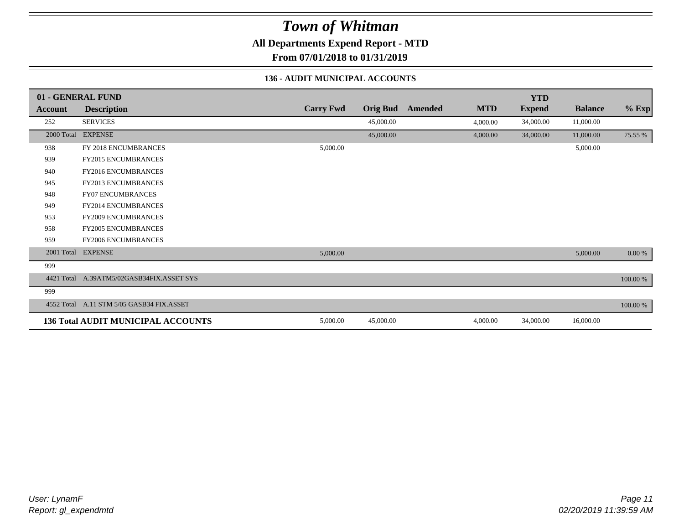**All Departments Expend Report - MTD**

**From 07/01/2018 to 01/31/2019**

#### **136 - AUDIT MUNICIPAL ACCOUNTS**

|                | 01 - GENERAL FUND                         |                  |                 |                |            | <b>YTD</b>    |                |           |
|----------------|-------------------------------------------|------------------|-----------------|----------------|------------|---------------|----------------|-----------|
| <b>Account</b> | <b>Description</b>                        | <b>Carry Fwd</b> | <b>Orig Bud</b> | <b>Amended</b> | <b>MTD</b> | <b>Expend</b> | <b>Balance</b> | $%$ Exp   |
| 252            | <b>SERVICES</b>                           |                  | 45,000.00       |                | 4,000.00   | 34,000.00     | 11,000.00      |           |
| 2000 Total     | <b>EXPENSE</b>                            |                  | 45,000.00       |                | 4,000.00   | 34,000.00     | 11,000.00      | 75.55 %   |
| 938            | FY 2018 ENCUMBRANCES                      | 5,000.00         |                 |                |            |               | 5,000.00       |           |
| 939            | <b>FY2015 ENCUMBRANCES</b>                |                  |                 |                |            |               |                |           |
| 940            | <b>FY2016 ENCUMBRANCES</b>                |                  |                 |                |            |               |                |           |
| 945            | <b>FY2013 ENCUMBRANCES</b>                |                  |                 |                |            |               |                |           |
| 948            | <b>FY07 ENCUMBRANCES</b>                  |                  |                 |                |            |               |                |           |
| 949            | <b>FY2014 ENCUMBRANCES</b>                |                  |                 |                |            |               |                |           |
| 953            | <b>FY2009 ENCUMBRANCES</b>                |                  |                 |                |            |               |                |           |
| 958            | <b>FY2005 ENCUMBRANCES</b>                |                  |                 |                |            |               |                |           |
| 959            | <b>FY2006 ENCUMBRANCES</b>                |                  |                 |                |            |               |                |           |
| 2001 Total     | <b>EXPENSE</b>                            | 5,000.00         |                 |                |            |               | 5,000.00       | $0.00~\%$ |
| 999            |                                           |                  |                 |                |            |               |                |           |
|                | 4421 Total A.39ATM5/02GASB34FIX.ASSET SYS |                  |                 |                |            |               |                | 100.00 %  |
| 999            |                                           |                  |                 |                |            |               |                |           |
| 4552 Total     | A.11 STM 5/05 GASB34 FIX.ASSET            |                  |                 |                |            |               |                | 100.00 %  |
|                | <b>136 Total AUDIT MUNICIPAL ACCOUNTS</b> | 5,000.00         | 45,000.00       |                | 4,000.00   | 34,000.00     | 16,000.00      |           |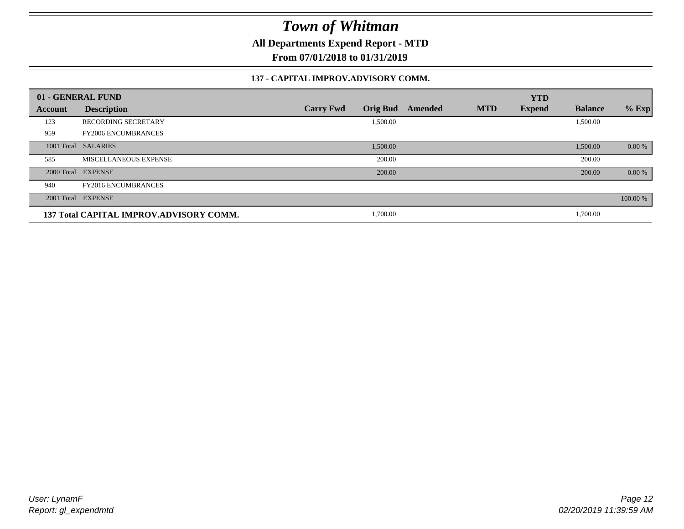**All Departments Expend Report - MTD**

**From 07/01/2018 to 01/31/2019**

#### **137 - CAPITAL IMPROV.ADVISORY COMM.**

|         | 01 - GENERAL FUND                       |                                     |         |            | <b>YTD</b>    |                |          |
|---------|-----------------------------------------|-------------------------------------|---------|------------|---------------|----------------|----------|
| Account | <b>Description</b>                      | <b>Orig Bud</b><br><b>Carry Fwd</b> | Amended | <b>MTD</b> | <b>Expend</b> | <b>Balance</b> | $%$ Exp  |
| 123     | <b>RECORDING SECRETARY</b>              | 1,500.00                            |         |            |               | 1,500.00       |          |
| 959     | <b>FY2006 ENCUMBRANCES</b>              |                                     |         |            |               |                |          |
|         | 1001 Total SALARIES                     | 1,500.00                            |         |            |               | 1,500.00       | 0.00 %   |
| 585     | MISCELLANEOUS EXPENSE                   | 200.00                              |         |            |               | 200.00         |          |
|         | 2000 Total EXPENSE                      | 200.00                              |         |            |               | 200.00         | 0.00 %   |
| 940     | <b>FY2016 ENCUMBRANCES</b>              |                                     |         |            |               |                |          |
|         | 2001 Total EXPENSE                      |                                     |         |            |               |                | 100.00 % |
|         | 137 Total CAPITAL IMPROV.ADVISORY COMM. | 1,700.00                            |         |            |               | 1,700.00       |          |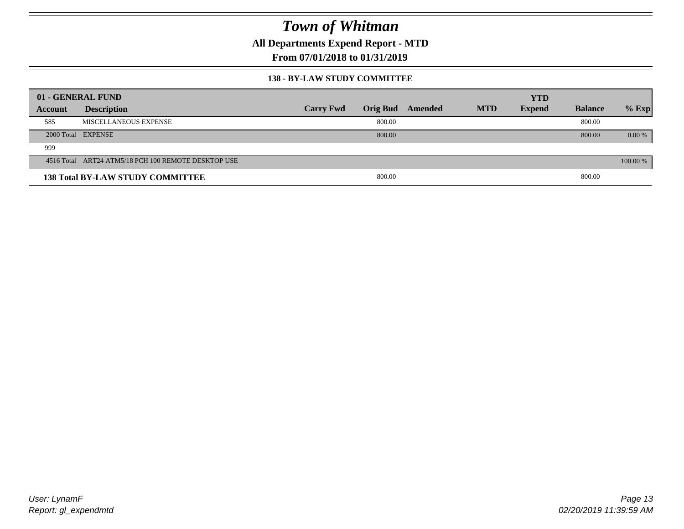**All Departments Expend Report - MTD**

**From 07/01/2018 to 01/31/2019**

#### **138 - BY-LAW STUDY COMMITTEE**

|         | 01 - GENERAL FUND                                   |                  |        |                  |            | <b>YTD</b>    |                |          |
|---------|-----------------------------------------------------|------------------|--------|------------------|------------|---------------|----------------|----------|
| Account | <b>Description</b>                                  | <b>Carry Fwd</b> |        | Orig Bud Amended | <b>MTD</b> | <b>Expend</b> | <b>Balance</b> | $%$ Exp  |
| 585     | MISCELLANEOUS EXPENSE                               |                  | 800.00 |                  |            |               | 800.00         |          |
|         | 2000 Total EXPENSE                                  |                  | 800.00 |                  |            |               | 800.00         | $0.00\%$ |
| 999     |                                                     |                  |        |                  |            |               |                |          |
|         | 4516 Total ART24 ATM5/18 PCH 100 REMOTE DESKTOP USE |                  |        |                  |            |               |                | 100.00 % |
|         | <b>138 Total BY-LAW STUDY COMMITTEE</b>             |                  | 800.00 |                  |            |               | 800.00         |          |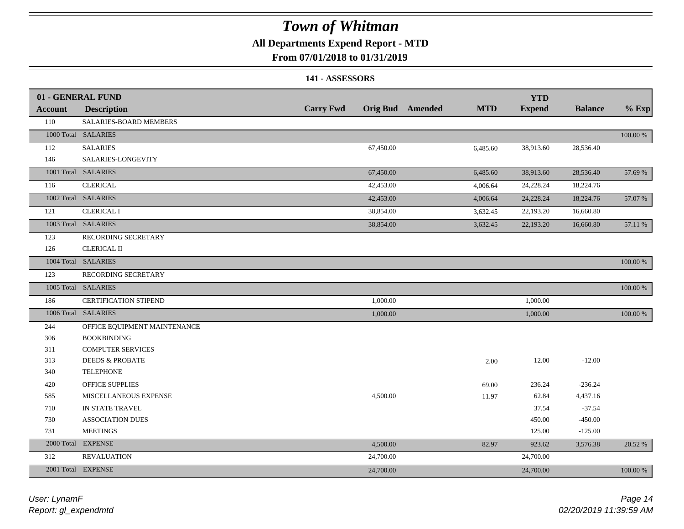### **All Departments Expend Report - MTD**

### **From 07/01/2018 to 01/31/2019**

#### **141 - ASSESSORS**

|                | 01 - GENERAL FUND            |                  |           |                         |            | <b>YTD</b>    |                |          |
|----------------|------------------------------|------------------|-----------|-------------------------|------------|---------------|----------------|----------|
| <b>Account</b> | <b>Description</b>           | <b>Carry Fwd</b> |           | <b>Orig Bud</b> Amended | <b>MTD</b> | <b>Expend</b> | <b>Balance</b> | $%$ Exp  |
| 110            | SALARIES-BOARD MEMBERS       |                  |           |                         |            |               |                |          |
|                | 1000 Total SALARIES          |                  |           |                         |            |               |                | 100.00 % |
| 112            | <b>SALARIES</b>              |                  | 67,450.00 |                         | 6,485.60   | 38,913.60     | 28,536.40      |          |
| 146            | SALARIES-LONGEVITY           |                  |           |                         |            |               |                |          |
|                | 1001 Total SALARIES          |                  | 67,450.00 |                         | 6,485.60   | 38,913.60     | 28,536.40      | 57.69 %  |
| 116            | <b>CLERICAL</b>              |                  | 42,453.00 |                         | 4,006.64   | 24,228.24     | 18,224.76      |          |
|                | 1002 Total SALARIES          |                  | 42,453.00 |                         | 4,006.64   | 24,228.24     | 18,224.76      | 57.07 %  |
| 121            | <b>CLERICAL I</b>            |                  | 38,854.00 |                         | 3,632.45   | 22,193.20     | 16,660.80      |          |
|                | 1003 Total SALARIES          |                  | 38,854.00 |                         | 3,632.45   | 22,193.20     | 16,660.80      | 57.11 %  |
| 123            | RECORDING SECRETARY          |                  |           |                         |            |               |                |          |
| 126            | <b>CLERICAL II</b>           |                  |           |                         |            |               |                |          |
|                | 1004 Total SALARIES          |                  |           |                         |            |               |                | 100.00 % |
| 123            | RECORDING SECRETARY          |                  |           |                         |            |               |                |          |
|                | 1005 Total SALARIES          |                  |           |                         |            |               |                | 100.00 % |
| 186            | <b>CERTIFICATION STIPEND</b> |                  | 1,000.00  |                         |            | 1,000.00      |                |          |
|                | 1006 Total SALARIES          |                  | 1,000.00  |                         |            | 1,000.00      |                | 100.00 % |
| 244            | OFFICE EQUIPMENT MAINTENANCE |                  |           |                         |            |               |                |          |
| 306            | <b>BOOKBINDING</b>           |                  |           |                         |            |               |                |          |
| 311            | <b>COMPUTER SERVICES</b>     |                  |           |                         |            |               |                |          |
| 313            | <b>DEEDS &amp; PROBATE</b>   |                  |           |                         | 2.00       | 12.00         | $-12.00$       |          |
| 340            | <b>TELEPHONE</b>             |                  |           |                         |            |               |                |          |
| 420            | OFFICE SUPPLIES              |                  |           |                         | 69.00      | 236.24        | $-236.24$      |          |
| 585            | MISCELLANEOUS EXPENSE        |                  | 4,500.00  |                         | 11.97      | 62.84         | 4,437.16       |          |
| 710            | IN STATE TRAVEL              |                  |           |                         |            | 37.54         | $-37.54$       |          |
| 730            | <b>ASSOCIATION DUES</b>      |                  |           |                         |            | 450.00        | $-450.00$      |          |
| 731            | <b>MEETINGS</b>              |                  |           |                         |            | 125.00        | $-125.00$      |          |
| 2000 Total     | <b>EXPENSE</b>               |                  | 4,500.00  |                         | 82.97      | 923.62        | 3,576.38       | 20.52 %  |
| 312            | <b>REVALUATION</b>           |                  | 24,700.00 |                         |            | 24,700.00     |                |          |
|                | 2001 Total EXPENSE           |                  | 24,700.00 |                         |            | 24,700.00     |                | 100.00 % |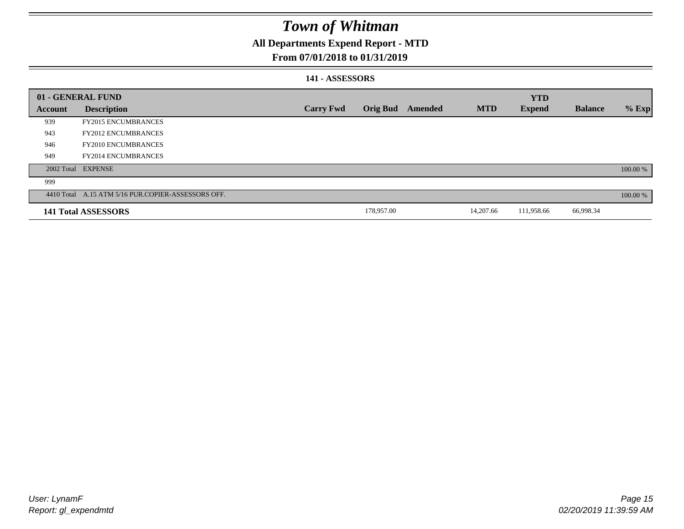### **All Departments Expend Report - MTD**

### **From 07/01/2018 to 01/31/2019**

#### **141 - ASSESSORS**

|                | 01 - GENERAL FUND                                  |                  |                 |         |            | <b>YTD</b>    |                |          |
|----------------|----------------------------------------------------|------------------|-----------------|---------|------------|---------------|----------------|----------|
| <b>Account</b> | <b>Description</b>                                 | <b>Carry Fwd</b> | <b>Orig Bud</b> | Amended | <b>MTD</b> | <b>Expend</b> | <b>Balance</b> | $%$ Exp  |
| 939            | <b>FY2015 ENCUMBRANCES</b>                         |                  |                 |         |            |               |                |          |
| 943            | <b>FY2012 ENCUMBRANCES</b>                         |                  |                 |         |            |               |                |          |
| 946            | <b>FY2010 ENCUMBRANCES</b>                         |                  |                 |         |            |               |                |          |
| 949            | <b>FY2014 ENCUMBRANCES</b>                         |                  |                 |         |            |               |                |          |
|                | 2002 Total EXPENSE                                 |                  |                 |         |            |               |                | 100.00 % |
| 999            |                                                    |                  |                 |         |            |               |                |          |
|                | 4410 Total A.15 ATM 5/16 PUR.COPIER-ASSESSORS OFF. |                  |                 |         |            |               |                | 100.00 % |
|                | 141 Total ASSESSORS                                |                  | 178,957.00      |         | 14,207.66  | 111,958.66    | 66,998.34      |          |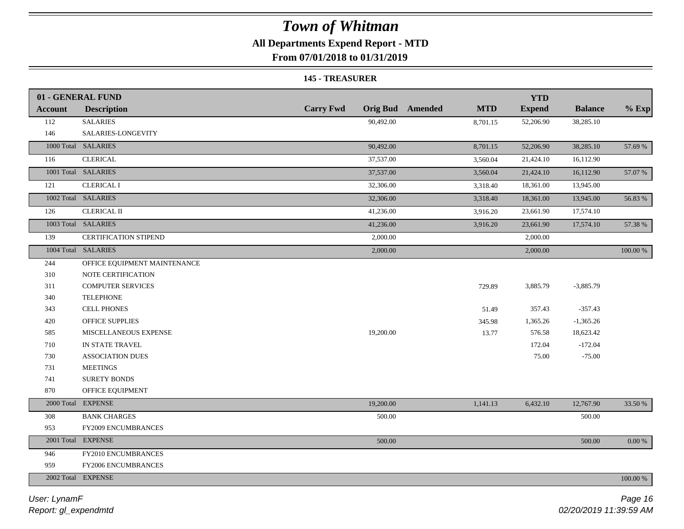### **All Departments Expend Report - MTD**

**From 07/01/2018 to 01/31/2019**

#### **145 - TREASURER**

|                | 01 - GENERAL FUND            |                  |                                       | <b>YTD</b>    |                |          |
|----------------|------------------------------|------------------|---------------------------------------|---------------|----------------|----------|
| <b>Account</b> | <b>Description</b>           | <b>Carry Fwd</b> | <b>Orig Bud</b> Amended<br><b>MTD</b> | <b>Expend</b> | <b>Balance</b> | $%$ Exp  |
| 112            | <b>SALARIES</b>              | 90,492.00        | 8,701.15                              | 52,206.90     | 38,285.10      |          |
| 146            | SALARIES-LONGEVITY           |                  |                                       |               |                |          |
|                | 1000 Total SALARIES          | 90,492.00        | 8,701.15                              | 52,206.90     | 38,285.10      | 57.69 %  |
| 116            | <b>CLERICAL</b>              | 37,537.00        | 3,560.04                              | 21,424.10     | 16,112.90      |          |
|                | 1001 Total SALARIES          | 37,537.00        | 3,560.04                              | 21,424.10     | 16,112.90      | 57.07 %  |
| 121            | <b>CLERICAL I</b>            | 32,306.00        | 3,318.40                              | 18,361.00     | 13,945.00      |          |
|                | 1002 Total SALARIES          | 32,306.00        | 3,318.40                              | 18,361.00     | 13,945.00      | 56.83 %  |
| 126            | <b>CLERICAL II</b>           | 41,236.00        | 3,916.20                              | 23,661.90     | 17,574.10      |          |
|                | 1003 Total SALARIES          | 41,236.00        | 3,916.20                              | 23,661.90     | 17,574.10      | 57.38 %  |
| 139            | CERTIFICATION STIPEND        | 2,000.00         |                                       | 2,000.00      |                |          |
|                | 1004 Total SALARIES          | 2,000.00         |                                       | 2,000.00      |                | 100.00 % |
| 244            | OFFICE EQUIPMENT MAINTENANCE |                  |                                       |               |                |          |
| 310            | NOTE CERTIFICATION           |                  |                                       |               |                |          |
| 311            | <b>COMPUTER SERVICES</b>     |                  | 729.89                                | 3,885.79      | $-3,885.79$    |          |
| 340            | <b>TELEPHONE</b>             |                  |                                       |               |                |          |
| 343            | <b>CELL PHONES</b>           |                  | 51.49                                 | 357.43        | $-357.43$      |          |
| 420            | <b>OFFICE SUPPLIES</b>       |                  | 345.98                                | 1,365.26      | $-1,365.26$    |          |
| 585            | MISCELLANEOUS EXPENSE        | 19,200.00        | 13.77                                 | 576.58        | 18,623.42      |          |
| 710            | IN STATE TRAVEL              |                  |                                       | 172.04        | $-172.04$      |          |
| 730            | <b>ASSOCIATION DUES</b>      |                  |                                       | 75.00         | $-75.00$       |          |
| 731            | <b>MEETINGS</b>              |                  |                                       |               |                |          |
| 741            | SURETY BONDS                 |                  |                                       |               |                |          |
| 870            | OFFICE EQUIPMENT             |                  |                                       |               |                |          |
|                | 2000 Total EXPENSE           | 19,200.00        | 1,141.13                              | 6,432.10      | 12,767.90      | 33.50 %  |
| 308            | <b>BANK CHARGES</b>          | 500.00           |                                       |               | 500.00         |          |
| 953            | FY2009 ENCUMBRANCES          |                  |                                       |               |                |          |
|                | 2001 Total EXPENSE           | 500.00           |                                       |               | 500.00         | 0.00 %   |
| 946            | FY2010 ENCUMBRANCES          |                  |                                       |               |                |          |
| 959            | FY2006 ENCUMBRANCES          |                  |                                       |               |                |          |
|                | 2002 Total EXPENSE           |                  |                                       |               |                | 100.00 % |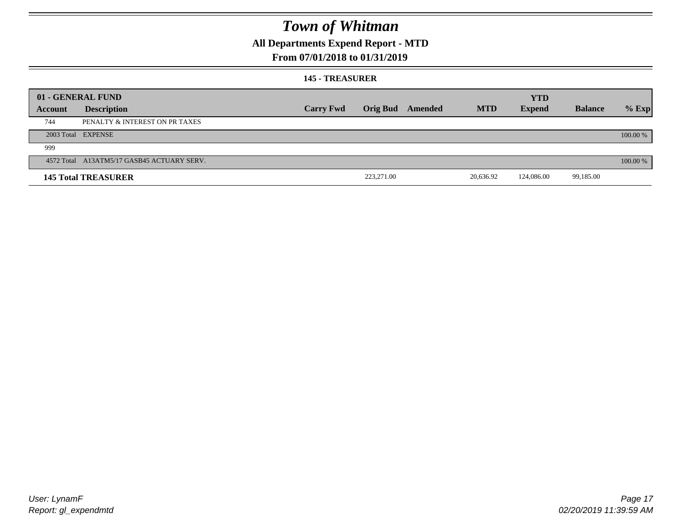### **All Departments Expend Report - MTD**

### **From 07/01/2018 to 01/31/2019**

#### **145 - TREASURER**

|         | 01 - GENERAL FUND                          |                  |            |                         |            | <b>YTD</b>    |                |          |
|---------|--------------------------------------------|------------------|------------|-------------------------|------------|---------------|----------------|----------|
| Account | <b>Description</b>                         | <b>Carry Fwd</b> |            | <b>Orig Bud</b> Amended | <b>MTD</b> | <b>Expend</b> | <b>Balance</b> | $%$ Exp  |
| 744     | PENALTY & INTEREST ON PR TAXES             |                  |            |                         |            |               |                |          |
|         | 2003 Total EXPENSE                         |                  |            |                         |            |               |                | 100.00 % |
| 999     |                                            |                  |            |                         |            |               |                |          |
|         | 4572 Total A13ATM5/17 GASB45 ACTUARY SERV. |                  |            |                         |            |               |                | 100.00 % |
|         | <b>145 Total TREASURER</b>                 |                  | 223,271.00 |                         | 20,636.92  | 124,086.00    | 99,185.00      |          |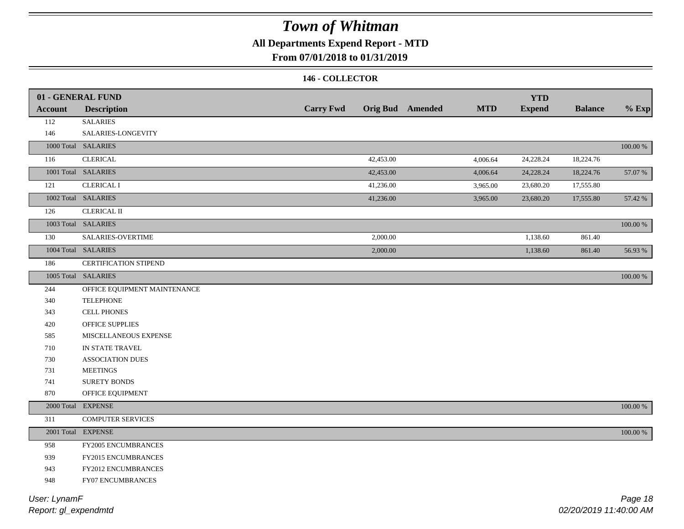### **All Departments Expend Report - MTD**

### **From 07/01/2018 to 01/31/2019**

#### **146 - COLLECTOR**

|                | 01 - GENERAL FUND            |                  |           |                         |            | <b>YTD</b>    |                |             |
|----------------|------------------------------|------------------|-----------|-------------------------|------------|---------------|----------------|-------------|
| <b>Account</b> | <b>Description</b>           | <b>Carry Fwd</b> |           | <b>Orig Bud</b> Amended | <b>MTD</b> | <b>Expend</b> | <b>Balance</b> | $%$ Exp     |
| 112            | <b>SALARIES</b>              |                  |           |                         |            |               |                |             |
| 146            | SALARIES-LONGEVITY           |                  |           |                         |            |               |                |             |
|                | 1000 Total SALARIES          |                  |           |                         |            |               |                | $100.00~\%$ |
| 116            | <b>CLERICAL</b>              |                  | 42,453.00 |                         | 4,006.64   | 24,228.24     | 18,224.76      |             |
|                | 1001 Total SALARIES          |                  | 42,453.00 |                         | 4,006.64   | 24,228.24     | 18,224.76      | 57.07 %     |
| 121            | <b>CLERICAL I</b>            |                  | 41,236.00 |                         | 3,965.00   | 23,680.20     | 17,555.80      |             |
|                | 1002 Total SALARIES          |                  | 41,236.00 |                         | 3,965.00   | 23,680.20     | 17,555.80      | 57.42 %     |
| 126            | <b>CLERICAL II</b>           |                  |           |                         |            |               |                |             |
|                | 1003 Total SALARIES          |                  |           |                         |            |               |                | 100.00 %    |
| 130            | SALARIES-OVERTIME            |                  | 2,000.00  |                         |            | 1,138.60      | 861.40         |             |
|                | 1004 Total SALARIES          |                  | 2,000.00  |                         |            | 1,138.60      | 861.40         | 56.93 %     |
| 186            | <b>CERTIFICATION STIPEND</b> |                  |           |                         |            |               |                |             |
|                | 1005 Total SALARIES          |                  |           |                         |            |               |                | 100.00 %    |
| 244            | OFFICE EQUIPMENT MAINTENANCE |                  |           |                         |            |               |                |             |
| 340            | <b>TELEPHONE</b>             |                  |           |                         |            |               |                |             |
| 343            | <b>CELL PHONES</b>           |                  |           |                         |            |               |                |             |
| 420            | <b>OFFICE SUPPLIES</b>       |                  |           |                         |            |               |                |             |
| 585            | MISCELLANEOUS EXPENSE        |                  |           |                         |            |               |                |             |
| 710            | IN STATE TRAVEL              |                  |           |                         |            |               |                |             |
| 730            | ASSOCIATION DUES             |                  |           |                         |            |               |                |             |
| 731            | <b>MEETINGS</b>              |                  |           |                         |            |               |                |             |
| 741            | SURETY BONDS                 |                  |           |                         |            |               |                |             |
| 870            | OFFICE EQUIPMENT             |                  |           |                         |            |               |                |             |
|                | 2000 Total EXPENSE           |                  |           |                         |            |               |                | 100.00 %    |
| 311            | <b>COMPUTER SERVICES</b>     |                  |           |                         |            |               |                |             |
|                | 2001 Total EXPENSE           |                  |           |                         |            |               |                | $100.00~\%$ |
| 958            | FY2005 ENCUMBRANCES          |                  |           |                         |            |               |                |             |
| 939            | FY2015 ENCUMBRANCES          |                  |           |                         |            |               |                |             |
| 943            | FY2012 ENCUMBRANCES          |                  |           |                         |            |               |                |             |
| 948            | FY07 ENCUMBRANCES            |                  |           |                         |            |               |                |             |
|                |                              |                  |           |                         |            |               |                |             |

*Report: gl\_expendmtd User: LynamF*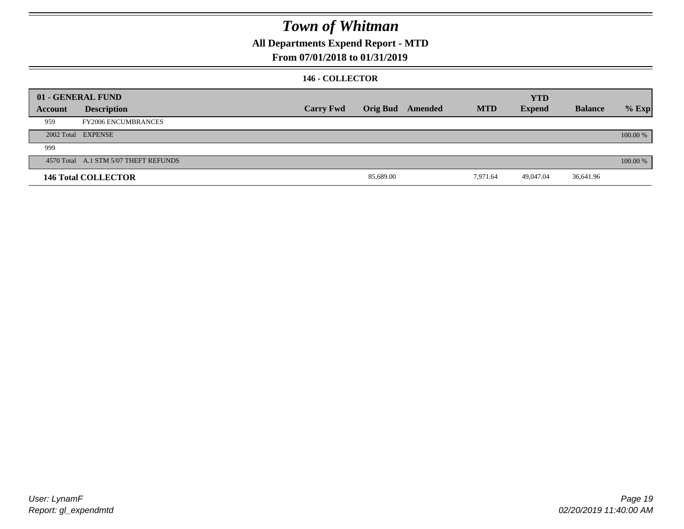**All Departments Expend Report - MTD**

### **From 07/01/2018 to 01/31/2019**

#### **146 - COLLECTOR**

|         | 01 - GENERAL FUND                     |                  |           |                         |            | <b>YTD</b>    |                |          |
|---------|---------------------------------------|------------------|-----------|-------------------------|------------|---------------|----------------|----------|
| Account | <b>Description</b>                    | <b>Carry Fwd</b> |           | <b>Orig Bud</b> Amended | <b>MTD</b> | <b>Expend</b> | <b>Balance</b> | $%$ Exp  |
| 959     | <b>FY2006 ENCUMBRANCES</b>            |                  |           |                         |            |               |                |          |
|         | 2002 Total EXPENSE                    |                  |           |                         |            |               |                | 100.00 % |
| 999     |                                       |                  |           |                         |            |               |                |          |
|         | 4570 Total A.1 STM 5/07 THEFT REFUNDS |                  |           |                         |            |               |                | 100.00 % |
|         | <b>146 Total COLLECTOR</b>            |                  | 85,689.00 |                         | 7,971.64   | 49,047.04     | 36,641.96      |          |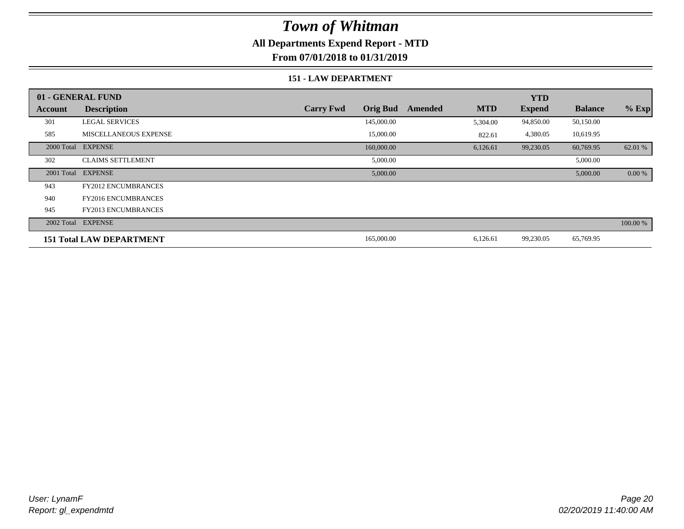### **All Departments Expend Report - MTD**

**From 07/01/2018 to 01/31/2019**

#### **151 - LAW DEPARTMENT**

|         | 01 - GENERAL FUND               |                  |                 |         |            | <b>YTD</b>    |                |           |
|---------|---------------------------------|------------------|-----------------|---------|------------|---------------|----------------|-----------|
| Account | <b>Description</b>              | <b>Carry Fwd</b> | <b>Orig Bud</b> | Amended | <b>MTD</b> | <b>Expend</b> | <b>Balance</b> | $%$ Exp   |
| 301     | <b>LEGAL SERVICES</b>           |                  | 145,000.00      |         | 5,304.00   | 94,850.00     | 50,150.00      |           |
| 585     | <b>MISCELLANEOUS EXPENSE</b>    |                  | 15,000.00       |         | 822.61     | 4,380.05      | 10,619.95      |           |
|         | 2000 Total EXPENSE              |                  | 160,000.00      |         | 6,126.61   | 99,230.05     | 60,769.95      | 62.01 %   |
| 302     | <b>CLAIMS SETTLEMENT</b>        |                  | 5,000.00        |         |            |               | 5,000.00       |           |
|         | 2001 Total EXPENSE              |                  | 5,000.00        |         |            |               | 5,000.00       | $0.00 \%$ |
| 943     | <b>FY2012 ENCUMBRANCES</b>      |                  |                 |         |            |               |                |           |
| 940     | <b>FY2016 ENCUMBRANCES</b>      |                  |                 |         |            |               |                |           |
| 945     | <b>FY2013 ENCUMBRANCES</b>      |                  |                 |         |            |               |                |           |
|         | 2002 Total EXPENSE              |                  |                 |         |            |               |                | 100.00 %  |
|         | <b>151 Total LAW DEPARTMENT</b> |                  | 165,000.00      |         | 6,126.61   | 99,230.05     | 65,769.95      |           |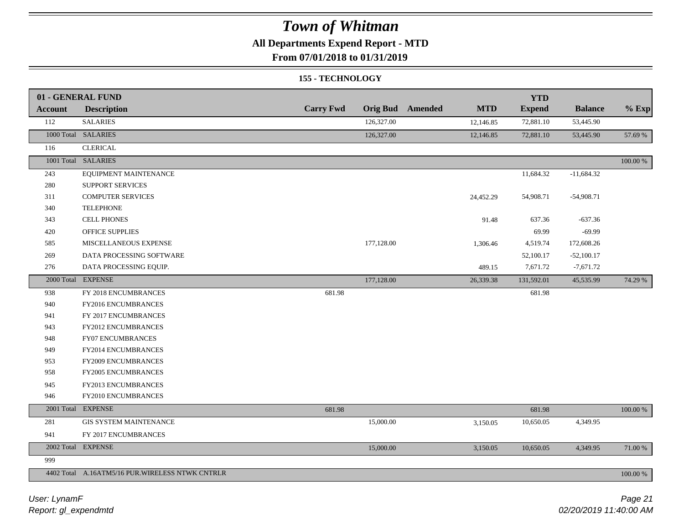### **All Departments Expend Report - MTD**

### **From 07/01/2018 to 01/31/2019**

#### **155 - TECHNOLOGY**

|                | 01 - GENERAL FUND                                |                  |            |                         |            | <b>YTD</b>    |                |          |
|----------------|--------------------------------------------------|------------------|------------|-------------------------|------------|---------------|----------------|----------|
| <b>Account</b> | <b>Description</b>                               | <b>Carry Fwd</b> |            | <b>Orig Bud</b> Amended | <b>MTD</b> | <b>Expend</b> | <b>Balance</b> | $%$ Exp  |
| 112            | <b>SALARIES</b>                                  |                  | 126,327.00 |                         | 12,146.85  | 72,881.10     | 53,445.90      |          |
|                | 1000 Total SALARIES                              |                  | 126,327.00 |                         | 12,146.85  | 72,881.10     | 53,445.90      | 57.69 %  |
| 116            | <b>CLERICAL</b>                                  |                  |            |                         |            |               |                |          |
|                | 1001 Total SALARIES                              |                  |            |                         |            |               |                | 100.00 % |
| 243            | EQUIPMENT MAINTENANCE                            |                  |            |                         |            | 11,684.32     | $-11,684.32$   |          |
| 280            | <b>SUPPORT SERVICES</b>                          |                  |            |                         |            |               |                |          |
| 311            | <b>COMPUTER SERVICES</b>                         |                  |            |                         | 24,452.29  | 54,908.71     | $-54,908.71$   |          |
| 340            | <b>TELEPHONE</b>                                 |                  |            |                         |            |               |                |          |
| 343            | <b>CELL PHONES</b>                               |                  |            |                         | 91.48      | 637.36        | $-637.36$      |          |
| 420            | OFFICE SUPPLIES                                  |                  |            |                         |            | 69.99         | $-69.99$       |          |
| 585            | MISCELLANEOUS EXPENSE                            |                  | 177,128.00 |                         | 1,306.46   | 4,519.74      | 172,608.26     |          |
| 269            | DATA PROCESSING SOFTWARE                         |                  |            |                         |            | 52,100.17     | $-52,100.17$   |          |
| 276            | DATA PROCESSING EQUIP.                           |                  |            |                         | 489.15     | 7,671.72      | $-7,671.72$    |          |
| 2000 Total     | <b>EXPENSE</b>                                   |                  | 177,128.00 |                         | 26,339.38  | 131,592.01    | 45,535.99      | 74.29 %  |
| 938            | FY 2018 ENCUMBRANCES                             | 681.98           |            |                         |            | 681.98        |                |          |
| 940            | FY2016 ENCUMBRANCES                              |                  |            |                         |            |               |                |          |
| 941            | FY 2017 ENCUMBRANCES                             |                  |            |                         |            |               |                |          |
| 943            | FY2012 ENCUMBRANCES                              |                  |            |                         |            |               |                |          |
| 948            | FY07 ENCUMBRANCES                                |                  |            |                         |            |               |                |          |
| 949            | FY2014 ENCUMBRANCES                              |                  |            |                         |            |               |                |          |
| 953            | FY2009 ENCUMBRANCES                              |                  |            |                         |            |               |                |          |
| 958            | FY2005 ENCUMBRANCES                              |                  |            |                         |            |               |                |          |
| 945            | FY2013 ENCUMBRANCES                              |                  |            |                         |            |               |                |          |
| 946            | FY2010 ENCUMBRANCES                              |                  |            |                         |            |               |                |          |
|                | 2001 Total EXPENSE                               | 681.98           |            |                         |            | 681.98        |                | 100.00 % |
| 281            | GIS SYSTEM MAINTENANCE                           |                  | 15,000.00  |                         | 3,150.05   | 10,650.05     | 4,349.95       |          |
| 941            | FY 2017 ENCUMBRANCES                             |                  |            |                         |            |               |                |          |
|                | 2002 Total EXPENSE                               |                  | 15,000.00  |                         | 3,150.05   | 10,650.05     | 4,349.95       | 71.00 %  |
| 999            |                                                  |                  |            |                         |            |               |                |          |
|                | 4402 Total A.16ATM5/16 PUR. WIRELESS NTWK CNTRLR |                  |            |                         |            |               |                | 100.00 % |

*Report: gl\_expendmtd User: LynamF*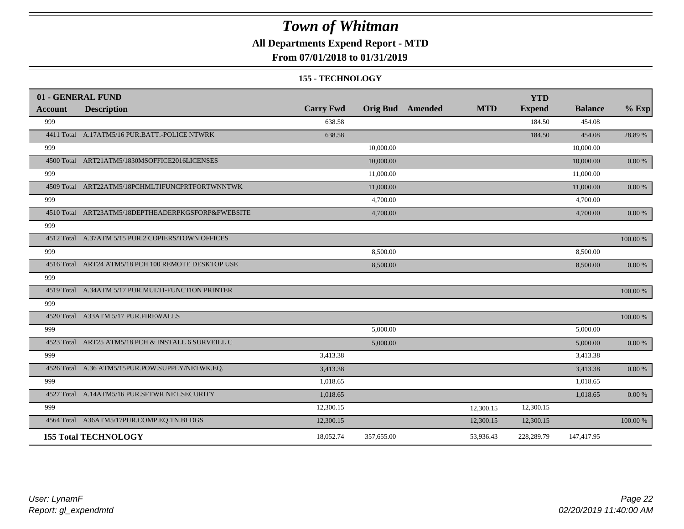### **All Departments Expend Report - MTD**

### **From 07/01/2018 to 01/31/2019**

#### **155 - TECHNOLOGY**

|                | 01 - GENERAL FUND                                   |                  |            |                         |            | <b>YTD</b>    |                |            |
|----------------|-----------------------------------------------------|------------------|------------|-------------------------|------------|---------------|----------------|------------|
| <b>Account</b> | <b>Description</b>                                  | <b>Carry Fwd</b> |            | <b>Orig Bud</b> Amended | <b>MTD</b> | <b>Expend</b> | <b>Balance</b> | $%$ Exp    |
| 999            |                                                     | 638.58           |            |                         |            | 184.50        | 454.08         |            |
|                | 4411 Total A.17ATM5/16 PUR.BATT.-POLICE NTWRK       | 638.58           |            |                         |            | 184.50        | 454.08         | 28.89 %    |
| 999            |                                                     |                  | 10,000.00  |                         |            |               | 10,000.00      |            |
|                | 4500 Total ART21ATM5/1830MSOFFICE2016LICENSES       |                  | 10,000.00  |                         |            |               | 10,000.00      | 0.00 %     |
| 999            |                                                     |                  | 11,000.00  |                         |            |               | 11,000.00      |            |
|                | 4509 Total ART22ATM5/18PCHMLTIFUNCPRTFORTWNNTWK     |                  | 11,000.00  |                         |            |               | 11,000.00      | $0.00 \%$  |
| 999            |                                                     |                  | 4,700.00   |                         |            |               | 4,700.00       |            |
|                | 4510 Total ART23ATM5/18DEPTHEADERPKGSFORP&FWEBSITE  |                  | 4,700.00   |                         |            |               | 4,700.00       | 0.00 %     |
| 999            |                                                     |                  |            |                         |            |               |                |            |
|                | 4512 Total A.37ATM 5/15 PUR.2 COPIERS/TOWN OFFICES  |                  |            |                         |            |               |                | 100.00 %   |
| 999            |                                                     |                  | 8,500.00   |                         |            |               | 8,500.00       |            |
|                | 4516 Total ART24 ATM5/18 PCH 100 REMOTE DESKTOP USE |                  | 8,500.00   |                         |            |               | 8,500.00       | $0.00\ \%$ |
| 999            |                                                     |                  |            |                         |            |               |                |            |
|                | 4519 Total A.34ATM 5/17 PUR.MULTI-FUNCTION PRINTER  |                  |            |                         |            |               |                | 100.00 %   |
| 999            |                                                     |                  |            |                         |            |               |                |            |
|                | 4520 Total A33ATM 5/17 PUR.FIREWALLS                |                  |            |                         |            |               |                | 100.00 %   |
| 999            |                                                     |                  | 5,000.00   |                         |            |               | 5,000.00       |            |
|                | 4523 Total ART25 ATM5/18 PCH & INSTALL 6 SURVEILL C |                  | 5,000.00   |                         |            |               | 5,000.00       | $0.00\ \%$ |
| 999            |                                                     | 3,413.38         |            |                         |            |               | 3,413.38       |            |
|                | 4526 Total A.36 ATM5/15PUR.POW.SUPPLY/NETWK.EQ.     | 3,413.38         |            |                         |            |               | 3,413.38       | $0.00\ \%$ |
| 999            |                                                     | 1,018.65         |            |                         |            |               | 1,018.65       |            |
|                | 4527 Total A.14ATM5/16 PUR.SFTWR NET.SECURITY       | 1,018.65         |            |                         |            |               | 1,018.65       | 0.00 %     |
| 999            |                                                     | 12,300.15        |            |                         | 12,300.15  | 12,300.15     |                |            |
|                | 4564 Total A36ATM5/17PUR.COMP.EQ.TN.BLDGS           | 12,300.15        |            |                         | 12,300.15  | 12,300.15     |                | 100.00 %   |
|                | <b>155 Total TECHNOLOGY</b>                         | 18,052.74        | 357,655.00 |                         | 53,936.43  | 228,289.79    | 147,417.95     |            |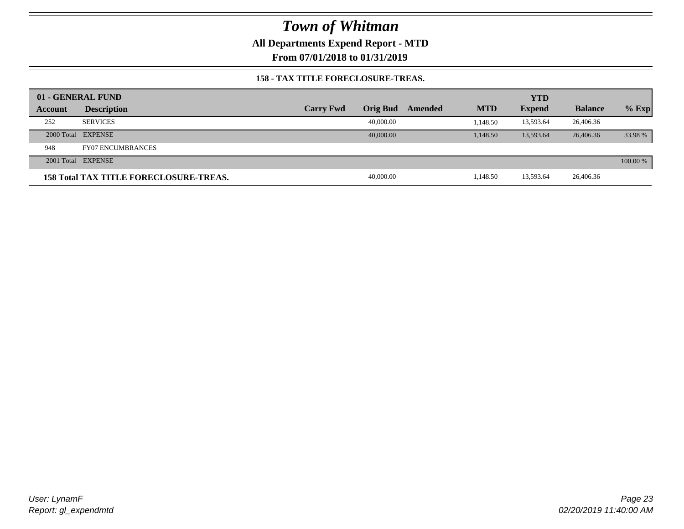**All Departments Expend Report - MTD**

**From 07/01/2018 to 01/31/2019**

#### **158 - TAX TITLE FORECLOSURE-TREAS.**

|         | 01 - GENERAL FUND                             |                  |           |         |            | <b>YTD</b>    |                |          |
|---------|-----------------------------------------------|------------------|-----------|---------|------------|---------------|----------------|----------|
| Account | <b>Description</b>                            | <b>Carry Fwd</b> | Orig Bud  | Amended | <b>MTD</b> | <b>Expend</b> | <b>Balance</b> | $%$ Exp  |
| 252     | <b>SERVICES</b>                               |                  | 40,000.00 |         | 1.148.50   | 13,593.64     | 26,406.36      |          |
|         | 2000 Total EXPENSE                            |                  | 40,000,00 |         | 1.148.50   | 13.593.64     | 26,406.36      | 33.98 %  |
| 948     | <b>FY07 ENCUMBRANCES</b>                      |                  |           |         |            |               |                |          |
|         | 2001 Total EXPENSE                            |                  |           |         |            |               |                | 100.00 % |
|         | <b>158 Total TAX TITLE FORECLOSURE-TREAS.</b> |                  | 40,000.00 |         | 1,148.50   | 13,593.64     | 26,406.36      |          |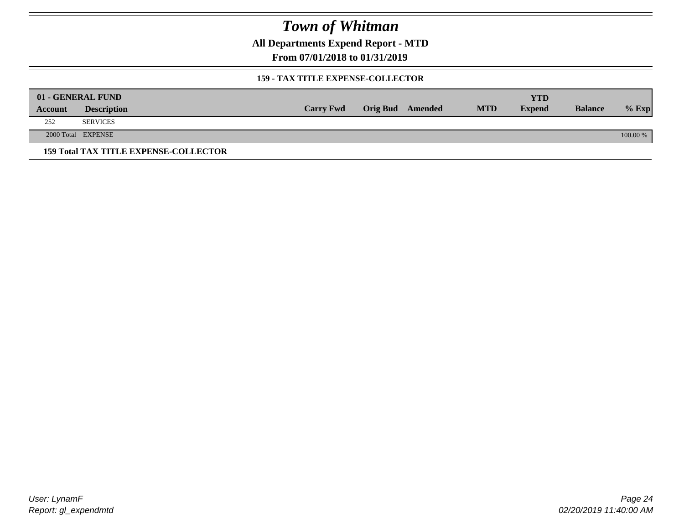**All Departments Expend Report - MTD**

**From 07/01/2018 to 01/31/2019**

#### **159 - TAX TITLE EXPENSE-COLLECTOR**

|         | 01 - GENERAL FUND                            |                  |                         |            | <b>YTD</b>    |                |          |
|---------|----------------------------------------------|------------------|-------------------------|------------|---------------|----------------|----------|
| Account | <b>Description</b>                           | <b>Carry Fwd</b> | <b>Orig Bud</b> Amended | <b>MTD</b> | <b>Expend</b> | <b>Balance</b> | $%$ Exp  |
| 252     | <b>SERVICES</b>                              |                  |                         |            |               |                |          |
|         | 2000 Total EXPENSE                           |                  |                         |            |               |                | 100.00 % |
|         | <b>159 Total TAX TITLE EXPENSE-COLLECTOR</b> |                  |                         |            |               |                |          |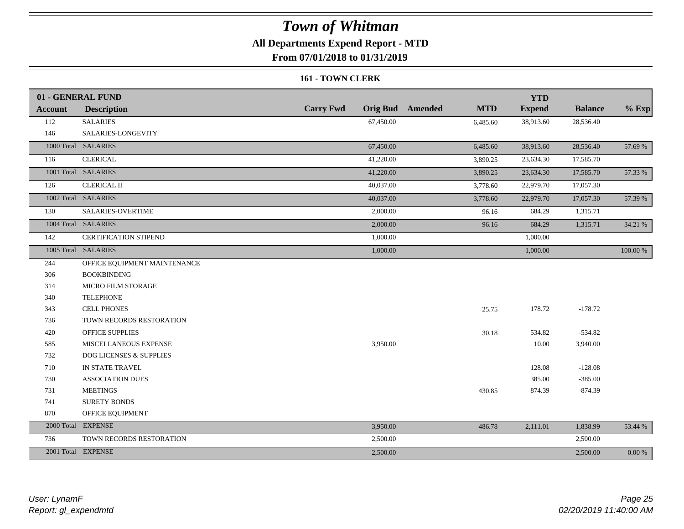### **All Departments Expend Report - MTD**

**From 07/01/2018 to 01/31/2019**

#### **161 - TOWN CLERK**

|                | 01 - GENERAL FUND            |                  |                                       | <b>YTD</b>    |                |           |
|----------------|------------------------------|------------------|---------------------------------------|---------------|----------------|-----------|
| <b>Account</b> | <b>Description</b>           | <b>Carry Fwd</b> | <b>Orig Bud</b> Amended<br><b>MTD</b> | <b>Expend</b> | <b>Balance</b> | $%$ Exp   |
| 112            | <b>SALARIES</b>              | 67,450.00        | 6,485.60                              | 38,913.60     | 28,536.40      |           |
| 146            | SALARIES-LONGEVITY           |                  |                                       |               |                |           |
|                | 1000 Total SALARIES          | 67,450.00        | 6,485.60                              | 38,913.60     | 28,536.40      | 57.69 %   |
| 116            | <b>CLERICAL</b>              | 41,220.00        | 3,890.25                              | 23,634.30     | 17,585.70      |           |
|                | 1001 Total SALARIES          | 41,220.00        | 3,890.25                              | 23,634.30     | 17,585.70      | 57.33 %   |
| 126            | <b>CLERICAL II</b>           | 40,037.00        | 3,778.60                              | 22,979.70     | 17,057.30      |           |
|                | 1002 Total SALARIES          | 40,037.00        | 3,778.60                              | 22,979.70     | 17,057.30      | 57.39 %   |
| 130            | <b>SALARIES-OVERTIME</b>     | 2,000.00         | 96.16                                 | 684.29        | 1,315.71       |           |
|                | 1004 Total SALARIES          | 2,000.00         | 96.16                                 | 684.29        | 1,315.71       | 34.21 %   |
| 142            | <b>CERTIFICATION STIPEND</b> | 1,000.00         |                                       | 1,000.00      |                |           |
|                | 1005 Total SALARIES          | 1,000.00         |                                       | 1,000.00      |                | 100.00 %  |
| 244            | OFFICE EQUIPMENT MAINTENANCE |                  |                                       |               |                |           |
| 306            | <b>BOOKBINDING</b>           |                  |                                       |               |                |           |
| 314            | MICRO FILM STORAGE           |                  |                                       |               |                |           |
| 340            | <b>TELEPHONE</b>             |                  |                                       |               |                |           |
| 343            | <b>CELL PHONES</b>           |                  | 25.75                                 | 178.72        | $-178.72$      |           |
| 736            | TOWN RECORDS RESTORATION     |                  |                                       |               |                |           |
| 420            | <b>OFFICE SUPPLIES</b>       |                  | 30.18                                 | 534.82        | $-534.82$      |           |
| 585            | MISCELLANEOUS EXPENSE        | 3,950.00         |                                       | 10.00         | 3,940.00       |           |
| 732            | DOG LICENSES & SUPPLIES      |                  |                                       |               |                |           |
| 710            | IN STATE TRAVEL              |                  |                                       | 128.08        | $-128.08$      |           |
| 730            | <b>ASSOCIATION DUES</b>      |                  |                                       | 385.00        | $-385.00$      |           |
| 731            | <b>MEETINGS</b>              |                  | 430.85                                | 874.39        | $-874.39$      |           |
| 741            | <b>SURETY BONDS</b>          |                  |                                       |               |                |           |
| 870            | OFFICE EQUIPMENT             |                  |                                       |               |                |           |
|                | 2000 Total EXPENSE           | 3,950.00         | 486.78                                | 2,111.01      | 1,838.99       | 53.44 %   |
| 736            | TOWN RECORDS RESTORATION     | 2,500.00         |                                       |               | 2,500.00       |           |
|                | 2001 Total EXPENSE           | 2,500.00         |                                       |               | 2,500.00       | $0.00 \%$ |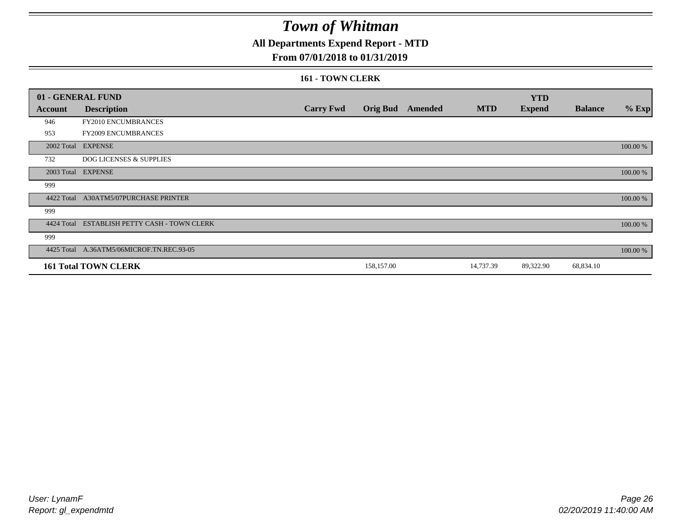### **All Departments Expend Report - MTD**

### **From 07/01/2018 to 01/31/2019**

#### **161 - TOWN CLERK**

|            | 01 - GENERAL FUND                            |                  |            |                         |            | <b>YTD</b>    |                |          |
|------------|----------------------------------------------|------------------|------------|-------------------------|------------|---------------|----------------|----------|
| Account    | <b>Description</b>                           | <b>Carry Fwd</b> |            | <b>Orig Bud</b> Amended | <b>MTD</b> | <b>Expend</b> | <b>Balance</b> | $%$ Exp  |
| 946        | FY2010 ENCUMBRANCES                          |                  |            |                         |            |               |                |          |
| 953        | FY2009 ENCUMBRANCES                          |                  |            |                         |            |               |                |          |
|            | 2002 Total EXPENSE                           |                  |            |                         |            |               |                | 100.00 % |
| 732        | <b>DOG LICENSES &amp; SUPPLIES</b>           |                  |            |                         |            |               |                |          |
|            | 2003 Total EXPENSE                           |                  |            |                         |            |               |                | 100.00 % |
| 999        |                                              |                  |            |                         |            |               |                |          |
| 4422 Total | <b>A30ATM5/07PURCHASE PRINTER</b>            |                  |            |                         |            |               |                | 100.00 % |
| 999        |                                              |                  |            |                         |            |               |                |          |
|            | 4424 Total ESTABLISH PETTY CASH - TOWN CLERK |                  |            |                         |            |               |                | 100.00 % |
| 999        |                                              |                  |            |                         |            |               |                |          |
|            | 4425 Total A.36ATM5/06MICROF.TN.REC.93-05    |                  |            |                         |            |               |                | 100.00 % |
|            | <b>161 Total TOWN CLERK</b>                  |                  | 158,157.00 |                         | 14,737.39  | 89,322.90     | 68,834.10      |          |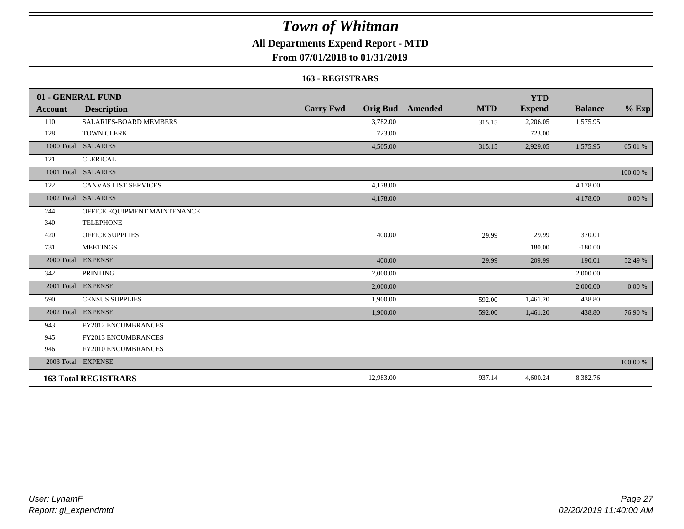### **All Departments Expend Report - MTD**

### **From 07/01/2018 to 01/31/2019**

#### **163 - REGISTRARS**

|                | 01 - GENERAL FUND             |                                     |                       | <b>YTD</b>    |                |            |
|----------------|-------------------------------|-------------------------------------|-----------------------|---------------|----------------|------------|
| <b>Account</b> | <b>Description</b>            | <b>Carry Fwd</b><br><b>Orig Bud</b> | <b>MTD</b><br>Amended | <b>Expend</b> | <b>Balance</b> | $%$ Exp    |
| 110            | <b>SALARIES-BOARD MEMBERS</b> | 3,782.00                            | 315.15                | 2,206.05      | 1,575.95       |            |
| 128            | <b>TOWN CLERK</b>             | 723.00                              |                       | 723.00        |                |            |
| 1000 Total     | <b>SALARIES</b>               | 4,505.00                            | 315.15                | 2,929.05      | 1,575.95       | 65.01 %    |
| 121            | <b>CLERICAL I</b>             |                                     |                       |               |                |            |
|                | 1001 Total SALARIES           |                                     |                       |               |                | 100.00 %   |
| 122            | <b>CANVAS LIST SERVICES</b>   | 4,178.00                            |                       |               | 4,178.00       |            |
|                | 1002 Total SALARIES           | 4,178.00                            |                       |               | 4,178.00       | $0.00\ \%$ |
| 244            | OFFICE EQUIPMENT MAINTENANCE  |                                     |                       |               |                |            |
| 340            | <b>TELEPHONE</b>              |                                     |                       |               |                |            |
| 420            | <b>OFFICE SUPPLIES</b>        | 400.00                              | 29.99                 | 29.99         | 370.01         |            |
| 731            | <b>MEETINGS</b>               |                                     |                       | 180.00        | $-180.00$      |            |
| 2000 Total     | <b>EXPENSE</b>                | 400.00                              | 29.99                 | 209.99        | 190.01         | 52.49 %    |
| 342            | <b>PRINTING</b>               | 2,000.00                            |                       |               | 2,000.00       |            |
|                | 2001 Total EXPENSE            | 2,000.00                            |                       |               | 2,000.00       | $0.00\ \%$ |
| 590            | <b>CENSUS SUPPLIES</b>        | 1,900.00                            | 592.00                | 1,461.20      | 438.80         |            |
|                | 2002 Total EXPENSE            | 1,900.00                            | 592.00                | 1,461.20      | 438.80         | 76.90 %    |
| 943            | FY2012 ENCUMBRANCES           |                                     |                       |               |                |            |
| 945            | <b>FY2013 ENCUMBRANCES</b>    |                                     |                       |               |                |            |
| 946            | FY2010 ENCUMBRANCES           |                                     |                       |               |                |            |
|                | 2003 Total EXPENSE            |                                     |                       |               |                | 100.00 %   |
|                | <b>163 Total REGISTRARS</b>   | 12,983.00                           | 937.14                | 4,600.24      | 8,382.76       |            |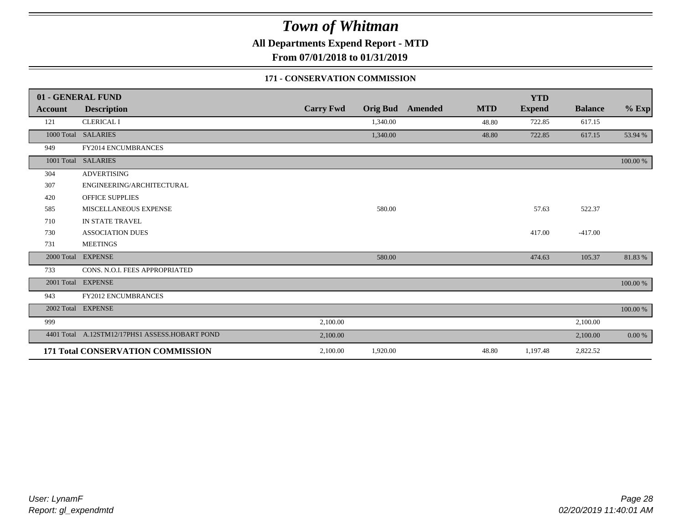**All Departments Expend Report - MTD**

**From 07/01/2018 to 01/31/2019**

#### **171 - CONSERVATION COMMISSION**

|            | 01 - GENERAL FUND                              |                  |                 |         |            | <b>YTD</b>    |                |          |
|------------|------------------------------------------------|------------------|-----------------|---------|------------|---------------|----------------|----------|
| Account    | <b>Description</b>                             | <b>Carry Fwd</b> | <b>Orig Bud</b> | Amended | <b>MTD</b> | <b>Expend</b> | <b>Balance</b> | $%$ Exp  |
| 121        | <b>CLERICAL I</b>                              |                  | 1,340.00        |         | 48.80      | 722.85        | 617.15         |          |
|            | 1000 Total SALARIES                            |                  | 1,340.00        |         | 48.80      | 722.85        | 617.15         | 53.94 %  |
| 949        | FY2014 ENCUMBRANCES                            |                  |                 |         |            |               |                |          |
| 1001 Total | <b>SALARIES</b>                                |                  |                 |         |            |               |                | 100.00 % |
| 304        | <b>ADVERTISING</b>                             |                  |                 |         |            |               |                |          |
| 307        | ENGINEERING/ARCHITECTURAL                      |                  |                 |         |            |               |                |          |
| 420        | <b>OFFICE SUPPLIES</b>                         |                  |                 |         |            |               |                |          |
| 585        | MISCELLANEOUS EXPENSE                          |                  | 580.00          |         |            | 57.63         | 522.37         |          |
| 710        | IN STATE TRAVEL                                |                  |                 |         |            |               |                |          |
| 730        | <b>ASSOCIATION DUES</b>                        |                  |                 |         |            | 417.00        | $-417.00$      |          |
| 731        | <b>MEETINGS</b>                                |                  |                 |         |            |               |                |          |
| 2000 Total | <b>EXPENSE</b>                                 |                  | 580.00          |         |            | 474.63        | 105.37         | 81.83%   |
| 733        | CONS. N.O.I. FEES APPROPRIATED                 |                  |                 |         |            |               |                |          |
|            | 2001 Total EXPENSE                             |                  |                 |         |            |               |                | 100.00 % |
| 943        | <b>FY2012 ENCUMBRANCES</b>                     |                  |                 |         |            |               |                |          |
|            | 2002 Total EXPENSE                             |                  |                 |         |            |               |                | 100.00 % |
| 999        |                                                | 2,100.00         |                 |         |            |               | 2,100.00       |          |
|            | 4401 Total A.12STM12/17PHS1 ASSESS.HOBART POND | 2,100.00         |                 |         |            |               | 2,100.00       | 0.00 %   |
|            | 171 Total CONSERVATION COMMISSION              | 2,100.00         | 1,920.00        |         | 48.80      | 1,197.48      | 2,822.52       |          |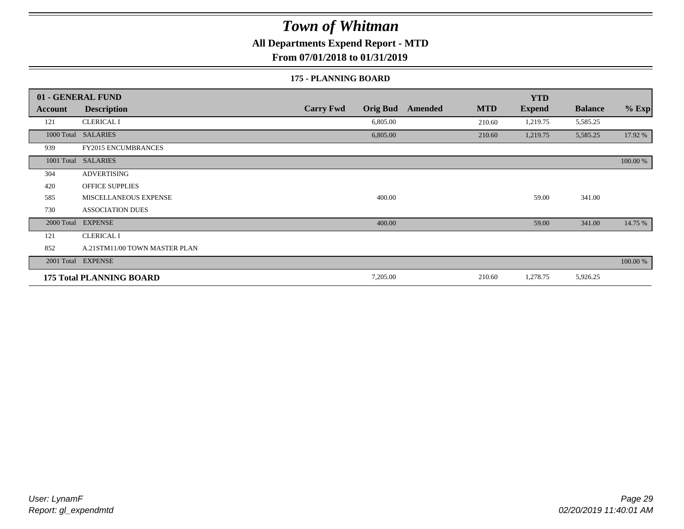**All Departments Expend Report - MTD**

**From 07/01/2018 to 01/31/2019**

#### **175 - PLANNING BOARD**

|                | 01 - GENERAL FUND               |                                     |                       | <b>YTD</b>    |                |          |
|----------------|---------------------------------|-------------------------------------|-----------------------|---------------|----------------|----------|
| <b>Account</b> | <b>Description</b>              | <b>Carry Fwd</b><br><b>Orig Bud</b> | <b>MTD</b><br>Amended | <b>Expend</b> | <b>Balance</b> | $%$ Exp  |
| 121            | <b>CLERICAL I</b>               | 6,805.00                            | 210.60                | 1,219.75      | 5,585.25       |          |
|                | 1000 Total SALARIES             | 6,805.00                            | 210.60                | 1,219.75      | 5,585.25       | 17.92 %  |
| 939            | <b>FY2015 ENCUMBRANCES</b>      |                                     |                       |               |                |          |
| 1001 Total     | <b>SALARIES</b>                 |                                     |                       |               |                | 100.00 % |
| 304            | <b>ADVERTISING</b>              |                                     |                       |               |                |          |
| 420            | <b>OFFICE SUPPLIES</b>          |                                     |                       |               |                |          |
| 585            | MISCELLANEOUS EXPENSE           | 400.00                              |                       | 59.00         | 341.00         |          |
| 730            | <b>ASSOCIATION DUES</b>         |                                     |                       |               |                |          |
| 2000 Total     | <b>EXPENSE</b>                  | 400.00                              |                       | 59.00         | 341.00         | 14.75 %  |
| 121            | <b>CLERICAL I</b>               |                                     |                       |               |                |          |
| 852            | A.21STM11/00 TOWN MASTER PLAN   |                                     |                       |               |                |          |
|                | 2001 Total EXPENSE              |                                     |                       |               |                | 100.00 % |
|                | <b>175 Total PLANNING BOARD</b> | 7,205.00                            | 210.60                | 1,278.75      | 5,926.25       |          |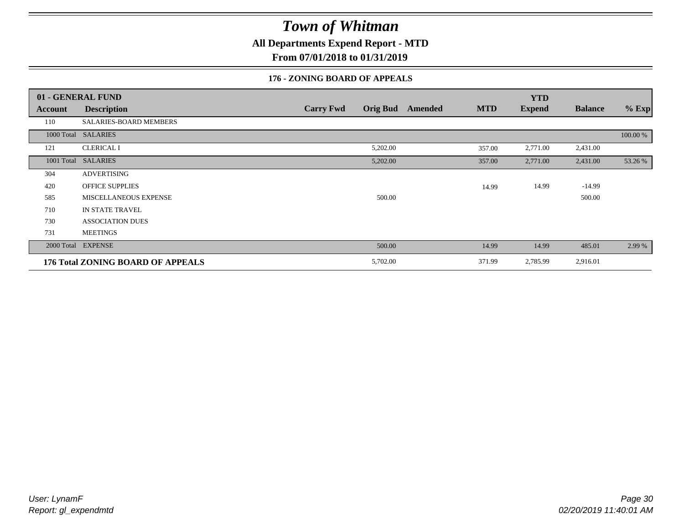**All Departments Expend Report - MTD**

**From 07/01/2018 to 01/31/2019**

#### **176 - ZONING BOARD OF APPEALS**

|            | 01 - GENERAL FUND                 |                                     |                              | <b>YTD</b>    |                |          |
|------------|-----------------------------------|-------------------------------------|------------------------------|---------------|----------------|----------|
| Account    | <b>Description</b>                | <b>Carry Fwd</b><br><b>Orig Bud</b> | <b>MTD</b><br><b>Amended</b> | <b>Expend</b> | <b>Balance</b> | $%$ Exp  |
| 110        | SALARIES-BOARD MEMBERS            |                                     |                              |               |                |          |
|            | 1000 Total SALARIES               |                                     |                              |               |                | 100.00 % |
| 121        | <b>CLERICAL I</b>                 | 5,202.00                            | 357.00                       | 2,771.00      | 2,431.00       |          |
| 1001 Total | <b>SALARIES</b>                   | 5,202.00                            | 357.00                       | 2,771.00      | 2,431.00       | 53.26 %  |
| 304        | ADVERTISING                       |                                     |                              |               |                |          |
| 420        | <b>OFFICE SUPPLIES</b>            |                                     | 14.99                        | 14.99         | $-14.99$       |          |
| 585        | MISCELLANEOUS EXPENSE             | 500.00                              |                              |               | 500.00         |          |
| 710        | IN STATE TRAVEL                   |                                     |                              |               |                |          |
| 730        | <b>ASSOCIATION DUES</b>           |                                     |                              |               |                |          |
| 731        | <b>MEETINGS</b>                   |                                     |                              |               |                |          |
| 2000 Total | <b>EXPENSE</b>                    | 500.00                              | 14.99                        | 14.99         | 485.01         | 2.99 %   |
|            | 176 Total ZONING BOARD OF APPEALS | 5,702.00                            | 371.99                       | 2,785.99      | 2,916.01       |          |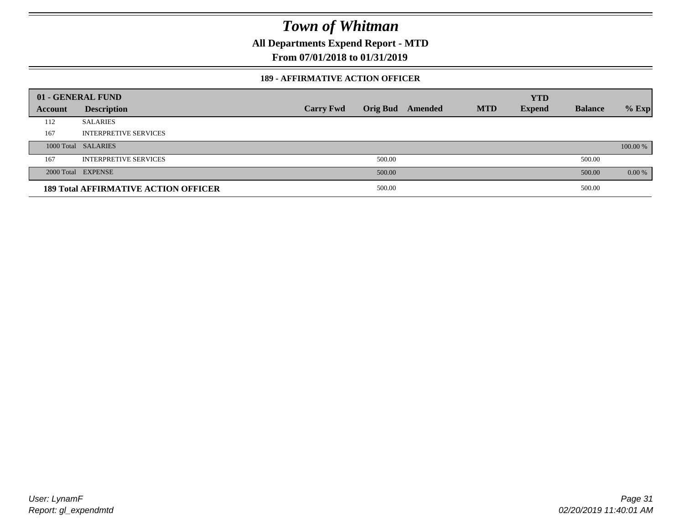**All Departments Expend Report - MTD**

**From 07/01/2018 to 01/31/2019**

#### **189 - AFFIRMATIVE ACTION OFFICER**

|         | 01 - GENERAL FUND                           |                  |        |                         |            | <b>YTD</b>    |                |          |
|---------|---------------------------------------------|------------------|--------|-------------------------|------------|---------------|----------------|----------|
| Account | <b>Description</b>                          | <b>Carry Fwd</b> |        | <b>Orig Bud</b> Amended | <b>MTD</b> | <b>Expend</b> | <b>Balance</b> | $%$ Exp  |
| 112     | <b>SALARIES</b>                             |                  |        |                         |            |               |                |          |
| 167     | <b>INTERPRETIVE SERVICES</b>                |                  |        |                         |            |               |                |          |
|         | 1000 Total SALARIES                         |                  |        |                         |            |               |                | 100.00 % |
| 167     | <b>INTERPRETIVE SERVICES</b>                |                  | 500.00 |                         |            |               | 500.00         |          |
|         | 2000 Total EXPENSE                          |                  | 500.00 |                         |            |               | 500.00         | $0.00\%$ |
|         | <b>189 Total AFFIRMATIVE ACTION OFFICER</b> |                  | 500.00 |                         |            |               | 500.00         |          |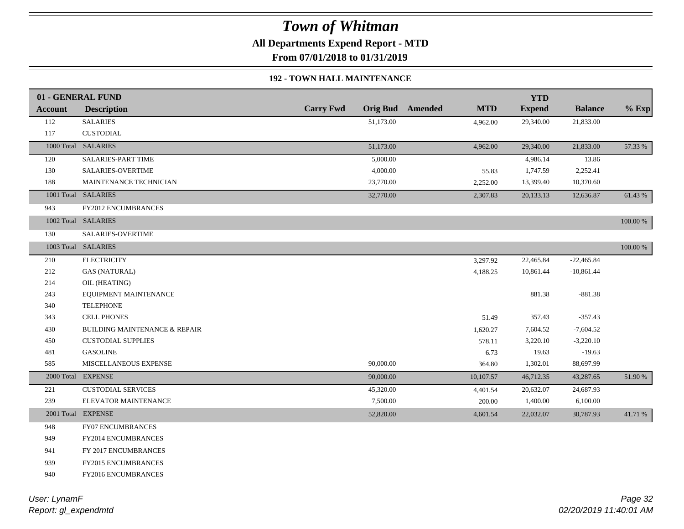**All Departments Expend Report - MTD**

**From 07/01/2018 to 01/31/2019**

### **192 - TOWN HALL MAINTENANCE**

|                | 01 - GENERAL FUND             |                  |           |                         |            | <b>YTD</b>    |                |             |
|----------------|-------------------------------|------------------|-----------|-------------------------|------------|---------------|----------------|-------------|
| <b>Account</b> | <b>Description</b>            | <b>Carry Fwd</b> |           | <b>Orig Bud</b> Amended | <b>MTD</b> | <b>Expend</b> | <b>Balance</b> | $%$ Exp     |
| 112            | <b>SALARIES</b>               |                  | 51,173.00 |                         | 4,962.00   | 29,340.00     | 21,833.00      |             |
| 117            | <b>CUSTODIAL</b>              |                  |           |                         |            |               |                |             |
|                | 1000 Total SALARIES           |                  | 51,173.00 |                         | 4,962.00   | 29,340.00     | 21,833.00      | 57.33 %     |
| 120            | SALARIES-PART TIME            |                  | 5,000.00  |                         |            | 4,986.14      | 13.86          |             |
| 130            | <b>SALARIES-OVERTIME</b>      |                  | 4,000.00  |                         | 55.83      | 1,747.59      | 2,252.41       |             |
| 188            | MAINTENANCE TECHNICIAN        |                  | 23,770.00 |                         | 2,252.00   | 13,399.40     | 10,370.60      |             |
|                | 1001 Total SALARIES           |                  | 32,770.00 |                         | 2,307.83   | 20,133.13     | 12,636.87      | 61.43 %     |
| 943            | <b>FY2012 ENCUMBRANCES</b>    |                  |           |                         |            |               |                |             |
|                | 1002 Total SALARIES           |                  |           |                         |            |               |                | 100.00 %    |
| 130            | SALARIES-OVERTIME             |                  |           |                         |            |               |                |             |
|                | 1003 Total SALARIES           |                  |           |                         |            |               |                | $100.00~\%$ |
| 210            | <b>ELECTRICITY</b>            |                  |           |                         | 3,297.92   | 22,465.84     | $-22,465.84$   |             |
| 212            | <b>GAS (NATURAL)</b>          |                  |           |                         | 4,188.25   | 10,861.44     | $-10,861.44$   |             |
| 214            | OIL (HEATING)                 |                  |           |                         |            |               |                |             |
| 243            | EQUIPMENT MAINTENANCE         |                  |           |                         |            | 881.38        | $-881.38$      |             |
| 340            | <b>TELEPHONE</b>              |                  |           |                         |            |               |                |             |
| 343            | <b>CELL PHONES</b>            |                  |           |                         | 51.49      | 357.43        | $-357.43$      |             |
| 430            | BUILDING MAINTENANCE & REPAIR |                  |           |                         | 1,620.27   | 7,604.52      | $-7,604.52$    |             |
| 450            | <b>CUSTODIAL SUPPLIES</b>     |                  |           |                         | 578.11     | 3,220.10      | $-3,220.10$    |             |
| 481            | <b>GASOLINE</b>               |                  |           |                         | 6.73       | 19.63         | $-19.63$       |             |
| 585            | MISCELLANEOUS EXPENSE         |                  | 90,000.00 |                         | 364.80     | 1,302.01      | 88,697.99      |             |
| 2000 Total     | <b>EXPENSE</b>                |                  | 90,000.00 |                         | 10,107.57  | 46,712.35     | 43,287.65      | 51.90 %     |
| 221            | <b>CUSTODIAL SERVICES</b>     |                  | 45,320.00 |                         | 4,401.54   | 20,632.07     | 24,687.93      |             |
| 239            | ELEVATOR MAINTENANCE          |                  | 7,500.00  |                         | 200.00     | 1,400.00      | 6,100.00       |             |
|                | 2001 Total EXPENSE            |                  | 52,820.00 |                         | 4,601.54   | 22,032.07     | 30,787.93      | 41.71 %     |
| 948            | <b>FY07 ENCUMBRANCES</b>      |                  |           |                         |            |               |                |             |
| 949            | FY2014 ENCUMBRANCES           |                  |           |                         |            |               |                |             |
| 941            | FY 2017 ENCUMBRANCES          |                  |           |                         |            |               |                |             |
| 939            | <b>FY2015 ENCUMBRANCES</b>    |                  |           |                         |            |               |                |             |
| 940            | FY2016 ENCUMBRANCES           |                  |           |                         |            |               |                |             |
|                |                               |                  |           |                         |            |               |                |             |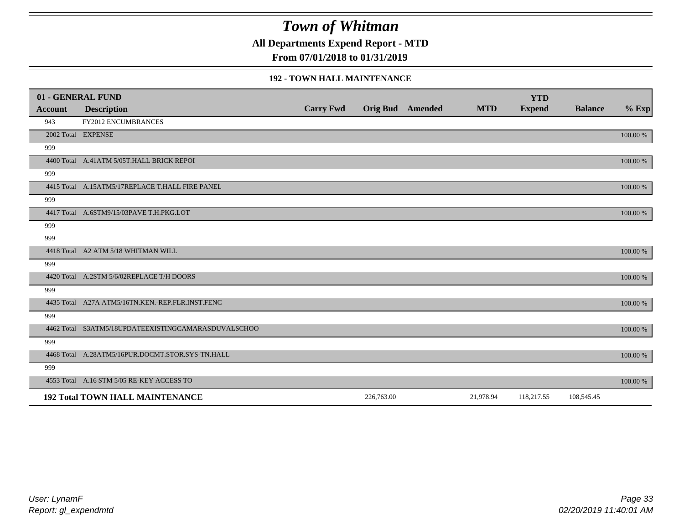**All Departments Expend Report - MTD**

**From 07/01/2018 to 01/31/2019**

#### **192 - TOWN HALL MAINTENANCE**

|         | 01 - GENERAL FUND                                   |                  |            |                         |            | <b>YTD</b>    |                |          |
|---------|-----------------------------------------------------|------------------|------------|-------------------------|------------|---------------|----------------|----------|
| Account | <b>Description</b>                                  | <b>Carry Fwd</b> |            | <b>Orig Bud</b> Amended | <b>MTD</b> | <b>Expend</b> | <b>Balance</b> | $%$ Exp  |
| 943     | <b>FY2012 ENCUMBRANCES</b>                          |                  |            |                         |            |               |                |          |
|         | 2002 Total EXPENSE                                  |                  |            |                         |            |               |                | 100.00 % |
| 999     |                                                     |                  |            |                         |            |               |                |          |
|         | 4400 Total A.41ATM 5/05T.HALL BRICK REPOI           |                  |            |                         |            |               |                | 100.00 % |
| 999     |                                                     |                  |            |                         |            |               |                |          |
|         | 4415 Total A.15ATM5/17REPLACE T.HALL FIRE PANEL     |                  |            |                         |            |               |                | 100.00 % |
| 999     |                                                     |                  |            |                         |            |               |                |          |
|         | 4417 Total A.6STM9/15/03PAVE T.H.PKG.LOT            |                  |            |                         |            |               |                | 100.00 % |
| 999     |                                                     |                  |            |                         |            |               |                |          |
| 999     |                                                     |                  |            |                         |            |               |                |          |
|         | 4418 Total A2 ATM 5/18 WHITMAN WILL                 |                  |            |                         |            |               |                | 100.00 % |
| 999     |                                                     |                  |            |                         |            |               |                |          |
|         | 4420 Total A.2STM 5/6/02REPLACE T/H DOORS           |                  |            |                         |            |               |                | 100.00 % |
| 999     |                                                     |                  |            |                         |            |               |                |          |
|         | 4435 Total A27A ATM5/16TN.KEN.-REP.FLR.INST.FENC    |                  |            |                         |            |               |                | 100.00 % |
| 999     |                                                     |                  |            |                         |            |               |                |          |
|         | 4462 Total S3ATM5/18UPDATEEXISTINGCAMARASDUVALSCHOO |                  |            |                         |            |               |                | 100.00 % |
| 999     |                                                     |                  |            |                         |            |               |                |          |
|         | 4468 Total A.28ATM5/16PUR.DOCMT.STOR.SYS-TN.HALL    |                  |            |                         |            |               |                | 100.00 % |
| 999     |                                                     |                  |            |                         |            |               |                |          |
|         | 4553 Total A.16 STM 5/05 RE-KEY ACCESS TO           |                  |            |                         |            |               |                | 100.00 % |
|         | <b>192 Total TOWN HALL MAINTENANCE</b>              |                  | 226,763.00 |                         | 21,978.94  | 118,217.55    | 108,545.45     |          |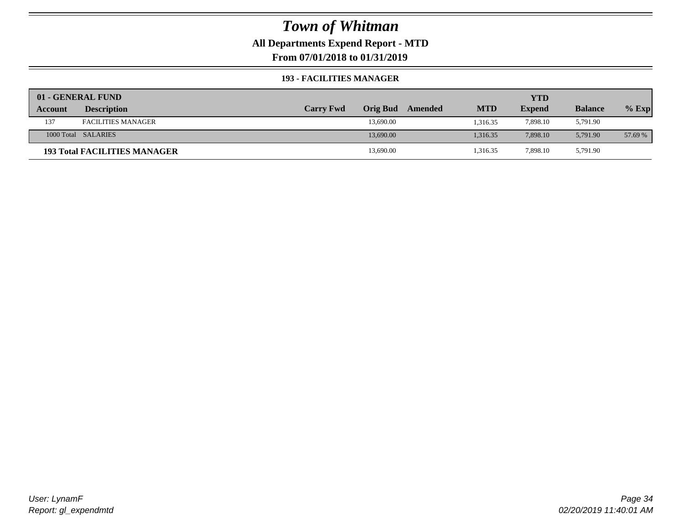### **All Departments Expend Report - MTD**

**From 07/01/2018 to 01/31/2019**

#### **193 - FACILITIES MANAGER**

|         | 01 - GENERAL FUND                   |                  |                 |         |            | YTD           |                |         |
|---------|-------------------------------------|------------------|-----------------|---------|------------|---------------|----------------|---------|
| Account | <b>Description</b>                  | <b>Carry Fwd</b> | <b>Orig Bud</b> | Amended | <b>MTD</b> | <b>Expend</b> | <b>Balance</b> | $%$ Exp |
| 137     | <b>FACILITIES MANAGER</b>           |                  | 13,690.00       |         | 1.316.35   | 7,898.10      | 5,791.90       |         |
|         | 1000 Total SALARIES                 |                  | 13,690.00       |         | 1.316.35   | 7.898.10      | 5.791.90       | 57.69 % |
|         | <b>193 Total FACILITIES MANAGER</b> |                  | 13,690.00       |         | 1,316.35   | 7,898.10      | 5,791.90       |         |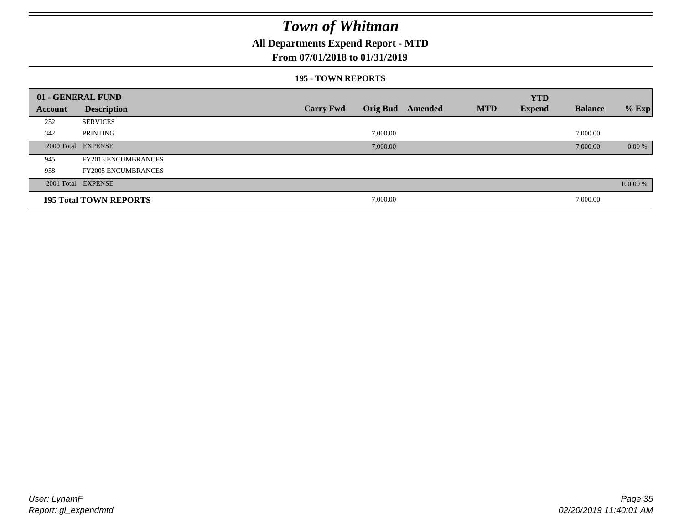### **All Departments Expend Report - MTD**

### **From 07/01/2018 to 01/31/2019**

#### **195 - TOWN REPORTS**

|         | 01 - GENERAL FUND             |                  |          |                  |            | <b>YTD</b>    |                |          |
|---------|-------------------------------|------------------|----------|------------------|------------|---------------|----------------|----------|
| Account | <b>Description</b>            | <b>Carry Fwd</b> |          | Orig Bud Amended | <b>MTD</b> | <b>Expend</b> | <b>Balance</b> | $%$ Exp  |
| 252     | <b>SERVICES</b>               |                  |          |                  |            |               |                |          |
| 342     | PRINTING                      |                  | 7,000.00 |                  |            |               | 7,000.00       |          |
|         | 2000 Total EXPENSE            |                  | 7,000.00 |                  |            |               | 7,000.00       | 0.00 %   |
| 945     | <b>FY2013 ENCUMBRANCES</b>    |                  |          |                  |            |               |                |          |
| 958     | <b>FY2005 ENCUMBRANCES</b>    |                  |          |                  |            |               |                |          |
|         | 2001 Total EXPENSE            |                  |          |                  |            |               |                | 100.00 % |
|         | <b>195 Total TOWN REPORTS</b> |                  | 7,000.00 |                  |            |               | 7,000.00       |          |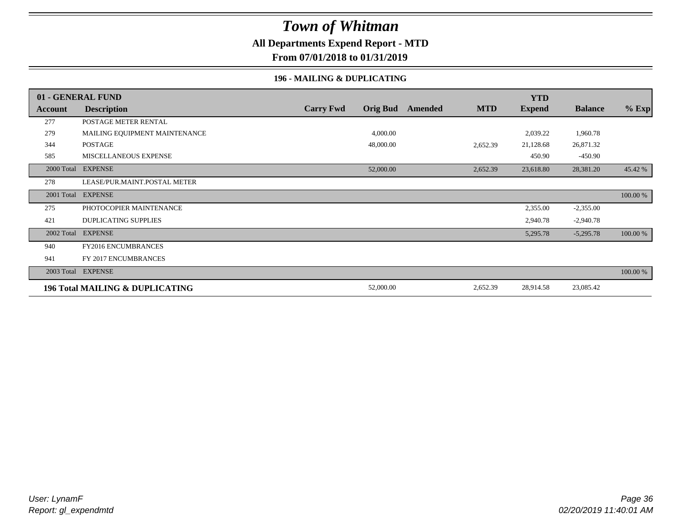### **All Departments Expend Report - MTD**

**From 07/01/2018 to 01/31/2019**

#### **196 - MAILING & DUPLICATING**

|            | 01 - GENERAL FUND               |                  |                 |         |            | <b>YTD</b>    |                |          |
|------------|---------------------------------|------------------|-----------------|---------|------------|---------------|----------------|----------|
| Account    | <b>Description</b>              | <b>Carry Fwd</b> | <b>Orig Bud</b> | Amended | <b>MTD</b> | <b>Expend</b> | <b>Balance</b> | $%$ Exp  |
| 277        | POSTAGE METER RENTAL            |                  |                 |         |            |               |                |          |
| 279        | MAILING EQUIPMENT MAINTENANCE   |                  | 4,000.00        |         |            | 2,039.22      | 1,960.78       |          |
| 344        | POSTAGE                         |                  | 48,000.00       |         | 2,652.39   | 21,128.68     | 26,871.32      |          |
| 585        | MISCELLANEOUS EXPENSE           |                  |                 |         |            | 450.90        | $-450.90$      |          |
|            | 2000 Total EXPENSE              |                  | 52,000.00       |         | 2,652.39   | 23,618.80     | 28,381.20      | 45.42 %  |
| 278        | LEASE/PUR.MAINT.POSTAL METER    |                  |                 |         |            |               |                |          |
| 2001 Total | <b>EXPENSE</b>                  |                  |                 |         |            |               |                | 100.00 % |
| 275        | PHOTOCOPIER MAINTENANCE         |                  |                 |         |            | 2,355.00      | $-2,355.00$    |          |
| 421        | <b>DUPLICATING SUPPLIES</b>     |                  |                 |         |            | 2,940.78      | $-2,940.78$    |          |
| 2002 Total | <b>EXPENSE</b>                  |                  |                 |         |            | 5,295.78      | $-5,295.78$    | 100.00 % |
| 940        | FY2016 ENCUMBRANCES             |                  |                 |         |            |               |                |          |
| 941        | FY 2017 ENCUMBRANCES            |                  |                 |         |            |               |                |          |
| 2003 Total | <b>EXPENSE</b>                  |                  |                 |         |            |               |                | 100.00 % |
|            | 196 Total MAILING & DUPLICATING |                  | 52,000.00       |         | 2,652.39   | 28,914.58     | 23,085.42      |          |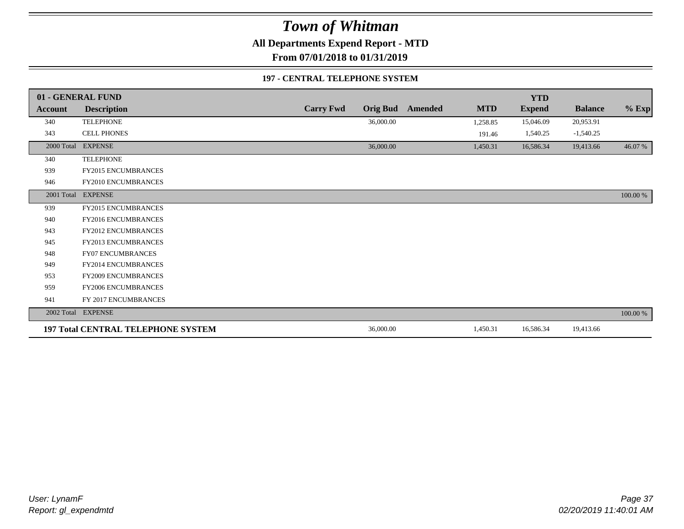**All Departments Expend Report - MTD**

**From 07/01/2018 to 01/31/2019**

#### **197 - CENTRAL TELEPHONE SYSTEM**

|            | 01 - GENERAL FUND                         |                  |                 |         |            | <b>YTD</b>    |                |          |
|------------|-------------------------------------------|------------------|-----------------|---------|------------|---------------|----------------|----------|
| Account    | <b>Description</b>                        | <b>Carry Fwd</b> | <b>Orig Bud</b> | Amended | <b>MTD</b> | <b>Expend</b> | <b>Balance</b> | $%$ Exp  |
| 340        | <b>TELEPHONE</b>                          |                  | 36,000.00       |         | 1,258.85   | 15,046.09     | 20,953.91      |          |
| 343        | CELL PHONES                               |                  |                 |         | 191.46     | 1,540.25      | $-1,540.25$    |          |
| 2000 Total | <b>EXPENSE</b>                            |                  | 36,000.00       |         | 1,450.31   | 16,586.34     | 19,413.66      | 46.07%   |
| 340        | <b>TELEPHONE</b>                          |                  |                 |         |            |               |                |          |
| 939        | FY2015 ENCUMBRANCES                       |                  |                 |         |            |               |                |          |
| 946        | FY2010 ENCUMBRANCES                       |                  |                 |         |            |               |                |          |
|            | 2001 Total EXPENSE                        |                  |                 |         |            |               |                | 100.00 % |
| 939        | FY2015 ENCUMBRANCES                       |                  |                 |         |            |               |                |          |
| 940        | <b>FY2016 ENCUMBRANCES</b>                |                  |                 |         |            |               |                |          |
| 943        | <b>FY2012 ENCUMBRANCES</b>                |                  |                 |         |            |               |                |          |
| 945        | <b>FY2013 ENCUMBRANCES</b>                |                  |                 |         |            |               |                |          |
| 948        | <b>FY07 ENCUMBRANCES</b>                  |                  |                 |         |            |               |                |          |
| 949        | FY2014 ENCUMBRANCES                       |                  |                 |         |            |               |                |          |
| 953        | <b>FY2009 ENCUMBRANCES</b>                |                  |                 |         |            |               |                |          |
| 959        | FY2006 ENCUMBRANCES                       |                  |                 |         |            |               |                |          |
| 941        | FY 2017 ENCUMBRANCES                      |                  |                 |         |            |               |                |          |
|            | 2002 Total EXPENSE                        |                  |                 |         |            |               |                | 100.00 % |
|            | <b>197 Total CENTRAL TELEPHONE SYSTEM</b> |                  | 36,000.00       |         | 1,450.31   | 16,586.34     | 19,413.66      |          |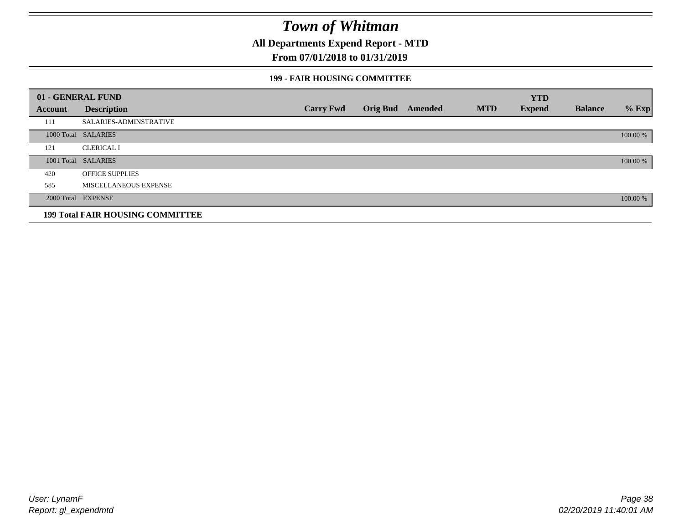**All Departments Expend Report - MTD**

## **From 07/01/2018 to 01/31/2019**

#### **199 - FAIR HOUSING COMMITTEE**

|         | 01 - GENERAL FUND                       |                  |                         |            | <b>YTD</b>    |                |          |
|---------|-----------------------------------------|------------------|-------------------------|------------|---------------|----------------|----------|
| Account | <b>Description</b>                      | <b>Carry Fwd</b> | <b>Orig Bud</b> Amended | <b>MTD</b> | <b>Expend</b> | <b>Balance</b> | $%$ Exp  |
| 111     | <b>SALARIES-ADMINSTRATIVE</b>           |                  |                         |            |               |                |          |
|         | 1000 Total SALARIES                     |                  |                         |            |               |                | 100.00 % |
| 121     | <b>CLERICAL I</b>                       |                  |                         |            |               |                |          |
|         | 1001 Total SALARIES                     |                  |                         |            |               |                | 100.00 % |
| 420     | <b>OFFICE SUPPLIES</b>                  |                  |                         |            |               |                |          |
| 585     | MISCELLANEOUS EXPENSE                   |                  |                         |            |               |                |          |
|         | 2000 Total EXPENSE                      |                  |                         |            |               |                | 100.00 % |
|         | <b>199 Total FAIR HOUSING COMMITTEE</b> |                  |                         |            |               |                |          |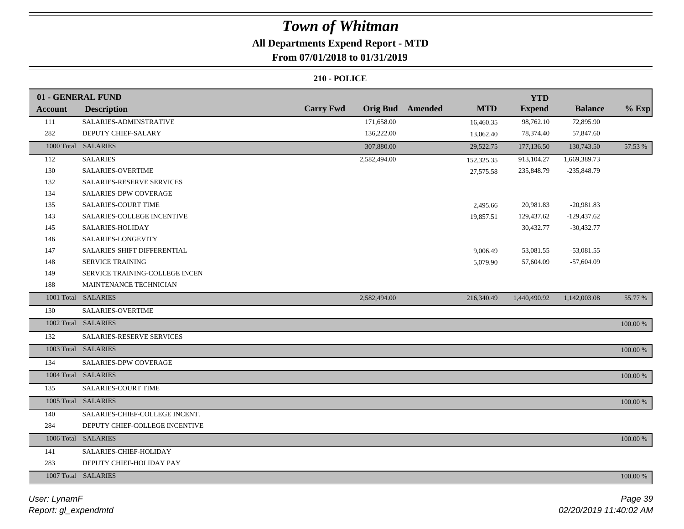## **All Departments Expend Report - MTD From 07/01/2018 to 01/31/2019**

|                | 01 - GENERAL FUND                |                                     |                              | <b>YTD</b>    |                |             |
|----------------|----------------------------------|-------------------------------------|------------------------------|---------------|----------------|-------------|
| <b>Account</b> | <b>Description</b>               | <b>Carry Fwd</b><br><b>Orig Bud</b> | <b>MTD</b><br><b>Amended</b> | <b>Expend</b> | <b>Balance</b> | $%$ Exp     |
| 111            | SALARIES-ADMINSTRATIVE           | 171,658.00                          | 16,460.35                    | 98,762.10     | 72,895.90      |             |
| 282            | DEPUTY CHIEF-SALARY              | 136,222.00                          | 13,062.40                    | 78,374.40     | 57,847.60      |             |
|                | 1000 Total SALARIES              | 307,880.00                          | 29,522.75                    | 177,136.50    | 130,743.50     | 57.53 %     |
| 112            | <b>SALARIES</b>                  | 2,582,494.00                        | 152,325.35                   | 913,104.27    | 1,669,389.73   |             |
| 130            | <b>SALARIES-OVERTIME</b>         |                                     | 27,575.58                    | 235,848.79    | $-235,848.79$  |             |
| 132            | <b>SALARIES-RESERVE SERVICES</b> |                                     |                              |               |                |             |
| 134            | <b>SALARIES-DPW COVERAGE</b>     |                                     |                              |               |                |             |
| 135            | <b>SALARIES-COURT TIME</b>       |                                     | 2,495.66                     | 20,981.83     | $-20,981.83$   |             |
| 143            | SALARIES-COLLEGE INCENTIVE       |                                     | 19,857.51                    | 129,437.62    | $-129,437.62$  |             |
| 145            | SALARIES-HOLIDAY                 |                                     |                              | 30,432.77     | $-30,432.77$   |             |
| 146            | SALARIES-LONGEVITY               |                                     |                              |               |                |             |
| 147            | SALARIES-SHIFT DIFFERENTIAL      |                                     | 9,006.49                     | 53,081.55     | $-53,081.55$   |             |
| 148            | SERVICE TRAINING                 |                                     | 5,079.90                     | 57,604.09     | $-57,604.09$   |             |
| 149            | SERVICE TRAINING-COLLEGE INCEN   |                                     |                              |               |                |             |
| 188            | MAINTENANCE TECHNICIAN           |                                     |                              |               |                |             |
|                | 1001 Total SALARIES              | 2,582,494.00                        | 216,340.49                   | 1,440,490.92  | 1,142,003.08   | 55.77 %     |
| 130            | SALARIES-OVERTIME                |                                     |                              |               |                |             |
|                | 1002 Total SALARIES              |                                     |                              |               |                | 100.00 %    |
| 132            | <b>SALARIES-RESERVE SERVICES</b> |                                     |                              |               |                |             |
|                | 1003 Total SALARIES              |                                     |                              |               |                | 100.00 %    |
| 134            | SALARIES-DPW COVERAGE            |                                     |                              |               |                |             |
|                | 1004 Total SALARIES              |                                     |                              |               |                | $100.00~\%$ |
| 135            | SALARIES-COURT TIME              |                                     |                              |               |                |             |
|                | 1005 Total SALARIES              |                                     |                              |               |                | 100.00 %    |
| 140            | SALARIES-CHIEF-COLLEGE INCENT.   |                                     |                              |               |                |             |
| 284            | DEPUTY CHIEF-COLLEGE INCENTIVE   |                                     |                              |               |                |             |
|                | 1006 Total SALARIES              |                                     |                              |               |                | 100.00 %    |
| 141            | SALARIES-CHIEF-HOLIDAY           |                                     |                              |               |                |             |
| 283            | DEPUTY CHIEF-HOLIDAY PAY         |                                     |                              |               |                |             |
|                | 1007 Total SALARIES              |                                     |                              |               |                | 100.00 %    |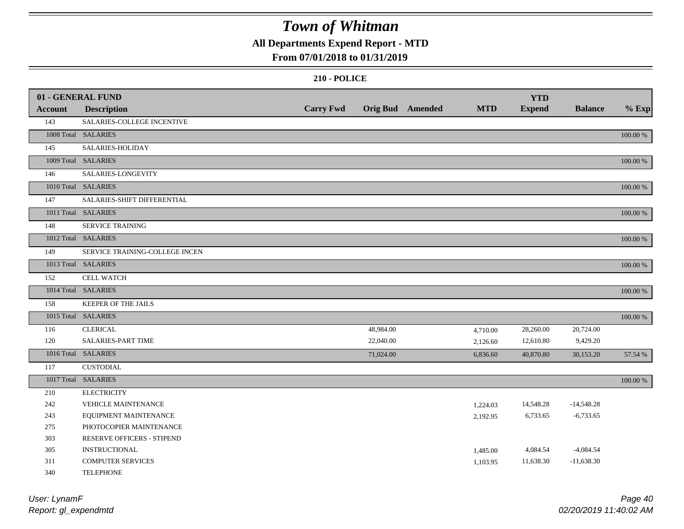## **All Departments Expend Report - MTD**

#### **From 07/01/2018 to 01/31/2019**

|                | 01 - GENERAL FUND              |                  |           |                         |            | <b>YTD</b>    |                |          |
|----------------|--------------------------------|------------------|-----------|-------------------------|------------|---------------|----------------|----------|
| <b>Account</b> | <b>Description</b>             | <b>Carry Fwd</b> |           | <b>Orig Bud</b> Amended | <b>MTD</b> | <b>Expend</b> | <b>Balance</b> | $%$ Exp  |
| 143            | SALARIES-COLLEGE INCENTIVE     |                  |           |                         |            |               |                |          |
|                | 1008 Total SALARIES            |                  |           |                         |            |               |                | 100.00 % |
| 145            | SALARIES-HOLIDAY               |                  |           |                         |            |               |                |          |
|                | 1009 Total SALARIES            |                  |           |                         |            |               |                | 100.00 % |
| 146            | SALARIES-LONGEVITY             |                  |           |                         |            |               |                |          |
|                | 1010 Total SALARIES            |                  |           |                         |            |               |                | 100.00 % |
| 147            | SALARIES-SHIFT DIFFERENTIAL    |                  |           |                         |            |               |                |          |
|                | 1011 Total SALARIES            |                  |           |                         |            |               |                | 100.00 % |
| 148            | <b>SERVICE TRAINING</b>        |                  |           |                         |            |               |                |          |
|                | 1012 Total SALARIES            |                  |           |                         |            |               |                | 100.00 % |
| 149            | SERVICE TRAINING-COLLEGE INCEN |                  |           |                         |            |               |                |          |
|                | 1013 Total SALARIES            |                  |           |                         |            |               |                | 100.00 % |
| 152            | <b>CELL WATCH</b>              |                  |           |                         |            |               |                |          |
|                | 1014 Total SALARIES            |                  |           |                         |            |               |                | 100.00 % |
| 158            | KEEPER OF THE JAILS            |                  |           |                         |            |               |                |          |
|                | 1015 Total SALARIES            |                  |           |                         |            |               |                | 100.00 % |
| 116            | <b>CLERICAL</b>                |                  | 48,984.00 |                         | 4,710.00   | 28,260.00     | 20,724.00      |          |
| 120            | SALARIES-PART TIME             |                  | 22,040.00 |                         | 2,126.60   | 12,610.80     | 9,429.20       |          |
|                | 1016 Total SALARIES            |                  | 71,024.00 |                         | 6,836.60   | 40,870.80     | 30,153.20      | 57.54 %  |
| 117            | <b>CUSTODIAL</b>               |                  |           |                         |            |               |                |          |
|                | 1017 Total SALARIES            |                  |           |                         |            |               |                | 100.00 % |
| 210            | <b>ELECTRICITY</b>             |                  |           |                         |            |               |                |          |
| 242            | VEHICLE MAINTENANCE            |                  |           |                         | 1,224.03   | 14,548.28     | $-14,548.28$   |          |
| 243            | EQUIPMENT MAINTENANCE          |                  |           |                         | 2,192.95   | 6,733.65      | $-6,733.65$    |          |
| 275            | PHOTOCOPIER MAINTENANCE        |                  |           |                         |            |               |                |          |
| 303            | RESERVE OFFICERS - STIPEND     |                  |           |                         |            |               |                |          |
| 305            | <b>INSTRUCTIONAL</b>           |                  |           |                         | 1,485.00   | 4,084.54      | $-4,084.54$    |          |
| 311            | <b>COMPUTER SERVICES</b>       |                  |           |                         | 1,103.95   | 11,638.30     | $-11,638.30$   |          |
| 340            | <b>TELEPHONE</b>               |                  |           |                         |            |               |                |          |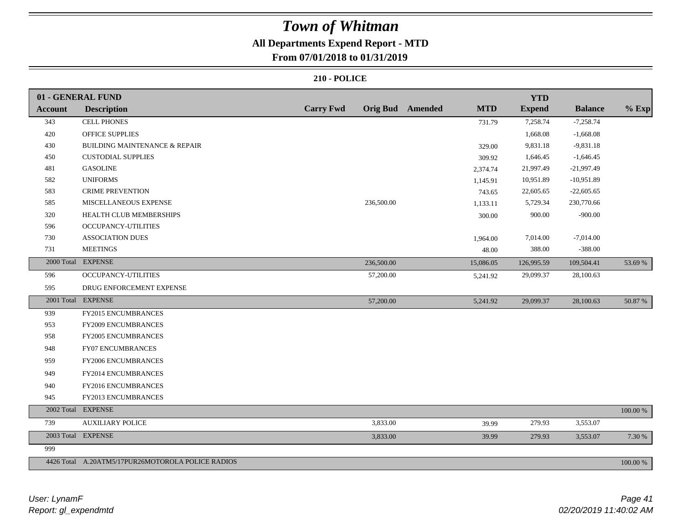# **All Departments Expend Report - MTD**

## **From 07/01/2018 to 01/31/2019**

|                | 01 - GENERAL FUND                                 |                  |            |                         |            | <b>YTD</b>    |                |             |
|----------------|---------------------------------------------------|------------------|------------|-------------------------|------------|---------------|----------------|-------------|
| <b>Account</b> | <b>Description</b>                                | <b>Carry Fwd</b> |            | <b>Orig Bud</b> Amended | <b>MTD</b> | <b>Expend</b> | <b>Balance</b> | $%$ Exp     |
| 343            | <b>CELL PHONES</b>                                |                  |            |                         | 731.79     | 7,258.74      | $-7,258.74$    |             |
| 420            | OFFICE SUPPLIES                                   |                  |            |                         |            | 1,668.08      | $-1,668.08$    |             |
| 430            | <b>BUILDING MAINTENANCE &amp; REPAIR</b>          |                  |            |                         | 329.00     | 9,831.18      | $-9,831.18$    |             |
| 450            | <b>CUSTODIAL SUPPLIES</b>                         |                  |            |                         | 309.92     | 1,646.45      | $-1,646.45$    |             |
| 481            | <b>GASOLINE</b>                                   |                  |            |                         | 2,374.74   | 21,997.49     | $-21,997.49$   |             |
| 582            | <b>UNIFORMS</b>                                   |                  |            |                         | 1,145.91   | 10,951.89     | $-10,951.89$   |             |
| 583            | <b>CRIME PREVENTION</b>                           |                  |            |                         | 743.65     | 22,605.65     | $-22,605.65$   |             |
| 585            | MISCELLANEOUS EXPENSE                             |                  | 236,500.00 |                         | 1,133.11   | 5,729.34      | 230,770.66     |             |
| 320            | HEALTH CLUB MEMBERSHIPS                           |                  |            |                         | 300.00     | 900.00        | $-900.00$      |             |
| 596            | OCCUPANCY-UTILITIES                               |                  |            |                         |            |               |                |             |
| 730            | <b>ASSOCIATION DUES</b>                           |                  |            |                         | 1,964.00   | 7,014.00      | $-7,014.00$    |             |
| 731            | <b>MEETINGS</b>                                   |                  |            |                         | 48.00      | 388.00        | $-388.00$      |             |
|                | 2000 Total EXPENSE                                |                  | 236,500.00 |                         | 15,086.05  | 126,995.59    | 109,504.41     | 53.69 %     |
| 596            | OCCUPANCY-UTILITIES                               |                  | 57,200.00  |                         | 5,241.92   | 29,099.37     | 28,100.63      |             |
| 595            | DRUG ENFORCEMENT EXPENSE                          |                  |            |                         |            |               |                |             |
|                | 2001 Total EXPENSE                                |                  | 57,200.00  |                         | 5,241.92   | 29,099.37     | 28,100.63      | 50.87%      |
| 939            | FY2015 ENCUMBRANCES                               |                  |            |                         |            |               |                |             |
| 953            | FY2009 ENCUMBRANCES                               |                  |            |                         |            |               |                |             |
| 958            | FY2005 ENCUMBRANCES                               |                  |            |                         |            |               |                |             |
| 948            | <b>FY07 ENCUMBRANCES</b>                          |                  |            |                         |            |               |                |             |
| 959            | FY2006 ENCUMBRANCES                               |                  |            |                         |            |               |                |             |
| 949            | FY2014 ENCUMBRANCES                               |                  |            |                         |            |               |                |             |
| 940            | FY2016 ENCUMBRANCES                               |                  |            |                         |            |               |                |             |
| 945            | FY2013 ENCUMBRANCES                               |                  |            |                         |            |               |                |             |
| 2002 Total     | <b>EXPENSE</b>                                    |                  |            |                         |            |               |                | $100.00~\%$ |
| 739            | <b>AUXILIARY POLICE</b>                           |                  | 3,833.00   |                         | 39.99      | 279.93        | 3,553.07       |             |
|                | 2003 Total EXPENSE                                |                  | 3,833.00   |                         | 39.99      | 279.93        | 3,553.07       | 7.30 %      |
| 999            |                                                   |                  |            |                         |            |               |                |             |
|                | 4426 Total A.20ATM5/17PUR26MOTOROLA POLICE RADIOS |                  |            |                         |            |               |                | 100.00 %    |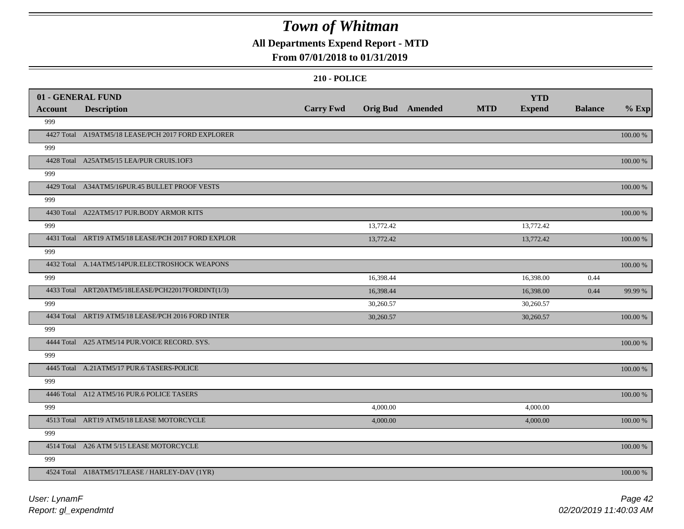## **All Departments Expend Report - MTD**

#### **From 07/01/2018 to 01/31/2019**

|                | 01 - GENERAL FUND                                   |                  |                  |            | <b>YTD</b>    |                |             |
|----------------|-----------------------------------------------------|------------------|------------------|------------|---------------|----------------|-------------|
| <b>Account</b> | <b>Description</b>                                  | <b>Carry Fwd</b> | Orig Bud Amended | <b>MTD</b> | <b>Expend</b> | <b>Balance</b> | $%$ Exp     |
| 999            |                                                     |                  |                  |            |               |                |             |
|                | 4427 Total A19ATM5/18 LEASE/PCH 2017 FORD EXPLORER  |                  |                  |            |               |                | 100.00 %    |
| 999            |                                                     |                  |                  |            |               |                |             |
|                | 4428 Total A25ATM5/15 LEA/PUR CRUIS.1OF3            |                  |                  |            |               |                | $100.00~\%$ |
| 999            |                                                     |                  |                  |            |               |                |             |
|                | 4429 Total A34ATM5/16PUR.45 BULLET PROOF VESTS      |                  |                  |            |               |                | 100.00 %    |
| 999            |                                                     |                  |                  |            |               |                |             |
|                | 4430 Total A22ATM5/17 PUR.BODY ARMOR KITS           |                  |                  |            |               |                | 100.00 %    |
| 999            |                                                     |                  | 13,772.42        |            | 13,772.42     |                |             |
|                | 4431 Total ART19 ATM5/18 LEASE/PCH 2017 FORD EXPLOR |                  | 13,772.42        |            | 13,772.42     |                | 100.00 %    |
| 999            |                                                     |                  |                  |            |               |                |             |
|                | 4432 Total A.14ATM5/14PUR.ELECTROSHOCK WEAPONS      |                  |                  |            |               |                | 100.00 %    |
| 999            |                                                     |                  | 16,398.44        |            | 16,398.00     | 0.44           |             |
|                | 4433 Total ART20ATM5/18LEASE/PCH22017FORDINT(1/3)   |                  | 16,398.44        |            | 16,398.00     | 0.44           | 99.99 %     |
| 999            |                                                     |                  | 30,260.57        |            | 30,260.57     |                |             |
|                | 4434 Total ART19 ATM5/18 LEASE/PCH 2016 FORD INTER  |                  | 30,260.57        |            | 30,260.57     |                | 100.00 %    |
| 999            |                                                     |                  |                  |            |               |                |             |
|                | 4444 Total A25 ATM5/14 PUR. VOICE RECORD. SYS.      |                  |                  |            |               |                | 100.00 %    |
| 999            |                                                     |                  |                  |            |               |                |             |
|                | 4445 Total A.21ATM5/17 PUR.6 TASERS-POLICE          |                  |                  |            |               |                | 100.00 %    |
| 999            |                                                     |                  |                  |            |               |                |             |
|                | 4446 Total A12 ATM5/16 PUR.6 POLICE TASERS          |                  |                  |            |               |                | 100.00 %    |
| 999            |                                                     |                  | 4,000.00         |            | 4,000.00      |                |             |
|                | 4513 Total ART19 ATM5/18 LEASE MOTORCYCLE           |                  | 4,000.00         |            | 4,000.00      |                | 100.00 %    |
| 999            |                                                     |                  |                  |            |               |                |             |
|                | 4514 Total A26 ATM 5/15 LEASE MOTORCYCLE            |                  |                  |            |               |                | 100.00 %    |
| 999            |                                                     |                  |                  |            |               |                |             |
|                | 4524 Total A18ATM5/17LEASE / HARLEY-DAV (1YR)       |                  |                  |            |               |                | 100.00 %    |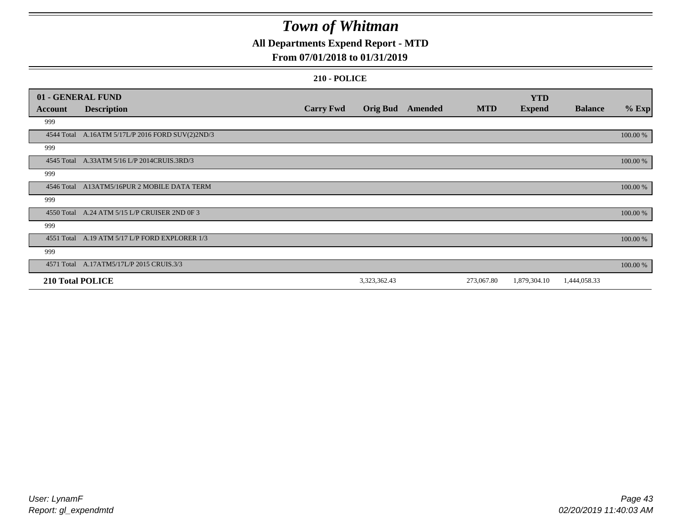## **All Departments Expend Report - MTD**

## **From 07/01/2018 to 01/31/2019**

|                         | 01 - GENERAL FUND                                |                  |                 |         |            | <b>YTD</b>    |                |          |
|-------------------------|--------------------------------------------------|------------------|-----------------|---------|------------|---------------|----------------|----------|
| <b>Account</b>          | <b>Description</b>                               | <b>Carry Fwd</b> | <b>Orig Bud</b> | Amended | <b>MTD</b> | <b>Expend</b> | <b>Balance</b> | $%$ Exp  |
| 999                     |                                                  |                  |                 |         |            |               |                |          |
|                         | 4544 Total A.16ATM 5/17L/P 2016 FORD SUV(2)2ND/3 |                  |                 |         |            |               |                | 100.00 % |
| 999                     |                                                  |                  |                 |         |            |               |                |          |
|                         | 4545 Total A.33ATM 5/16 L/P 2014CRUIS.3RD/3      |                  |                 |         |            |               |                | 100.00 % |
| 999                     |                                                  |                  |                 |         |            |               |                |          |
|                         | 4546 Total A13ATM5/16PUR 2 MOBILE DATA TERM      |                  |                 |         |            |               |                | 100.00 % |
| 999                     |                                                  |                  |                 |         |            |               |                |          |
|                         | 4550 Total A.24 ATM 5/15 L/P CRUISER 2ND OF 3    |                  |                 |         |            |               |                | 100.00 % |
| 999                     |                                                  |                  |                 |         |            |               |                |          |
|                         | 4551 Total A.19 ATM 5/17 L/P FORD EXPLORER 1/3   |                  |                 |         |            |               |                | 100.00 % |
| 999                     |                                                  |                  |                 |         |            |               |                |          |
|                         | 4571 Total A.17ATM5/17L/P 2015 CRUIS.3/3         |                  |                 |         |            |               |                | 100.00 % |
| <b>210 Total POLICE</b> |                                                  |                  | 3,323,362.43    |         | 273,067.80 | 1,879,304.10  | 1,444,058.33   |          |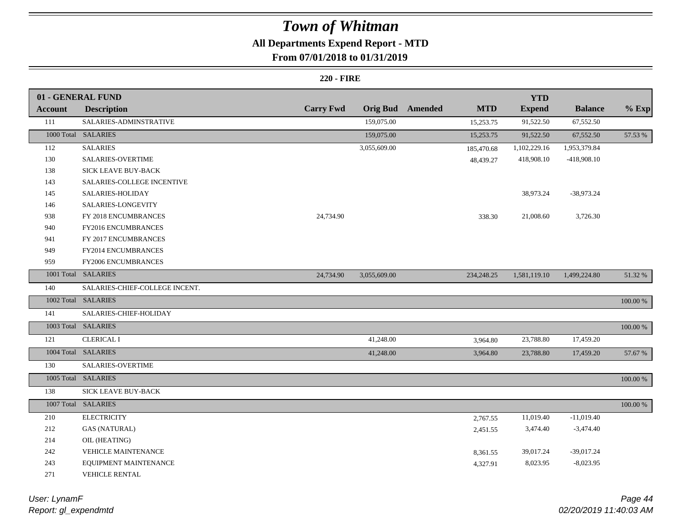# **All Departments Expend Report - MTD**

## **From 07/01/2018 to 01/31/2019**

#### **220 - FIRE**

|                | 01 - GENERAL FUND              |                  |                         |            | <b>YTD</b>    |                |             |
|----------------|--------------------------------|------------------|-------------------------|------------|---------------|----------------|-------------|
| <b>Account</b> | <b>Description</b>             | <b>Carry Fwd</b> | <b>Orig Bud</b> Amended | <b>MTD</b> | <b>Expend</b> | <b>Balance</b> | $%$ Exp     |
| 111            | SALARIES-ADMINSTRATIVE         |                  | 159,075.00              | 15,253.75  | 91,522.50     | 67,552.50      |             |
|                | 1000 Total SALARIES            |                  | 159,075.00              | 15,253.75  | 91,522.50     | 67,552.50      | 57.53 %     |
| 112            | <b>SALARIES</b>                |                  | 3,055,609.00            | 185,470.68 | 1,102,229.16  | 1,953,379.84   |             |
| 130            | SALARIES-OVERTIME              |                  |                         | 48,439.27  | 418,908.10    | -418,908.10    |             |
| 138            | <b>SICK LEAVE BUY-BACK</b>     |                  |                         |            |               |                |             |
| 143            | SALARIES-COLLEGE INCENTIVE     |                  |                         |            |               |                |             |
| 145            | SALARIES-HOLIDAY               |                  |                         |            | 38,973.24     | $-38,973.24$   |             |
| 146            | SALARIES-LONGEVITY             |                  |                         |            |               |                |             |
| 938            | FY 2018 ENCUMBRANCES           | 24,734.90        |                         | 338.30     | 21,008.60     | 3,726.30       |             |
| 940            | FY2016 ENCUMBRANCES            |                  |                         |            |               |                |             |
| 941            | FY 2017 ENCUMBRANCES           |                  |                         |            |               |                |             |
| 949            | FY2014 ENCUMBRANCES            |                  |                         |            |               |                |             |
| 959            | FY2006 ENCUMBRANCES            |                  |                         |            |               |                |             |
|                | 1001 Total SALARIES            | 24,734.90        | 3,055,609.00            | 234,248.25 | 1,581,119.10  | 1,499,224.80   | 51.32 %     |
| 140            | SALARIES-CHIEF-COLLEGE INCENT. |                  |                         |            |               |                |             |
|                | 1002 Total SALARIES            |                  |                         |            |               |                | $100.00~\%$ |
| 141            | SALARIES-CHIEF-HOLIDAY         |                  |                         |            |               |                |             |
|                | 1003 Total SALARIES            |                  |                         |            |               |                | $100.00\%$  |
| 121            | <b>CLERICAL I</b>              |                  | 41,248.00               | 3,964.80   | 23,788.80     | 17,459.20      |             |
|                | 1004 Total SALARIES            |                  | 41,248.00               | 3,964.80   | 23,788.80     | 17,459.20      | 57.67 %     |
| 130            | SALARIES-OVERTIME              |                  |                         |            |               |                |             |
|                | 1005 Total SALARIES            |                  |                         |            |               |                | 100.00 %    |
| 138            | SICK LEAVE BUY-BACK            |                  |                         |            |               |                |             |
|                | 1007 Total SALARIES            |                  |                         |            |               |                | 100.00 %    |
| 210            | <b>ELECTRICITY</b>             |                  |                         | 2,767.55   | 11,019.40     | $-11,019.40$   |             |
| 212            | <b>GAS (NATURAL)</b>           |                  |                         | 2,451.55   | 3,474.40      | $-3,474.40$    |             |
| 214            | OIL (HEATING)                  |                  |                         |            |               |                |             |
| 242            | <b>VEHICLE MAINTENANCE</b>     |                  |                         | 8,361.55   | 39,017.24     | $-39,017.24$   |             |
| 243            | EQUIPMENT MAINTENANCE          |                  |                         | 4,327.91   | 8,023.95      | $-8,023.95$    |             |
| 271            | <b>VEHICLE RENTAL</b>          |                  |                         |            |               |                |             |

*Report: gl\_expendmtd User: LynamF*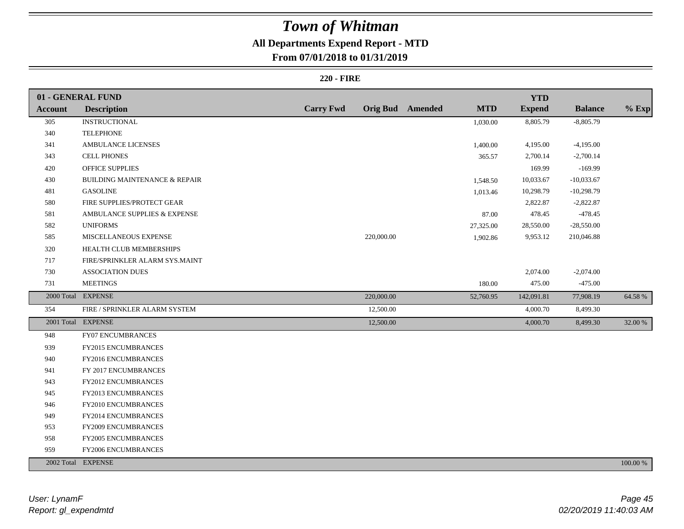# **All Departments Expend Report - MTD**

## **From 07/01/2018 to 01/31/2019**

#### **220 - FIRE**

|                | 01 - GENERAL FUND                        |                  |            |                         |            | <b>YTD</b>    |                |          |
|----------------|------------------------------------------|------------------|------------|-------------------------|------------|---------------|----------------|----------|
| <b>Account</b> | <b>Description</b>                       | <b>Carry Fwd</b> |            | <b>Orig Bud</b> Amended | <b>MTD</b> | <b>Expend</b> | <b>Balance</b> | $%$ Exp  |
| 305            | <b>INSTRUCTIONAL</b>                     |                  |            |                         | 1,030.00   | 8,805.79      | $-8,805.79$    |          |
| 340            | <b>TELEPHONE</b>                         |                  |            |                         |            |               |                |          |
| 341            | AMBULANCE LICENSES                       |                  |            |                         | 1,400.00   | 4,195.00      | $-4,195.00$    |          |
| 343            | <b>CELL PHONES</b>                       |                  |            |                         | 365.57     | 2,700.14      | $-2,700.14$    |          |
| 420            | OFFICE SUPPLIES                          |                  |            |                         |            | 169.99        | $-169.99$      |          |
| 430            | <b>BUILDING MAINTENANCE &amp; REPAIR</b> |                  |            |                         | 1,548.50   | 10,033.67     | $-10,033.67$   |          |
| 481            | <b>GASOLINE</b>                          |                  |            |                         | 1,013.46   | 10,298.79     | $-10,298.79$   |          |
| 580            | FIRE SUPPLIES/PROTECT GEAR               |                  |            |                         |            | 2,822.87      | $-2,822.87$    |          |
| 581            | AMBULANCE SUPPLIES & EXPENSE             |                  |            |                         | 87.00      | 478.45        | $-478.45$      |          |
| 582            | <b>UNIFORMS</b>                          |                  |            |                         | 27,325.00  | 28,550.00     | $-28,550.00$   |          |
| 585            | MISCELLANEOUS EXPENSE                    |                  | 220,000.00 |                         | 1,902.86   | 9,953.12      | 210,046.88     |          |
| 320            | HEALTH CLUB MEMBERSHIPS                  |                  |            |                         |            |               |                |          |
| 717            | FIRE/SPRINKLER ALARM SYS.MAINT           |                  |            |                         |            |               |                |          |
| 730            | <b>ASSOCIATION DUES</b>                  |                  |            |                         |            | 2,074.00      | $-2,074.00$    |          |
| 731            | <b>MEETINGS</b>                          |                  |            |                         | 180.00     | 475.00        | $-475.00$      |          |
|                | 2000 Total EXPENSE                       |                  | 220,000.00 |                         | 52,760.95  | 142,091.81    | 77,908.19      | 64.58 %  |
| 354            | FIRE / SPRINKLER ALARM SYSTEM            |                  | 12,500.00  |                         |            | 4,000.70      | 8,499.30       |          |
|                | 2001 Total EXPENSE                       |                  | 12,500.00  |                         |            | 4,000.70      | 8,499.30       | 32.00 %  |
| 948            | <b>FY07 ENCUMBRANCES</b>                 |                  |            |                         |            |               |                |          |
| 939            | FY2015 ENCUMBRANCES                      |                  |            |                         |            |               |                |          |
| 940            | FY2016 ENCUMBRANCES                      |                  |            |                         |            |               |                |          |
| 941            | FY 2017 ENCUMBRANCES                     |                  |            |                         |            |               |                |          |
| 943            | <b>FY2012 ENCUMBRANCES</b>               |                  |            |                         |            |               |                |          |
| 945            | FY2013 ENCUMBRANCES                      |                  |            |                         |            |               |                |          |
| 946            | FY2010 ENCUMBRANCES                      |                  |            |                         |            |               |                |          |
| 949            | FY2014 ENCUMBRANCES                      |                  |            |                         |            |               |                |          |
| 953            | FY2009 ENCUMBRANCES                      |                  |            |                         |            |               |                |          |
| 958            | FY2005 ENCUMBRANCES                      |                  |            |                         |            |               |                |          |
| 959            | FY2006 ENCUMBRANCES                      |                  |            |                         |            |               |                |          |
|                | 2002 Total EXPENSE                       |                  |            |                         |            |               |                | 100.00 % |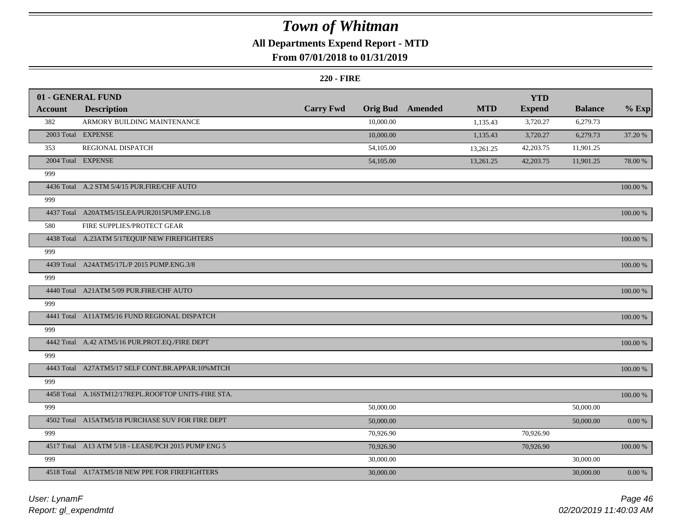## **All Departments Expend Report - MTD**

## **From 07/01/2018 to 01/31/2019**

#### **220 - FIRE**

|                | 01 - GENERAL FUND                                   |                  |                 |         |            | <b>YTD</b>    |                |             |
|----------------|-----------------------------------------------------|------------------|-----------------|---------|------------|---------------|----------------|-------------|
| <b>Account</b> | <b>Description</b>                                  | <b>Carry Fwd</b> | <b>Orig Bud</b> | Amended | <b>MTD</b> | <b>Expend</b> | <b>Balance</b> | $%$ Exp     |
| 382            | ARMORY BUILDING MAINTENANCE                         |                  | 10,000.00       |         | 1,135.43   | 3,720.27      | 6,279.73       |             |
|                | 2003 Total EXPENSE                                  |                  | 10,000.00       |         | 1,135.43   | 3,720.27      | 6,279.73       | 37.20 %     |
| 353            | REGIONAL DISPATCH                                   |                  | 54,105.00       |         | 13,261.25  | 42,203.75     | 11,901.25      |             |
|                | 2004 Total EXPENSE                                  |                  | 54,105.00       |         | 13,261.25  | 42,203.75     | 11,901.25      | 78.00 %     |
| 999            |                                                     |                  |                 |         |            |               |                |             |
|                | 4436 Total A.2 STM 5/4/15 PUR.FIRE/CHF AUTO         |                  |                 |         |            |               |                | 100.00 %    |
| 999            |                                                     |                  |                 |         |            |               |                |             |
|                | 4437 Total A20ATM5/15LEA/PUR2015PUMP.ENG.1/8        |                  |                 |         |            |               |                | 100.00 %    |
| 580            | FIRE SUPPLIES/PROTECT GEAR                          |                  |                 |         |            |               |                |             |
|                | 4438 Total A.23ATM 5/17EQUIP NEW FIREFIGHTERS       |                  |                 |         |            |               |                | 100.00 %    |
| 999            |                                                     |                  |                 |         |            |               |                |             |
|                | 4439 Total A24ATM5/17L/P 2015 PUMP.ENG.3/8          |                  |                 |         |            |               |                | 100.00 %    |
| 999            |                                                     |                  |                 |         |            |               |                |             |
|                | 4440 Total A21ATM 5/09 PUR.FIRE/CHF AUTO            |                  |                 |         |            |               |                | 100.00 %    |
| 999            |                                                     |                  |                 |         |            |               |                |             |
|                | 4441 Total A11ATM5/16 FUND REGIONAL DISPATCH        |                  |                 |         |            |               |                | $100.00~\%$ |
| 999            |                                                     |                  |                 |         |            |               |                |             |
|                | 4442 Total A.42 ATM5/16 PUR.PROT.EQ./FIRE DEPT      |                  |                 |         |            |               |                | 100.00 %    |
| 999            |                                                     |                  |                 |         |            |               |                |             |
|                | 4443 Total A27ATM5/17 SELF CONT.BR.APPAR.10%MTCH    |                  |                 |         |            |               |                | 100.00 %    |
| 999            |                                                     |                  |                 |         |            |               |                |             |
|                | 4458 Total A.16STM12/17REPL.ROOFTOP UNITS-FIRE STA. |                  |                 |         |            |               |                | $100.00~\%$ |
| 999            |                                                     |                  | 50,000.00       |         |            |               | 50,000.00      |             |
|                | 4502 Total A15ATM5/18 PURCHASE SUV FOR FIRE DEPT    |                  | 50,000.00       |         |            |               | 50,000.00      | $0.00\ \%$  |
| 999            |                                                     |                  | 70,926.90       |         |            | 70,926.90     |                |             |
|                | 4517 Total A13 ATM 5/18 - LEASE/PCH 2015 PUMP ENG 5 |                  | 70,926.90       |         |            | 70,926.90     |                | 100.00 %    |
| 999            |                                                     |                  | 30,000.00       |         |            |               | 30,000.00      |             |
|                | 4518 Total A17ATM5/18 NEW PPE FOR FIREFIGHTERS      |                  | 30,000.00       |         |            |               | 30,000.00      | $0.00\%$    |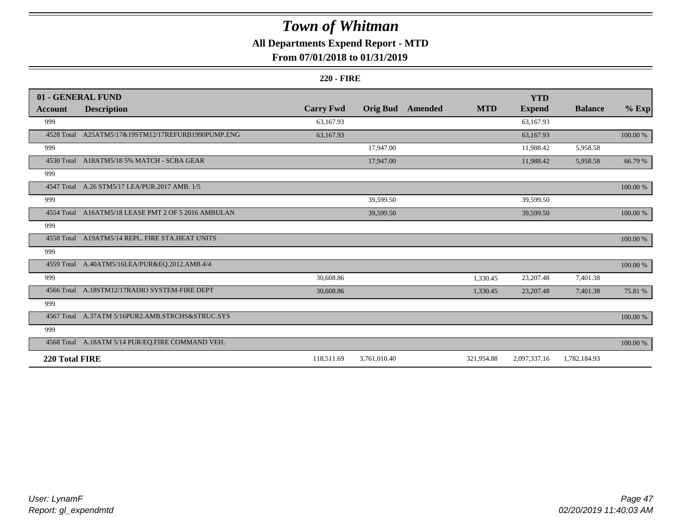## **All Departments Expend Report - MTD**

## **From 07/01/2018 to 01/31/2019**

#### **220 - FIRE**

|                | 01 - GENERAL FUND                                   |                  |                 |         |            | <b>YTD</b>    |                |             |
|----------------|-----------------------------------------------------|------------------|-----------------|---------|------------|---------------|----------------|-------------|
| <b>Account</b> | <b>Description</b>                                  | <b>Carry Fwd</b> | <b>Orig Bud</b> | Amended | <b>MTD</b> | <b>Expend</b> | <b>Balance</b> | $%$ Exp     |
| 999            |                                                     | 63,167.93        |                 |         |            | 63,167.93     |                |             |
| 4528 Total     | A25ATM5/17&19STM12/17REFURB1990PUMP.ENG             | 63,167.93        |                 |         |            | 63,167.93     |                | 100.00 %    |
| 999            |                                                     |                  | 17,947.00       |         |            | 11,988.42     | 5,958.58       |             |
|                | 4530 Total A18ATM5/18 5% MATCH - SCBA GEAR          |                  | 17,947.00       |         |            | 11,988.42     | 5,958.58       | 66.79 %     |
| 999            |                                                     |                  |                 |         |            |               |                |             |
|                | 4547 Total A.26 STM5/17 LEA/PUR.2017 AMB. 1/5       |                  |                 |         |            |               |                | 100.00 %    |
| 999            |                                                     |                  | 39,599.50       |         |            | 39,599.50     |                |             |
|                | 4554 Total A16ATM5/18 LEASE PMT 2 OF 5 2016 AMBULAN |                  | 39,599.50       |         |            | 39,599.50     |                | $100.00~\%$ |
| 999            |                                                     |                  |                 |         |            |               |                |             |
|                | 4558 Total A19ATM5/14 REPL. FIRE STA.HEAT UNITS     |                  |                 |         |            |               |                | 100.00 %    |
| 999            |                                                     |                  |                 |         |            |               |                |             |
|                | 4559 Total A.40ATM5/16LEA/PUR&EQ.2012.AMB.4/4       |                  |                 |         |            |               |                | 100.00 %    |
| 999            |                                                     | 30,608.86        |                 |         | 1,330.45   | 23,207.48     | 7,401.38       |             |
|                | 4566 Total A.18STM12/17RADIO SYSTEM-FIRE DEPT       | 30,608.86        |                 |         | 1,330.45   | 23,207.48     | 7,401.38       | 75.81 %     |
| 999            |                                                     |                  |                 |         |            |               |                |             |
|                | 4567 Total A.37ATM 5/16PUR2.AMB.STRCHS&STRUC.SYS    |                  |                 |         |            |               |                | 100.00 %    |
| 999            |                                                     |                  |                 |         |            |               |                |             |
|                | 4568 Total A.18ATM 5/14 PUR/EQ.FIRE COMMAND VEH.    |                  |                 |         |            |               |                | 100.00 %    |
| 220 Total FIRE |                                                     | 118,511.69       | 3,761,010.40    |         | 321,954.88 | 2,097,337.16  | 1,782,184.93   |             |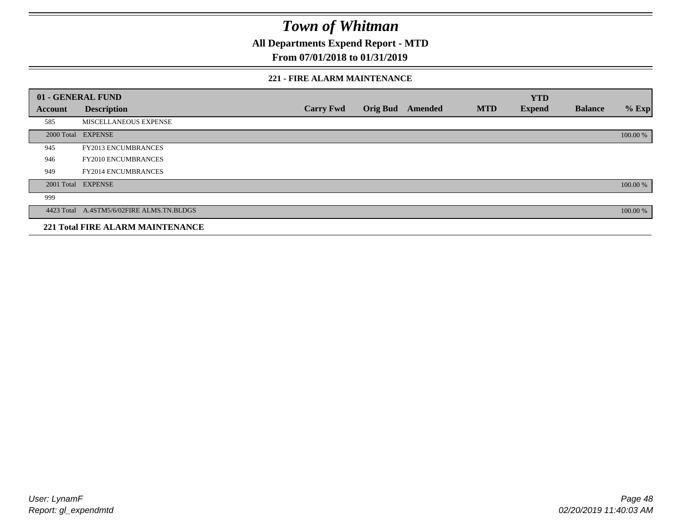**All Departments Expend Report - MTD**

## **From 07/01/2018 to 01/31/2019**

#### **221 - FIRE ALARM MAINTENANCE**

|         | 01 - GENERAL FUND                         |                  |                 |                |            | <b>YTD</b>    |                |          |
|---------|-------------------------------------------|------------------|-----------------|----------------|------------|---------------|----------------|----------|
| Account | <b>Description</b>                        | <b>Carry Fwd</b> | <b>Orig Bud</b> | <b>Amended</b> | <b>MTD</b> | <b>Expend</b> | <b>Balance</b> | $%$ Exp  |
| 585     | MISCELLANEOUS EXPENSE                     |                  |                 |                |            |               |                |          |
|         | 2000 Total EXPENSE                        |                  |                 |                |            |               |                | 100.00 % |
| 945     | <b>FY2013 ENCUMBRANCES</b>                |                  |                 |                |            |               |                |          |
| 946     | <b>FY2010 ENCUMBRANCES</b>                |                  |                 |                |            |               |                |          |
| 949     | <b>FY2014 ENCUMBRANCES</b>                |                  |                 |                |            |               |                |          |
|         | 2001 Total EXPENSE                        |                  |                 |                |            |               |                | 100.00 % |
| 999     |                                           |                  |                 |                |            |               |                |          |
|         | 4423 Total A.4STM5/6/02FIRE ALMS.TN.BLDGS |                  |                 |                |            |               |                | 100.00 % |
|         | <b>221 Total FIRE ALARM MAINTENANCE</b>   |                  |                 |                |            |               |                |          |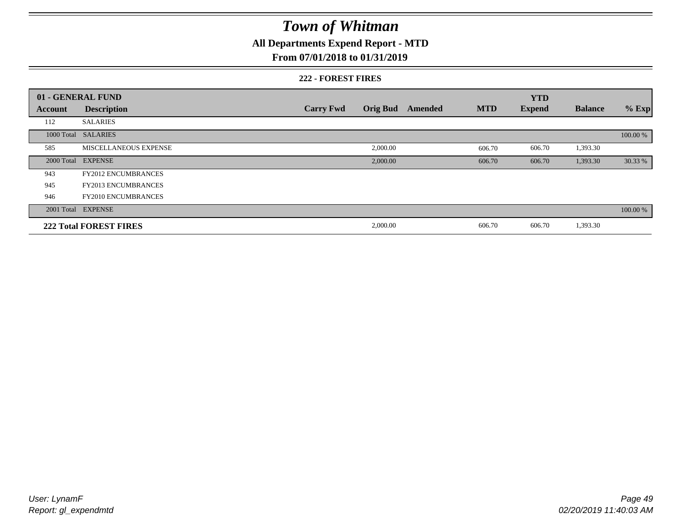## **All Departments Expend Report - MTD**

#### **From 07/01/2018 to 01/31/2019**

#### **222 - FOREST FIRES**

|            | 01 - GENERAL FUND             |                  |                 |         |            | <b>YTD</b>    |                |          |
|------------|-------------------------------|------------------|-----------------|---------|------------|---------------|----------------|----------|
| Account    | <b>Description</b>            | <b>Carry Fwd</b> | <b>Orig Bud</b> | Amended | <b>MTD</b> | <b>Expend</b> | <b>Balance</b> | $%$ Exp  |
| 112        | <b>SALARIES</b>               |                  |                 |         |            |               |                |          |
|            | 1000 Total SALARIES           |                  |                 |         |            |               |                | 100.00 % |
| 585        | MISCELLANEOUS EXPENSE         |                  | 2,000.00        |         | 606.70     | 606.70        | 1,393.30       |          |
| 2000 Total | <b>EXPENSE</b>                |                  | 2,000.00        |         | 606.70     | 606.70        | 1,393.30       | 30.33 %  |
| 943        | <b>FY2012 ENCUMBRANCES</b>    |                  |                 |         |            |               |                |          |
| 945        | <b>FY2013 ENCUMBRANCES</b>    |                  |                 |         |            |               |                |          |
| 946        | <b>FY2010 ENCUMBRANCES</b>    |                  |                 |         |            |               |                |          |
|            | 2001 Total EXPENSE            |                  |                 |         |            |               |                | 100.00 % |
|            | <b>222 Total FOREST FIRES</b> |                  | 2,000.00        |         | 606.70     | 606.70        | 1,393.30       |          |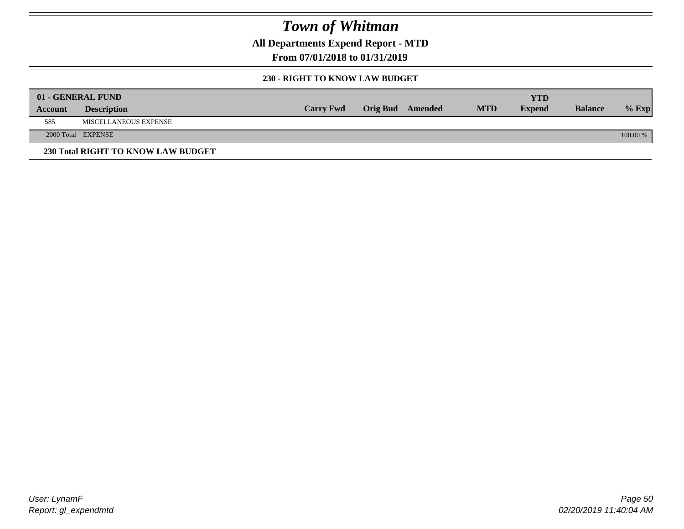**All Departments Expend Report - MTD**

**From 07/01/2018 to 01/31/2019**

#### **230 - RIGHT TO KNOW LAW BUDGET**

|         | 01 - GENERAL FUND                  |                  |                  |            | YTD           |                |          |
|---------|------------------------------------|------------------|------------------|------------|---------------|----------------|----------|
| Account | <b>Description</b>                 | <b>Carry Fwd</b> | Orig Bud Amended | <b>MTD</b> | <b>Expend</b> | <b>Balance</b> | $%$ Exp  |
| 585     | <b>MISCELLANEOUS EXPENSE</b>       |                  |                  |            |               |                |          |
|         | 2000 Total EXPENSE                 |                  |                  |            |               |                | 100.00 % |
|         | 230 Total RIGHT TO KNOW LAW BUDGET |                  |                  |            |               |                |          |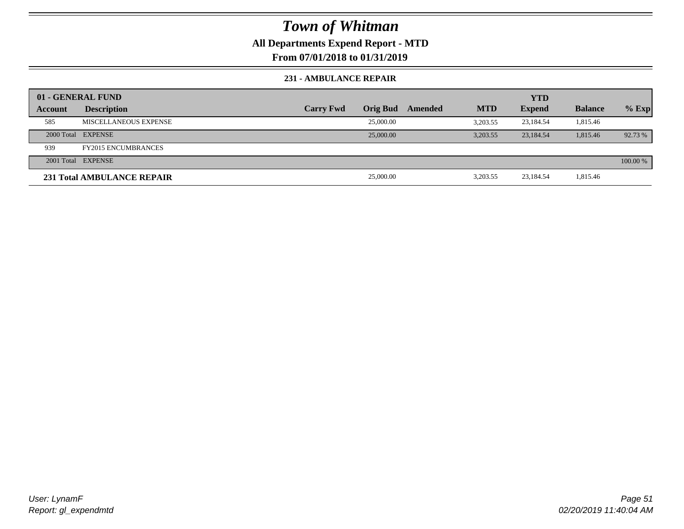## **All Departments Expend Report - MTD**

**From 07/01/2018 to 01/31/2019**

#### **231 - AMBULANCE REPAIR**

|         | 01 - GENERAL FUND          |                  |                 |         |            | <b>YTD</b>    |                |          |
|---------|----------------------------|------------------|-----------------|---------|------------|---------------|----------------|----------|
| Account | <b>Description</b>         | <b>Carry Fwd</b> | <b>Orig Bud</b> | Amended | <b>MTD</b> | <b>Expend</b> | <b>Balance</b> | $%$ Exp  |
| 585     | MISCELLANEOUS EXPENSE      |                  | 25,000.00       |         | 3.203.55   | 23.184.54     | 1,815.46       |          |
|         | 2000 Total EXPENSE         |                  | 25,000.00       |         | 3.203.55   | 23,184.54     | 1,815.46       | 92.73 %  |
| 939     | <b>FY2015 ENCUMBRANCES</b> |                  |                 |         |            |               |                |          |
|         | 2001 Total EXPENSE         |                  |                 |         |            |               |                | 100.00 % |
|         | 231 Total AMBULANCE REPAIR |                  | 25,000.00       |         | 3,203.55   | 23,184.54     | 1,815.46       |          |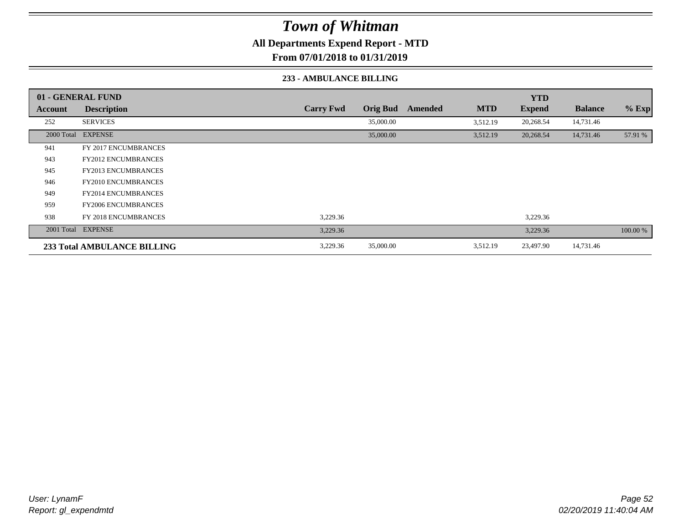**All Departments Expend Report - MTD**

**From 07/01/2018 to 01/31/2019**

#### **233 - AMBULANCE BILLING**

|         | 01 - GENERAL FUND                  |                  |                 |         |            | <b>YTD</b>    |                |          |
|---------|------------------------------------|------------------|-----------------|---------|------------|---------------|----------------|----------|
| Account | <b>Description</b>                 | <b>Carry Fwd</b> | <b>Orig Bud</b> | Amended | <b>MTD</b> | <b>Expend</b> | <b>Balance</b> | $%$ Exp  |
| 252     | <b>SERVICES</b>                    |                  | 35,000.00       |         | 3,512.19   | 20,268.54     | 14,731.46      |          |
|         | 2000 Total EXPENSE                 |                  | 35,000.00       |         | 3,512.19   | 20,268.54     | 14,731.46      | 57.91 %  |
| 941     | FY 2017 ENCUMBRANCES               |                  |                 |         |            |               |                |          |
| 943     | <b>FY2012 ENCUMBRANCES</b>         |                  |                 |         |            |               |                |          |
| 945     | <b>FY2013 ENCUMBRANCES</b>         |                  |                 |         |            |               |                |          |
| 946     | <b>FY2010 ENCUMBRANCES</b>         |                  |                 |         |            |               |                |          |
| 949     | <b>FY2014 ENCUMBRANCES</b>         |                  |                 |         |            |               |                |          |
| 959     | <b>FY2006 ENCUMBRANCES</b>         |                  |                 |         |            |               |                |          |
| 938     | <b>FY 2018 ENCUMBRANCES</b>        | 3,229.36         |                 |         |            | 3,229.36      |                |          |
|         | 2001 Total EXPENSE                 | 3,229.36         |                 |         |            | 3,229.36      |                | 100.00 % |
|         | <b>233 Total AMBULANCE BILLING</b> | 3,229.36         | 35,000.00       |         | 3,512.19   | 23,497.90     | 14,731.46      |          |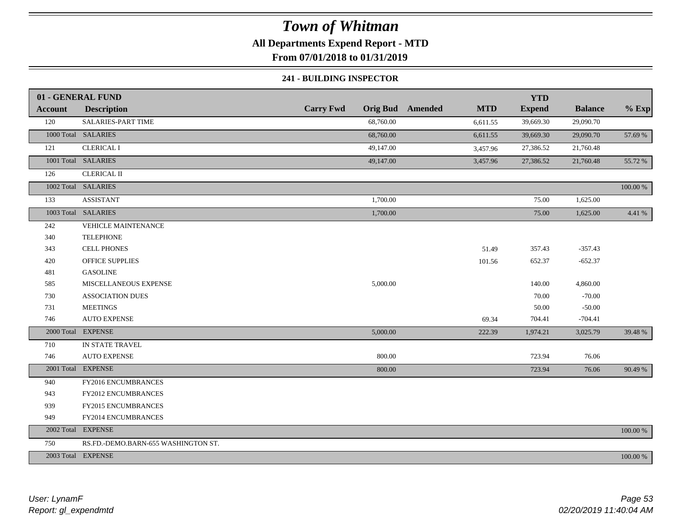## **All Departments Expend Report - MTD**

**From 07/01/2018 to 01/31/2019**

#### **241 - BUILDING INSPECTOR**

|                | 01 - GENERAL FUND                   |                  |                                       | <b>YTD</b>    |                |          |
|----------------|-------------------------------------|------------------|---------------------------------------|---------------|----------------|----------|
| <b>Account</b> | <b>Description</b>                  | <b>Carry Fwd</b> | <b>Orig Bud</b> Amended<br><b>MTD</b> | <b>Expend</b> | <b>Balance</b> | $%$ Exp  |
| 120            | SALARIES-PART TIME                  | 68,760.00        | 6,611.55                              | 39,669.30     | 29,090.70      |          |
|                | 1000 Total SALARIES                 | 68,760.00        | 6,611.55                              | 39,669.30     | 29,090.70      | 57.69 %  |
| 121            | <b>CLERICAL I</b>                   | 49,147.00        | 3,457.96                              | 27,386.52     | 21,760.48      |          |
|                | 1001 Total SALARIES                 | 49,147.00        | 3,457.96                              | 27,386.52     | 21,760.48      | 55.72 %  |
| 126            | <b>CLERICAL II</b>                  |                  |                                       |               |                |          |
|                | 1002 Total SALARIES                 |                  |                                       |               |                | 100.00 % |
| 133            | <b>ASSISTANT</b>                    | 1,700.00         |                                       | 75.00         | 1,625.00       |          |
|                | 1003 Total SALARIES                 | 1,700.00         |                                       | 75.00         | 1,625.00       | 4.41 %   |
| 242            | VEHICLE MAINTENANCE                 |                  |                                       |               |                |          |
| 340            | <b>TELEPHONE</b>                    |                  |                                       |               |                |          |
| 343            | <b>CELL PHONES</b>                  |                  | 51.49                                 | 357.43        | $-357.43$      |          |
| 420            | <b>OFFICE SUPPLIES</b>              |                  | 101.56                                | 652.37        | $-652.37$      |          |
| 481            | <b>GASOLINE</b>                     |                  |                                       |               |                |          |
| 585            | MISCELLANEOUS EXPENSE               | 5,000.00         |                                       | 140.00        | 4,860.00       |          |
| 730            | <b>ASSOCIATION DUES</b>             |                  |                                       | 70.00         | $-70.00$       |          |
| 731            | <b>MEETINGS</b>                     |                  |                                       | 50.00         | $-50.00$       |          |
| 746            | <b>AUTO EXPENSE</b>                 |                  | 69.34                                 | 704.41        | $-704.41$      |          |
|                | 2000 Total EXPENSE                  | 5,000.00         | 222.39                                | 1,974.21      | 3,025.79       | 39.48 %  |
| 710            | IN STATE TRAVEL                     |                  |                                       |               |                |          |
| 746            | <b>AUTO EXPENSE</b>                 | 800.00           |                                       | 723.94        | 76.06          |          |
|                | 2001 Total EXPENSE                  | 800.00           |                                       | 723.94        | 76.06          | 90.49 %  |
| 940            | FY2016 ENCUMBRANCES                 |                  |                                       |               |                |          |
| 943            | FY2012 ENCUMBRANCES                 |                  |                                       |               |                |          |
| 939            | FY2015 ENCUMBRANCES                 |                  |                                       |               |                |          |
| 949            | FY2014 ENCUMBRANCES                 |                  |                                       |               |                |          |
|                | 2002 Total EXPENSE                  |                  |                                       |               |                | 100.00 % |
| 750            | RS.FD.-DEMO.BARN-655 WASHINGTON ST. |                  |                                       |               |                |          |
|                | 2003 Total EXPENSE                  |                  |                                       |               |                | 100.00 % |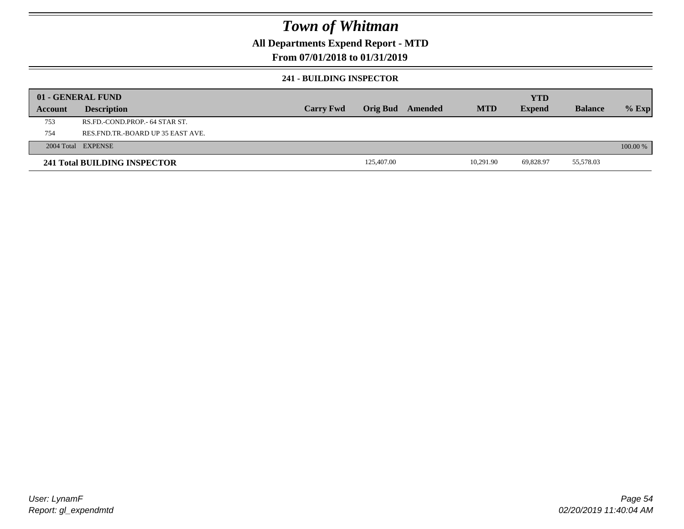## **All Departments Expend Report - MTD**

#### **From 07/01/2018 to 01/31/2019**

#### **241 - BUILDING INSPECTOR**

|         | 01 - GENERAL FUND                 |                  |                 |         |            | <b>YTD</b>    |                |            |
|---------|-----------------------------------|------------------|-----------------|---------|------------|---------------|----------------|------------|
| Account | <b>Description</b>                | <b>Carry Fwd</b> | <b>Orig Bud</b> | Amended | <b>MTD</b> | <b>Expend</b> | <b>Balance</b> | $%$ Exp    |
| 753     | RS.FD.-COND.PROP.- 64 STAR ST.    |                  |                 |         |            |               |                |            |
| 754     | RES.FND.TR.-BOARD UP 35 EAST AVE. |                  |                 |         |            |               |                |            |
|         | 2004 Total EXPENSE                |                  |                 |         |            |               |                | $100.00\%$ |
|         | 241 Total BUILDING INSPECTOR      |                  | 125,407.00      |         | 10.291.90  | 69.828.97     | 55,578.03      |            |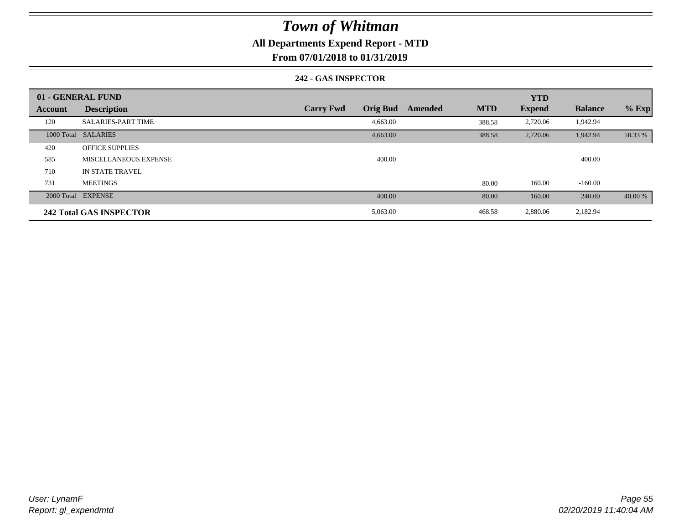## **All Departments Expend Report - MTD**

**From 07/01/2018 to 01/31/2019**

#### **242 - GAS INSPECTOR**

|                | 01 - GENERAL FUND              |                                     |                       | <b>YTD</b>    |                |         |
|----------------|--------------------------------|-------------------------------------|-----------------------|---------------|----------------|---------|
| <b>Account</b> | <b>Description</b>             | <b>Orig Bud</b><br><b>Carry Fwd</b> | <b>MTD</b><br>Amended | <b>Expend</b> | <b>Balance</b> | $%$ Exp |
| 120            | <b>SALARIES-PART TIME</b>      | 4,663.00                            | 388.58                | 2,720.06      | 1,942.94       |         |
|                | 1000 Total SALARIES            | 4,663.00                            | 388.58                | 2,720.06      | 1,942.94       | 58.33 % |
| 420            | <b>OFFICE SUPPLIES</b>         |                                     |                       |               |                |         |
| 585            | MISCELLANEOUS EXPENSE          | 400.00                              |                       |               | 400.00         |         |
| 710            | IN STATE TRAVEL                |                                     |                       |               |                |         |
| 731            | <b>MEETINGS</b>                |                                     | 80.00                 | 160.00        | $-160.00$      |         |
|                | 2000 Total EXPENSE             | 400.00                              | 80.00                 | 160.00        | 240.00         | 40.00 % |
|                | <b>242 Total GAS INSPECTOR</b> | 5,063.00                            | 468.58                | 2,880.06      | 2,182.94       |         |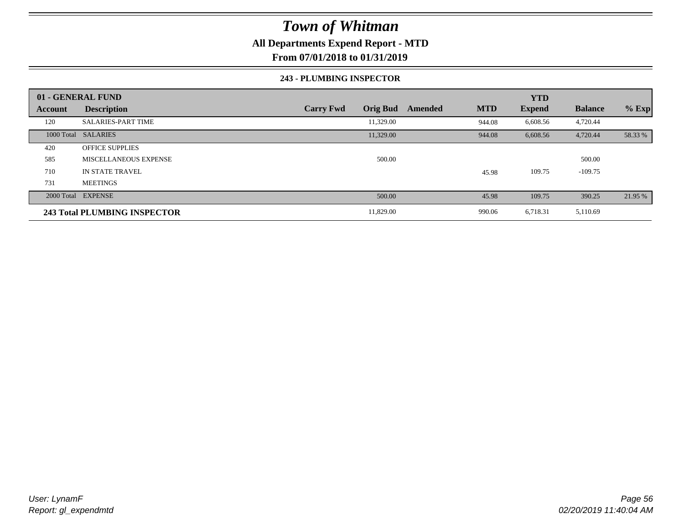## **All Departments Expend Report - MTD**

**From 07/01/2018 to 01/31/2019**

#### **243 - PLUMBING INSPECTOR**

|                | 01 - GENERAL FUND                   |                                     |                       | <b>YTD</b>    |                |         |
|----------------|-------------------------------------|-------------------------------------|-----------------------|---------------|----------------|---------|
| <b>Account</b> | <b>Description</b>                  | <b>Orig Bud</b><br><b>Carry Fwd</b> | <b>MTD</b><br>Amended | <b>Expend</b> | <b>Balance</b> | $%$ Exp |
| 120            | <b>SALARIES-PART TIME</b>           | 11,329.00                           | 944.08                | 6,608.56      | 4,720.44       |         |
|                | 1000 Total SALARIES                 | 11,329.00                           | 944.08                | 6,608.56      | 4,720.44       | 58.33 % |
| 420            | <b>OFFICE SUPPLIES</b>              |                                     |                       |               |                |         |
| 585            | MISCELLANEOUS EXPENSE               | 500.00                              |                       |               | 500.00         |         |
| 710            | <b>IN STATE TRAVEL</b>              |                                     | 45.98                 | 109.75        | $-109.75$      |         |
| 731            | <b>MEETINGS</b>                     |                                     |                       |               |                |         |
|                | 2000 Total EXPENSE                  | 500.00                              | 45.98                 | 109.75        | 390.25         | 21.95 % |
|                | <b>243 Total PLUMBING INSPECTOR</b> | 11,829.00                           | 990.06                | 6,718.31      | 5,110.69       |         |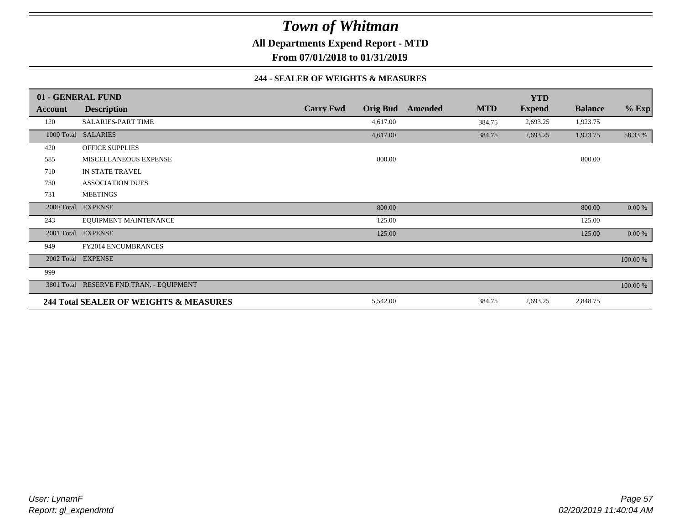**All Departments Expend Report - MTD**

**From 07/01/2018 to 01/31/2019**

#### **244 - SEALER OF WEIGHTS & MEASURES**

|                | 01 - GENERAL FUND                        |                  |                 |         |            | <b>YTD</b>    |                |          |
|----------------|------------------------------------------|------------------|-----------------|---------|------------|---------------|----------------|----------|
| <b>Account</b> | <b>Description</b>                       | <b>Carry Fwd</b> | <b>Orig Bud</b> | Amended | <b>MTD</b> | <b>Expend</b> | <b>Balance</b> | $%$ Exp  |
| 120            | <b>SALARIES-PART TIME</b>                |                  | 4,617.00        |         | 384.75     | 2,693.25      | 1,923.75       |          |
|                | 1000 Total SALARIES                      |                  | 4,617.00        |         | 384.75     | 2,693.25      | 1,923.75       | 58.33 %  |
| 420            | <b>OFFICE SUPPLIES</b>                   |                  |                 |         |            |               |                |          |
| 585            | MISCELLANEOUS EXPENSE                    |                  | 800.00          |         |            |               | 800.00         |          |
| 710            | IN STATE TRAVEL                          |                  |                 |         |            |               |                |          |
| 730            | <b>ASSOCIATION DUES</b>                  |                  |                 |         |            |               |                |          |
| 731            | <b>MEETINGS</b>                          |                  |                 |         |            |               |                |          |
| 2000 Total     | <b>EXPENSE</b>                           |                  | 800.00          |         |            |               | 800.00         | 0.00 %   |
| 243            | EQUIPMENT MAINTENANCE                    |                  | 125.00          |         |            |               | 125.00         |          |
| 2001 Total     | <b>EXPENSE</b>                           |                  | 125.00          |         |            |               | 125.00         | 0.00 %   |
| 949            | <b>FY2014 ENCUMBRANCES</b>               |                  |                 |         |            |               |                |          |
|                | 2002 Total EXPENSE                       |                  |                 |         |            |               |                | 100.00 % |
| 999            |                                          |                  |                 |         |            |               |                |          |
|                | 3801 Total RESERVE FND.TRAN. - EQUIPMENT |                  |                 |         |            |               |                | 100.00 % |
|                | 244 Total SEALER OF WEIGHTS & MEASURES   |                  | 5,542.00        |         | 384.75     | 2,693.25      | 2,848.75       |          |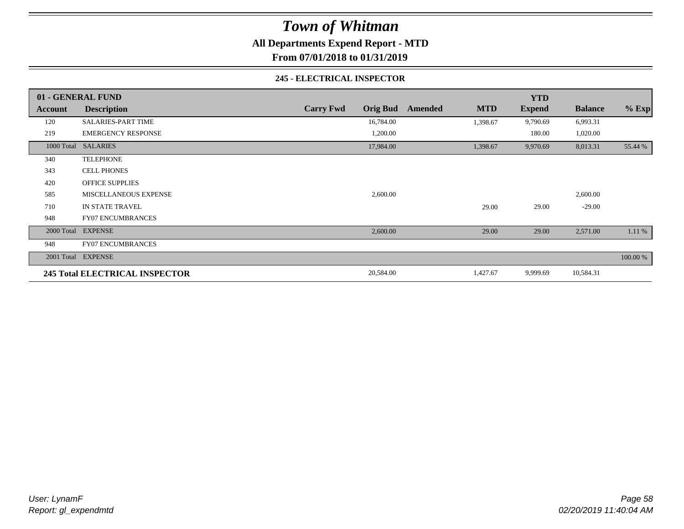**All Departments Expend Report - MTD**

**From 07/01/2018 to 01/31/2019**

#### **245 - ELECTRICAL INSPECTOR**

|         | 01 - GENERAL FUND              |                                     |                       | <b>YTD</b>    |                |          |
|---------|--------------------------------|-------------------------------------|-----------------------|---------------|----------------|----------|
| Account | <b>Description</b>             | <b>Orig Bud</b><br><b>Carry Fwd</b> | <b>MTD</b><br>Amended | <b>Expend</b> | <b>Balance</b> | $%$ Exp  |
| 120     | <b>SALARIES-PART TIME</b>      | 16,784.00                           | 1,398.67              | 9,790.69      | 6,993.31       |          |
| 219     | <b>EMERGENCY RESPONSE</b>      | 1,200.00                            |                       | 180.00        | 1,020.00       |          |
|         | 1000 Total SALARIES            | 17,984.00                           | 1,398.67              | 9,970.69      | 8,013.31       | 55.44 %  |
| 340     | <b>TELEPHONE</b>               |                                     |                       |               |                |          |
| 343     | <b>CELL PHONES</b>             |                                     |                       |               |                |          |
| 420     | <b>OFFICE SUPPLIES</b>         |                                     |                       |               |                |          |
| 585     | MISCELLANEOUS EXPENSE          | 2,600.00                            |                       |               | 2,600.00       |          |
| 710     | IN STATE TRAVEL                |                                     | 29.00                 | 29.00         | $-29.00$       |          |
| 948     | <b>FY07 ENCUMBRANCES</b>       |                                     |                       |               |                |          |
|         | 2000 Total EXPENSE             | 2,600.00                            | 29.00                 | 29.00         | 2,571.00       | 1.11 %   |
| 948     | <b>FY07 ENCUMBRANCES</b>       |                                     |                       |               |                |          |
|         | 2001 Total EXPENSE             |                                     |                       |               |                | 100.00 % |
|         | 245 Total ELECTRICAL INSPECTOR | 20,584.00                           | 1,427.67              | 9,999.69      | 10,584.31      |          |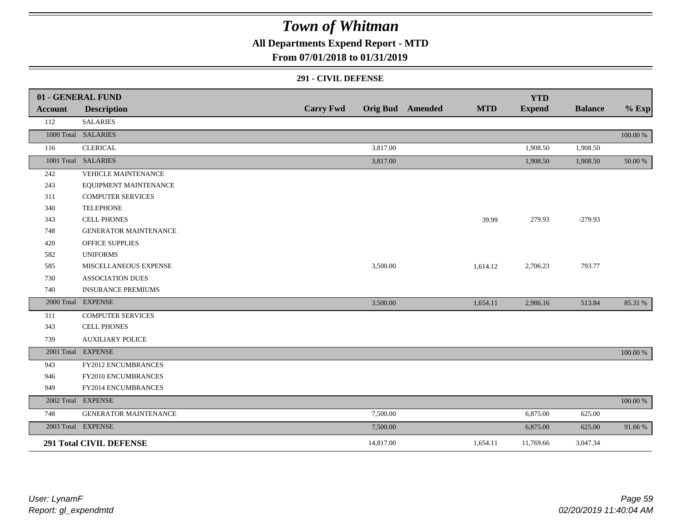**All Departments Expend Report - MTD**

### **From 07/01/2018 to 01/31/2019**

#### **291 - CIVIL DEFENSE**

|         | 01 - GENERAL FUND              |                  |           |                         |            | <b>YTD</b>    |                |          |
|---------|--------------------------------|------------------|-----------|-------------------------|------------|---------------|----------------|----------|
| Account | <b>Description</b>             | <b>Carry Fwd</b> |           | <b>Orig Bud</b> Amended | <b>MTD</b> | <b>Expend</b> | <b>Balance</b> | $%$ Exp  |
| 112     | <b>SALARIES</b>                |                  |           |                         |            |               |                |          |
|         | 1000 Total SALARIES            |                  |           |                         |            |               |                | 100.00 % |
| 116     | <b>CLERICAL</b>                |                  | 3,817.00  |                         |            | 1,908.50      | 1,908.50       |          |
|         | 1001 Total SALARIES            |                  | 3,817.00  |                         |            | 1,908.50      | 1,908.50       | 50.00 %  |
| 242     | VEHICLE MAINTENANCE            |                  |           |                         |            |               |                |          |
| 243     | EQUIPMENT MAINTENANCE          |                  |           |                         |            |               |                |          |
| 311     | <b>COMPUTER SERVICES</b>       |                  |           |                         |            |               |                |          |
| 340     | <b>TELEPHONE</b>               |                  |           |                         |            |               |                |          |
| 343     | <b>CELL PHONES</b>             |                  |           |                         | 39.99      | 279.93        | $-279.93$      |          |
| 748     | <b>GENERATOR MAINTENANCE</b>   |                  |           |                         |            |               |                |          |
| 420     | <b>OFFICE SUPPLIES</b>         |                  |           |                         |            |               |                |          |
| 582     | <b>UNIFORMS</b>                |                  |           |                         |            |               |                |          |
| 585     | MISCELLANEOUS EXPENSE          |                  | 3,500.00  |                         | 1,614.12   | 2,706.23      | 793.77         |          |
| 730     | <b>ASSOCIATION DUES</b>        |                  |           |                         |            |               |                |          |
| 740     | <b>INSURANCE PREMIUMS</b>      |                  |           |                         |            |               |                |          |
|         | 2000 Total EXPENSE             |                  | 3,500.00  |                         | 1,654.11   | 2,986.16      | 513.84         | 85.31 %  |
| 311     | <b>COMPUTER SERVICES</b>       |                  |           |                         |            |               |                |          |
| 343     | <b>CELL PHONES</b>             |                  |           |                         |            |               |                |          |
| 739     | <b>AUXILIARY POLICE</b>        |                  |           |                         |            |               |                |          |
|         | 2001 Total EXPENSE             |                  |           |                         |            |               |                | 100.00 % |
| 943     | FY2012 ENCUMBRANCES            |                  |           |                         |            |               |                |          |
| 946     | FY2010 ENCUMBRANCES            |                  |           |                         |            |               |                |          |
| 949     | FY2014 ENCUMBRANCES            |                  |           |                         |            |               |                |          |
|         | 2002 Total EXPENSE             |                  |           |                         |            |               |                | 100.00 % |
| 748     | <b>GENERATOR MAINTENANCE</b>   |                  | 7,500.00  |                         |            | 6,875.00      | 625.00         |          |
|         | 2003 Total EXPENSE             |                  | 7,500.00  |                         |            | 6,875.00      | 625.00         | 91.66%   |
|         | <b>291 Total CIVIL DEFENSE</b> |                  | 14,817.00 |                         | 1,654.11   | 11,769.66     | 3,047.34       |          |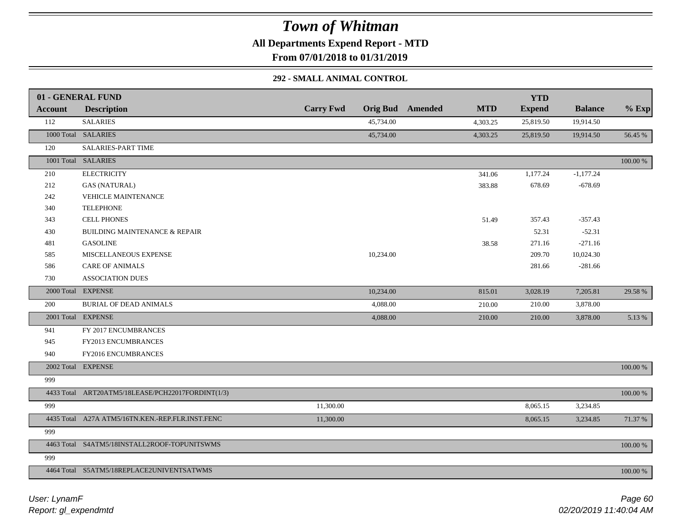**All Departments Expend Report - MTD**

**From 07/01/2018 to 01/31/2019**

#### **292 - SMALL ANIMAL CONTROL**

|                | 01 - GENERAL FUND                                 |                  |           |                         |            | <b>YTD</b>    |                |          |
|----------------|---------------------------------------------------|------------------|-----------|-------------------------|------------|---------------|----------------|----------|
| <b>Account</b> | <b>Description</b>                                | <b>Carry Fwd</b> |           | <b>Orig Bud</b> Amended | <b>MTD</b> | <b>Expend</b> | <b>Balance</b> | $%$ Exp  |
| 112            | <b>SALARIES</b>                                   |                  | 45,734.00 |                         | 4,303.25   | 25,819.50     | 19,914.50      |          |
|                | 1000 Total SALARIES                               |                  | 45,734.00 |                         | 4,303.25   | 25,819.50     | 19,914.50      | 56.45 %  |
| 120            | SALARIES-PART TIME                                |                  |           |                         |            |               |                |          |
|                | 1001 Total SALARIES                               |                  |           |                         |            |               |                | 100.00 % |
| 210            | <b>ELECTRICITY</b>                                |                  |           |                         | 341.06     | 1,177.24      | $-1,177.24$    |          |
| 212            | <b>GAS (NATURAL)</b>                              |                  |           |                         | 383.88     | 678.69        | $-678.69$      |          |
| 242            | <b>VEHICLE MAINTENANCE</b>                        |                  |           |                         |            |               |                |          |
| 340            | <b>TELEPHONE</b>                                  |                  |           |                         |            |               |                |          |
| 343            | <b>CELL PHONES</b>                                |                  |           |                         | 51.49      | 357.43        | $-357.43$      |          |
| 430            | <b>BUILDING MAINTENANCE &amp; REPAIR</b>          |                  |           |                         |            | 52.31         | $-52.31$       |          |
| 481            | <b>GASOLINE</b>                                   |                  |           |                         | 38.58      | 271.16        | $-271.16$      |          |
| 585            | MISCELLANEOUS EXPENSE                             |                  | 10,234.00 |                         |            | 209.70        | 10,024.30      |          |
| 586            | <b>CARE OF ANIMALS</b>                            |                  |           |                         |            | 281.66        | $-281.66$      |          |
| 730            | ASSOCIATION DUES                                  |                  |           |                         |            |               |                |          |
|                | 2000 Total EXPENSE                                |                  | 10,234.00 |                         | 815.01     | 3,028.19      | 7,205.81       | 29.58 %  |
| 200            | <b>BURIAL OF DEAD ANIMALS</b>                     |                  | 4,088.00  |                         | 210.00     | 210.00        | 3,878.00       |          |
|                | 2001 Total EXPENSE                                |                  | 4,088.00  |                         | 210.00     | 210.00        | 3,878.00       | 5.13 %   |
| 941            | FY 2017 ENCUMBRANCES                              |                  |           |                         |            |               |                |          |
| 945            | FY2013 ENCUMBRANCES                               |                  |           |                         |            |               |                |          |
| 940            | FY2016 ENCUMBRANCES                               |                  |           |                         |            |               |                |          |
|                | 2002 Total EXPENSE                                |                  |           |                         |            |               |                | 100.00 % |
| 999            |                                                   |                  |           |                         |            |               |                |          |
|                | 4433 Total ART20ATM5/18LEASE/PCH22017FORDINT(1/3) |                  |           |                         |            |               |                | 100.00 % |
| 999            |                                                   | 11,300.00        |           |                         |            | 8,065.15      | 3,234.85       |          |
|                | 4435 Total A27A ATM5/16TN.KEN.-REP.FLR.INST.FENC  | 11,300.00        |           |                         |            | 8,065.15      | 3,234.85       | 71.37 %  |
| 999            |                                                   |                  |           |                         |            |               |                |          |
|                | 4463 Total S4ATM5/18INSTALL2ROOF-TOPUNITSWMS      |                  |           |                         |            |               |                | 100.00 % |
| 999            |                                                   |                  |           |                         |            |               |                |          |
|                | 4464 Total S5ATM5/18REPLACE2UNIVENTSATWMS         |                  |           |                         |            |               |                | 100.00 % |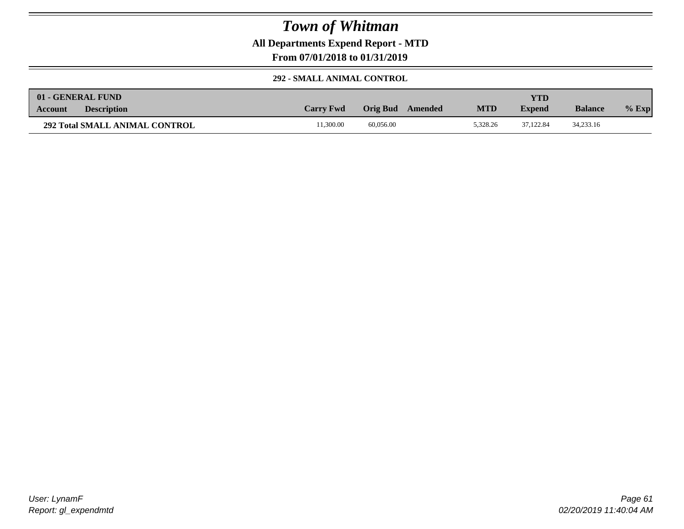**All Departments Expend Report - MTD**

**From 07/01/2018 to 01/31/2019**

#### **292 - SMALL ANIMAL CONTROL**

|                | 01 - GENERAL FUND                     |                  |           |         |            | VTD.          |                |          |
|----------------|---------------------------------------|------------------|-----------|---------|------------|---------------|----------------|----------|
| <b>Account</b> | <b>Description</b>                    | <b>Carry Fwd</b> | Orig Bud  | Amended | <b>MTD</b> | <b>Expend</b> | <b>Balance</b> | $\%$ Exp |
|                | <b>292 Total SMALL ANIMAL CONTROL</b> | 1.300.00         | 60,056.00 |         | 5.328.26   | 37.122.84     | 34,233.16      |          |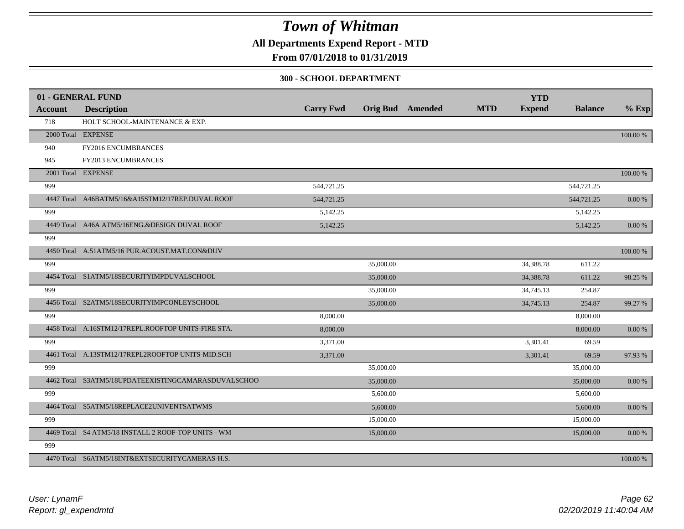**All Departments Expend Report - MTD**

## **From 07/01/2018 to 01/31/2019**

#### **300 - SCHOOL DEPARTMENT**

| <b>Account</b> | 01 - GENERAL FUND<br><b>Description</b>             | <b>Carry Fwd</b> |           | <b>Orig Bud</b> Amended | <b>MTD</b> | <b>YTD</b><br><b>Expend</b> | <b>Balance</b> | $%$ Exp    |
|----------------|-----------------------------------------------------|------------------|-----------|-------------------------|------------|-----------------------------|----------------|------------|
| 718            | HOLT SCHOOL-MAINTENANCE & EXP.                      |                  |           |                         |            |                             |                |            |
|                | 2000 Total EXPENSE                                  |                  |           |                         |            |                             |                | 100.00 %   |
| 940            | FY2016 ENCUMBRANCES                                 |                  |           |                         |            |                             |                |            |
| 945            | FY2013 ENCUMBRANCES                                 |                  |           |                         |            |                             |                |            |
|                | 2001 Total EXPENSE                                  |                  |           |                         |            |                             |                | 100.00 %   |
| 999            |                                                     | 544,721.25       |           |                         |            |                             | 544,721.25     |            |
|                | 4447 Total A46BATM5/16&A15STM12/17REP.DUVAL ROOF    | 544,721.25       |           |                         |            |                             | 544,721.25     | 0.00 %     |
| 999            |                                                     | 5,142.25         |           |                         |            |                             | 5,142.25       |            |
|                | 4449 Total A46A ATM5/16ENG.&DESIGN DUVAL ROOF       | 5,142.25         |           |                         |            |                             | 5,142.25       | 0.00 %     |
| 999            |                                                     |                  |           |                         |            |                             |                |            |
|                | 4450 Total A.51ATM5/16 PUR.ACOUST.MAT.CON&DUV       |                  |           |                         |            |                             |                | 100.00 %   |
| 999            |                                                     |                  | 35,000.00 |                         |            | 34,388.78                   | 611.22         |            |
|                | 4454 Total S1ATM5/18SECURITYIMPDUVALSCHOOL          |                  | 35,000.00 |                         |            | 34,388.78                   | 611.22         | 98.25 %    |
| 999            |                                                     |                  | 35,000.00 |                         |            | 34,745.13                   | 254.87         |            |
|                | 4456 Total S2ATM5/18SECURITYIMPCONLEYSCHOOL         |                  | 35,000.00 |                         |            | 34,745.13                   | 254.87         | 99.27 %    |
| 999            |                                                     | 8,000.00         |           |                         |            |                             | 8,000.00       |            |
|                | 4458 Total A.16STM12/17REPL.ROOFTOP UNITS-FIRE STA. | 8,000.00         |           |                         |            |                             | 8,000.00       | 0.00 %     |
| 999            |                                                     | 3,371.00         |           |                         |            | 3,301.41                    | 69.59          |            |
|                | 4461 Total A.13STM12/17REPL2ROOFTOP UNITS-MID.SCH   | 3,371.00         |           |                         |            | 3,301.41                    | 69.59          | 97.93%     |
| 999            |                                                     |                  | 35,000.00 |                         |            |                             | 35,000.00      |            |
|                | 4462 Total S3ATM5/18UPDATEEXISTINGCAMARASDUVALSCHOO |                  | 35,000.00 |                         |            |                             | 35,000.00      | 0.00 %     |
| 999            |                                                     |                  | 5,600.00  |                         |            |                             | 5,600.00       |            |
|                | 4464 Total S5ATM5/18REPLACE2UNIVENTSATWMS           |                  | 5,600.00  |                         |            |                             | 5,600.00       | $0.00\ \%$ |
| 999            |                                                     |                  | 15,000.00 |                         |            |                             | 15,000.00      |            |
|                | 4469 Total S4 ATM5/18 INSTALL 2 ROOF-TOP UNITS - WM |                  | 15,000.00 |                         |            |                             | 15,000.00      | $0.00\ \%$ |
| 999            |                                                     |                  |           |                         |            |                             |                |            |
|                | 4470 Total S6ATM5/18INT&EXTSECURITYCAMERAS-H.S.     |                  |           |                         |            |                             |                | 100.00 %   |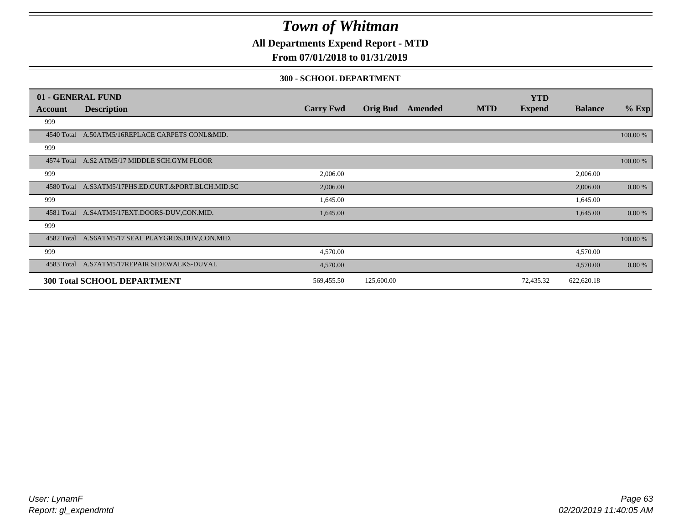**All Departments Expend Report - MTD**

## **From 07/01/2018 to 01/31/2019**

#### **300 - SCHOOL DEPARTMENT**

|            | 01 - GENERAL FUND                                   |                  |                 |         |            | <b>YTD</b>    |                |          |
|------------|-----------------------------------------------------|------------------|-----------------|---------|------------|---------------|----------------|----------|
| Account    | <b>Description</b>                                  | <b>Carry Fwd</b> | <b>Orig Bud</b> | Amended | <b>MTD</b> | <b>Expend</b> | <b>Balance</b> | $%$ Exp  |
| 999        |                                                     |                  |                 |         |            |               |                |          |
| 4540 Total | A.50ATM5/16REPLACE CARPETS CONL&MID.                |                  |                 |         |            |               |                | 100.00 % |
| 999        |                                                     |                  |                 |         |            |               |                |          |
|            | 4574 Total A.S2 ATM5/17 MIDDLE SCH.GYM FLOOR        |                  |                 |         |            |               |                | 100.00 % |
| 999        |                                                     | 2,006.00         |                 |         |            |               | 2,006.00       |          |
|            | 4580 Total A.S3ATM5/17PHS.ED.CURT.&PORT.BLCH.MID.SC | 2,006.00         |                 |         |            |               | 2,006.00       | 0.00 %   |
| 999        |                                                     | 1,645.00         |                 |         |            |               | 1,645.00       |          |
| 4581 Total | A.S4ATM5/17EXT.DOORS-DUV.CON.MID.                   | 1,645.00         |                 |         |            |               | 1,645.00       | 0.00 %   |
| 999        |                                                     |                  |                 |         |            |               |                |          |
|            | 4582 Total A.S6ATM5/17 SEAL PLAYGRDS.DUV,CON,MID.   |                  |                 |         |            |               |                | 100.00 % |
| 999        |                                                     | 4,570.00         |                 |         |            |               | 4,570.00       |          |
|            | 4583 Total A.S7ATM5/17REPAIR SIDEWALKS-DUVAL        | 4,570.00         |                 |         |            |               | 4,570.00       | 0.00 %   |
|            | <b>300 Total SCHOOL DEPARTMENT</b>                  | 569,455.50       | 125,600.00      |         |            | 72,435.32     | 622,620.18     |          |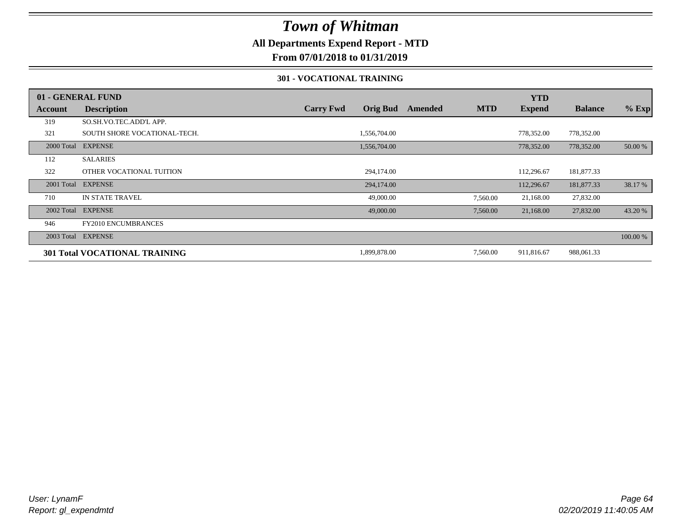## **All Departments Expend Report - MTD**

**From 07/01/2018 to 01/31/2019**

#### **301 - VOCATIONAL TRAINING**

|         | 01 - GENERAL FUND                    |                  |                 |         |            | <b>YTD</b>    |                |          |
|---------|--------------------------------------|------------------|-----------------|---------|------------|---------------|----------------|----------|
| Account | <b>Description</b>                   | <b>Carry Fwd</b> | <b>Orig Bud</b> | Amended | <b>MTD</b> | <b>Expend</b> | <b>Balance</b> | $%$ Exp  |
| 319     | SO.SH.VO.TEC.ADD'L APP.              |                  |                 |         |            |               |                |          |
| 321     | SOUTH SHORE VOCATIONAL-TECH.         |                  | 1,556,704.00    |         |            | 778,352.00    | 778,352.00     |          |
|         | 2000 Total EXPENSE                   |                  | 1,556,704.00    |         |            | 778,352.00    | 778,352.00     | 50.00 %  |
| 112     | <b>SALARIES</b>                      |                  |                 |         |            |               |                |          |
| 322     | OTHER VOCATIONAL TUITION             |                  | 294,174.00      |         |            | 112,296.67    | 181,877.33     |          |
|         | 2001 Total EXPENSE                   |                  | 294,174.00      |         |            | 112,296.67    | 181,877.33     | 38.17 %  |
| 710     | <b>IN STATE TRAVEL</b>               |                  | 49,000.00       |         | 7,560.00   | 21,168.00     | 27,832.00      |          |
|         | 2002 Total EXPENSE                   |                  | 49,000.00       |         | 7,560.00   | 21,168.00     | 27,832.00      | 43.20 %  |
| 946     | <b>FY2010 ENCUMBRANCES</b>           |                  |                 |         |            |               |                |          |
|         | 2003 Total EXPENSE                   |                  |                 |         |            |               |                | 100.00 % |
|         | <b>301 Total VOCATIONAL TRAINING</b> |                  | 1,899,878.00    |         | 7,560.00   | 911,816.67    | 988,061.33     |          |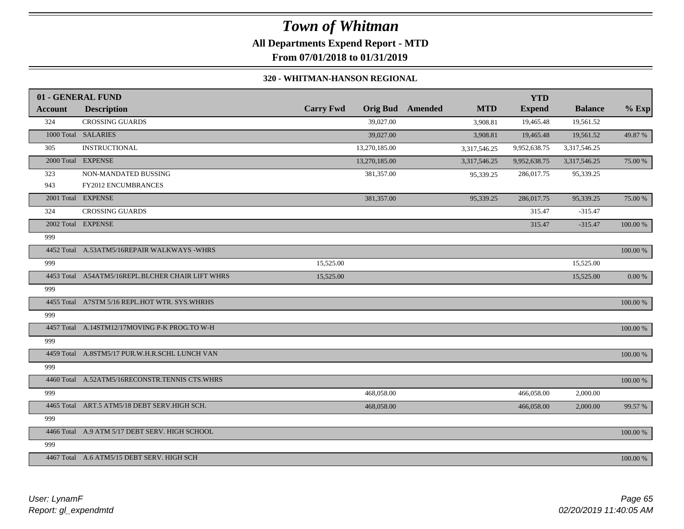## *Town of Whitman* **All Departments Expend Report - MTD From 07/01/2018 to 01/31/2019**

#### **320 - WHITMAN-HANSON REGIONAL**

| <b>Account</b> | 01 - GENERAL FUND<br><b>Description</b>          | <b>Carry Fwd</b> | <b>Orig Bud</b> | <b>Amended</b> | <b>MTD</b>           | <b>YTD</b><br><b>Expend</b> | <b>Balance</b> | $%$ Exp   |
|----------------|--------------------------------------------------|------------------|-----------------|----------------|----------------------|-----------------------------|----------------|-----------|
| 324            | <b>CROSSING GUARDS</b>                           |                  | 39,027.00       |                |                      | 19,465.48                   | 19,561.52      |           |
|                | 1000 Total SALARIES                              |                  | 39,027.00       |                | 3,908.81<br>3,908.81 | 19,465.48                   | 19,561.52      | 49.87 %   |
|                |                                                  |                  |                 |                |                      |                             |                |           |
| 305            | <b>INSTRUCTIONAL</b>                             |                  | 13,270,185.00   |                | 3,317,546.25         | 9,952,638.75                | 3,317,546.25   |           |
|                | 2000 Total EXPENSE                               |                  | 13,270,185.00   |                | 3,317,546.25         | 9,952,638.75                | 3,317,546.25   | 75.00 %   |
| 323            | NON-MANDATED BUSSING                             |                  | 381,357.00      |                | 95,339.25            | 286,017.75                  | 95,339.25      |           |
| 943            | <b>FY2012 ENCUMBRANCES</b>                       |                  |                 |                |                      |                             |                |           |
|                | 2001 Total EXPENSE                               |                  | 381,357.00      |                | 95,339.25            | 286,017.75                  | 95,339.25      | 75.00 %   |
| 324            | <b>CROSSING GUARDS</b>                           |                  |                 |                |                      | 315.47                      | $-315.47$      |           |
|                | 2002 Total EXPENSE                               |                  |                 |                |                      | 315.47                      | $-315.47$      | 100.00 %  |
| 999            |                                                  |                  |                 |                |                      |                             |                |           |
|                | 4452 Total A.53ATM5/16REPAIR WALKWAYS -WHRS      |                  |                 |                |                      |                             |                | 100.00 %  |
| 999            |                                                  | 15,525.00        |                 |                |                      |                             | 15,525.00      |           |
|                | 4453 Total A54ATM5/16REPL.BLCHER CHAIR LIFT WHRS | 15,525.00        |                 |                |                      |                             | 15,525.00      | $0.00~\%$ |
| 999            |                                                  |                  |                 |                |                      |                             |                |           |
|                | 4455 Total A7STM 5/16 REPL.HOT WTR. SYS.WHRHS    |                  |                 |                |                      |                             |                | 100.00 %  |
| 999            |                                                  |                  |                 |                |                      |                             |                |           |
|                | 4457 Total A.14STM12/17MOVING P-K PROG.TO W-H    |                  |                 |                |                      |                             |                | 100.00 %  |
| 999            |                                                  |                  |                 |                |                      |                             |                |           |
|                | 4459 Total A.8STM5/17 PUR.W.H.R.SCHL LUNCH VAN   |                  |                 |                |                      |                             |                | 100.00 %  |
| 999            |                                                  |                  |                 |                |                      |                             |                |           |
|                | 4460 Total A.52ATM5/16RECONSTR.TENNIS CTS.WHRS   |                  |                 |                |                      |                             |                | 100.00 %  |
| 999            |                                                  |                  | 468,058.00      |                |                      | 466,058.00                  | 2,000.00       |           |
|                | 4465 Total ART.5 ATM5/18 DEBT SERV.HIGH SCH.     |                  | 468,058.00      |                |                      | 466,058.00                  | 2,000.00       | 99.57 %   |
| 999            |                                                  |                  |                 |                |                      |                             |                |           |
|                | 4466 Total A.9 ATM 5/17 DEBT SERV. HIGH SCHOOL   |                  |                 |                |                      |                             |                | 100.00 %  |
| 999            |                                                  |                  |                 |                |                      |                             |                |           |
|                | 4467 Total A.6 ATM5/15 DEBT SERV. HIGH SCH       |                  |                 |                |                      |                             |                | 100.00 %  |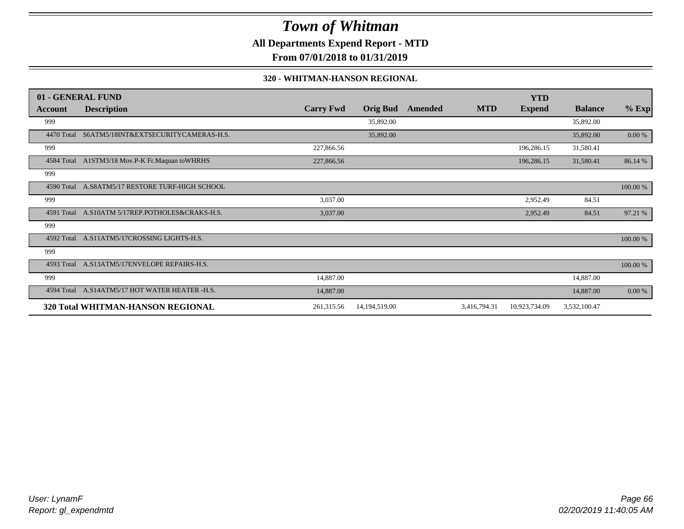**All Departments Expend Report - MTD**

**From 07/01/2018 to 01/31/2019**

#### **320 - WHITMAN-HANSON REGIONAL**

|            | 01 - GENERAL FUND                               |                  |                 |                |              | <b>YTD</b>    |                |          |
|------------|-------------------------------------------------|------------------|-----------------|----------------|--------------|---------------|----------------|----------|
| Account    | <b>Description</b>                              | <b>Carry Fwd</b> | <b>Orig Bud</b> | <b>Amended</b> | <b>MTD</b>   | <b>Expend</b> | <b>Balance</b> | $%$ Exp  |
| 999        |                                                 |                  | 35,892.00       |                |              |               | 35,892.00      |          |
| 4470 Total | S6ATM5/18INT&EXTSECURITYCAMERAS-H.S.            |                  | 35,892.00       |                |              |               | 35,892.00      | 0.00 %   |
| 999        |                                                 | 227,866.56       |                 |                |              | 196,286.15    | 31,580.41      |          |
|            | 4584 Total A1STM3/18 Mov.P-K Fr.Maquan to WHRHS | 227,866.56       |                 |                |              | 196,286.15    | 31,580.41      | 86.14 %  |
| 999        |                                                 |                  |                 |                |              |               |                |          |
| 4590 Total | A.S8ATM5/17 RESTORE TURF-HIGH SCHOOL            |                  |                 |                |              |               |                | 100.00 % |
| 999        |                                                 | 3,037.00         |                 |                |              | 2,952.49      | 84.51          |          |
|            | 4591 Total A.S10ATM 5/17REP.POTHOLES&CRAKS-H.S. | 3,037.00         |                 |                |              | 2,952.49      | 84.51          | 97.21 %  |
| 999        |                                                 |                  |                 |                |              |               |                |          |
| 4592 Total | A.S11ATM5/17CROSSING LIGHTS-H.S.                |                  |                 |                |              |               |                | 100.00 % |
| 999        |                                                 |                  |                 |                |              |               |                |          |
|            | 4593 Total A.S13ATM5/17ENVELOPE REPAIRS-H.S.    |                  |                 |                |              |               |                | 100.00 % |
| 999        |                                                 | 14,887.00        |                 |                |              |               | 14,887.00      |          |
| 4594 Total | A.S14ATM5/17 HOT WATER HEATER -H.S.             | 14,887.00        |                 |                |              |               | 14,887.00      | 0.00 %   |
|            | 320 Total WHITMAN-HANSON REGIONAL               | 261,315.56       | 14,194,519.00   |                | 3,416,794.31 | 10,923,734.09 | 3,532,100.47   |          |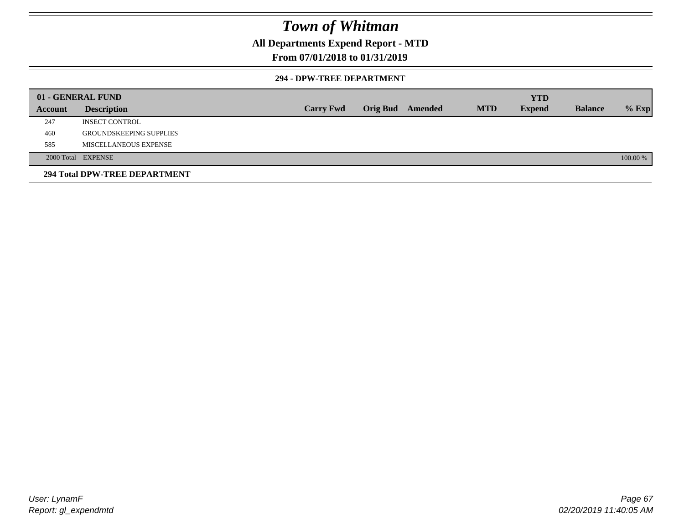## **All Departments Expend Report - MTD**

#### **From 07/01/2018 to 01/31/2019**

#### **294 - DPW-TREE DEPARTMENT**

|         | 01 - GENERAL FUND              |                  |                  |            | <b>YTD</b>    |                |          |
|---------|--------------------------------|------------------|------------------|------------|---------------|----------------|----------|
| Account | <b>Description</b>             | <b>Carry Fwd</b> | Orig Bud Amended | <b>MTD</b> | <b>Expend</b> | <b>Balance</b> | $%$ Exp  |
| 247     | <b>INSECT CONTROL</b>          |                  |                  |            |               |                |          |
| 460     | <b>GROUNDSKEEPING SUPPLIES</b> |                  |                  |            |               |                |          |
| 585     | MISCELLANEOUS EXPENSE          |                  |                  |            |               |                |          |
|         | 2000 Total EXPENSE             |                  |                  |            |               |                | 100.00 % |
|         | 294 Total DPW-TREE DEPARTMENT  |                  |                  |            |               |                |          |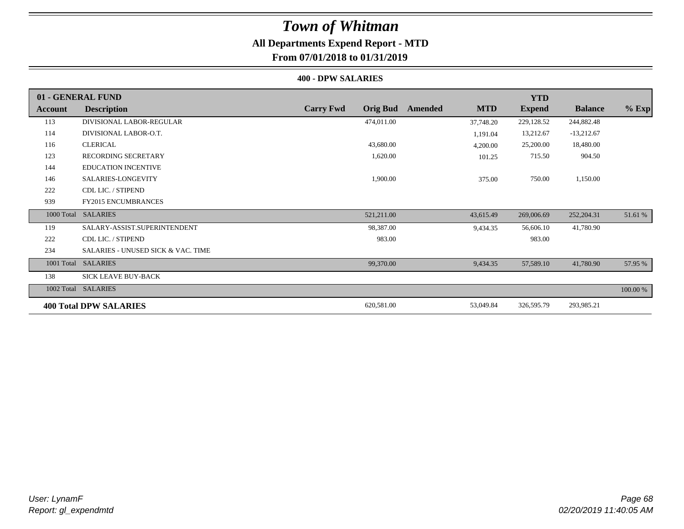# *Town of Whitman* **All Departments Expend Report - MTD**

## **From 07/01/2018 to 01/31/2019**

#### **400 - DPW SALARIES**

|         | 01 - GENERAL FUND                             |                                     |                       | <b>YTD</b>    |                |          |
|---------|-----------------------------------------------|-------------------------------------|-----------------------|---------------|----------------|----------|
| Account | <b>Description</b>                            | <b>Carry Fwd</b><br><b>Orig Bud</b> | <b>MTD</b><br>Amended | <b>Expend</b> | <b>Balance</b> | $%$ Exp  |
| 113     | DIVISIONAL LABOR-REGULAR                      | 474,011.00                          | 37,748.20             | 229,128.52    | 244,882.48     |          |
| 114     | DIVISIONAL LABOR-O.T.                         |                                     | 1,191.04              | 13,212.67     | $-13,212.67$   |          |
| 116     | <b>CLERICAL</b>                               | 43,680.00                           | 4,200.00              | 25,200.00     | 18,480.00      |          |
| 123     | <b>RECORDING SECRETARY</b>                    | 1,620.00                            | 101.25                | 715.50        | 904.50         |          |
| 144     | <b>EDUCATION INCENTIVE</b>                    |                                     |                       |               |                |          |
| 146     | SALARIES-LONGEVITY                            | 1,900.00                            | 375.00                | 750.00        | 1,150.00       |          |
| 222     | CDL LIC. / STIPEND                            |                                     |                       |               |                |          |
| 939     | <b>FY2015 ENCUMBRANCES</b>                    |                                     |                       |               |                |          |
|         | 1000 Total SALARIES                           | 521,211.00                          | 43,615.49             | 269,006.69    | 252,204.31     | 51.61 %  |
| 119     | SALARY-ASSIST.SUPERINTENDENT                  | 98,387.00                           | 9,434.35              | 56,606.10     | 41,780.90      |          |
| 222     | CDL LIC. / STIPEND                            | 983.00                              |                       | 983.00        |                |          |
| 234     | <b>SALARIES - UNUSED SICK &amp; VAC. TIME</b> |                                     |                       |               |                |          |
|         | 1001 Total SALARIES                           | 99,370.00                           | 9,434.35              | 57,589.10     | 41,780.90      | 57.95 %  |
| 138     | <b>SICK LEAVE BUY-BACK</b>                    |                                     |                       |               |                |          |
|         | 1002 Total SALARIES                           |                                     |                       |               |                | 100.00 % |
|         | <b>400 Total DPW SALARIES</b>                 | 620,581.00                          | 53,049.84             | 326,595.79    | 293,985.21     |          |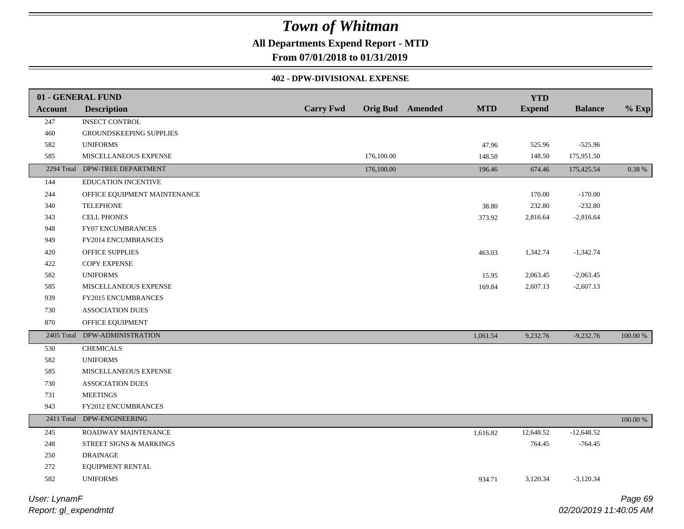## **All Departments Expend Report - MTD**

**From 07/01/2018 to 01/31/2019**

#### **402 - DPW-DIVISIONAL EXPENSE**

|                | 01 - GENERAL FUND              |                  |            |                         |            | <b>YTD</b>    |                |          |
|----------------|--------------------------------|------------------|------------|-------------------------|------------|---------------|----------------|----------|
| <b>Account</b> | <b>Description</b>             | <b>Carry Fwd</b> |            | <b>Orig Bud</b> Amended | <b>MTD</b> | <b>Expend</b> | <b>Balance</b> | $%$ Exp  |
| 247            | <b>INSECT CONTROL</b>          |                  |            |                         |            |               |                |          |
| $460\,$        | GROUNDSKEEPING SUPPLIES        |                  |            |                         |            |               |                |          |
| 582            | <b>UNIFORMS</b>                |                  |            |                         | 47.96      | 525.96        | $-525.96$      |          |
| 585            | MISCELLANEOUS EXPENSE          |                  | 176,100.00 |                         | 148.50     | 148.50        | 175,951.50     |          |
|                | 2294 Total DPW-TREE DEPARTMENT |                  | 176,100.00 |                         | 196.46     | 674.46        | 175,425.54     | 0.38 %   |
| 144            | EDUCATION INCENTIVE            |                  |            |                         |            |               |                |          |
| 244            | OFFICE EQUIPMENT MAINTENANCE   |                  |            |                         |            | 170.00        | $-170.00$      |          |
| 340            | <b>TELEPHONE</b>               |                  |            |                         | 38.80      | 232.80        | $-232.80$      |          |
| 343            | <b>CELL PHONES</b>             |                  |            |                         | 373.92     | 2,816.64      | $-2,816.64$    |          |
| 948            | FY07 ENCUMBRANCES              |                  |            |                         |            |               |                |          |
| 949            | FY2014 ENCUMBRANCES            |                  |            |                         |            |               |                |          |
| 420            | OFFICE SUPPLIES                |                  |            |                         | 463.03     | 1,342.74      | $-1,342.74$    |          |
| 422            | <b>COPY EXPENSE</b>            |                  |            |                         |            |               |                |          |
| 582            | <b>UNIFORMS</b>                |                  |            |                         | 15.95      | 2,063.45      | $-2,063.45$    |          |
| 585            | MISCELLANEOUS EXPENSE          |                  |            |                         | 169.84     | 2,607.13      | $-2,607.13$    |          |
| 939            | FY2015 ENCUMBRANCES            |                  |            |                         |            |               |                |          |
| 730            | <b>ASSOCIATION DUES</b>        |                  |            |                         |            |               |                |          |
| 870            | OFFICE EQUIPMENT               |                  |            |                         |            |               |                |          |
|                | 2405 Total DPW-ADMINISTRATION  |                  |            |                         | 1,061.54   | 9,232.76      | $-9,232.76$    | 100.00 % |
| 530            | <b>CHEMICALS</b>               |                  |            |                         |            |               |                |          |
| 582            | <b>UNIFORMS</b>                |                  |            |                         |            |               |                |          |
| 585            | MISCELLANEOUS EXPENSE          |                  |            |                         |            |               |                |          |
| 730            | <b>ASSOCIATION DUES</b>        |                  |            |                         |            |               |                |          |
| 731            | <b>MEETINGS</b>                |                  |            |                         |            |               |                |          |
| 943            | FY2012 ENCUMBRANCES            |                  |            |                         |            |               |                |          |
|                | 2411 Total DPW-ENGINEERING     |                  |            |                         |            |               |                | 100.00 % |
| 245            | ROADWAY MAINTENANCE            |                  |            |                         | 1,616.82   | 12,648.52     | $-12,648.52$   |          |
| 248            | STREET SIGNS & MARKINGS        |                  |            |                         |            | 764.45        | $-764.45$      |          |
| 250            | <b>DRAINAGE</b>                |                  |            |                         |            |               |                |          |
| 272            | EQUIPMENT RENTAL               |                  |            |                         |            |               |                |          |
| 582            | <b>UNIFORMS</b>                |                  |            |                         | 934.71     | 3,120.34      | $-3,120.34$    |          |
|                |                                |                  |            |                         |            |               |                |          |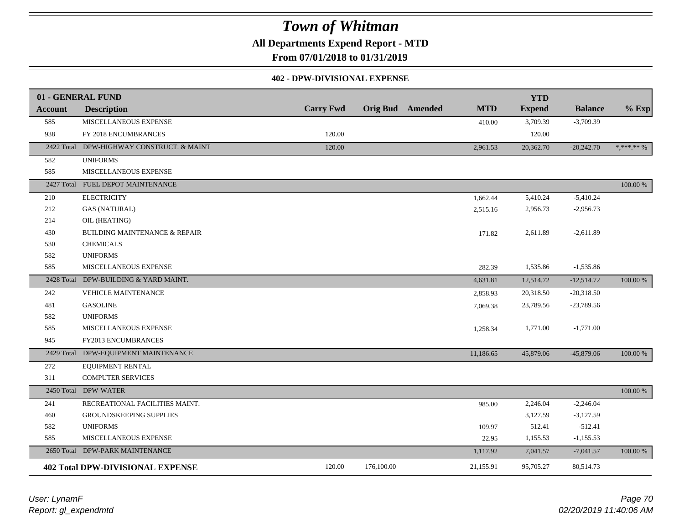**All Departments Expend Report - MTD**

**From 07/01/2018 to 01/31/2019**

#### **402 - DPW-DIVISIONAL EXPENSE**

|                | 01 - GENERAL FUND                        |                  |                         |            | <b>YTD</b>    |                |                                |
|----------------|------------------------------------------|------------------|-------------------------|------------|---------------|----------------|--------------------------------|
| <b>Account</b> | <b>Description</b>                       | <b>Carry Fwd</b> | <b>Orig Bud</b> Amended | <b>MTD</b> | <b>Expend</b> | <b>Balance</b> | $%$ Exp                        |
| 585            | MISCELLANEOUS EXPENSE                    |                  |                         | 410.00     | 3,709.39      | $-3,709.39$    |                                |
| 938            | FY 2018 ENCUMBRANCES                     | 120.00           |                         |            | 120.00        |                |                                |
| 2422 Total     | DPW-HIGHWAY CONSTRUCT. & MAINT           | 120.00           |                         | 2,961.53   | 20,362.70     | $-20,242.70$   | $\ast, \ast\ast\ast\ast\ast\%$ |
| 582            | <b>UNIFORMS</b>                          |                  |                         |            |               |                |                                |
| 585            | MISCELLANEOUS EXPENSE                    |                  |                         |            |               |                |                                |
| 2427 Total     | FUEL DEPOT MAINTENANCE                   |                  |                         |            |               |                | 100.00 %                       |
| 210            | <b>ELECTRICITY</b>                       |                  |                         | 1,662.44   | 5,410.24      | $-5,410.24$    |                                |
| 212            | <b>GAS (NATURAL)</b>                     |                  |                         | 2,515.16   | 2,956.73      | $-2,956.73$    |                                |
| 214            | OIL (HEATING)                            |                  |                         |            |               |                |                                |
| 430            | <b>BUILDING MAINTENANCE &amp; REPAIR</b> |                  |                         | 171.82     | 2,611.89      | $-2,611.89$    |                                |
| 530            | <b>CHEMICALS</b>                         |                  |                         |            |               |                |                                |
| 582            | <b>UNIFORMS</b>                          |                  |                         |            |               |                |                                |
| 585            | MISCELLANEOUS EXPENSE                    |                  |                         | 282.39     | 1,535.86      | $-1,535.86$    |                                |
|                | 2428 Total DPW-BUILDING & YARD MAINT.    |                  |                         | 4,631.81   | 12,514.72     | $-12,514.72$   | 100.00 %                       |
| 242            | <b>VEHICLE MAINTENANCE</b>               |                  |                         | 2,858.93   | 20,318.50     | $-20,318.50$   |                                |
| 481            | <b>GASOLINE</b>                          |                  |                         | 7,069.38   | 23,789.56     | $-23,789.56$   |                                |
| 582            | <b>UNIFORMS</b>                          |                  |                         |            |               |                |                                |
| 585            | MISCELLANEOUS EXPENSE                    |                  |                         | 1,258.34   | 1,771.00      | $-1,771.00$    |                                |
| 945            | FY2013 ENCUMBRANCES                      |                  |                         |            |               |                |                                |
| 2429 Total     | DPW-EQUIPMENT MAINTENANCE                |                  |                         | 11,186.65  | 45,879.06     | $-45,879.06$   | 100.00 %                       |
| 272            | <b>EQUIPMENT RENTAL</b>                  |                  |                         |            |               |                |                                |
| 311            | <b>COMPUTER SERVICES</b>                 |                  |                         |            |               |                |                                |
|                | 2450 Total DPW-WATER                     |                  |                         |            |               |                | 100.00 %                       |
| 241            | RECREATIONAL FACILITIES MAINT.           |                  |                         | 985.00     | 2,246.04      | $-2,246.04$    |                                |
| 460            | GROUNDSKEEPING SUPPLIES                  |                  |                         |            | 3,127.59      | $-3,127.59$    |                                |
| 582            | <b>UNIFORMS</b>                          |                  |                         | 109.97     | 512.41        | $-512.41$      |                                |
| 585            | MISCELLANEOUS EXPENSE                    |                  |                         | 22.95      | 1,155.53      | $-1,155.53$    |                                |
| 2650 Total     | DPW-PARK MAINTENANCE                     |                  |                         | 1,117.92   | 7,041.57      | $-7,041.57$    | 100.00 %                       |
|                | <b>402 Total DPW-DIVISIONAL EXPENSE</b>  | 120.00           | 176,100.00              | 21,155.91  | 95,705.27     | 80,514.73      |                                |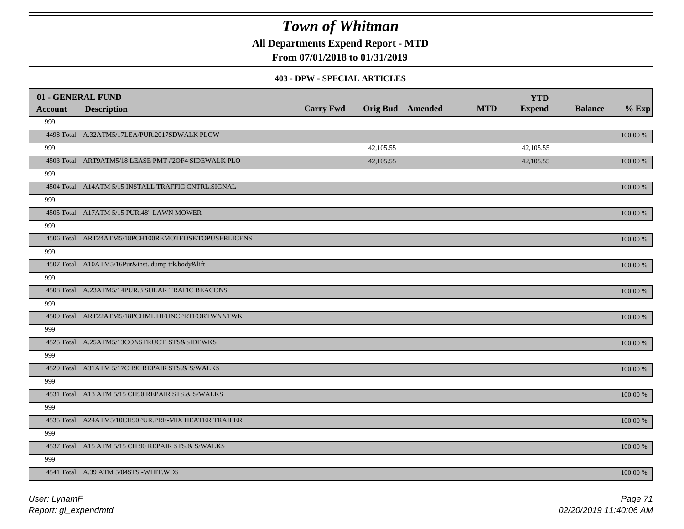**All Departments Expend Report - MTD**

## **From 07/01/2018 to 01/31/2019**

#### **403 - DPW - SPECIAL ARTICLES**

| 01 - GENERAL FUND |                                                     |                  |           |                         |            | <b>YTD</b>    |                |             |
|-------------------|-----------------------------------------------------|------------------|-----------|-------------------------|------------|---------------|----------------|-------------|
| <b>Account</b>    | <b>Description</b>                                  | <b>Carry Fwd</b> |           | <b>Orig Bud</b> Amended | <b>MTD</b> | <b>Expend</b> | <b>Balance</b> | $%$ Exp     |
| 999               |                                                     |                  |           |                         |            |               |                |             |
|                   | 4498 Total A.32ATM5/17LEA/PUR.2017SDWALK PLOW       |                  |           |                         |            |               |                | $100.00~\%$ |
| 999               |                                                     |                  | 42,105.55 |                         |            | 42,105.55     |                |             |
|                   | 4503 Total ART9ATM5/18 LEASE PMT #2OF4 SIDEWALK PLO |                  | 42,105.55 |                         |            | 42,105.55     |                | 100.00 %    |
| 999               |                                                     |                  |           |                         |            |               |                |             |
|                   | 4504 Total A14ATM 5/15 INSTALL TRAFFIC CNTRL.SIGNAL |                  |           |                         |            |               |                | $100.00~\%$ |
| 999               |                                                     |                  |           |                         |            |               |                |             |
|                   | 4505 Total A17ATM 5/15 PUR.48" LAWN MOWER           |                  |           |                         |            |               |                | $100.00~\%$ |
| 999               |                                                     |                  |           |                         |            |               |                |             |
|                   | 4506 Total ART24ATM5/18PCH100REMOTEDSKTOPUSERLICENS |                  |           |                         |            |               |                | 100.00 %    |
| 999               |                                                     |                  |           |                         |            |               |                |             |
|                   | 4507 Total A10ATM5/16Pur&instdump trk.body&lift     |                  |           |                         |            |               |                | 100.00 %    |
| 999               |                                                     |                  |           |                         |            |               |                |             |
|                   | 4508 Total A.23ATM5/14PUR.3 SOLAR TRAFIC BEACONS    |                  |           |                         |            |               |                | 100.00 %    |
| 999               |                                                     |                  |           |                         |            |               |                |             |
|                   | 4509 Total ART22ATM5/18PCHMLTIFUNCPRTFORTWNNTWK     |                  |           |                         |            |               |                | 100.00 %    |
| 999               |                                                     |                  |           |                         |            |               |                |             |
|                   | 4525 Total A.25ATM5/13CONSTRUCT STS&SIDEWKS         |                  |           |                         |            |               |                | 100.00 %    |
| 999               |                                                     |                  |           |                         |            |               |                |             |
|                   | 4529 Total A31ATM 5/17CH90 REPAIR STS.& S/WALKS     |                  |           |                         |            |               |                | 100.00 %    |
| 999               |                                                     |                  |           |                         |            |               |                |             |
|                   | 4531 Total A13 ATM 5/15 CH90 REPAIR STS.& S/WALKS   |                  |           |                         |            |               |                | 100.00 %    |
| 999               |                                                     |                  |           |                         |            |               |                |             |
|                   | 4535 Total A24ATM5/10CH90PUR.PRE-MIX HEATER TRAILER |                  |           |                         |            |               |                | 100.00 %    |
| 999               |                                                     |                  |           |                         |            |               |                |             |
|                   | 4537 Total A15 ATM 5/15 CH 90 REPAIR STS.& S/WALKS  |                  |           |                         |            |               |                | 100.00 %    |
| 999               |                                                     |                  |           |                         |            |               |                |             |
|                   | 4541 Total A.39 ATM 5/04STS -WHIT.WDS               |                  |           |                         |            |               |                | 100.00 %    |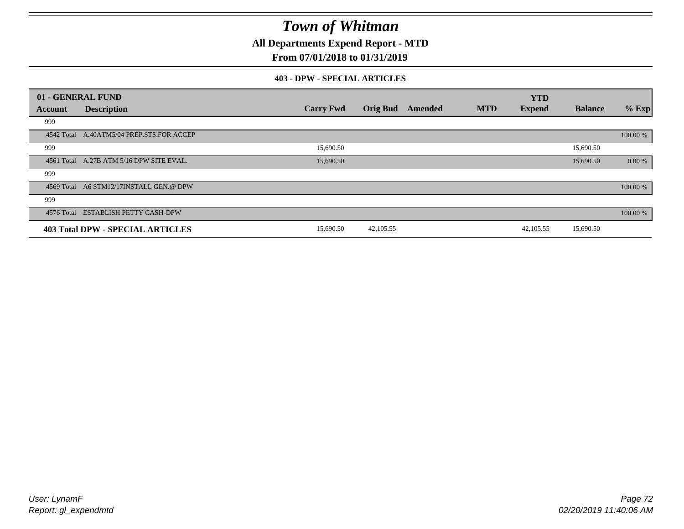**All Departments Expend Report - MTD**

## **From 07/01/2018 to 01/31/2019**

#### **403 - DPW - SPECIAL ARTICLES**

|         | 01 - GENERAL FUND                         |                  |                 |         |            | <b>YTD</b>    |                |          |
|---------|-------------------------------------------|------------------|-----------------|---------|------------|---------------|----------------|----------|
| Account | <b>Description</b>                        | <b>Carry Fwd</b> | <b>Orig Bud</b> | Amended | <b>MTD</b> | <b>Expend</b> | <b>Balance</b> | $%$ Exp  |
| 999     |                                           |                  |                 |         |            |               |                |          |
|         | 4542 Total A.40ATM5/04 PREP.STS.FOR ACCEP |                  |                 |         |            |               |                | 100.00 % |
| 999     |                                           | 15,690.50        |                 |         |            |               | 15,690.50      |          |
|         | 4561 Total A.27B ATM 5/16 DPW SITE EVAL.  | 15,690.50        |                 |         |            |               | 15,690.50      | 0.00 %   |
| 999     |                                           |                  |                 |         |            |               |                |          |
|         | 4569 Total A6 STM12/17INSTALL GEN.@ DPW   |                  |                 |         |            |               |                | 100.00 % |
| 999     |                                           |                  |                 |         |            |               |                |          |
|         | 4576 Total ESTABLISH PETTY CASH-DPW       |                  |                 |         |            |               |                | 100.00 % |
|         | <b>403 Total DPW - SPECIAL ARTICLES</b>   | 15,690.50        | 42,105.55       |         |            | 42,105.55     | 15,690.50      |          |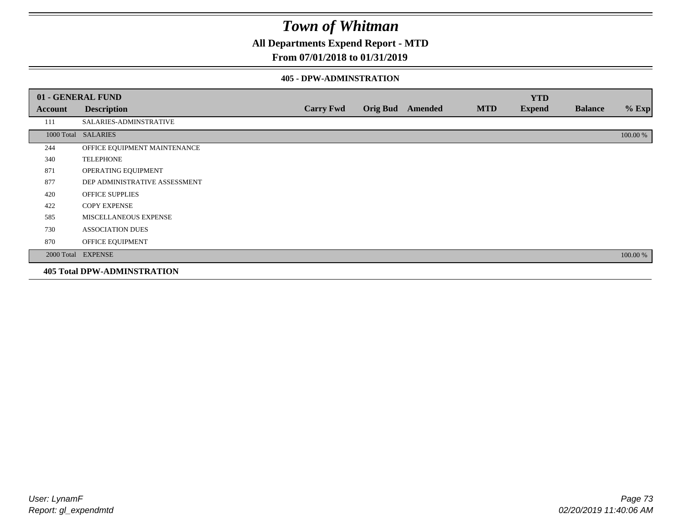**All Departments Expend Report - MTD**

## **From 07/01/2018 to 01/31/2019**

#### **405 - DPW-ADMINSTRATION**

|         | 01 - GENERAL FUND                  |                  |                         |            | <b>YTD</b>    |                |          |
|---------|------------------------------------|------------------|-------------------------|------------|---------------|----------------|----------|
| Account | <b>Description</b>                 | <b>Carry Fwd</b> | <b>Orig Bud</b> Amended | <b>MTD</b> | <b>Expend</b> | <b>Balance</b> | $%$ Exp  |
| 111     | SALARIES-ADMINSTRATIVE             |                  |                         |            |               |                |          |
|         | 1000 Total SALARIES                |                  |                         |            |               |                | 100.00 % |
| 244     | OFFICE EQUIPMENT MAINTENANCE       |                  |                         |            |               |                |          |
| 340     | <b>TELEPHONE</b>                   |                  |                         |            |               |                |          |
| 871     | OPERATING EQUIPMENT                |                  |                         |            |               |                |          |
| 877     | DEP ADMINISTRATIVE ASSESSMENT      |                  |                         |            |               |                |          |
| 420     | <b>OFFICE SUPPLIES</b>             |                  |                         |            |               |                |          |
| 422     | <b>COPY EXPENSE</b>                |                  |                         |            |               |                |          |
| 585     | <b>MISCELLANEOUS EXPENSE</b>       |                  |                         |            |               |                |          |
| 730     | <b>ASSOCIATION DUES</b>            |                  |                         |            |               |                |          |
| 870     | OFFICE EQUIPMENT                   |                  |                         |            |               |                |          |
|         | 2000 Total EXPENSE                 |                  |                         |            |               |                | 100.00 % |
|         | <b>405 Total DPW-ADMINSTRATION</b> |                  |                         |            |               |                |          |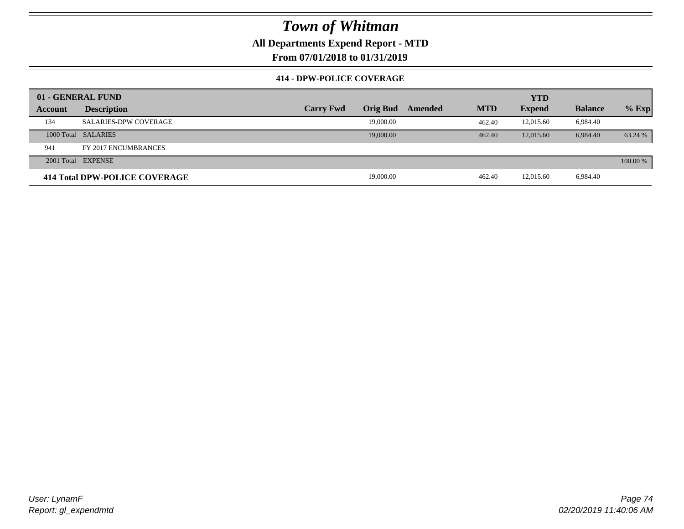**All Departments Expend Report - MTD**

**From 07/01/2018 to 01/31/2019**

### **414 - DPW-POLICE COVERAGE**

|         | 01 - GENERAL FUND                    |                  |                 |         | <b>YTD</b> |               |                |          |
|---------|--------------------------------------|------------------|-----------------|---------|------------|---------------|----------------|----------|
| Account | <b>Description</b>                   | <b>Carry Fwd</b> | <b>Orig Bud</b> | Amended | <b>MTD</b> | <b>Expend</b> | <b>Balance</b> | $%$ Exp  |
| 134     | <b>SALARIES-DPW COVERAGE</b>         |                  | 19,000.00       |         | 462.40     | 12,015.60     | 6.984.40       |          |
|         | 1000 Total SALARIES                  |                  | 19,000.00       |         | 462.40     | 12,015.60     | 6.984.40       | 63.24 %  |
| 941     | FY 2017 ENCUMBRANCES                 |                  |                 |         |            |               |                |          |
|         | 2001 Total EXPENSE                   |                  |                 |         |            |               |                | 100.00 % |
|         | <b>414 Total DPW-POLICE COVERAGE</b> |                  | 19,000.00       |         | 462.40     | 12,015.60     | 6,984.40       |          |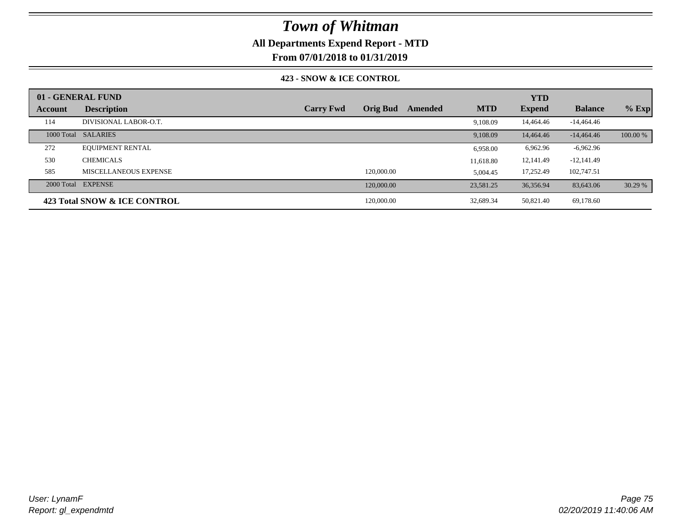## **All Departments Expend Report - MTD**

**From 07/01/2018 to 01/31/2019**

### **423 - SNOW & ICE CONTROL**

|         | 01 - GENERAL FUND            |                  |                 |         |            | <b>YTD</b>    |                |          |
|---------|------------------------------|------------------|-----------------|---------|------------|---------------|----------------|----------|
| Account | <b>Description</b>           | <b>Carry Fwd</b> | <b>Orig Bud</b> | Amended | <b>MTD</b> | <b>Expend</b> | <b>Balance</b> | $%$ Exp  |
| 114     | DIVISIONAL LABOR-O.T.        |                  |                 |         | 9.108.09   | 14,464.46     | $-14,464,46$   |          |
|         | 1000 Total SALARIES          |                  |                 |         | 9.108.09   | 14,464.46     | $-14,464,46$   | 100.00 % |
| 272     | <b>EQUIPMENT RENTAL</b>      |                  |                 |         | 6,958.00   | 6,962.96      | $-6,962.96$    |          |
| 530     | <b>CHEMICALS</b>             |                  |                 |         | 11.618.80  | 12,141.49     | $-12,141.49$   |          |
| 585     | MISCELLANEOUS EXPENSE        |                  | 120,000.00      |         | 5.004.45   | 17,252.49     | 102,747.51     |          |
|         | 2000 Total EXPENSE           |                  | 120,000.00      |         | 23.581.25  | 36,356.94     | 83,643.06      | 30.29 %  |
|         | 423 Total SNOW & ICE CONTROL |                  | 120,000.00      |         | 32,689.34  | 50,821.40     | 69,178.60      |          |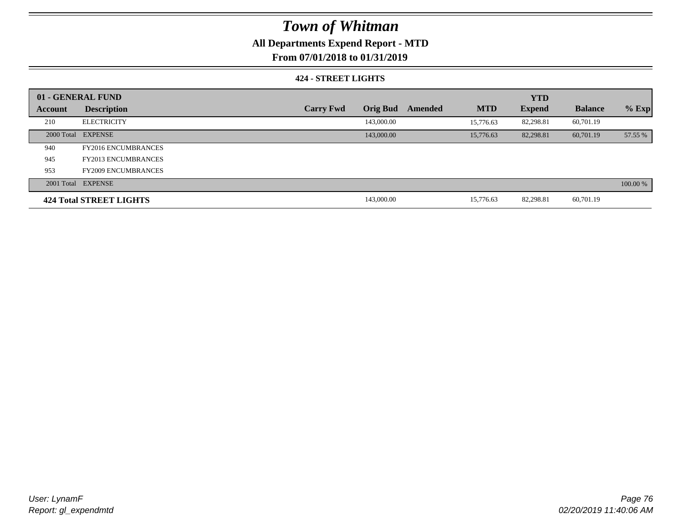## **All Departments Expend Report - MTD**

**From 07/01/2018 to 01/31/2019**

### **424 - STREET LIGHTS**

|         | 01 - GENERAL FUND              |                  |                 |         |            | <b>YTD</b>    |                |          |
|---------|--------------------------------|------------------|-----------------|---------|------------|---------------|----------------|----------|
| Account | <b>Description</b>             | <b>Carry Fwd</b> | <b>Orig Bud</b> | Amended | <b>MTD</b> | <b>Expend</b> | <b>Balance</b> | $%$ Exp  |
| 210     | <b>ELECTRICITY</b>             |                  | 143,000.00      |         | 15,776.63  | 82,298.81     | 60,701.19      |          |
|         | 2000 Total EXPENSE             |                  | 143,000.00      |         | 15,776.63  | 82,298.81     | 60,701.19      | 57.55 %  |
| 940     | <b>FY2016 ENCUMBRANCES</b>     |                  |                 |         |            |               |                |          |
| 945     | <b>FY2013 ENCUMBRANCES</b>     |                  |                 |         |            |               |                |          |
| 953     | <b>FY2009 ENCUMBRANCES</b>     |                  |                 |         |            |               |                |          |
|         | 2001 Total EXPENSE             |                  |                 |         |            |               |                | 100.00 % |
|         | <b>424 Total STREET LIGHTS</b> |                  | 143,000.00      |         | 15.776.63  | 82,298.81     | 60,701.19      |          |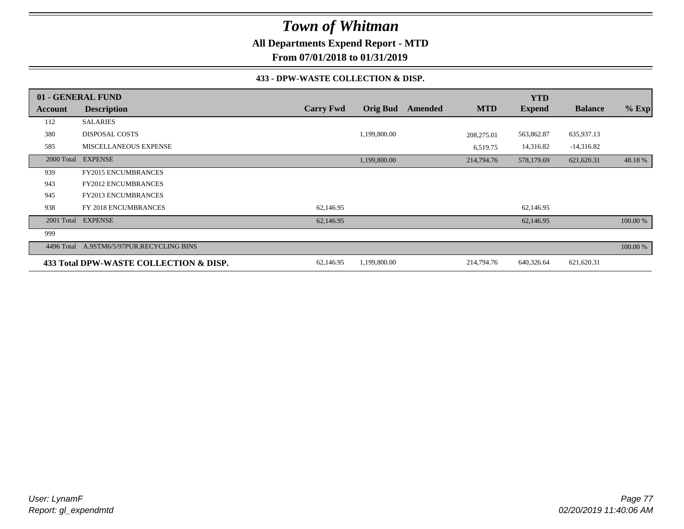**All Departments Expend Report - MTD**

**From 07/01/2018 to 01/31/2019**

### **433 - DPW-WASTE COLLECTION & DISP.**

|            | 01 - GENERAL FUND                      |                  |                 |         |            | <b>YTD</b>    |                |          |
|------------|----------------------------------------|------------------|-----------------|---------|------------|---------------|----------------|----------|
| Account    | <b>Description</b>                     | <b>Carry Fwd</b> | <b>Orig Bud</b> | Amended | <b>MTD</b> | <b>Expend</b> | <b>Balance</b> | $%$ Exp  |
| 112        | <b>SALARIES</b>                        |                  |                 |         |            |               |                |          |
| 380        | <b>DISPOSAL COSTS</b>                  |                  | 1,199,800.00    |         | 208,275.01 | 563,862.87    | 635,937.13     |          |
| 585        | MISCELLANEOUS EXPENSE                  |                  |                 |         | 6,519.75   | 14,316.82     | $-14,316.82$   |          |
| 2000 Total | <b>EXPENSE</b>                         |                  | 1,199,800.00    |         | 214,794.76 | 578,179.69    | 621,620.31     | 48.18%   |
| 939        | <b>FY2015 ENCUMBRANCES</b>             |                  |                 |         |            |               |                |          |
| 943        | <b>FY2012 ENCUMBRANCES</b>             |                  |                 |         |            |               |                |          |
| 945        | FY2013 ENCUMBRANCES                    |                  |                 |         |            |               |                |          |
| 938        | FY 2018 ENCUMBRANCES                   | 62,146.95        |                 |         |            | 62,146.95     |                |          |
|            | 2001 Total EXPENSE                     | 62,146.95        |                 |         |            | 62,146.95     |                | 100.00 % |
| 999        |                                        |                  |                 |         |            |               |                |          |
| 4496 Total | A.9STM6/5/97PUR.RECYCLING BINS         |                  |                 |         |            |               |                | 100.00 % |
|            | 433 Total DPW-WASTE COLLECTION & DISP. | 62,146.95        | 1,199,800.00    |         | 214,794.76 | 640,326.64    | 621,620.31     |          |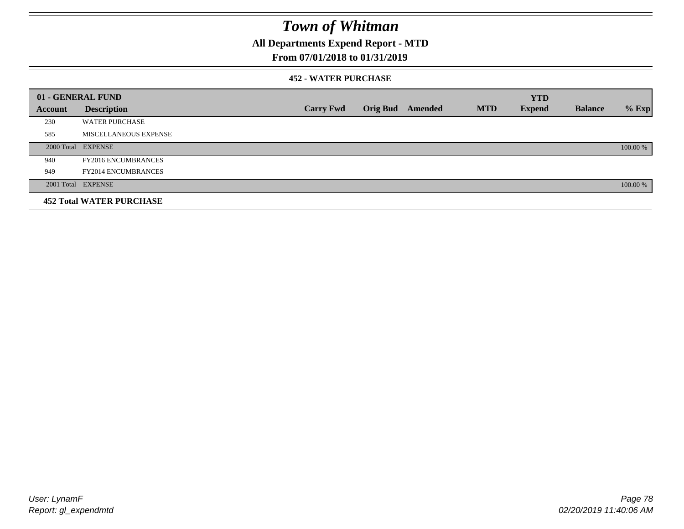## **All Departments Expend Report - MTD**

### **From 07/01/2018 to 01/31/2019**

### **452 - WATER PURCHASE**

|         | 01 - GENERAL FUND               |                  |                 |         |            | <b>YTD</b>    |                |          |
|---------|---------------------------------|------------------|-----------------|---------|------------|---------------|----------------|----------|
| Account | <b>Description</b>              | <b>Carry Fwd</b> | <b>Orig Bud</b> | Amended | <b>MTD</b> | <b>Expend</b> | <b>Balance</b> | $%$ Exp  |
| 230     | <b>WATER PURCHASE</b>           |                  |                 |         |            |               |                |          |
| 585     | MISCELLANEOUS EXPENSE           |                  |                 |         |            |               |                |          |
|         | 2000 Total EXPENSE              |                  |                 |         |            |               |                | 100.00 % |
| 940     | <b>FY2016 ENCUMBRANCES</b>      |                  |                 |         |            |               |                |          |
| 949     | <b>FY2014 ENCUMBRANCES</b>      |                  |                 |         |            |               |                |          |
|         | 2001 Total EXPENSE              |                  |                 |         |            |               |                | 100.00 % |
|         | <b>452 Total WATER PURCHASE</b> |                  |                 |         |            |               |                |          |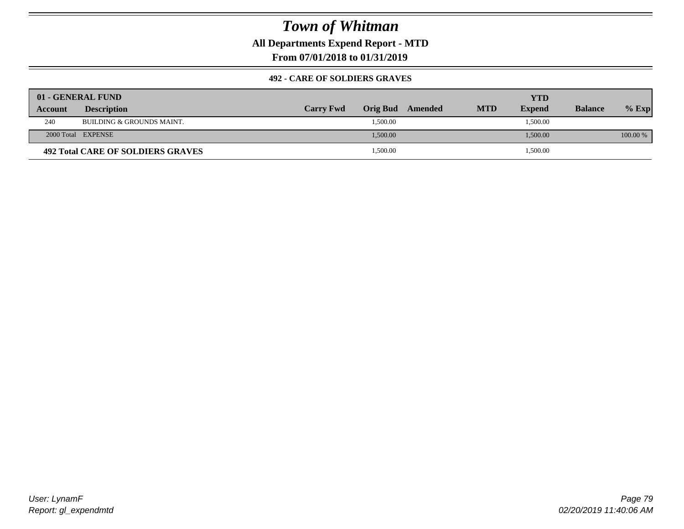## **All Departments Expend Report - MTD**

**From 07/01/2018 to 01/31/2019**

### **492 - CARE OF SOLDIERS GRAVES**

|                | 01 - GENERAL FUND                 |                  |                  |            | YTD           |                |          |
|----------------|-----------------------------------|------------------|------------------|------------|---------------|----------------|----------|
| <b>Account</b> | <b>Description</b>                | <b>Carry Fwd</b> | Orig Bud Amended | <b>MTD</b> | <b>Expend</b> | <b>Balance</b> | $%$ Exp  |
| 240            | BUILDING & GROUNDS MAINT.         |                  | 1,500.00         |            | 1,500.00      |                |          |
|                | 2000 Total EXPENSE                |                  | 1,500.00         |            | 1,500.00      |                | 100.00 % |
|                | 492 Total CARE OF SOLDIERS GRAVES |                  | 1,500.00         |            | 1,500.00      |                |          |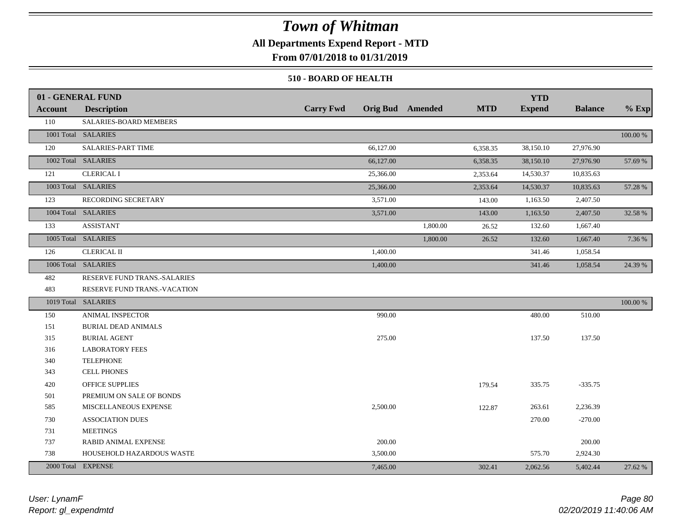## **All Departments Expend Report - MTD**

**From 07/01/2018 to 01/31/2019**

### **510 - BOARD OF HEALTH**

|         | 01 - GENERAL FUND            |                  |                         |            | <b>YTD</b>    |                |          |
|---------|------------------------------|------------------|-------------------------|------------|---------------|----------------|----------|
| Account | <b>Description</b>           | <b>Carry Fwd</b> | <b>Orig Bud</b> Amended | <b>MTD</b> | <b>Expend</b> | <b>Balance</b> | $%$ Exp  |
| 110     | SALARIES-BOARD MEMBERS       |                  |                         |            |               |                |          |
|         | 1001 Total SALARIES          |                  |                         |            |               |                | 100.00 % |
| 120     | <b>SALARIES-PART TIME</b>    | 66,127.00        |                         | 6,358.35   | 38,150.10     | 27,976.90      |          |
|         | 1002 Total SALARIES          | 66,127.00        |                         | 6,358.35   | 38,150.10     | 27,976.90      | 57.69 %  |
| 121     | <b>CLERICAL I</b>            | 25,366.00        |                         | 2,353.64   | 14,530.37     | 10,835.63      |          |
|         | 1003 Total SALARIES          | 25,366.00        |                         | 2,353.64   | 14,530.37     | 10,835.63      | 57.28 %  |
| 123     | RECORDING SECRETARY          | 3,571.00         |                         | 143.00     | 1,163.50      | 2,407.50       |          |
|         | 1004 Total SALARIES          | 3,571.00         |                         | 143.00     | 1,163.50      | 2,407.50       | 32.58 %  |
| 133     | <b>ASSISTANT</b>             |                  | 1,800.00                | 26.52      | 132.60        | 1,667.40       |          |
|         | 1005 Total SALARIES          |                  | 1,800.00                | 26.52      | 132.60        | 1,667.40       | 7.36 %   |
| 126     | <b>CLERICAL II</b>           | 1,400.00         |                         |            | 341.46        | 1,058.54       |          |
|         | 1006 Total SALARIES          | 1,400.00         |                         |            | 341.46        | 1,058.54       | 24.39 %  |
| 482     | RESERVE FUND TRANS.-SALARIES |                  |                         |            |               |                |          |
| 483     | RESERVE FUND TRANS.-VACATION |                  |                         |            |               |                |          |
|         | 1019 Total SALARIES          |                  |                         |            |               |                | 100.00 % |
| 150     | ANIMAL INSPECTOR             | 990.00           |                         |            | 480.00        | 510.00         |          |
| 151     | <b>BURIAL DEAD ANIMALS</b>   |                  |                         |            |               |                |          |
| 315     | <b>BURIAL AGENT</b>          | 275.00           |                         |            | 137.50        | 137.50         |          |
| 316     | <b>LABORATORY FEES</b>       |                  |                         |            |               |                |          |
| 340     | <b>TELEPHONE</b>             |                  |                         |            |               |                |          |
| 343     | <b>CELL PHONES</b>           |                  |                         |            |               |                |          |
| 420     | OFFICE SUPPLIES              |                  |                         | 179.54     | 335.75        | $-335.75$      |          |
| 501     | PREMIUM ON SALE OF BONDS     |                  |                         |            |               |                |          |
| 585     | MISCELLANEOUS EXPENSE        | 2,500.00         |                         | 122.87     | 263.61        | 2,236.39       |          |
| 730     | <b>ASSOCIATION DUES</b>      |                  |                         |            | 270.00        | $-270.00$      |          |
| 731     | <b>MEETINGS</b>              |                  |                         |            |               |                |          |
| 737     | RABID ANIMAL EXPENSE         | 200.00           |                         |            |               | 200.00         |          |
| 738     | HOUSEHOLD HAZARDOUS WASTE    | 3,500.00         |                         |            | 575.70        | 2,924.30       |          |
|         | 2000 Total EXPENSE           | 7,465.00         |                         | 302.41     | 2,062.56      | 5,402.44       | 27.62 %  |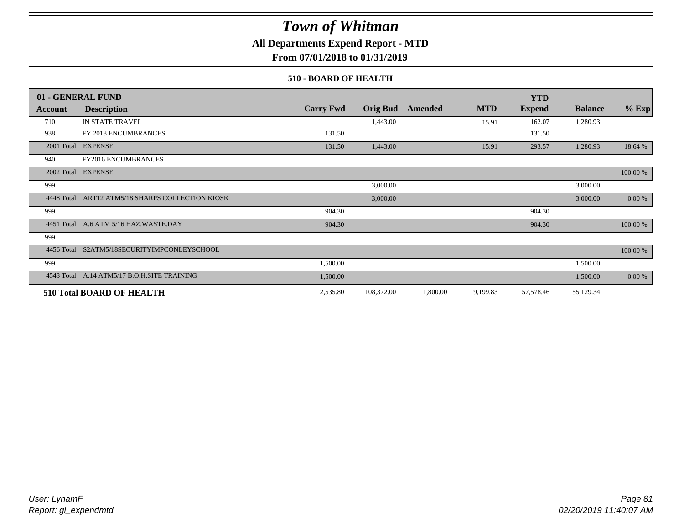## **All Departments Expend Report - MTD**

**From 07/01/2018 to 01/31/2019**

### **510 - BOARD OF HEALTH**

|            | 01 - GENERAL FUND                     |                  |                 |          |            | <b>YTD</b>    |                |             |
|------------|---------------------------------------|------------------|-----------------|----------|------------|---------------|----------------|-------------|
| Account    | <b>Description</b>                    | <b>Carry Fwd</b> | <b>Orig Bud</b> | Amended  | <b>MTD</b> | <b>Expend</b> | <b>Balance</b> | $%$ Exp     |
| 710        | IN STATE TRAVEL                       |                  | 1,443.00        |          | 15.91      | 162.07        | 1,280.93       |             |
| 938        | FY 2018 ENCUMBRANCES                  | 131.50           |                 |          |            | 131.50        |                |             |
| 2001 Total | <b>EXPENSE</b>                        | 131.50           | 1,443.00        |          | 15.91      | 293.57        | 1,280.93       | 18.64 %     |
| 940        | <b>FY2016 ENCUMBRANCES</b>            |                  |                 |          |            |               |                |             |
| 2002 Total | <b>EXPENSE</b>                        |                  |                 |          |            |               |                | $100.00~\%$ |
| 999        |                                       |                  | 3,000.00        |          |            |               | 3,000.00       |             |
| 4448 Total | ART12 ATM5/18 SHARPS COLLECTION KIOSK |                  | 3,000.00        |          |            |               | 3,000.00       | 0.00 %      |
| 999        |                                       | 904.30           |                 |          |            | 904.30        |                |             |
| 4451 Total | A.6 ATM 5/16 HAZ.WASTE.DAY            | 904.30           |                 |          |            | 904.30        |                | 100.00 %    |
| 999        |                                       |                  |                 |          |            |               |                |             |
| 4456 Total | S2ATM5/18SECURITYIMPCONLEYSCHOOL      |                  |                 |          |            |               |                | 100.00 %    |
| 999        |                                       | 1,500.00         |                 |          |            |               | 1,500.00       |             |
| 4543 Total | A.14 ATM5/17 B.O.H.SITE TRAINING      | 1,500.00         |                 |          |            |               | 1,500.00       | 0.00 %      |
|            | <b>510 Total BOARD OF HEALTH</b>      | 2,535.80         | 108,372.00      | 1,800.00 | 9,199.83   | 57,578.46     | 55,129.34      |             |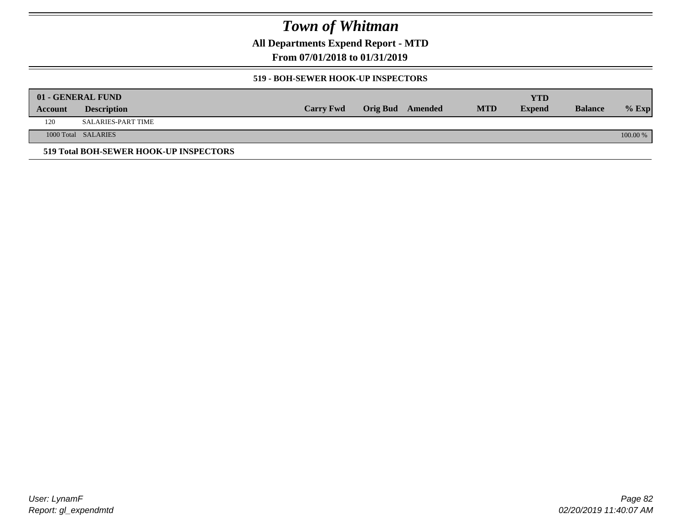**All Departments Expend Report - MTD**

**From 07/01/2018 to 01/31/2019**

### **519 - BOH-SEWER HOOK-UP INSPECTORS**

|         | 01 - GENERAL FUND                      |                  |                  |            | YTD           |                |          |
|---------|----------------------------------------|------------------|------------------|------------|---------------|----------------|----------|
| Account | <b>Description</b>                     | <b>Carry Fwd</b> | Orig Bud Amended | <b>MTD</b> | <b>Expend</b> | <b>Balance</b> | $%$ Exp  |
| 120     | SALARIES-PART TIME                     |                  |                  |            |               |                |          |
|         | 1000 Total SALARIES                    |                  |                  |            |               |                | 100.00 % |
|         | 519 Total BOH-SEWER HOOK-UP INSPECTORS |                  |                  |            |               |                |          |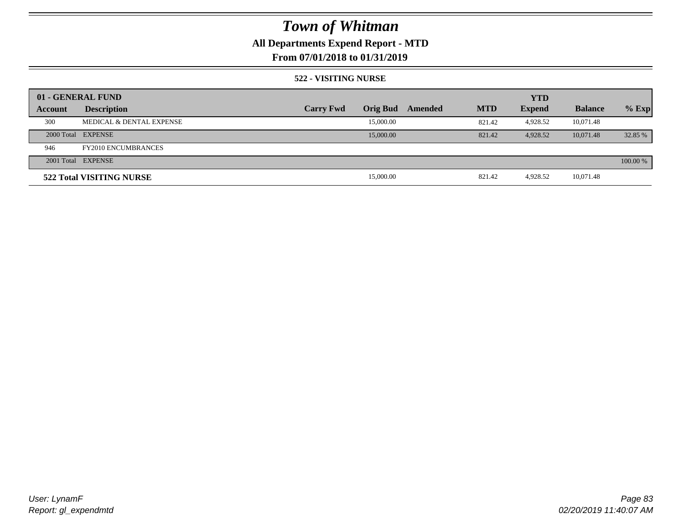## **All Departments Expend Report - MTD**

## **From 07/01/2018 to 01/31/2019**

### **522 - VISITING NURSE**

|         | 01 - GENERAL FUND                   |                  |                 |         |            | <b>YTD</b>    |                |          |
|---------|-------------------------------------|------------------|-----------------|---------|------------|---------------|----------------|----------|
| Account | <b>Description</b>                  | <b>Carry Fwd</b> | <b>Orig Bud</b> | Amended | <b>MTD</b> | <b>Expend</b> | <b>Balance</b> | $%$ Exp  |
| 300     | <b>MEDICAL &amp; DENTAL EXPENSE</b> |                  | 15,000.00       |         | 821.42     | 4,928.52      | 10,071.48      |          |
|         | 2000 Total EXPENSE                  |                  | 15,000.00       |         | 821.42     | 4.928.52      | 10.071.48      | 32.85 %  |
| 946     | <b>FY2010 ENCUMBRANCES</b>          |                  |                 |         |            |               |                |          |
|         | 2001 Total EXPENSE                  |                  |                 |         |            |               |                | 100.00 % |
|         | 522 Total VISITING NURSE            |                  | 15,000.00       |         | 821.42     | 4.928.52      | 10,071.48      |          |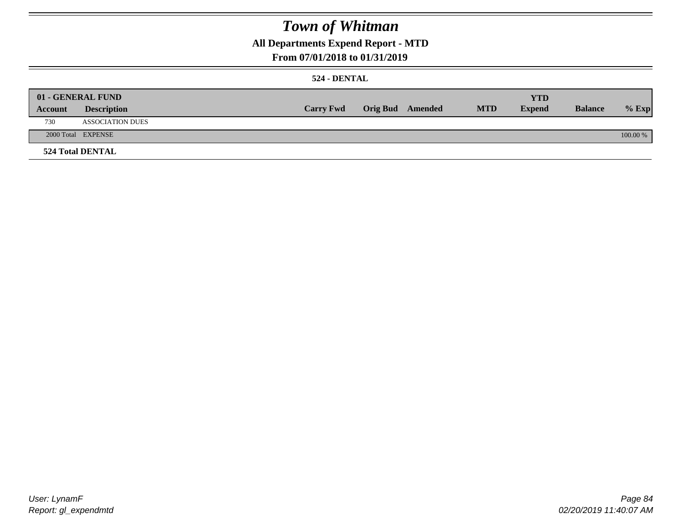## **All Departments Expend Report - MTD**

## **From 07/01/2018 to 01/31/2019**

### **524 - DENTAL**

|         | 01 - GENERAL FUND       |                  |                  |            | <b>YTD</b>    |                |          |
|---------|-------------------------|------------------|------------------|------------|---------------|----------------|----------|
| Account | <b>Description</b>      | <b>Carry Fwd</b> | Orig Bud Amended | <b>MTD</b> | <b>Expend</b> | <b>Balance</b> | $%$ Exp  |
| 730     | <b>ASSOCIATION DUES</b> |                  |                  |            |               |                |          |
|         | 2000 Total EXPENSE      |                  |                  |            |               |                | 100.00 % |
|         | <b>524 Total DENTAL</b> |                  |                  |            |               |                |          |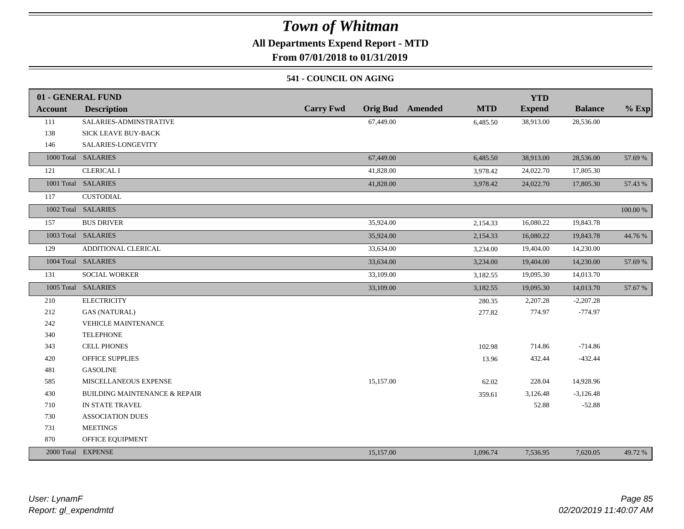## **All Departments Expend Report - MTD**

**From 07/01/2018 to 01/31/2019**

### **541 - COUNCIL ON AGING**

|         | 01 - GENERAL FUND                        |                                     |                       | <b>YTD</b>    |                |          |
|---------|------------------------------------------|-------------------------------------|-----------------------|---------------|----------------|----------|
| Account | <b>Description</b>                       | <b>Carry Fwd</b><br><b>Orig Bud</b> | <b>MTD</b><br>Amended | <b>Expend</b> | <b>Balance</b> | $%$ Exp  |
| 111     | SALARIES-ADMINSTRATIVE                   | 67,449.00                           | 6,485.50              | 38,913.00     | 28,536.00      |          |
| 138     | SICK LEAVE BUY-BACK                      |                                     |                       |               |                |          |
| 146     | SALARIES-LONGEVITY                       |                                     |                       |               |                |          |
|         | 1000 Total SALARIES                      | 67,449.00                           | 6,485.50              | 38,913.00     | 28,536.00      | 57.69 %  |
| 121     | <b>CLERICAL I</b>                        | 41,828.00                           | 3,978.42              | 24,022.70     | 17,805.30      |          |
|         | 1001 Total SALARIES                      | 41,828.00                           | 3,978.42              | 24,022.70     | 17,805.30      | 57.43 %  |
| 117     | <b>CUSTODIAL</b>                         |                                     |                       |               |                |          |
|         | 1002 Total SALARIES                      |                                     |                       |               |                | 100.00 % |
| 157     | <b>BUS DRIVER</b>                        | 35,924.00                           | 2,154.33              | 16,080.22     | 19,843.78      |          |
|         | 1003 Total SALARIES                      | 35,924.00                           | 2,154.33              | 16,080.22     | 19,843.78      | 44.76 %  |
| 129     | ADDITIONAL CLERICAL                      | 33,634.00                           | 3,234.00              | 19,404.00     | 14,230.00      |          |
|         | 1004 Total SALARIES                      | 33,634.00                           | 3,234.00              | 19,404.00     | 14,230.00      | 57.69 %  |
| 131     | <b>SOCIAL WORKER</b>                     | 33,109.00                           | 3,182.55              | 19,095.30     | 14,013.70      |          |
|         | 1005 Total SALARIES                      | 33,109.00                           | 3,182.55              | 19,095.30     | 14,013.70      | 57.67 %  |
| 210     | <b>ELECTRICITY</b>                       |                                     | 280.35                | 2,207.28      | $-2,207.28$    |          |
| 212     | <b>GAS (NATURAL)</b>                     |                                     | 277.82                | 774.97        | $-774.97$      |          |
| 242     | VEHICLE MAINTENANCE                      |                                     |                       |               |                |          |
| 340     | <b>TELEPHONE</b>                         |                                     |                       |               |                |          |
| 343     | <b>CELL PHONES</b>                       |                                     | 102.98                | 714.86        | $-714.86$      |          |
| 420     | <b>OFFICE SUPPLIES</b>                   |                                     | 13.96                 | 432.44        | $-432.44$      |          |
| 481     | <b>GASOLINE</b>                          |                                     |                       |               |                |          |
| 585     | MISCELLANEOUS EXPENSE                    | 15,157.00                           | 62.02                 | 228.04        | 14,928.96      |          |
| 430     | <b>BUILDING MAINTENANCE &amp; REPAIR</b> |                                     | 359.61                | 3,126.48      | $-3,126.48$    |          |
| 710     | IN STATE TRAVEL                          |                                     |                       | 52.88         | $-52.88$       |          |
| 730     | <b>ASSOCIATION DUES</b>                  |                                     |                       |               |                |          |
| 731     | <b>MEETINGS</b>                          |                                     |                       |               |                |          |
| 870     | OFFICE EQUIPMENT                         |                                     |                       |               |                |          |
|         | 2000 Total EXPENSE                       | 15,157.00                           | 1,096.74              | 7,536.95      | 7,620.05       | 49.72 %  |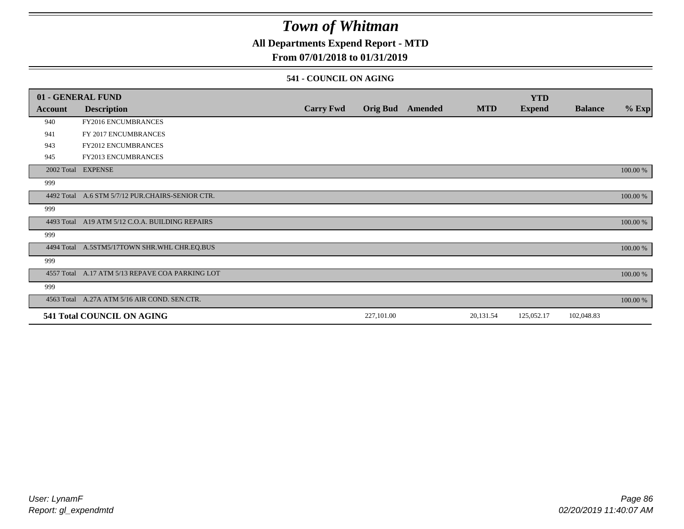## **All Departments Expend Report - MTD**

### **From 07/01/2018 to 01/31/2019**

### **541 - COUNCIL ON AGING**

|         | 01 - GENERAL FUND                                |                  |                 |         |            | <b>YTD</b>    |                |          |
|---------|--------------------------------------------------|------------------|-----------------|---------|------------|---------------|----------------|----------|
| Account | <b>Description</b>                               | <b>Carry Fwd</b> | <b>Orig Bud</b> | Amended | <b>MTD</b> | <b>Expend</b> | <b>Balance</b> | $%$ Exp  |
| 940     | <b>FY2016 ENCUMBRANCES</b>                       |                  |                 |         |            |               |                |          |
| 941     | FY 2017 ENCUMBRANCES                             |                  |                 |         |            |               |                |          |
| 943     | FY2012 ENCUMBRANCES                              |                  |                 |         |            |               |                |          |
| 945     | <b>FY2013 ENCUMBRANCES</b>                       |                  |                 |         |            |               |                |          |
|         | 2002 Total EXPENSE                               |                  |                 |         |            |               |                | 100.00 % |
| 999     |                                                  |                  |                 |         |            |               |                |          |
|         | 4492 Total A.6 STM 5/7/12 PUR.CHAIRS-SENIOR CTR. |                  |                 |         |            |               |                | 100.00 % |
| 999     |                                                  |                  |                 |         |            |               |                |          |
|         | 4493 Total A19 ATM 5/12 C.O.A. BUILDING REPAIRS  |                  |                 |         |            |               |                | 100.00 % |
| 999     |                                                  |                  |                 |         |            |               |                |          |
|         | 4494 Total A.5STM5/17TOWN SHR.WHL CHR.EQ.BUS     |                  |                 |         |            |               |                | 100.00 % |
| 999     |                                                  |                  |                 |         |            |               |                |          |
|         | 4557 Total A.17 ATM 5/13 REPAVE COA PARKING LOT  |                  |                 |         |            |               |                | 100.00 % |
| 999     |                                                  |                  |                 |         |            |               |                |          |
|         | 4563 Total A.27A ATM 5/16 AIR COND. SEN.CTR.     |                  |                 |         |            |               |                | 100.00 % |
|         | 541 Total COUNCIL ON AGING                       |                  | 227,101.00      |         | 20,131.54  | 125,052.17    | 102,048.83     |          |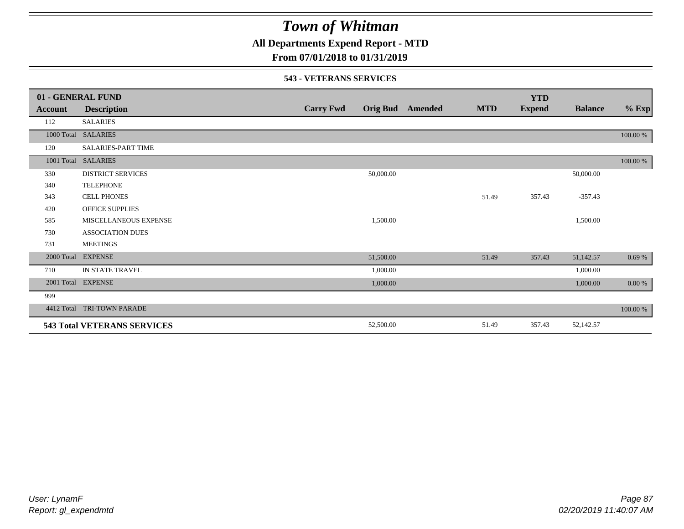**All Departments Expend Report - MTD**

## **From 07/01/2018 to 01/31/2019**

#### **543 - VETERANS SERVICES**

|            | 01 - GENERAL FUND                  |                  |           |                         |            | <b>YTD</b>    |                |          |
|------------|------------------------------------|------------------|-----------|-------------------------|------------|---------------|----------------|----------|
| Account    | <b>Description</b>                 | <b>Carry Fwd</b> |           | <b>Orig Bud</b> Amended | <b>MTD</b> | <b>Expend</b> | <b>Balance</b> | $%$ Exp  |
| 112        | <b>SALARIES</b>                    |                  |           |                         |            |               |                |          |
|            | 1000 Total SALARIES                |                  |           |                         |            |               |                | 100.00 % |
| 120        | <b>SALARIES-PART TIME</b>          |                  |           |                         |            |               |                |          |
|            | 1001 Total SALARIES                |                  |           |                         |            |               |                | 100.00 % |
| 330        | <b>DISTRICT SERVICES</b>           |                  | 50,000.00 |                         |            |               | 50,000.00      |          |
| 340        | <b>TELEPHONE</b>                   |                  |           |                         |            |               |                |          |
| 343        | <b>CELL PHONES</b>                 |                  |           |                         | 51.49      | 357.43        | $-357.43$      |          |
| 420        | <b>OFFICE SUPPLIES</b>             |                  |           |                         |            |               |                |          |
| 585        | MISCELLANEOUS EXPENSE              |                  | 1,500.00  |                         |            |               | 1,500.00       |          |
| 730        | <b>ASSOCIATION DUES</b>            |                  |           |                         |            |               |                |          |
| 731        | <b>MEETINGS</b>                    |                  |           |                         |            |               |                |          |
| 2000 Total | <b>EXPENSE</b>                     |                  | 51,500.00 |                         | 51.49      | 357.43        | 51,142.57      | 0.69%    |
| 710        | IN STATE TRAVEL                    |                  | 1,000.00  |                         |            |               | 1,000.00       |          |
|            | 2001 Total EXPENSE                 |                  | 1,000.00  |                         |            |               | 1,000.00       | $0.00\%$ |
| 999        |                                    |                  |           |                         |            |               |                |          |
| 4412 Total | TRI-TOWN PARADE                    |                  |           |                         |            |               |                | 100.00 % |
|            | <b>543 Total VETERANS SERVICES</b> |                  | 52,500.00 |                         | 51.49      | 357.43        | 52,142.57      |          |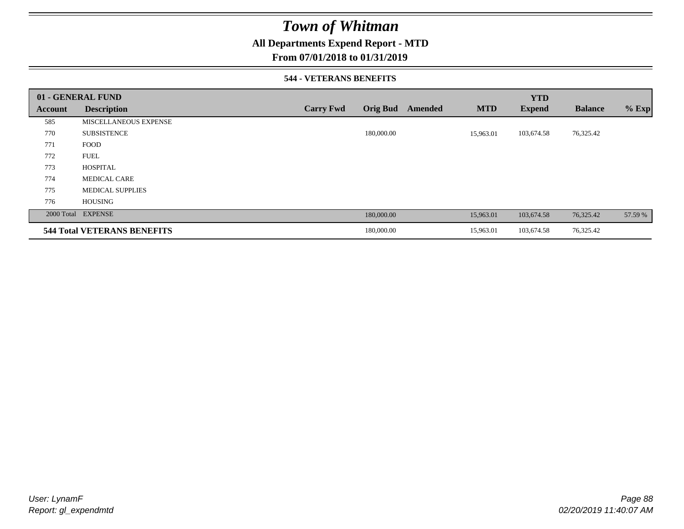## **All Departments Expend Report - MTD**

### **From 07/01/2018 to 01/31/2019**

### **544 - VETERANS BENEFITS**

|         | 01 - GENERAL FUND                  |                  |                            |            | <b>YTD</b>    |                |         |
|---------|------------------------------------|------------------|----------------------------|------------|---------------|----------------|---------|
| Account | <b>Description</b>                 | <b>Carry Fwd</b> | <b>Orig Bud</b><br>Amended | <b>MTD</b> | <b>Expend</b> | <b>Balance</b> | $%$ Exp |
| 585     | <b>MISCELLANEOUS EXPENSE</b>       |                  |                            |            |               |                |         |
| 770     | <b>SUBSISTENCE</b>                 |                  | 180,000.00                 | 15,963.01  | 103,674.58    | 76,325.42      |         |
| 771     | <b>FOOD</b>                        |                  |                            |            |               |                |         |
| 772     | <b>FUEL</b>                        |                  |                            |            |               |                |         |
| 773     | <b>HOSPITAL</b>                    |                  |                            |            |               |                |         |
| 774     | <b>MEDICAL CARE</b>                |                  |                            |            |               |                |         |
| 775     | <b>MEDICAL SUPPLIES</b>            |                  |                            |            |               |                |         |
| 776     | <b>HOUSING</b>                     |                  |                            |            |               |                |         |
|         | 2000 Total EXPENSE                 |                  | 180,000.00                 | 15,963.01  | 103,674.58    | 76,325.42      | 57.59 % |
|         | <b>544 Total VETERANS BENEFITS</b> |                  | 180,000.00                 | 15,963.01  | 103,674.58    | 76,325.42      |         |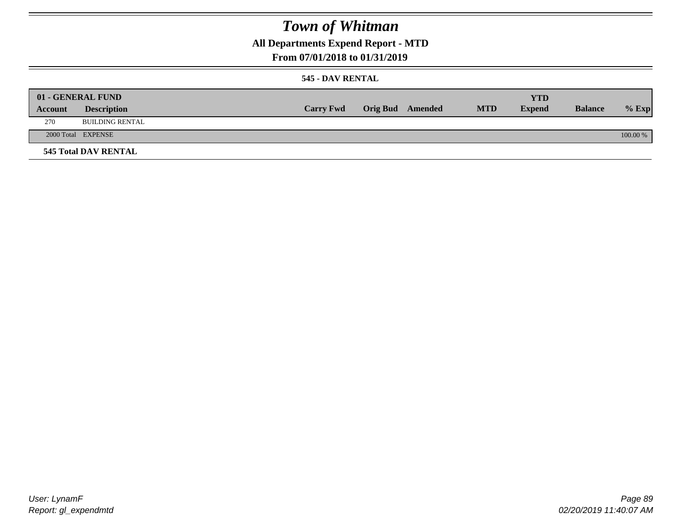**All Departments Expend Report - MTD**

## **From 07/01/2018 to 01/31/2019**

### **545 - DAV RENTAL**

|         | 01 - GENERAL FUND           |                  |                         |            | <b>YTD</b>    |                |          |
|---------|-----------------------------|------------------|-------------------------|------------|---------------|----------------|----------|
| Account | <b>Description</b>          | <b>Carry Fwd</b> | <b>Orig Bud</b> Amended | <b>MTD</b> | <b>Expend</b> | <b>Balance</b> | $%$ Exp  |
| 270     | <b>BUILDING RENTAL</b>      |                  |                         |            |               |                |          |
|         | 2000 Total EXPENSE          |                  |                         |            |               |                | 100.00 % |
|         | <b>545 Total DAV RENTAL</b> |                  |                         |            |               |                |          |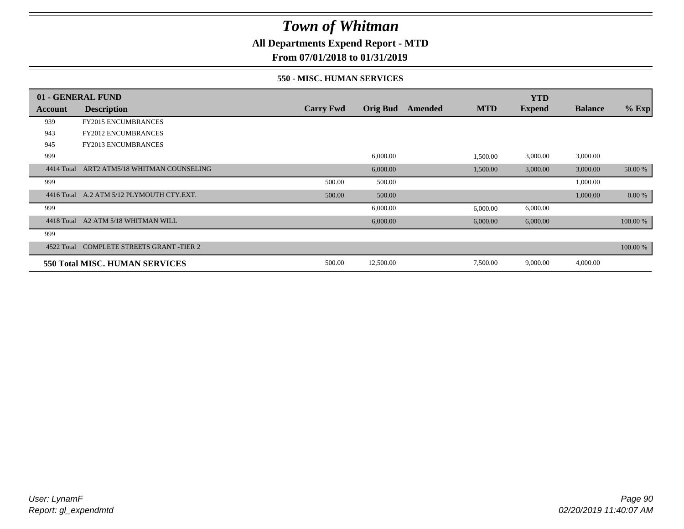**All Departments Expend Report - MTD**

**From 07/01/2018 to 01/31/2019**

### **550 - MISC. HUMAN SERVICES**

|            | 01 - GENERAL FUND                     |                  |                 |         |            | <b>YTD</b>    |                |          |
|------------|---------------------------------------|------------------|-----------------|---------|------------|---------------|----------------|----------|
| Account    | <b>Description</b>                    | <b>Carry Fwd</b> | <b>Orig Bud</b> | Amended | <b>MTD</b> | <b>Expend</b> | <b>Balance</b> | $%$ Exp  |
| 939        | <b>FY2015 ENCUMBRANCES</b>            |                  |                 |         |            |               |                |          |
| 943        | <b>FY2012 ENCUMBRANCES</b>            |                  |                 |         |            |               |                |          |
| 945        | FY2013 ENCUMBRANCES                   |                  |                 |         |            |               |                |          |
| 999        |                                       |                  | 6,000.00        |         | 1,500.00   | 3,000.00      | 3,000.00       |          |
| 4414 Total | ART2 ATM5/18 WHITMAN COUNSELING       |                  | 6,000.00        |         | 1,500.00   | 3,000.00      | 3,000.00       | 50.00 %  |
| 999        |                                       | 500.00           | 500.00          |         |            |               | 1,000.00       |          |
| 4416 Total | A.2 ATM 5/12 PLYMOUTH CTY.EXT.        | 500.00           | 500.00          |         |            |               | 1,000.00       | 0.00 %   |
| 999        |                                       |                  | 6,000.00        |         | 6,000.00   | 6,000.00      |                |          |
| 4418 Total | A2 ATM 5/18 WHITMAN WILL              |                  | 6,000.00        |         | 6,000.00   | 6,000.00      |                | 100.00 % |
| 999        |                                       |                  |                 |         |            |               |                |          |
| 4522 Total | <b>COMPLETE STREETS GRANT -TIER 2</b> |                  |                 |         |            |               |                | 100.00 % |
|            | 550 Total MISC. HUMAN SERVICES        | 500.00           | 12,500.00       |         | 7,500.00   | 9,000.00      | 4,000.00       |          |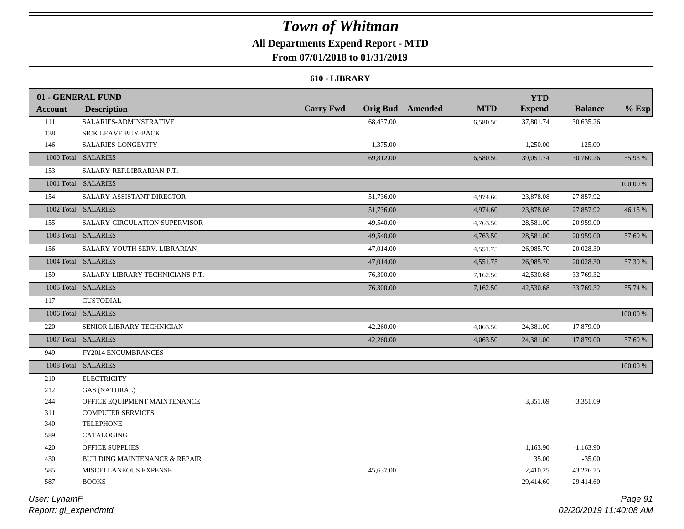## **All Departments Expend Report - MTD From 07/01/2018 to 01/31/2019**

# **610 - LIBRARY**

|                | 01 - GENERAL FUND                        |                  |                 |         |            | <b>YTD</b>    |                |             |
|----------------|------------------------------------------|------------------|-----------------|---------|------------|---------------|----------------|-------------|
| <b>Account</b> | <b>Description</b>                       | <b>Carry Fwd</b> | <b>Orig Bud</b> | Amended | <b>MTD</b> | <b>Expend</b> | <b>Balance</b> | $%$ Exp     |
| 111            | SALARIES-ADMINSTRATIVE                   |                  | 68,437.00       |         | 6,580.50   | 37,801.74     | 30,635.26      |             |
| 138            | SICK LEAVE BUY-BACK                      |                  |                 |         |            |               |                |             |
| 146            | SALARIES-LONGEVITY                       |                  | 1,375.00        |         |            | 1,250.00      | 125.00         |             |
|                | 1000 Total SALARIES                      |                  | 69,812.00       |         | 6,580.50   | 39,051.74     | 30,760.26      | 55.93 %     |
| 153            | SALARY-REF.LIBRARIAN-P.T.                |                  |                 |         |            |               |                |             |
|                | 1001 Total SALARIES                      |                  |                 |         |            |               |                | $100.00~\%$ |
| 154            | SALARY-ASSISTANT DIRECTOR                |                  | 51,736.00       |         | 4,974.60   | 23,878.08     | 27,857.92      |             |
|                | 1002 Total SALARIES                      |                  | 51,736.00       |         | 4,974.60   | 23,878.08     | 27,857.92      | 46.15 %     |
| 155            | SALARY-CIRCULATION SUPERVISOR            |                  | 49,540.00       |         | 4,763.50   | 28,581.00     | 20,959.00      |             |
|                | 1003 Total SALARIES                      |                  | 49,540.00       |         | 4,763.50   | 28,581.00     | 20,959.00      | 57.69 %     |
| 156            | SALARY-YOUTH SERV. LIBRARIAN             |                  | 47,014.00       |         | 4,551.75   | 26,985.70     | 20,028.30      |             |
|                | 1004 Total SALARIES                      |                  | 47,014.00       |         | 4,551.75   | 26,985.70     | 20,028.30      | 57.39 %     |
| 159            | SALARY-LIBRARY TECHNICIANS-P.T.          |                  | 76,300.00       |         | 7,162.50   | 42,530.68     | 33,769.32      |             |
|                | 1005 Total SALARIES                      |                  | 76,300.00       |         | 7,162.50   | 42,530.68     | 33,769.32      | 55.74 %     |
| 117            | <b>CUSTODIAL</b>                         |                  |                 |         |            |               |                |             |
|                | 1006 Total SALARIES                      |                  |                 |         |            |               |                | $100.00~\%$ |
| 220            | SENIOR LIBRARY TECHNICIAN                |                  | 42,260.00       |         | 4,063.50   | 24,381.00     | 17,879.00      |             |
|                | 1007 Total SALARIES                      |                  | 42,260.00       |         | 4,063.50   | 24,381.00     | 17,879.00      | 57.69 %     |
| 949            | FY2014 ENCUMBRANCES                      |                  |                 |         |            |               |                |             |
|                | 1008 Total SALARIES                      |                  |                 |         |            |               |                | $100.00~\%$ |
| 210            | <b>ELECTRICITY</b>                       |                  |                 |         |            |               |                |             |
| 212            | <b>GAS (NATURAL)</b>                     |                  |                 |         |            |               |                |             |
| 244            | OFFICE EQUIPMENT MAINTENANCE             |                  |                 |         |            | 3,351.69      | $-3,351.69$    |             |
| 311            | <b>COMPUTER SERVICES</b>                 |                  |                 |         |            |               |                |             |
| 340            | <b>TELEPHONE</b>                         |                  |                 |         |            |               |                |             |
| 589            | CATALOGING                               |                  |                 |         |            |               |                |             |
| 420            | OFFICE SUPPLIES                          |                  |                 |         |            | 1,163.90      | $-1,163.90$    |             |
| 430            | <b>BUILDING MAINTENANCE &amp; REPAIR</b> |                  |                 |         |            | 35.00         | $-35.00$       |             |
| 585            | MISCELLANEOUS EXPENSE                    |                  | 45,637.00       |         |            | 2,410.25      | 43,226.75      |             |
| 587            | <b>BOOKS</b>                             |                  |                 |         |            | 29,414.60     | $-29,414.60$   |             |
|                |                                          |                  |                 |         |            |               |                |             |

*Report: gl\_expendmtd User: LynamF*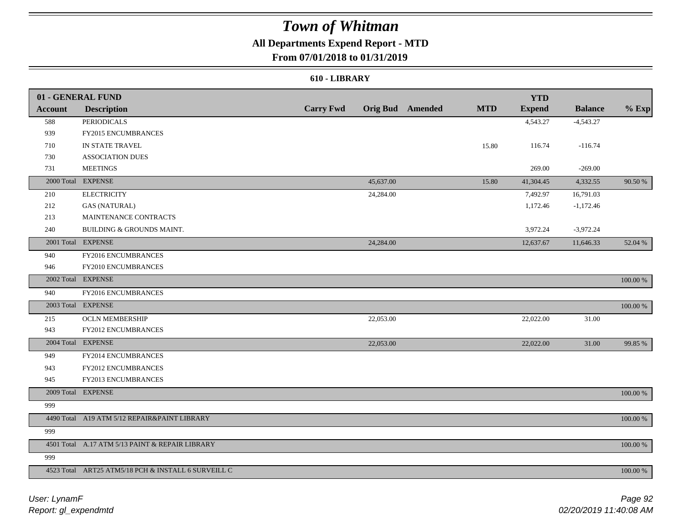## **All Departments Expend Report - MTD**

## **From 07/01/2018 to 01/31/2019**

#### **610 - LIBRARY**

|                | 01 - GENERAL FUND                                   |                  |           |                  |            | <b>YTD</b>    |                |             |
|----------------|-----------------------------------------------------|------------------|-----------|------------------|------------|---------------|----------------|-------------|
| <b>Account</b> | <b>Description</b>                                  | <b>Carry Fwd</b> |           | Orig Bud Amended | <b>MTD</b> | <b>Expend</b> | <b>Balance</b> | $%$ Exp     |
| 588            | <b>PERIODICALS</b>                                  |                  |           |                  |            | 4,543.27      | $-4,543.27$    |             |
| 939            | FY2015 ENCUMBRANCES                                 |                  |           |                  |            |               |                |             |
| 710            | IN STATE TRAVEL                                     |                  |           |                  | 15.80      | 116.74        | $-116.74$      |             |
| 730            | <b>ASSOCIATION DUES</b>                             |                  |           |                  |            |               |                |             |
| 731            | <b>MEETINGS</b>                                     |                  |           |                  |            | 269.00        | $-269.00$      |             |
|                | 2000 Total EXPENSE                                  |                  | 45,637.00 |                  | 15.80      | 41,304.45     | 4,332.55       | 90.50 %     |
| 210            | <b>ELECTRICITY</b>                                  |                  | 24,284.00 |                  |            | 7,492.97      | 16,791.03      |             |
| 212            | <b>GAS (NATURAL)</b>                                |                  |           |                  |            | 1,172.46      | $-1,172.46$    |             |
| 213            | MAINTENANCE CONTRACTS                               |                  |           |                  |            |               |                |             |
| 240            | BUILDING & GROUNDS MAINT.                           |                  |           |                  |            | 3,972.24      | $-3,972.24$    |             |
| 2001 Total     | <b>EXPENSE</b>                                      |                  | 24,284.00 |                  |            | 12,637.67     | 11,646.33      | 52.04 %     |
| 940            | FY2016 ENCUMBRANCES                                 |                  |           |                  |            |               |                |             |
| 946            | FY2010 ENCUMBRANCES                                 |                  |           |                  |            |               |                |             |
|                | 2002 Total EXPENSE                                  |                  |           |                  |            |               |                | 100.00 %    |
| 940            | FY2016 ENCUMBRANCES                                 |                  |           |                  |            |               |                |             |
|                | 2003 Total EXPENSE                                  |                  |           |                  |            |               |                | 100.00 %    |
| 215            | <b>OCLN MEMBERSHIP</b>                              |                  | 22,053.00 |                  |            | 22,022.00     | 31.00          |             |
| 943            | FY2012 ENCUMBRANCES                                 |                  |           |                  |            |               |                |             |
|                | 2004 Total EXPENSE                                  |                  | 22,053.00 |                  |            | 22,022.00     | 31.00          | 99.85 %     |
| 949            | FY2014 ENCUMBRANCES                                 |                  |           |                  |            |               |                |             |
| 943            | <b>FY2012 ENCUMBRANCES</b>                          |                  |           |                  |            |               |                |             |
| 945            | FY2013 ENCUMBRANCES                                 |                  |           |                  |            |               |                |             |
|                | 2009 Total EXPENSE                                  |                  |           |                  |            |               |                | $100.00~\%$ |
| 999            |                                                     |                  |           |                  |            |               |                |             |
|                | 4490 Total A19 ATM 5/12 REPAIR&PAINT LIBRARY        |                  |           |                  |            |               |                | $100.00~\%$ |
| 999            |                                                     |                  |           |                  |            |               |                |             |
|                | 4501 Total A.17 ATM 5/13 PAINT & REPAIR LIBRARY     |                  |           |                  |            |               |                | 100.00 %    |
| 999            |                                                     |                  |           |                  |            |               |                |             |
|                | 4523 Total ART25 ATM5/18 PCH & INSTALL 6 SURVEILL C |                  |           |                  |            |               |                | 100.00 %    |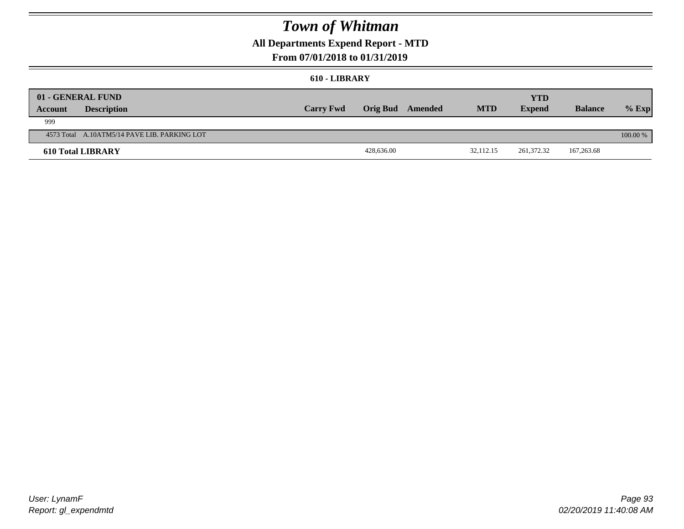## **All Departments Expend Report - MTD**

### **From 07/01/2018 to 01/31/2019**

#### **610 - LIBRARY**

| Account | 01 - GENERAL FUND<br><b>Description</b>      | <b>Carry Fwd</b> |            | Orig Bud Amended | <b>MTD</b> | <b>YTD</b><br><b>Expend</b> | <b>Balance</b> | $%$ Exp    |
|---------|----------------------------------------------|------------------|------------|------------------|------------|-----------------------------|----------------|------------|
| 999     |                                              |                  |            |                  |            |                             |                |            |
|         | 4573 Total A.10ATM5/14 PAVE LIB. PARKING LOT |                  |            |                  |            |                             |                | $100.00\%$ |
|         | <b>610 Total LIBRARY</b>                     |                  | 428,636.00 |                  | 32.112.15  | 261.372.32                  | 167,263.68     |            |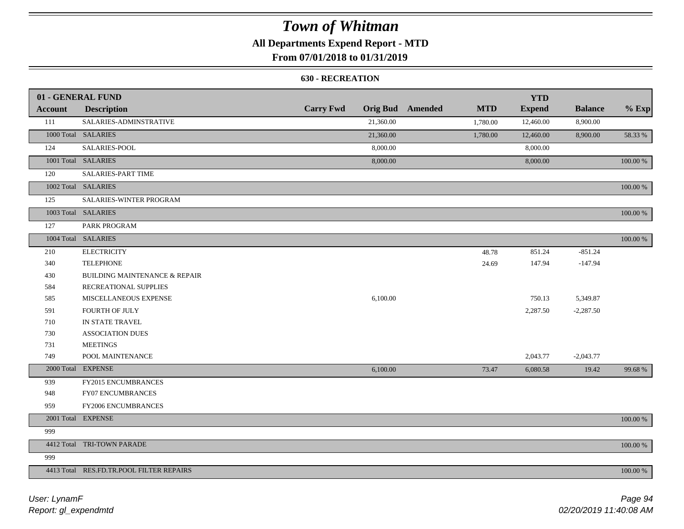## **All Departments Expend Report - MTD**

## **From 07/01/2018 to 01/31/2019**

### **630 - RECREATION**

|                | 01 - GENERAL FUND                        |                  |           |                         |            | <b>YTD</b>    |                |             |
|----------------|------------------------------------------|------------------|-----------|-------------------------|------------|---------------|----------------|-------------|
| <b>Account</b> | <b>Description</b>                       | <b>Carry Fwd</b> |           | <b>Orig Bud</b> Amended | <b>MTD</b> | <b>Expend</b> | <b>Balance</b> | $%$ Exp     |
| 111            | SALARIES-ADMINSTRATIVE                   |                  | 21,360.00 |                         | 1,780.00   | 12,460.00     | 8,900.00       |             |
|                | 1000 Total SALARIES                      |                  | 21,360.00 |                         | 1,780.00   | 12,460.00     | 8,900.00       | 58.33 %     |
| 124            | SALARIES-POOL                            |                  | 8,000.00  |                         |            | 8,000.00      |                |             |
|                | 1001 Total SALARIES                      |                  | 8,000.00  |                         |            | 8,000.00      |                | 100.00 %    |
| 120            | <b>SALARIES-PART TIME</b>                |                  |           |                         |            |               |                |             |
|                | 1002 Total SALARIES                      |                  |           |                         |            |               |                | 100.00 %    |
| 125            | SALARIES-WINTER PROGRAM                  |                  |           |                         |            |               |                |             |
|                | 1003 Total SALARIES                      |                  |           |                         |            |               |                | 100.00 %    |
| 127            | PARK PROGRAM                             |                  |           |                         |            |               |                |             |
|                | 1004 Total SALARIES                      |                  |           |                         |            |               |                | 100.00 %    |
| 210            | <b>ELECTRICITY</b>                       |                  |           |                         | 48.78      | 851.24        | $-851.24$      |             |
| 340            | <b>TELEPHONE</b>                         |                  |           |                         | 24.69      | 147.94        | $-147.94$      |             |
| 430            | <b>BUILDING MAINTENANCE &amp; REPAIR</b> |                  |           |                         |            |               |                |             |
| 584            | RECREATIONAL SUPPLIES                    |                  |           |                         |            |               |                |             |
| 585            | MISCELLANEOUS EXPENSE                    |                  | 6,100.00  |                         |            | 750.13        | 5,349.87       |             |
| 591            | FOURTH OF JULY                           |                  |           |                         |            | 2,287.50      | $-2,287.50$    |             |
| 710            | IN STATE TRAVEL                          |                  |           |                         |            |               |                |             |
| 730            | <b>ASSOCIATION DUES</b>                  |                  |           |                         |            |               |                |             |
| 731            | <b>MEETINGS</b>                          |                  |           |                         |            |               |                |             |
| 749            | POOL MAINTENANCE                         |                  |           |                         |            | 2,043.77      | $-2,043.77$    |             |
|                | 2000 Total EXPENSE                       |                  | 6,100.00  |                         | 73.47      | 6,080.58      | 19.42          | 99.68%      |
| 939            | FY2015 ENCUMBRANCES                      |                  |           |                         |            |               |                |             |
| 948            | FY07 ENCUMBRANCES                        |                  |           |                         |            |               |                |             |
| 959            | FY2006 ENCUMBRANCES                      |                  |           |                         |            |               |                |             |
|                | 2001 Total EXPENSE                       |                  |           |                         |            |               |                | $100.00~\%$ |
| 999            |                                          |                  |           |                         |            |               |                |             |
|                | 4412 Total TRI-TOWN PARADE               |                  |           |                         |            |               |                | 100.00 %    |
| 999            |                                          |                  |           |                         |            |               |                |             |
|                | 4413 Total RES.FD.TR.POOL FILTER REPAIRS |                  |           |                         |            |               |                | 100.00 %    |

*Report: gl\_expendmtd User: LynamF*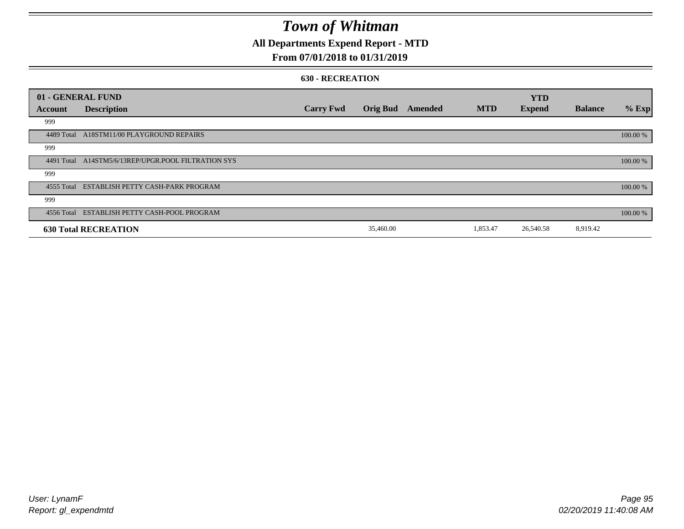## **All Departments Expend Report - MTD**

### **From 07/01/2018 to 01/31/2019**

#### **630 - RECREATION**

|            | 01 - GENERAL FUND                                   |                  |                 |         |            | <b>YTD</b>    |                |          |
|------------|-----------------------------------------------------|------------------|-----------------|---------|------------|---------------|----------------|----------|
| Account    | <b>Description</b>                                  | <b>Carry Fwd</b> | <b>Orig Bud</b> | Amended | <b>MTD</b> | <b>Expend</b> | <b>Balance</b> | $%$ Exp  |
| 999        |                                                     |                  |                 |         |            |               |                |          |
|            | 4489 Total A18STM11/00 PLAYGROUND REPAIRS           |                  |                 |         |            |               |                | 100.00 % |
| 999        |                                                     |                  |                 |         |            |               |                |          |
|            | 4491 Total A14STM5/6/13REP/UPGR.POOL FILTRATION SYS |                  |                 |         |            |               |                | 100.00 % |
| 999        |                                                     |                  |                 |         |            |               |                |          |
|            | 4555 Total ESTABLISH PETTY CASH-PARK PROGRAM        |                  |                 |         |            |               |                | 100.00 % |
| 999        |                                                     |                  |                 |         |            |               |                |          |
| 4556 Total | ESTABLISH PETTY CASH-POOL PROGRAM                   |                  |                 |         |            |               |                | 100.00 % |
|            | <b>630 Total RECREATION</b>                         |                  | 35,460.00       |         | 1,853.47   | 26,540.58     | 8,919.42       |          |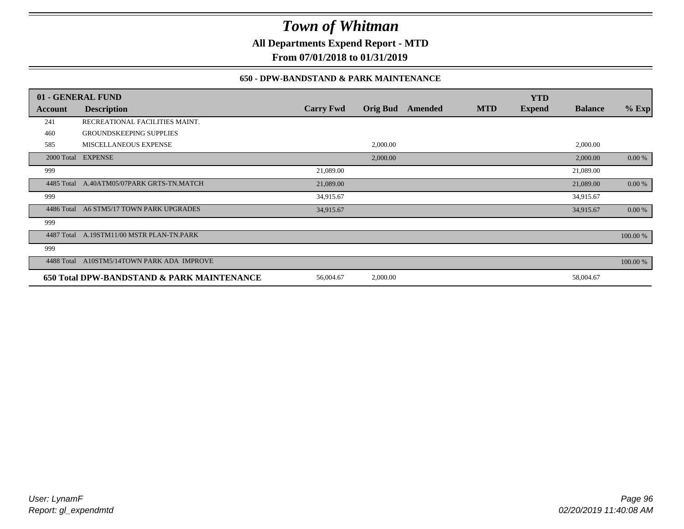**All Departments Expend Report - MTD**

**From 07/01/2018 to 01/31/2019**

### **650 - DPW-BANDSTAND & PARK MAINTENANCE**

|            | 01 - GENERAL FUND                          |                  |                 |         |            | <b>YTD</b>    |                |          |
|------------|--------------------------------------------|------------------|-----------------|---------|------------|---------------|----------------|----------|
| Account    | <b>Description</b>                         | <b>Carry Fwd</b> | <b>Orig Bud</b> | Amended | <b>MTD</b> | <b>Expend</b> | <b>Balance</b> | $%$ Exp  |
| 241        | RECREATIONAL FACILITIES MAINT.             |                  |                 |         |            |               |                |          |
| 460        | <b>GROUNDSKEEPING SUPPLIES</b>             |                  |                 |         |            |               |                |          |
| 585        | MISCELLANEOUS EXPENSE                      |                  | 2,000.00        |         |            |               | 2,000.00       |          |
|            | 2000 Total EXPENSE                         |                  | 2,000.00        |         |            |               | 2,000.00       | 0.00 %   |
| 999        |                                            | 21,089.00        |                 |         |            |               | 21,089.00      |          |
|            | 4485 Total A.40ATM05/07PARK GRTS-TN.MATCH  | 21,089.00        |                 |         |            |               | 21,089.00      | 0.00 %   |
| 999        |                                            | 34,915.67        |                 |         |            |               | 34,915.67      |          |
| 4486 Total | A6 STM5/17 TOWN PARK UPGRADES              | 34,915.67        |                 |         |            |               | 34,915.67      | 0.00 %   |
| 999        |                                            |                  |                 |         |            |               |                |          |
| 4487 Total | A.19STM11/00 MSTR PLAN-TN.PARK             |                  |                 |         |            |               |                | 100.00 % |
| 999        |                                            |                  |                 |         |            |               |                |          |
| 4488 Total | A10STM5/14TOWN PARK ADA IMPROVE            |                  |                 |         |            |               |                | 100.00 % |
|            | 650 Total DPW-BANDSTAND & PARK MAINTENANCE | 56,004.67        | 2,000.00        |         |            |               | 58,004.67      |          |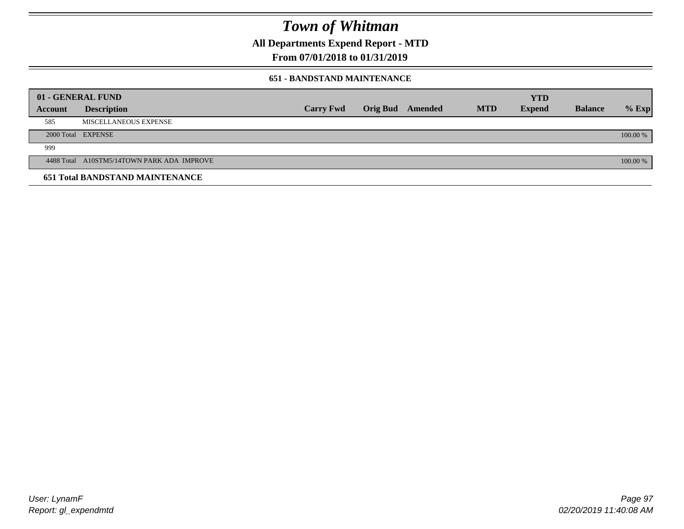**All Departments Expend Report - MTD**

## **From 07/01/2018 to 01/31/2019**

### **651 - BANDSTAND MAINTENANCE**

|                | 01 - GENERAL FUND                          |                  |                  |            | <b>YTD</b>    |                |          |
|----------------|--------------------------------------------|------------------|------------------|------------|---------------|----------------|----------|
| <b>Account</b> | <b>Description</b>                         | <b>Carry Fwd</b> | Orig Bud Amended | <b>MTD</b> | <b>Expend</b> | <b>Balance</b> | $%$ Exp  |
| 585            | MISCELLANEOUS EXPENSE                      |                  |                  |            |               |                |          |
|                | 2000 Total EXPENSE                         |                  |                  |            |               |                | 100.00 % |
| 999            |                                            |                  |                  |            |               |                |          |
|                | 4488 Total A10STM5/14TOWN PARK ADA IMPROVE |                  |                  |            |               |                | 100.00 % |
|                | <b>651 Total BANDSTAND MAINTENANCE</b>     |                  |                  |            |               |                |          |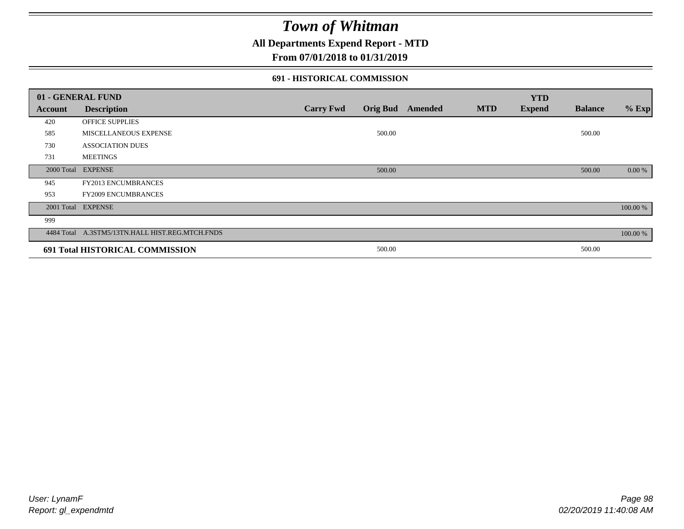## **All Departments Expend Report - MTD**

### **From 07/01/2018 to 01/31/2019**

### **691 - HISTORICAL COMMISSION**

|         | 01 - GENERAL FUND                               |                  |                 |                |            | <b>YTD</b>    |                |          |
|---------|-------------------------------------------------|------------------|-----------------|----------------|------------|---------------|----------------|----------|
| Account | <b>Description</b>                              | <b>Carry Fwd</b> | <b>Orig Bud</b> | <b>Amended</b> | <b>MTD</b> | <b>Expend</b> | <b>Balance</b> | $%$ Exp  |
| 420     | OFFICE SUPPLIES                                 |                  |                 |                |            |               |                |          |
| 585     | MISCELLANEOUS EXPENSE                           |                  | 500.00          |                |            |               | 500.00         |          |
| 730     | <b>ASSOCIATION DUES</b>                         |                  |                 |                |            |               |                |          |
| 731     | <b>MEETINGS</b>                                 |                  |                 |                |            |               |                |          |
|         | 2000 Total EXPENSE                              |                  | 500.00          |                |            |               | 500.00         | 0.00 %   |
| 945     | <b>FY2013 ENCUMBRANCES</b>                      |                  |                 |                |            |               |                |          |
| 953     | <b>FY2009 ENCUMBRANCES</b>                      |                  |                 |                |            |               |                |          |
|         | 2001 Total EXPENSE                              |                  |                 |                |            |               |                | 100.00 % |
| 999     |                                                 |                  |                 |                |            |               |                |          |
|         | 4484 Total A.3STM5/13TN.HALL HIST.REG.MTCH.FNDS |                  |                 |                |            |               |                | 100.00 % |
|         | 691 Total HISTORICAL COMMISSION                 |                  | 500.00          |                |            |               | 500.00         |          |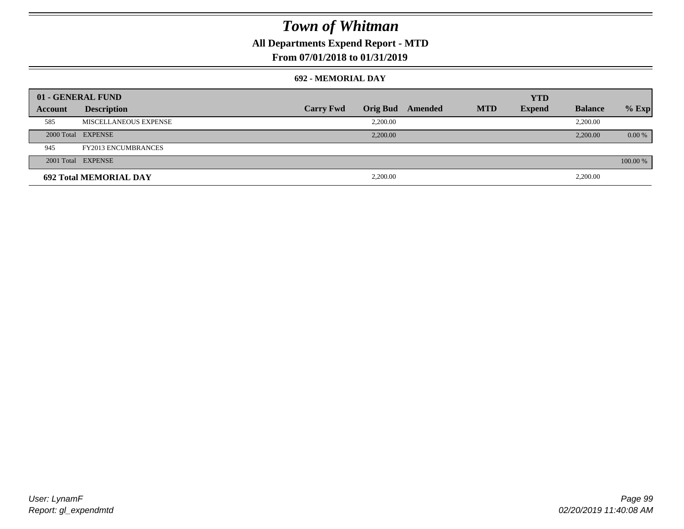## **All Departments Expend Report - MTD**

### **From 07/01/2018 to 01/31/2019**

#### **692 - MEMORIAL DAY**

| 01 - GENERAL FUND |                               |                  |                 |         |            | <b>YTD</b>    |                |          |
|-------------------|-------------------------------|------------------|-----------------|---------|------------|---------------|----------------|----------|
| Account           | <b>Description</b>            | <b>Carry Fwd</b> | <b>Orig Bud</b> | Amended | <b>MTD</b> | <b>Expend</b> | <b>Balance</b> | $%$ Exp  |
| 585               | MISCELLANEOUS EXPENSE         |                  | 2,200.00        |         |            |               | 2,200.00       |          |
|                   | 2000 Total EXPENSE            |                  | 2,200.00        |         |            |               | 2,200.00       | $0.00\%$ |
| 945               | <b>FY2013 ENCUMBRANCES</b>    |                  |                 |         |            |               |                |          |
|                   | 2001 Total EXPENSE            |                  |                 |         |            |               |                | 100.00 % |
|                   | <b>692 Total MEMORIAL DAY</b> |                  | 2,200.00        |         |            |               | 2,200.00       |          |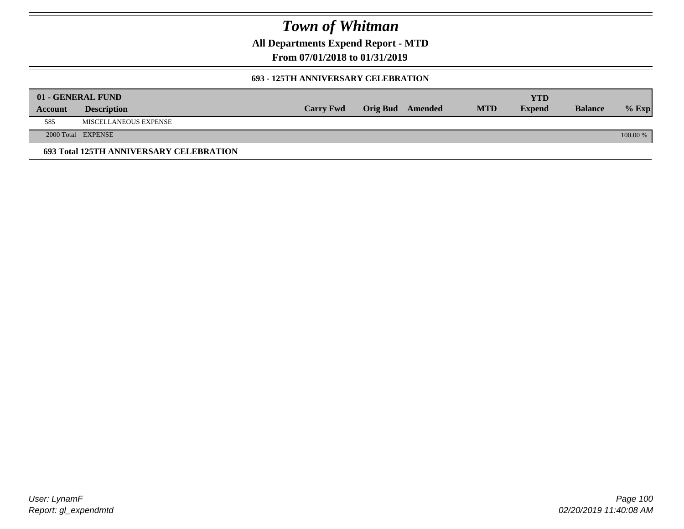**All Departments Expend Report - MTD**

**From 07/01/2018 to 01/31/2019**

### **693 - 125TH ANNIVERSARY CELEBRATION**

|         | 01 - GENERAL FUND                       |                  |                         |            | YTD           |                |          |
|---------|-----------------------------------------|------------------|-------------------------|------------|---------------|----------------|----------|
| Account | <b>Description</b>                      | <b>Carry Fwd</b> | <b>Orig Bud</b> Amended | <b>MTD</b> | <b>Expend</b> | <b>Balance</b> | $%$ Exp  |
| 585     | MISCELLANEOUS EXPENSE                   |                  |                         |            |               |                |          |
|         | 2000 Total EXPENSE                      |                  |                         |            |               |                | 100.00 % |
|         | 693 Total 125TH ANNIVERSARY CELEBRATION |                  |                         |            |               |                |          |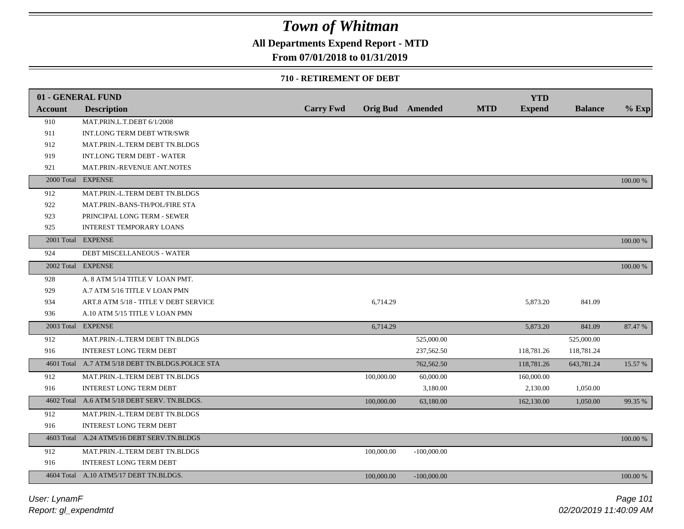## **All Departments Expend Report - MTD**

### **From 07/01/2018 to 01/31/2019**

### **710 - RETIREMENT OF DEBT**

|                | 01 - GENERAL FUND                                |                  |            |                         |            | <b>YTD</b>    |                |          |
|----------------|--------------------------------------------------|------------------|------------|-------------------------|------------|---------------|----------------|----------|
| <b>Account</b> | <b>Description</b>                               | <b>Carry Fwd</b> |            | <b>Orig Bud</b> Amended | <b>MTD</b> | <b>Expend</b> | <b>Balance</b> | $%$ Exp  |
| 910            | MAT.PRIN.L.T.DEBT 6/1/2008                       |                  |            |                         |            |               |                |          |
| 911            | INT.LONG TERM DEBT WTR/SWR                       |                  |            |                         |            |               |                |          |
| 912            | MAT.PRIN.-L.TERM DEBT TN.BLDGS                   |                  |            |                         |            |               |                |          |
| 919            | <b>INT.LONG TERM DEBT - WATER</b>                |                  |            |                         |            |               |                |          |
| 921            | MAT.PRIN.-REVENUE ANT.NOTES                      |                  |            |                         |            |               |                |          |
|                | 2000 Total EXPENSE                               |                  |            |                         |            |               |                | 100.00 % |
| 912            | MAT.PRIN.-L.TERM DEBT TN.BLDGS                   |                  |            |                         |            |               |                |          |
| 922            | MAT.PRIN.-BANS-TH/POL/FIRE STA                   |                  |            |                         |            |               |                |          |
| 923            | PRINCIPAL LONG TERM - SEWER                      |                  |            |                         |            |               |                |          |
| 925            | <b>INTEREST TEMPORARY LOANS</b>                  |                  |            |                         |            |               |                |          |
|                | 2001 Total EXPENSE                               |                  |            |                         |            |               |                | 100.00 % |
| 924            | DEBT MISCELLANEOUS - WATER                       |                  |            |                         |            |               |                |          |
|                | 2002 Total EXPENSE                               |                  |            |                         |            |               |                | 100.00 % |
| 928            | A. 8 ATM 5/14 TITLE V LOAN PMT.                  |                  |            |                         |            |               |                |          |
| 929            | A.7 ATM 5/16 TITLE V LOAN PMN                    |                  |            |                         |            |               |                |          |
| 934            | ART.8 ATM 5/18 - TITLE V DEBT SERVICE            |                  | 6,714.29   |                         |            | 5,873.20      | 841.09         |          |
| 936            | A.10 ATM 5/15 TITLE V LOAN PMN                   |                  |            |                         |            |               |                |          |
|                | 2003 Total EXPENSE                               |                  | 6,714.29   |                         |            | 5,873.20      | 841.09         | 87.47 %  |
| 912            | MAT.PRIN.-L.TERM DEBT TN.BLDGS                   |                  |            | 525,000.00              |            |               | 525,000.00     |          |
| 916            | <b>INTEREST LONG TERM DEBT</b>                   |                  |            | 237,562.50              |            | 118,781.26    | 118,781.24     |          |
|                | 4601 Total A.7 ATM 5/18 DEBT TN.BLDGS.POLICE STA |                  |            | 762,562.50              |            | 118,781.26    | 643,781.24     | 15.57 %  |
| 912            | MAT.PRIN.-L.TERM DEBT TN.BLDGS                   |                  | 100,000.00 | 60,000.00               |            | 160,000.00    |                |          |
| 916            | <b>INTEREST LONG TERM DEBT</b>                   |                  |            | 3,180.00                |            | 2,130.00      | 1,050.00       |          |
|                | 4602 Total A.6 ATM 5/18 DEBT SERV. TN.BLDGS.     |                  | 100,000.00 | 63,180.00               |            | 162,130.00    | 1,050.00       | 99.35 %  |
| 912            | MAT.PRIN.-L.TERM DEBT TN.BLDGS                   |                  |            |                         |            |               |                |          |
| 916            | <b>INTEREST LONG TERM DEBT</b>                   |                  |            |                         |            |               |                |          |
|                | 4603 Total A.24 ATM5/16 DEBT SERV.TN.BLDGS       |                  |            |                         |            |               |                | 100.00 % |
| 912            | MAT.PRIN.-L.TERM DEBT TN.BLDGS                   |                  | 100,000.00 | $-100,000.00$           |            |               |                |          |
| 916            | INTEREST LONG TERM DEBT                          |                  |            |                         |            |               |                |          |
|                | 4604 Total A.10 ATM5/17 DEBT TN.BLDGS.           |                  | 100,000.00 | $-100,000.00$           |            |               |                | 100.00 % |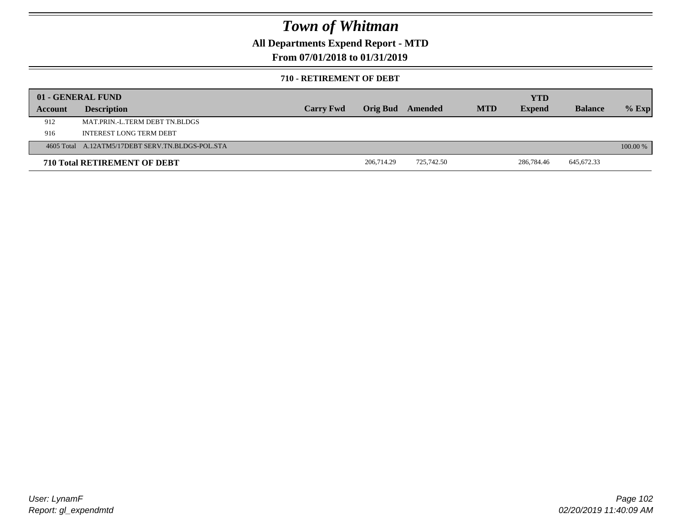## **All Departments Expend Report - MTD**

### **From 07/01/2018 to 01/31/2019**

#### **710 - RETIREMENT OF DEBT**

|         | 01 - GENERAL FUND                                |                  |                         |            |            | <b>YTD</b>    |                |            |
|---------|--------------------------------------------------|------------------|-------------------------|------------|------------|---------------|----------------|------------|
| Account | <b>Description</b>                               | <b>Carry Fwd</b> | <b>Orig Bud</b> Amended |            | <b>MTD</b> | <b>Expend</b> | <b>Balance</b> | $%$ Exp    |
| 912     | MAT PRIN -L TERM DEBT TN BLDGS                   |                  |                         |            |            |               |                |            |
| 916     | INTEREST LONG TERM DEBT                          |                  |                         |            |            |               |                |            |
|         | 4605 Total A.12ATM5/17DEBT SERV.TN.BLDGS-POL.STA |                  |                         |            |            |               |                | $100.00\%$ |
|         | <b>710 Total RETIREMENT OF DEBT</b>              |                  | 206,714.29              | 725,742.50 |            | 286,784.46    | 645,672.33     |            |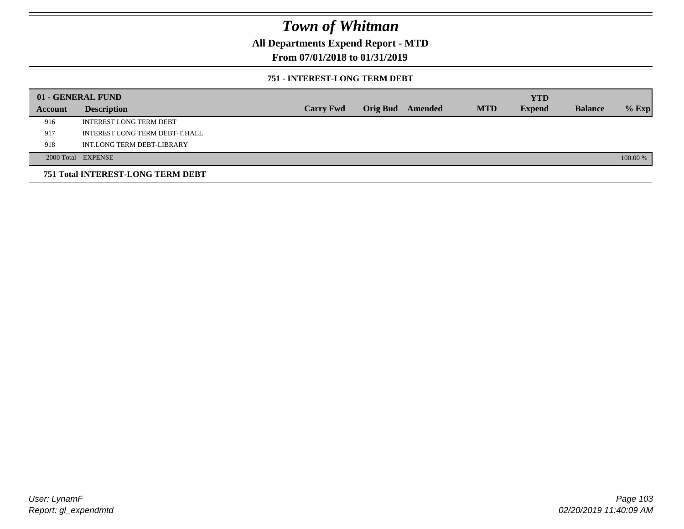## **All Departments Expend Report - MTD**

### **From 07/01/2018 to 01/31/2019**

### **751 - INTEREST-LONG TERM DEBT**

|         | 01 - GENERAL FUND                 |                  |  |                  |            | <b>YTD</b>    |                |          |
|---------|-----------------------------------|------------------|--|------------------|------------|---------------|----------------|----------|
| Account | <b>Description</b>                | <b>Carry Fwd</b> |  | Orig Bud Amended | <b>MTD</b> | <b>Expend</b> | <b>Balance</b> | $%$ Exp  |
| 916     | <b>INTEREST LONG TERM DEBT</b>    |                  |  |                  |            |               |                |          |
| 917     | INTEREST LONG TERM DEBT-T.HALL    |                  |  |                  |            |               |                |          |
| 918     | INT.LONG TERM DEBT-LIBRARY        |                  |  |                  |            |               |                |          |
|         | 2000 Total EXPENSE                |                  |  |                  |            |               |                | 100.00 % |
|         | 751 Total INTEREST-LONG TERM DEBT |                  |  |                  |            |               |                |          |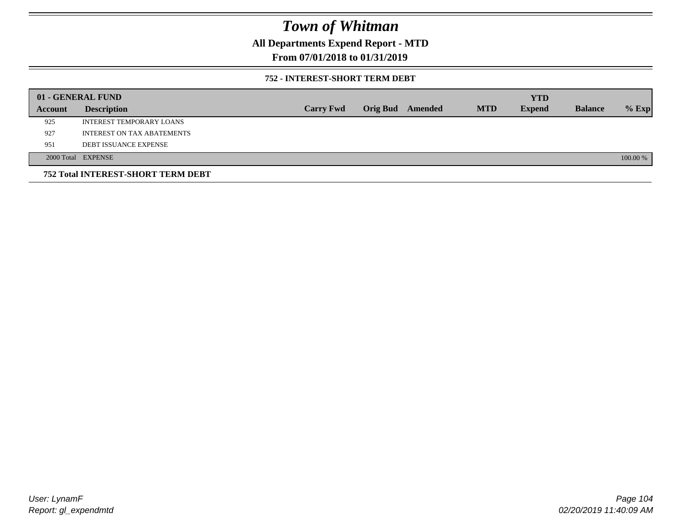## **All Departments Expend Report - MTD**

### **From 07/01/2018 to 01/31/2019**

### **752 - INTEREST-SHORT TERM DEBT**

|         | 01 - GENERAL FUND                         |                  |                 |         |            | <b>YTD</b>    |                |          |
|---------|-------------------------------------------|------------------|-----------------|---------|------------|---------------|----------------|----------|
| Account | <b>Description</b>                        | <b>Carry Fwd</b> | <b>Orig Bud</b> | Amended | <b>MTD</b> | <b>Expend</b> | <b>Balance</b> | $%$ Exp  |
| 925     | INTEREST TEMPORARY LOANS                  |                  |                 |         |            |               |                |          |
| 927     | INTEREST ON TAX ABATEMENTS                |                  |                 |         |            |               |                |          |
| 951     | <b>DEBT ISSUANCE EXPENSE</b>              |                  |                 |         |            |               |                |          |
|         | 2000 Total EXPENSE                        |                  |                 |         |            |               |                | 100.00 % |
|         | <b>752 Total INTEREST-SHORT TERM DEBT</b> |                  |                 |         |            |               |                |          |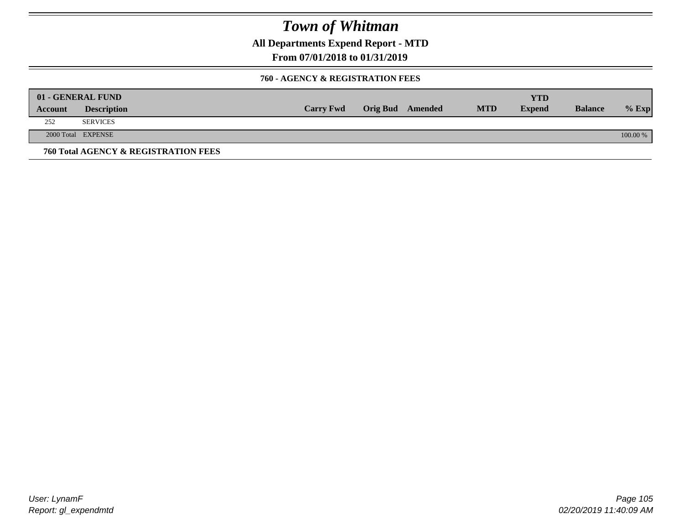**All Departments Expend Report - MTD**

**From 07/01/2018 to 01/31/2019**

### **760 - AGENCY & REGISTRATION FEES**

|         | 01 - GENERAL FUND                    |                  |                         |            | YTD           |                |          |
|---------|--------------------------------------|------------------|-------------------------|------------|---------------|----------------|----------|
| Account | <b>Description</b>                   | <b>Carry Fwd</b> | <b>Orig Bud</b> Amended | <b>MTD</b> | <b>Expend</b> | <b>Balance</b> | $%$ Exp  |
| 252     | <b>SERVICES</b>                      |                  |                         |            |               |                |          |
|         | 2000 Total EXPENSE                   |                  |                         |            |               |                | 100.00 % |
|         | 760 Total AGENCY & REGISTRATION FEES |                  |                         |            |               |                |          |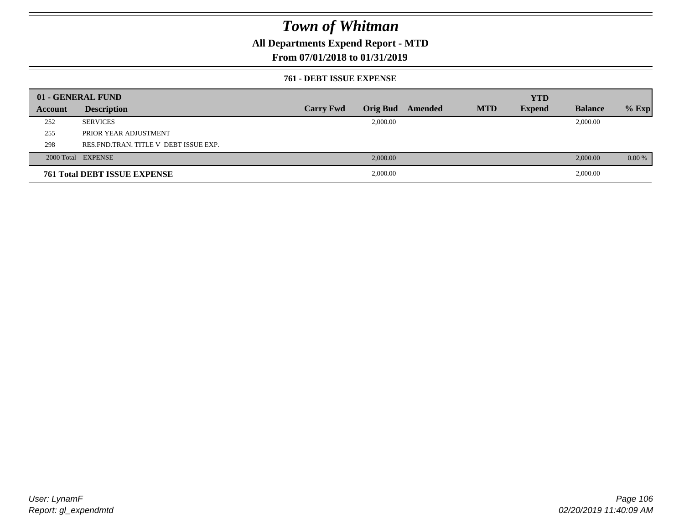## **All Departments Expend Report - MTD**

### **From 07/01/2018 to 01/31/2019**

### **761 - DEBT ISSUE EXPENSE**

|         | 01 - GENERAL FUND                       |                  |          |                  |            | <b>YTD</b>    |                |          |
|---------|-----------------------------------------|------------------|----------|------------------|------------|---------------|----------------|----------|
| Account | <b>Description</b>                      | <b>Carry Fwd</b> |          | Orig Bud Amended | <b>MTD</b> | <b>Expend</b> | <b>Balance</b> | $%$ Exp  |
| 252     | <b>SERVICES</b>                         |                  | 2,000.00 |                  |            |               | 2,000.00       |          |
| 255     | PRIOR YEAR ADJUSTMENT                   |                  |          |                  |            |               |                |          |
| 298     | RES. FND. TRAN. TITLE V DEBT ISSUE EXP. |                  |          |                  |            |               |                |          |
|         | 2000 Total EXPENSE                      |                  | 2,000.00 |                  |            |               | 2,000.00       | $0.00\%$ |
|         | <b>761 Total DEBT ISSUE EXPENSE</b>     |                  | 2,000.00 |                  |            |               | 2,000.00       |          |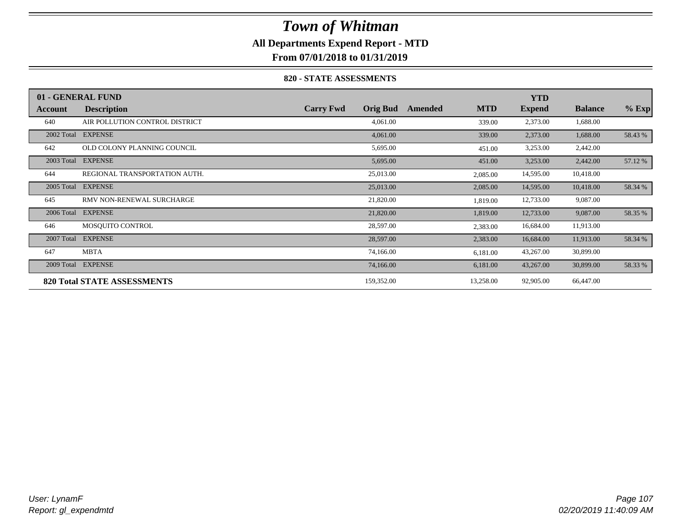## **All Departments Expend Report - MTD**

**From 07/01/2018 to 01/31/2019**

### **820 - STATE ASSESSMENTS**

|            | 01 - GENERAL FUND                  |                  |                 |         |            | <b>YTD</b>    |                |         |
|------------|------------------------------------|------------------|-----------------|---------|------------|---------------|----------------|---------|
| Account    | <b>Description</b>                 | <b>Carry Fwd</b> | <b>Orig Bud</b> | Amended | <b>MTD</b> | <b>Expend</b> | <b>Balance</b> | $%$ Exp |
| 640        | AIR POLLUTION CONTROL DISTRICT     |                  | 4,061.00        |         | 339.00     | 2,373.00      | 1,688.00       |         |
| 2002 Total | <b>EXPENSE</b>                     |                  | 4,061.00        |         | 339.00     | 2,373.00      | 1,688.00       | 58.43 % |
| 642        | OLD COLONY PLANNING COUNCIL        |                  | 5,695.00        |         | 451.00     | 3,253.00      | 2,442.00       |         |
| 2003 Total | <b>EXPENSE</b>                     |                  | 5,695.00        |         | 451.00     | 3,253.00      | 2,442.00       | 57.12 % |
| 644        | REGIONAL TRANSPORTATION AUTH.      |                  | 25,013.00       |         | 2,085.00   | 14,595.00     | 10,418.00      |         |
| 2005 Total | <b>EXPENSE</b>                     |                  | 25,013.00       |         | 2,085.00   | 14,595.00     | 10,418.00      | 58.34 % |
| 645        | RMV NON-RENEWAL SURCHARGE          |                  | 21,820.00       |         | 1,819.00   | 12,733.00     | 9,087.00       |         |
| 2006 Total | <b>EXPENSE</b>                     |                  | 21,820.00       |         | 1,819.00   | 12,733.00     | 9,087.00       | 58.35 % |
| 646        | MOSQUITO CONTROL                   |                  | 28,597.00       |         | 2,383.00   | 16,684.00     | 11,913.00      |         |
| 2007 Total | <b>EXPENSE</b>                     |                  | 28,597.00       |         | 2,383.00   | 16,684.00     | 11,913.00      | 58.34 % |
| 647        | <b>MBTA</b>                        |                  | 74,166.00       |         | 6,181.00   | 43,267.00     | 30,899.00      |         |
| 2009 Total | <b>EXPENSE</b>                     |                  | 74,166.00       |         | 6,181.00   | 43,267.00     | 30,899.00      | 58.33 % |
|            | <b>820 Total STATE ASSESSMENTS</b> |                  | 159,352.00      |         | 13,258.00  | 92,905.00     | 66,447.00      |         |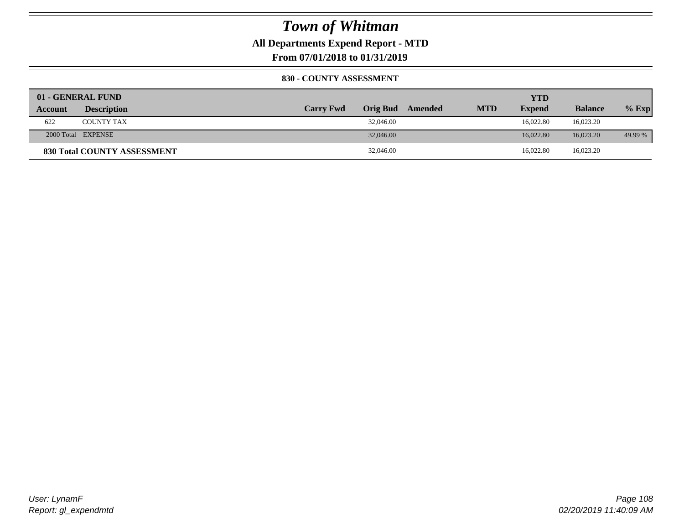**All Departments Expend Report - MTD**

**From 07/01/2018 to 01/31/2019**

### **830 - COUNTY ASSESSMENT**

|                | 01 - GENERAL FUND           |                  |                 |         |            | YTD           |                |         |
|----------------|-----------------------------|------------------|-----------------|---------|------------|---------------|----------------|---------|
| <b>Account</b> | <b>Description</b>          | <b>Carry Fwd</b> | <b>Orig Bud</b> | Amended | <b>MTD</b> | <b>Expend</b> | <b>Balance</b> | $%$ Exp |
| 622            | <b>COUNTY TAX</b>           |                  | 32,046.00       |         |            | 16.022.80     | 16,023.20      |         |
|                | 2000 Total EXPENSE          |                  | 32,046.00       |         |            | 16,022.80     | 16,023.20      | 49.99 % |
|                | 830 Total COUNTY ASSESSMENT |                  | 32,046.00       |         |            | 16,022.80     | 16,023.20      |         |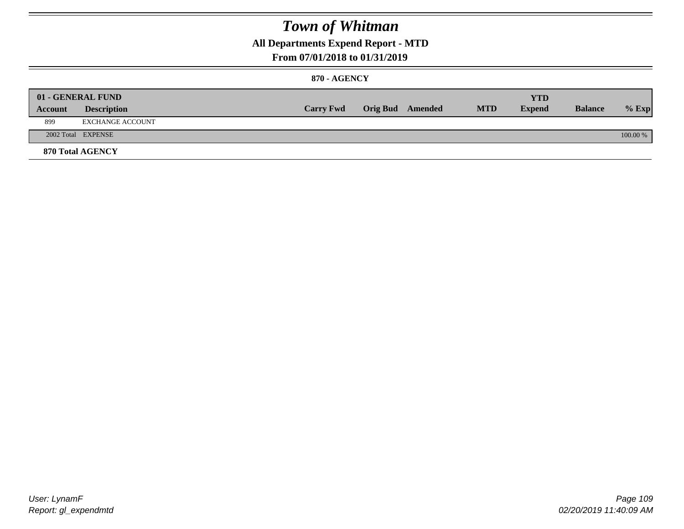### **All Departments Expend Report - MTD**

### **From 07/01/2018 to 01/31/2019**

### **870 - AGENCY**

| Account | 01 - GENERAL FUND<br><b>Description</b> | <b>Carry Fwd</b> | <b>Orig Bud</b> Amended | <b>MTD</b> | <b>YTD</b><br><b>Expend</b> | <b>Balance</b> | $%$ Exp  |
|---------|-----------------------------------------|------------------|-------------------------|------------|-----------------------------|----------------|----------|
| 899     | EXCHANGE ACCOUNT                        |                  |                         |            |                             |                |          |
|         | 2002 Total EXPENSE                      |                  |                         |            |                             |                | 100.00 % |
|         | 870 Total AGENCY                        |                  |                         |            |                             |                |          |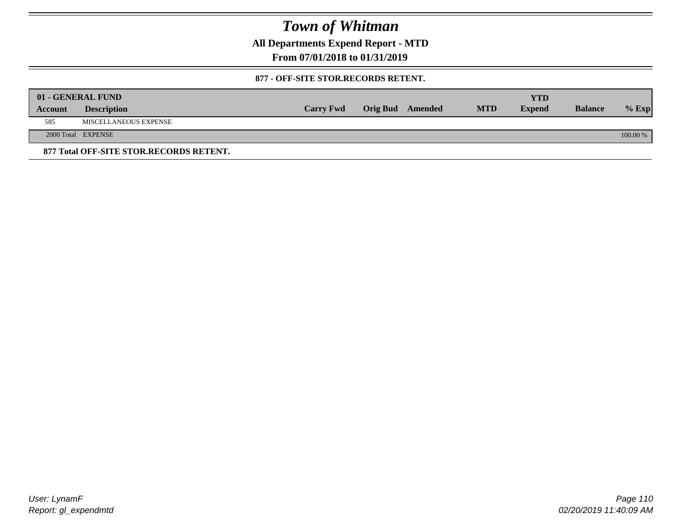**All Departments Expend Report - MTD**

**From 07/01/2018 to 01/31/2019**

#### **877 - OFF-SITE STOR.RECORDS RETENT.**

|         | 01 - GENERAL FUND                       |                  |                         |            | YTD           |                |          |
|---------|-----------------------------------------|------------------|-------------------------|------------|---------------|----------------|----------|
| Account | <b>Description</b>                      | <b>Carry Fwd</b> | <b>Orig Bud</b> Amended | <b>MTD</b> | <b>Expend</b> | <b>Balance</b> | $%$ Exp  |
| 585     | MISCELLANEOUS EXPENSE                   |                  |                         |            |               |                |          |
|         | 2000 Total EXPENSE                      |                  |                         |            |               |                | 100.00 % |
|         | 877 Total OFF-SITE STOR.RECORDS RETENT. |                  |                         |            |               |                |          |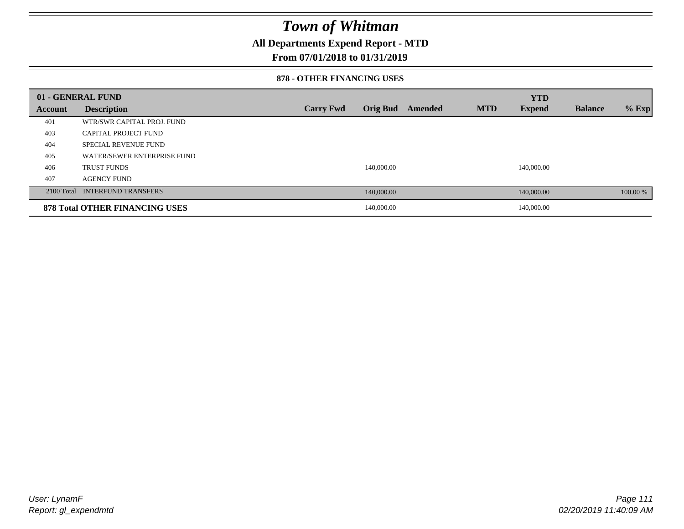### **All Departments Expend Report - MTD**

### **From 07/01/2018 to 01/31/2019**

#### **878 - OTHER FINANCING USES**

|         | 01 - GENERAL FUND                     |                  |                 |         |            | <b>YTD</b>    |                |          |
|---------|---------------------------------------|------------------|-----------------|---------|------------|---------------|----------------|----------|
| Account | <b>Description</b>                    | <b>Carry Fwd</b> | <b>Orig Bud</b> | Amended | <b>MTD</b> | <b>Expend</b> | <b>Balance</b> | $%$ Exp  |
| 401     | WTR/SWR CAPITAL PROJ. FUND            |                  |                 |         |            |               |                |          |
| 403     | CAPITAL PROJECT FUND                  |                  |                 |         |            |               |                |          |
| 404     | <b>SPECIAL REVENUE FUND</b>           |                  |                 |         |            |               |                |          |
| 405     | WATER/SEWER ENTERPRISE FUND           |                  |                 |         |            |               |                |          |
| 406     | <b>TRUST FUNDS</b>                    |                  | 140,000.00      |         |            | 140,000.00    |                |          |
| 407     | <b>AGENCY FUND</b>                    |                  |                 |         |            |               |                |          |
|         | 2100 Total INTERFUND TRANSFERS        |                  | 140,000.00      |         |            | 140,000.00    |                | 100.00 % |
|         | <b>878 Total OTHER FINANCING USES</b> |                  | 140,000.00      |         |            | 140,000.00    |                |          |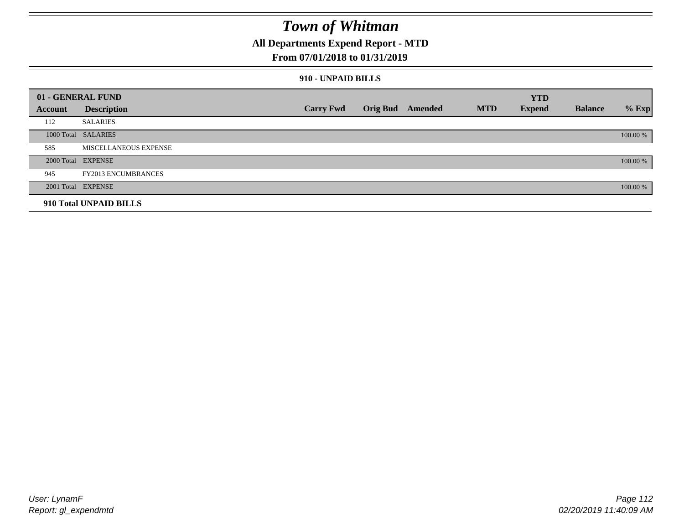## **All Departments Expend Report - MTD**

### **From 07/01/2018 to 01/31/2019**

### **910 - UNPAID BILLS**

|         | 01 - GENERAL FUND            |                  |                  |            | <b>YTD</b>    |                |          |
|---------|------------------------------|------------------|------------------|------------|---------------|----------------|----------|
| Account | <b>Description</b>           | <b>Carry Fwd</b> | Orig Bud Amended | <b>MTD</b> | <b>Expend</b> | <b>Balance</b> | $%$ Exp  |
| 112     | <b>SALARIES</b>              |                  |                  |            |               |                |          |
|         | 1000 Total SALARIES          |                  |                  |            |               |                | 100.00 % |
| 585     | <b>MISCELLANEOUS EXPENSE</b> |                  |                  |            |               |                |          |
|         | 2000 Total EXPENSE           |                  |                  |            |               |                | 100.00 % |
| 945     | <b>FY2013 ENCUMBRANCES</b>   |                  |                  |            |               |                |          |
|         | 2001 Total EXPENSE           |                  |                  |            |               |                | 100.00 % |
|         | 910 Total UNPAID BILLS       |                  |                  |            |               |                |          |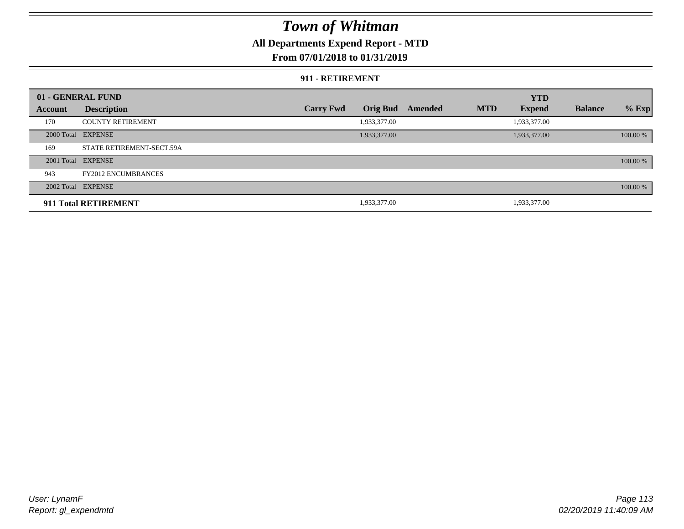### **All Departments Expend Report - MTD**

### **From 07/01/2018 to 01/31/2019**

#### **911 - RETIREMENT**

|         | 01 - GENERAL FUND          |                  |                 |         |            | <b>YTD</b>    |                |          |
|---------|----------------------------|------------------|-----------------|---------|------------|---------------|----------------|----------|
| Account | <b>Description</b>         | <b>Carry Fwd</b> | <b>Orig Bud</b> | Amended | <b>MTD</b> | <b>Expend</b> | <b>Balance</b> | $%$ Exp  |
| 170     | <b>COUNTY RETIREMENT</b>   |                  | 1,933,377.00    |         |            | 1,933,377.00  |                |          |
|         | 2000 Total EXPENSE         |                  | 1,933,377.00    |         |            | 1,933,377.00  |                | 100.00 % |
| 169     | STATE RETIREMENT-SECT.59A  |                  |                 |         |            |               |                |          |
|         | 2001 Total EXPENSE         |                  |                 |         |            |               |                | 100.00 % |
| 943     | <b>FY2012 ENCUMBRANCES</b> |                  |                 |         |            |               |                |          |
|         | 2002 Total EXPENSE         |                  |                 |         |            |               |                | 100.00 % |
|         | 911 Total RETIREMENT       |                  | 1,933,377.00    |         |            | 1,933,377.00  |                |          |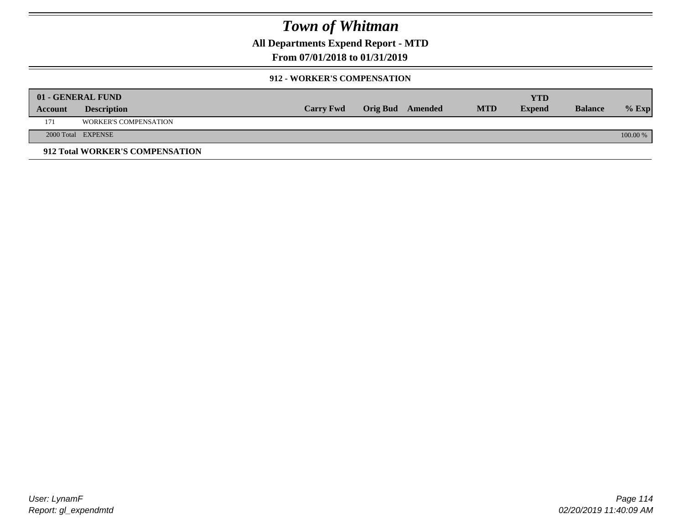**All Departments Expend Report - MTD**

### **From 07/01/2018 to 01/31/2019**

### **912 - WORKER'S COMPENSATION**

|         | 01 - GENERAL FUND               |                  |                         |            | YTD           |                |            |
|---------|---------------------------------|------------------|-------------------------|------------|---------------|----------------|------------|
| Account | <b>Description</b>              | <b>Carry Fwd</b> | <b>Orig Bud</b> Amended | <b>MTD</b> | <b>Expend</b> | <b>Balance</b> | $%$ Exp    |
| 171     | <b>WORKER'S COMPENSATION</b>    |                  |                         |            |               |                |            |
|         | 2000 Total EXPENSE              |                  |                         |            |               |                | $100.00\%$ |
|         | 912 Total WORKER'S COMPENSATION |                  |                         |            |               |                |            |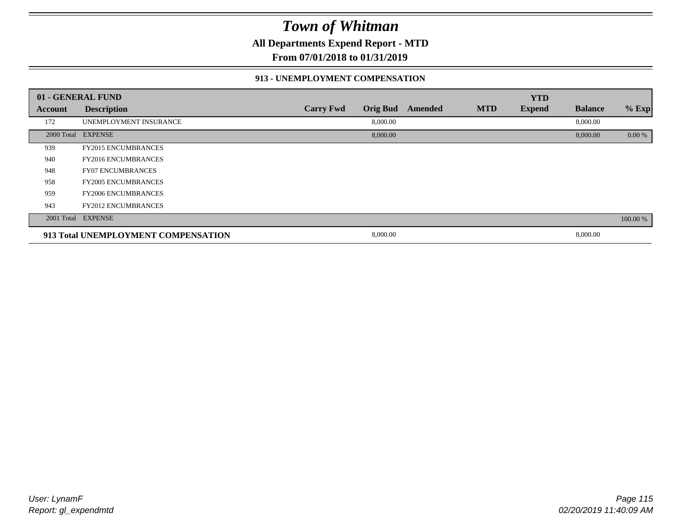**All Departments Expend Report - MTD**

**From 07/01/2018 to 01/31/2019**

#### **913 - UNEMPLOYMENT COMPENSATION**

|         | 01 - GENERAL FUND                   |                  |                 |         |            | <b>YTD</b>    |                |          |
|---------|-------------------------------------|------------------|-----------------|---------|------------|---------------|----------------|----------|
| Account | <b>Description</b>                  | <b>Carry Fwd</b> | <b>Orig Bud</b> | Amended | <b>MTD</b> | <b>Expend</b> | <b>Balance</b> | % Exp    |
| 172     | UNEMPLOYMENT INSURANCE              |                  | 8,000.00        |         |            |               | 8,000.00       |          |
|         | 2000 Total EXPENSE                  |                  | 8,000.00        |         |            |               | 8,000.00       | 0.00 %   |
| 939     | <b>FY2015 ENCUMBRANCES</b>          |                  |                 |         |            |               |                |          |
| 940     | <b>FY2016 ENCUMBRANCES</b>          |                  |                 |         |            |               |                |          |
| 948     | <b>FY07 ENCUMBRANCES</b>            |                  |                 |         |            |               |                |          |
| 958     | <b>FY2005 ENCUMBRANCES</b>          |                  |                 |         |            |               |                |          |
| 959     | <b>FY2006 ENCUMBRANCES</b>          |                  |                 |         |            |               |                |          |
| 943     | <b>FY2012 ENCUMBRANCES</b>          |                  |                 |         |            |               |                |          |
|         | 2001 Total EXPENSE                  |                  |                 |         |            |               |                | 100.00 % |
|         | 913 Total UNEMPLOYMENT COMPENSATION |                  | 8,000.00        |         |            |               | 8,000.00       |          |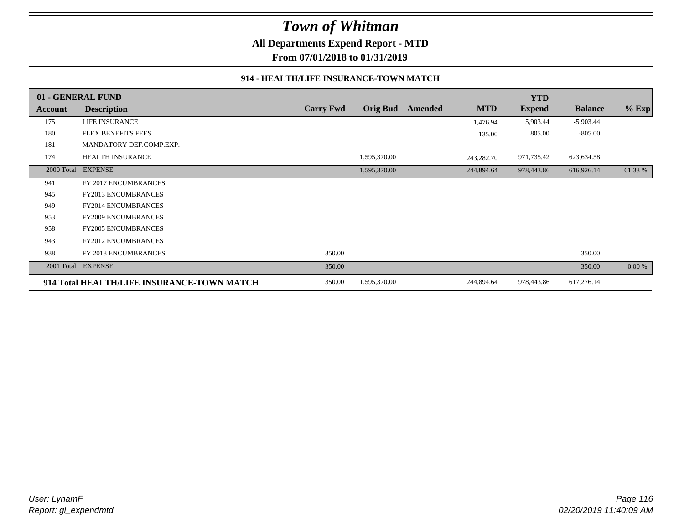## *Town of Whitman* **All Departments Expend Report - MTD**

**From 07/01/2018 to 01/31/2019**

#### **914 - HEALTH/LIFE INSURANCE-TOWN MATCH**

|            | 01 - GENERAL FUND                          |                  |                 |         |            | <b>YTD</b>    |                |         |
|------------|--------------------------------------------|------------------|-----------------|---------|------------|---------------|----------------|---------|
| Account    | <b>Description</b>                         | <b>Carry Fwd</b> | <b>Orig Bud</b> | Amended | <b>MTD</b> | <b>Expend</b> | <b>Balance</b> | $%$ Exp |
| 175        | <b>LIFE INSURANCE</b>                      |                  |                 |         | 1,476.94   | 5,903.44      | $-5,903.44$    |         |
| 180        | <b>FLEX BENEFITS FEES</b>                  |                  |                 |         | 135.00     | 805.00        | $-805.00$      |         |
| 181        | MANDATORY DEF.COMP.EXP.                    |                  |                 |         |            |               |                |         |
| 174        | <b>HEALTH INSURANCE</b>                    |                  | 1,595,370.00    |         | 243,282.70 | 971,735.42    | 623,634.58     |         |
| 2000 Total | <b>EXPENSE</b>                             |                  | 1,595,370.00    |         | 244,894.64 | 978,443.86    | 616,926.14     | 61.33 % |
| 941        | FY 2017 ENCUMBRANCES                       |                  |                 |         |            |               |                |         |
| 945        | <b>FY2013 ENCUMBRANCES</b>                 |                  |                 |         |            |               |                |         |
| 949        | <b>FY2014 ENCUMBRANCES</b>                 |                  |                 |         |            |               |                |         |
| 953        | <b>FY2009 ENCUMBRANCES</b>                 |                  |                 |         |            |               |                |         |
| 958        | <b>FY2005 ENCUMBRANCES</b>                 |                  |                 |         |            |               |                |         |
| 943        | <b>FY2012 ENCUMBRANCES</b>                 |                  |                 |         |            |               |                |         |
| 938        | FY 2018 ENCUMBRANCES                       | 350.00           |                 |         |            |               | 350.00         |         |
| 2001 Total | <b>EXPENSE</b>                             | 350.00           |                 |         |            |               | 350.00         | 0.00 %  |
|            | 914 Total HEALTH/LIFE INSURANCE-TOWN MATCH | 350.00           | 1,595,370.00    |         | 244,894.64 | 978,443.86    | 617,276.14     |         |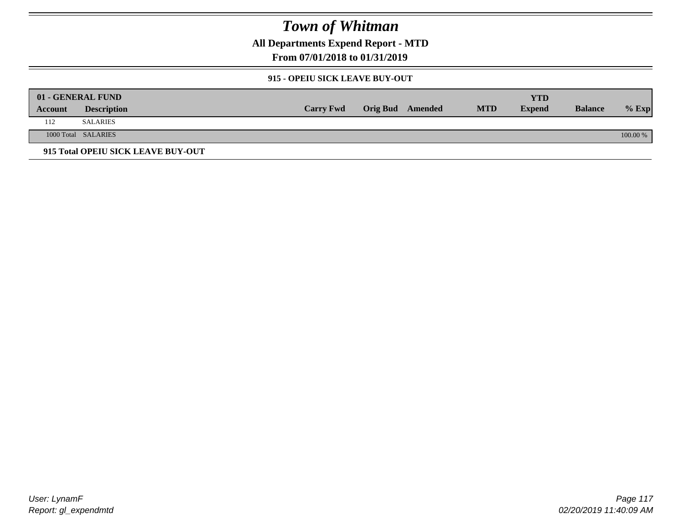**All Departments Expend Report - MTD**

**From 07/01/2018 to 01/31/2019**

### **915 - OPEIU SICK LEAVE BUY-OUT**

|         | 01 - GENERAL FUND                  |                  |                         |            | YTD           |                |            |
|---------|------------------------------------|------------------|-------------------------|------------|---------------|----------------|------------|
| Account | <b>Description</b>                 | <b>Carry Fwd</b> | <b>Orig Bud</b> Amended | <b>MTD</b> | <b>Expend</b> | <b>Balance</b> | $%$ Exp    |
| 112     | <b>SALARIES</b>                    |                  |                         |            |               |                |            |
|         | 1000 Total SALARIES                |                  |                         |            |               |                | $100.00\%$ |
|         | 915 Total OPEIU SICK LEAVE BUY-OUT |                  |                         |            |               |                |            |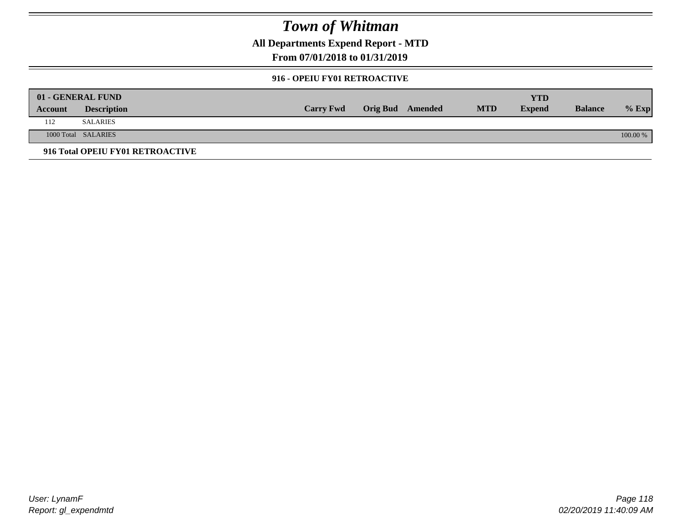**All Departments Expend Report - MTD**

### **From 07/01/2018 to 01/31/2019**

#### **916 - OPEIU FY01 RETROACTIVE**

|         | 01 - GENERAL FUND                |                  |                         |            | YTD           |                |          |
|---------|----------------------------------|------------------|-------------------------|------------|---------------|----------------|----------|
| Account | <b>Description</b>               | <b>Carry Fwd</b> | <b>Orig Bud</b> Amended | <b>MTD</b> | <b>Expend</b> | <b>Balance</b> | $%$ Exp  |
| 112     | <b>SALARIES</b>                  |                  |                         |            |               |                |          |
|         | 1000 Total SALARIES              |                  |                         |            |               |                | 100.00 % |
|         | 916 Total OPEIU FY01 RETROACTIVE |                  |                         |            |               |                |          |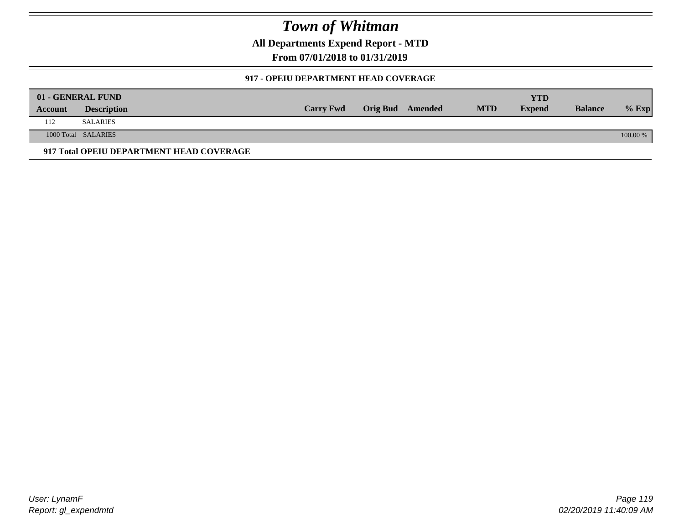**All Departments Expend Report - MTD**

**From 07/01/2018 to 01/31/2019**

### **917 - OPEIU DEPARTMENT HEAD COVERAGE**

|         | 01 - GENERAL FUND                        |                  |                  |            | YTD           |                |          |
|---------|------------------------------------------|------------------|------------------|------------|---------------|----------------|----------|
| Account | <b>Description</b>                       | <b>Carry Fwd</b> | Orig Bud Amended | <b>MTD</b> | <b>Expend</b> | <b>Balance</b> | $%$ Exp  |
| 112     | <b>SALARIES</b>                          |                  |                  |            |               |                |          |
|         | 1000 Total SALARIES                      |                  |                  |            |               |                | 100.00 % |
|         | 917 Total OPEIU DEPARTMENT HEAD COVERAGE |                  |                  |            |               |                |          |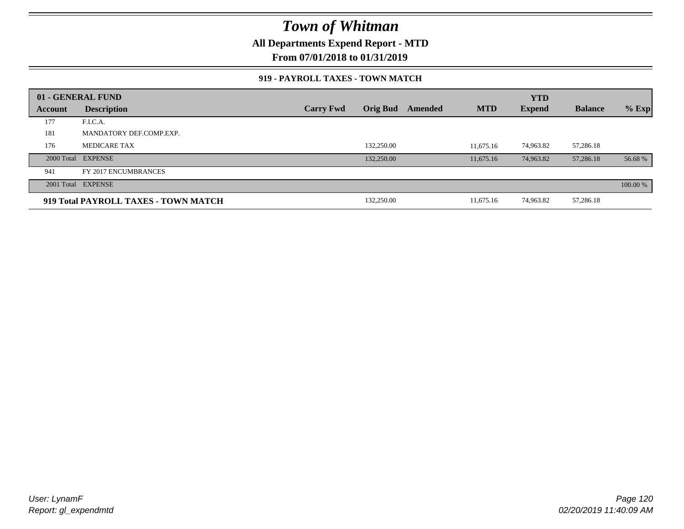**All Departments Expend Report - MTD**

**From 07/01/2018 to 01/31/2019**

### **919 - PAYROLL TAXES - TOWN MATCH**

|         | 01 - GENERAL FUND                    |                  |                 |         |            | <b>YTD</b>    |                |          |
|---------|--------------------------------------|------------------|-----------------|---------|------------|---------------|----------------|----------|
| Account | <b>Description</b>                   | <b>Carry Fwd</b> | <b>Orig Bud</b> | Amended | <b>MTD</b> | <b>Expend</b> | <b>Balance</b> | $%$ Exp  |
| 177     | F.I.C.A.                             |                  |                 |         |            |               |                |          |
| 181     | MANDATORY DEF.COMP.EXP.              |                  |                 |         |            |               |                |          |
| 176     | <b>MEDICARE TAX</b>                  |                  | 132,250.00      |         | 11.675.16  | 74,963.82     | 57,286.18      |          |
|         | 2000 Total EXPENSE                   |                  | 132,250.00      |         | 11,675.16  | 74,963.82     | 57,286.18      | 56.68 %  |
| 941     | FY 2017 ENCUMBRANCES                 |                  |                 |         |            |               |                |          |
|         | 2001 Total EXPENSE                   |                  |                 |         |            |               |                | 100.00 % |
|         | 919 Total PAYROLL TAXES - TOWN MATCH |                  | 132,250.00      |         | 11,675.16  | 74,963.82     | 57,286.18      |          |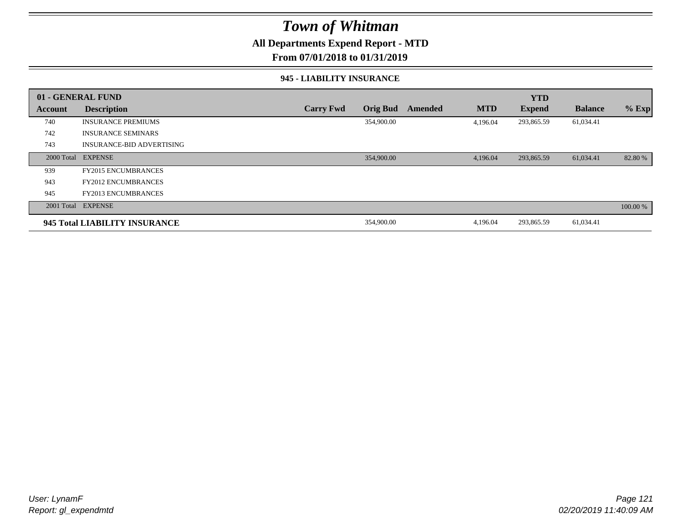### **All Departments Expend Report - MTD**

### **From 07/01/2018 to 01/31/2019**

#### **945 - LIABILITY INSURANCE**

|         | 01 - GENERAL FUND                |                  |                 |         |            | <b>YTD</b>    |                |          |
|---------|----------------------------------|------------------|-----------------|---------|------------|---------------|----------------|----------|
| Account | <b>Description</b>               | <b>Carry Fwd</b> | <b>Orig Bud</b> | Amended | <b>MTD</b> | <b>Expend</b> | <b>Balance</b> | $%$ Exp  |
| 740     | <b>INSURANCE PREMIUMS</b>        |                  | 354,900.00      |         | 4,196.04   | 293,865.59    | 61,034.41      |          |
| 742     | <b>INSURANCE SEMINARS</b>        |                  |                 |         |            |               |                |          |
| 743     | <b>INSURANCE-BID ADVERTISING</b> |                  |                 |         |            |               |                |          |
|         | 2000 Total EXPENSE               |                  | 354,900.00      |         | 4,196.04   | 293,865.59    | 61,034.41      | 82.80 %  |
| 939     | <b>FY2015 ENCUMBRANCES</b>       |                  |                 |         |            |               |                |          |
| 943     | <b>FY2012 ENCUMBRANCES</b>       |                  |                 |         |            |               |                |          |
| 945     | <b>FY2013 ENCUMBRANCES</b>       |                  |                 |         |            |               |                |          |
|         | 2001 Total EXPENSE               |                  |                 |         |            |               |                | 100.00 % |
|         | 945 Total LIABILITY INSURANCE    |                  | 354,900.00      |         | 4,196.04   | 293,865.59    | 61,034.41      |          |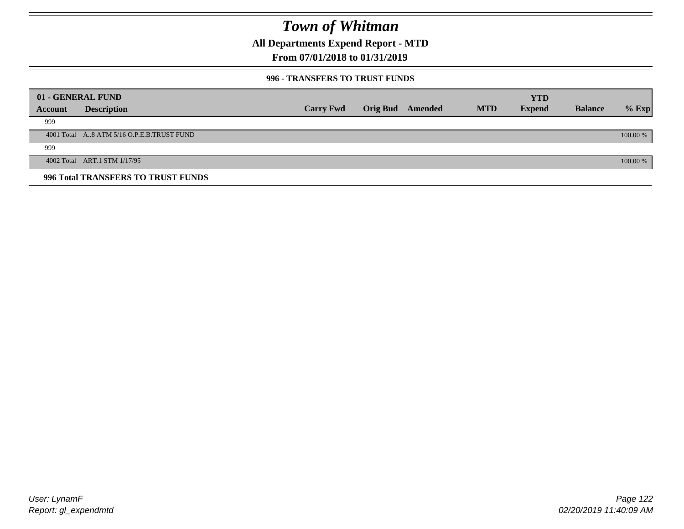**All Departments Expend Report - MTD**

### **From 07/01/2018 to 01/31/2019**

### **996 - TRANSFERS TO TRUST FUNDS**

|         | 01 - GENERAL FUND                         |                  |                 |         |            | <b>YTD</b>    |                |            |
|---------|-------------------------------------------|------------------|-----------------|---------|------------|---------------|----------------|------------|
| Account | <b>Description</b>                        | <b>Carry Fwd</b> | <b>Orig Bud</b> | Amended | <b>MTD</b> | <b>Expend</b> | <b>Balance</b> | $%$ Exp    |
| 999     |                                           |                  |                 |         |            |               |                |            |
|         | 4001 Total A8 ATM 5/16 O.P.E.B.TRUST FUND |                  |                 |         |            |               |                | $100.00\%$ |
| 999     |                                           |                  |                 |         |            |               |                |            |
|         | 4002 Total ART.1 STM 1/17/95              |                  |                 |         |            |               |                | 100.00 %   |
|         | 996 Total TRANSFERS TO TRUST FUNDS        |                  |                 |         |            |               |                |            |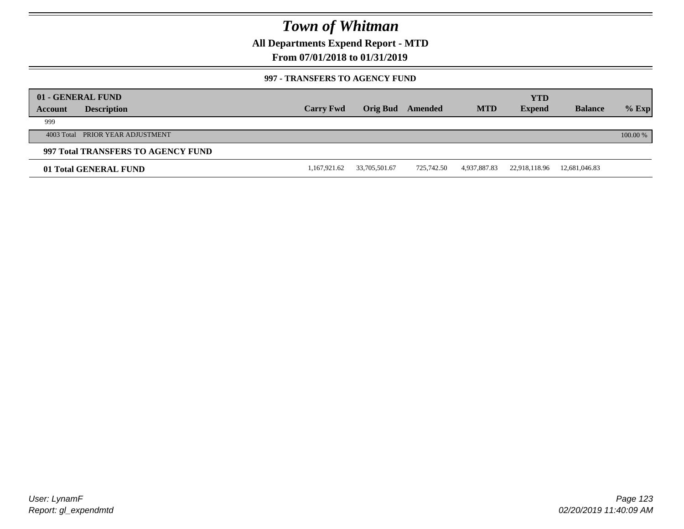**All Departments Expend Report - MTD**

### **From 07/01/2018 to 01/31/2019**

### **997 - TRANSFERS TO AGENCY FUND**

|         | 01 - GENERAL FUND<br><b>Description</b> | <b>Carry Fwd</b> | Orig Bud      | Amended    | <b>MTD</b>   | <b>YTD</b><br><b>Expend</b> | <b>Balance</b> | $%$ Exp  |
|---------|-----------------------------------------|------------------|---------------|------------|--------------|-----------------------------|----------------|----------|
| Account |                                         |                  |               |            |              |                             |                |          |
| 999     |                                         |                  |               |            |              |                             |                |          |
|         | 4003 Total PRIOR YEAR ADJUSTMENT        |                  |               |            |              |                             |                | 100.00 % |
|         | 997 Total TRANSFERS TO AGENCY FUND      |                  |               |            |              |                             |                |          |
|         | 01 Total GENERAL FUND                   | 1,167,921.62     | 33,705,501.67 | 725,742.50 | 4,937,887.83 | 22,918,118.96               | 12,681,046.83  |          |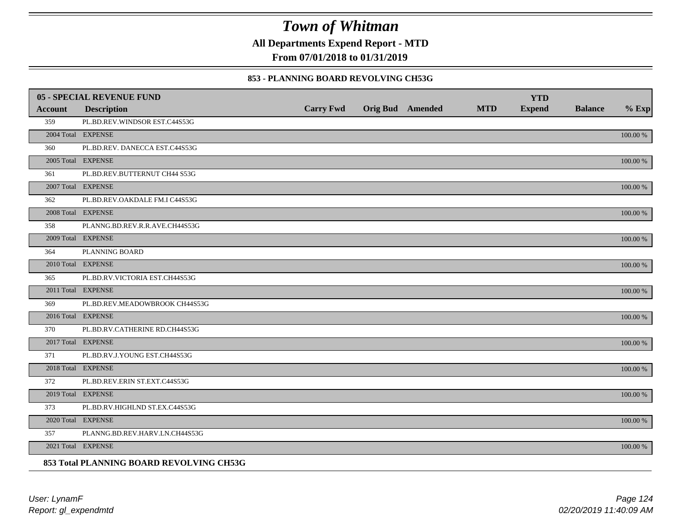**All Departments Expend Report - MTD**

**From 07/01/2018 to 01/31/2019**

### **853 - PLANNING BOARD REVOLVING CH53G**

|         | 05 - SPECIAL REVENUE FUND                |                  |                         |            | <b>YTD</b>    |                |             |
|---------|------------------------------------------|------------------|-------------------------|------------|---------------|----------------|-------------|
| Account | <b>Description</b>                       | <b>Carry Fwd</b> | <b>Orig Bud</b> Amended | <b>MTD</b> | <b>Expend</b> | <b>Balance</b> | $%$ Exp     |
| 359     | PL.BD.REV.WINDSOR EST.C44S53G            |                  |                         |            |               |                |             |
|         | 2004 Total EXPENSE                       |                  |                         |            |               |                | 100.00 %    |
| 360     | PL.BD.REV. DANECCA EST.C44S53G           |                  |                         |            |               |                |             |
|         | 2005 Total EXPENSE                       |                  |                         |            |               |                | 100.00 %    |
| 361     | PL.BD.REV.BUTTERNUT CH44 S53G            |                  |                         |            |               |                |             |
|         | 2007 Total EXPENSE                       |                  |                         |            |               |                | $100.00~\%$ |
| 362     | PL.BD.REV.OAKDALE FM.I C44S53G           |                  |                         |            |               |                |             |
|         | 2008 Total EXPENSE                       |                  |                         |            |               |                | $100.00~\%$ |
| 358     | PLANNG.BD.REV.R.R.AVE.CH44S53G           |                  |                         |            |               |                |             |
|         | 2009 Total EXPENSE                       |                  |                         |            |               |                | 100.00 %    |
| 364     | PLANNING BOARD                           |                  |                         |            |               |                |             |
|         | 2010 Total EXPENSE                       |                  |                         |            |               |                | 100.00 %    |
| 365     | PL.BD.RV.VICTORIA EST.CH44S53G           |                  |                         |            |               |                |             |
|         | 2011 Total EXPENSE                       |                  |                         |            |               |                | 100.00 %    |
| 369     | PL.BD.REV.MEADOWBROOK CH44S53G           |                  |                         |            |               |                |             |
|         | 2016 Total EXPENSE                       |                  |                         |            |               |                | 100.00 %    |
| 370     | PL.BD.RV.CATHERINE RD.CH44S53G           |                  |                         |            |               |                |             |
|         | 2017 Total EXPENSE                       |                  |                         |            |               |                | 100.00 %    |
| 371     | PL.BD.RV.J.YOUNG EST.CH44S53G            |                  |                         |            |               |                |             |
|         | 2018 Total EXPENSE                       |                  |                         |            |               |                | $100.00~\%$ |
| 372     | PL.BD.REV.ERIN ST.EXT.C44S53G            |                  |                         |            |               |                |             |
|         | 2019 Total EXPENSE                       |                  |                         |            |               |                | 100.00 %    |
| 373     | PL.BD.RV.HIGHLND ST.EX.C44S53G           |                  |                         |            |               |                |             |
|         | 2020 Total EXPENSE                       |                  |                         |            |               |                | 100.00 %    |
| 357     | PLANNG.BD.REV.HARV.LN.CH44S53G           |                  |                         |            |               |                |             |
|         | 2021 Total EXPENSE                       |                  |                         |            |               |                | 100.00 %    |
|         | 853 Total PLANNING BOARD REVOLVING CH53G |                  |                         |            |               |                |             |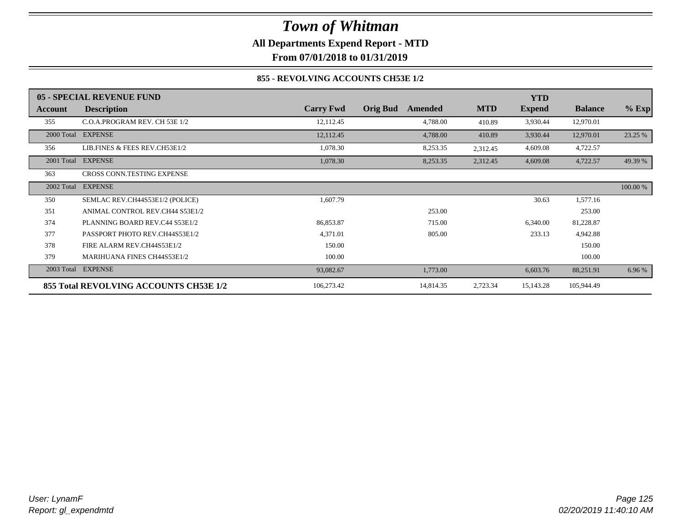## *Town of Whitman* **All Departments Expend Report - MTD From 07/01/2018 to 01/31/2019**

### **855 - REVOLVING ACCOUNTS CH53E 1/2**

|            | 05 - SPECIAL REVENUE FUND              |                  |                            |            | <b>YTD</b>    |                |          |
|------------|----------------------------------------|------------------|----------------------------|------------|---------------|----------------|----------|
| Account    | <b>Description</b>                     | <b>Carry Fwd</b> | <b>Orig Bud</b><br>Amended | <b>MTD</b> | <b>Expend</b> | <b>Balance</b> | $%$ Exp  |
| 355        | C.O.A.PROGRAM REV. CH 53E 1/2          | 12,112.45        | 4,788.00                   | 410.89     | 3,930.44      | 12,970.01      |          |
|            | 2000 Total EXPENSE                     | 12,112.45        | 4,788.00                   | 410.89     | 3,930.44      | 12,970.01      | 23.25 %  |
| 356        | LIB.FINES & FEES REV.CH53E1/2          | 1,078.30         | 8,253.35                   | 2,312.45   | 4,609.08      | 4,722.57       |          |
| 2001 Total | <b>EXPENSE</b>                         | 1,078.30         | 8,253.35                   | 2,312.45   | 4,609.08      | 4,722.57       | 49.39 %  |
| 363        | CROSS CONN.TESTING EXPENSE             |                  |                            |            |               |                |          |
| 2002 Total | <b>EXPENSE</b>                         |                  |                            |            |               |                | 100.00 % |
| 350        | SEMLAC REV.CH44S53E1/2 (POLICE)        | 1,607.79         |                            |            | 30.63         | 1,577.16       |          |
| 351        | ANIMAL CONTROL REV.CH44 S53E1/2        |                  | 253.00                     |            |               | 253.00         |          |
| 374        | PLANNING BOARD REV.C44 S53E1/2         | 86,853.87        | 715.00                     |            | 6,340.00      | 81,228.87      |          |
| 377        | PASSPORT PHOTO REV.CH44S53E1/2         | 4,371.01         | 805.00                     |            | 233.13        | 4,942.88       |          |
| 378        | FIRE ALARM REV.CH44S53E1/2             | 150.00           |                            |            |               | 150.00         |          |
| 379        | <b>MARIHUANA FINES CH44S53E1/2</b>     | 100.00           |                            |            |               | 100.00         |          |
| 2003 Total | <b>EXPENSE</b>                         | 93,082.67        | 1,773.00                   |            | 6,603.76      | 88,251.91      | 6.96 %   |
|            | 855 Total REVOLVING ACCOUNTS CH53E 1/2 | 106,273.42       | 14,814.35                  | 2,723.34   | 15,143.28     | 105,944.49     |          |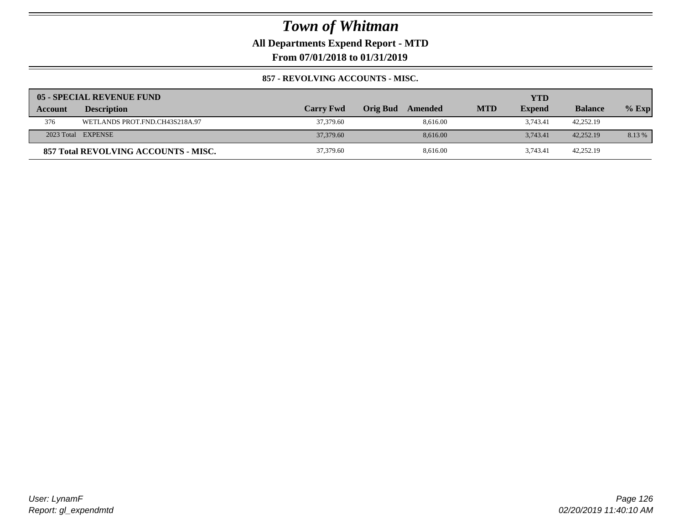## **All Departments Expend Report - MTD**

**From 07/01/2018 to 01/31/2019**

### **857 - REVOLVING ACCOUNTS - MISC.**

|         | 05 - SPECIAL REVENUE FUND            |                  |                     |            | YTD           |                |         |
|---------|--------------------------------------|------------------|---------------------|------------|---------------|----------------|---------|
| Account | <b>Description</b>                   | <b>Carry Fwd</b> | Orig Bud<br>Amended | <b>MTD</b> | <b>Expend</b> | <b>Balance</b> | $%$ Exp |
| 376     | WETLANDS PROT.FND.CH43S218A.97       | 37,379.60        | 8.616.00            |            | 3.743.41      | 42,252.19      |         |
|         | 2023 Total EXPENSE                   | 37,379.60        | 8.616.00            |            | 3.743.41      | 42,252.19      | 8.13 %  |
|         | 857 Total REVOLVING ACCOUNTS - MISC. | 37,379.60        | 8.616.00            |            | 3.743.41      | 42,252.19      |         |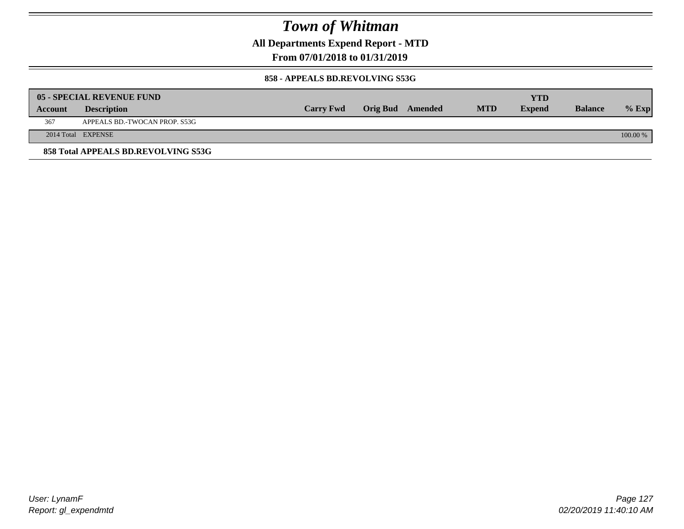**All Departments Expend Report - MTD**

**From 07/01/2018 to 01/31/2019**

#### **858 - APPEALS BD.REVOLVING S53G**

|         | 05 - SPECIAL REVENUE FUND           |                  |                  |            | YTD           |                |            |
|---------|-------------------------------------|------------------|------------------|------------|---------------|----------------|------------|
| Account | <b>Description</b>                  | <b>Carry Fwd</b> | Orig Bud Amended | <b>MTD</b> | <b>Expend</b> | <b>Balance</b> | $\%$ Exp   |
| 367     | APPEALS BD.-TWOCAN PROP. S53G       |                  |                  |            |               |                |            |
|         | 2014 Total EXPENSE                  |                  |                  |            |               |                | $100.00\%$ |
|         | 858 Total APPEALS BD.REVOLVING S53G |                  |                  |            |               |                |            |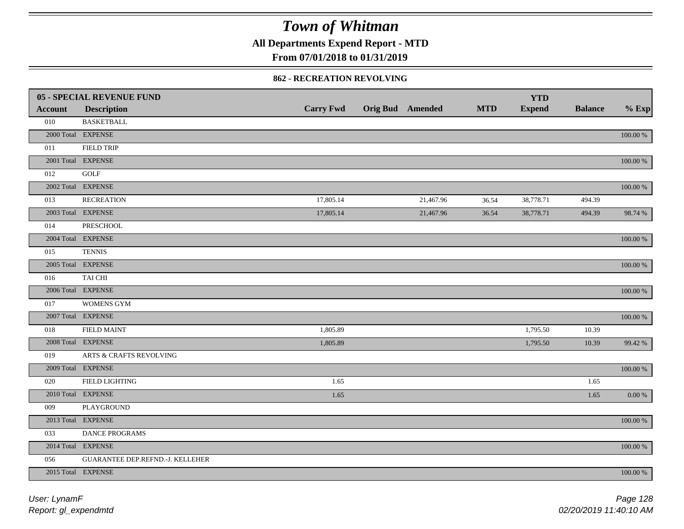**All Departments Expend Report - MTD**

### **From 07/01/2018 to 01/31/2019**

#### **862 - RECREATION REVOLVING**

|                | <b>05 - SPECIAL REVENUE FUND</b> |                  |                         |            | <b>YTD</b>    |                |             |
|----------------|----------------------------------|------------------|-------------------------|------------|---------------|----------------|-------------|
| <b>Account</b> | <b>Description</b>               | <b>Carry Fwd</b> | <b>Orig Bud Amended</b> | <b>MTD</b> | <b>Expend</b> | <b>Balance</b> | $%$ Exp     |
| 010            | <b>BASKETBALL</b>                |                  |                         |            |               |                |             |
|                | 2000 Total EXPENSE               |                  |                         |            |               |                | $100.00~\%$ |
| 011            | <b>FIELD TRIP</b>                |                  |                         |            |               |                |             |
|                | 2001 Total EXPENSE               |                  |                         |            |               |                | $100.00~\%$ |
| 012            | <b>GOLF</b>                      |                  |                         |            |               |                |             |
|                | 2002 Total EXPENSE               |                  |                         |            |               |                | $100.00~\%$ |
| 013            | <b>RECREATION</b>                | 17,805.14        | 21,467.96               | 36.54      | 38,778.71     | 494.39         |             |
|                | 2003 Total EXPENSE               | 17,805.14        | 21,467.96               | 36.54      | 38,778.71     | 494.39         | 98.74 %     |
| 014            | <b>PRESCHOOL</b>                 |                  |                         |            |               |                |             |
|                | 2004 Total EXPENSE               |                  |                         |            |               |                | 100.00 %    |
| 015            | <b>TENNIS</b>                    |                  |                         |            |               |                |             |
|                | 2005 Total EXPENSE               |                  |                         |            |               |                | 100.00 %    |
| 016            | TAI CHI                          |                  |                         |            |               |                |             |
|                | 2006 Total EXPENSE               |                  |                         |            |               |                | 100.00 %    |
| 017            | <b>WOMENS GYM</b>                |                  |                         |            |               |                |             |
|                | 2007 Total EXPENSE               |                  |                         |            |               |                | $100.00~\%$ |
| 018            | <b>FIELD MAINT</b>               | 1,805.89         |                         |            | 1,795.50      | 10.39          |             |
|                | 2008 Total EXPENSE               | 1,805.89         |                         |            | 1,795.50      | 10.39          | 99.42 %     |
| 019            | ARTS & CRAFTS REVOLVING          |                  |                         |            |               |                |             |
|                | 2009 Total EXPENSE               |                  |                         |            |               |                | $100.00~\%$ |
| 020            | <b>FIELD LIGHTING</b>            | 1.65             |                         |            |               | 1.65           |             |
|                | 2010 Total EXPENSE               | 1.65             |                         |            |               | 1.65           | 0.00 %      |
| 009            | PLAYGROUND                       |                  |                         |            |               |                |             |
|                | 2013 Total EXPENSE               |                  |                         |            |               |                | $100.00~\%$ |
| 033            | DANCE PROGRAMS                   |                  |                         |            |               |                |             |
|                | 2014 Total EXPENSE               |                  |                         |            |               |                | $100.00~\%$ |
| 056            | GUARANTEE DEP.REFND.-J. KELLEHER |                  |                         |            |               |                |             |
|                | 2015 Total EXPENSE               |                  |                         |            |               |                | 100.00 %    |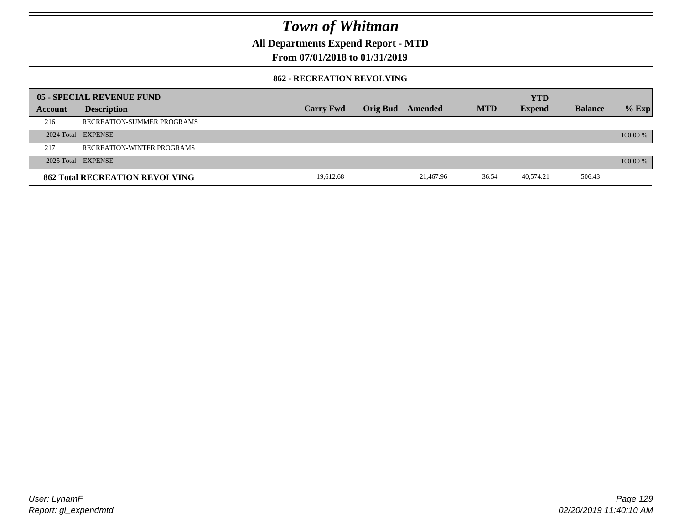**All Departments Expend Report - MTD**

### **From 07/01/2018 to 01/31/2019**

### **862 - RECREATION REVOLVING**

|         | 05 - SPECIAL REVENUE FUND             |                  |                 |           |            | <b>YTD</b>    |                |            |
|---------|---------------------------------------|------------------|-----------------|-----------|------------|---------------|----------------|------------|
| Account | <b>Description</b>                    | <b>Carry Fwd</b> | <b>Orig Bud</b> | Amended   | <b>MTD</b> | <b>Expend</b> | <b>Balance</b> | $%$ Exp    |
| 216     | RECREATION-SUMMER PROGRAMS            |                  |                 |           |            |               |                |            |
|         | 2024 Total EXPENSE                    |                  |                 |           |            |               |                | $100.00\%$ |
| 217     | RECREATION-WINTER PROGRAMS            |                  |                 |           |            |               |                |            |
|         | 2025 Total EXPENSE                    |                  |                 |           |            |               |                | 100.00 %   |
|         | <b>862 Total RECREATION REVOLVING</b> | 19,612.68        |                 | 21.467.96 | 36.54      | 40,574.21     | 506.43         |            |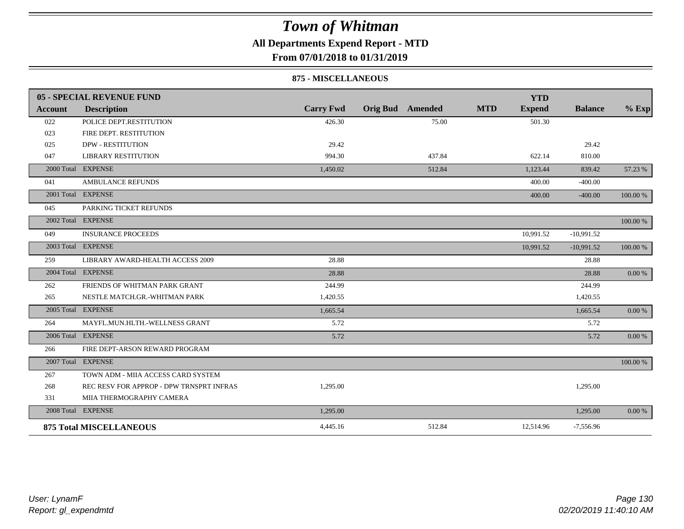## **All Departments Expend Report - MTD**

### **From 07/01/2018 to 01/31/2019**

#### **875 - MISCELLANEOUS**

|         | 05 - SPECIAL REVENUE FUND                |                  |                         |        |            | <b>YTD</b>    |                |           |
|---------|------------------------------------------|------------------|-------------------------|--------|------------|---------------|----------------|-----------|
| Account | <b>Description</b>                       | <b>Carry Fwd</b> | <b>Orig Bud</b> Amended |        | <b>MTD</b> | <b>Expend</b> | <b>Balance</b> | $%$ Exp   |
| 022     | POLICE DEPT.RESTITUTION                  | 426.30           |                         | 75.00  |            | 501.30        |                |           |
| 023     | FIRE DEPT. RESTITUTION                   |                  |                         |        |            |               |                |           |
| 025     | <b>DPW - RESTITUTION</b>                 | 29.42            |                         |        |            |               | 29.42          |           |
| 047     | <b>LIBRARY RESTITUTION</b>               | 994.30           |                         | 437.84 |            | 622.14        | 810.00         |           |
|         | 2000 Total EXPENSE                       | 1,450.02         |                         | 512.84 |            | 1,123.44      | 839.42         | 57.23 %   |
| 041     | <b>AMBULANCE REFUNDS</b>                 |                  |                         |        |            | 400.00        | $-400.00$      |           |
|         | 2001 Total EXPENSE                       |                  |                         |        |            | 400.00        | $-400.00$      | 100.00 %  |
| 045     | PARKING TICKET REFUNDS                   |                  |                         |        |            |               |                |           |
|         | 2002 Total EXPENSE                       |                  |                         |        |            |               |                | 100.00 %  |
| 049     | <b>INSURANCE PROCEEDS</b>                |                  |                         |        |            | 10,991.52     | $-10,991.52$   |           |
|         | 2003 Total EXPENSE                       |                  |                         |        |            | 10,991.52     | $-10,991.52$   | 100.00 %  |
| 259     | LIBRARY AWARD-HEALTH ACCESS 2009         | 28.88            |                         |        |            |               | 28.88          |           |
|         | 2004 Total EXPENSE                       | 28.88            |                         |        |            |               | 28.88          | $0.00~\%$ |
| 262     | FRIENDS OF WHITMAN PARK GRANT            | 244.99           |                         |        |            |               | 244.99         |           |
| 265     | NESTLE MATCH.GR.-WHITMAN PARK            | 1,420.55         |                         |        |            |               | 1,420.55       |           |
|         | 2005 Total EXPENSE                       | 1.665.54         |                         |        |            |               | 1,665.54       | 0.00 %    |
| 264     | MAYFL.MUN.HLTH.-WELLNESS GRANT           | 5.72             |                         |        |            |               | 5.72           |           |
|         | 2006 Total EXPENSE                       | 5.72             |                         |        |            |               | 5.72           | 0.00 %    |
| 266     | FIRE DEPT-ARSON REWARD PROGRAM           |                  |                         |        |            |               |                |           |
|         | 2007 Total EXPENSE                       |                  |                         |        |            |               |                | 100.00 %  |
| 267     | TOWN ADM - MIIA ACCESS CARD SYSTEM       |                  |                         |        |            |               |                |           |
| 268     | REC RESV FOR APPROP - DPW TRNSPRT INFRAS | 1,295.00         |                         |        |            |               | 1,295.00       |           |
| 331     | MIIA THERMOGRAPHY CAMERA                 |                  |                         |        |            |               |                |           |
|         | 2008 Total EXPENSE                       | 1,295.00         |                         |        |            |               | 1,295.00       | $0.00 \%$ |
|         | <b>875 Total MISCELLANEOUS</b>           | 4,445.16         |                         | 512.84 |            | 12,514.96     | $-7,556.96$    |           |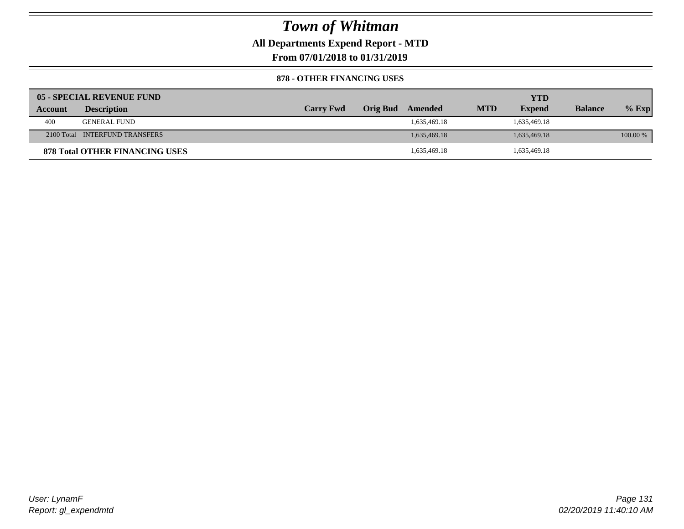**All Departments Expend Report - MTD**

**From 07/01/2018 to 01/31/2019**

#### **878 - OTHER FINANCING USES**

|         | 05 - SPECIAL REVENUE FUND             |                  |          |              |            | YTD           |                |          |
|---------|---------------------------------------|------------------|----------|--------------|------------|---------------|----------------|----------|
| Account | <b>Description</b>                    | <b>Carry Fwd</b> | Orig Bud | Amended      | <b>MTD</b> | <b>Expend</b> | <b>Balance</b> | $%$ Exp  |
| 400     | <b>GENERAL FUND</b>                   |                  |          | 1.635.469.18 |            | 1,635,469.18  |                |          |
|         | 2100 Total INTERFUND TRANSFERS        |                  |          | 1.635,469.18 |            | 1,635,469.18  |                | 100.00 % |
|         | <b>878 Total OTHER FINANCING USES</b> |                  |          | 1,635,469.18 |            | 1,635,469.18  |                |          |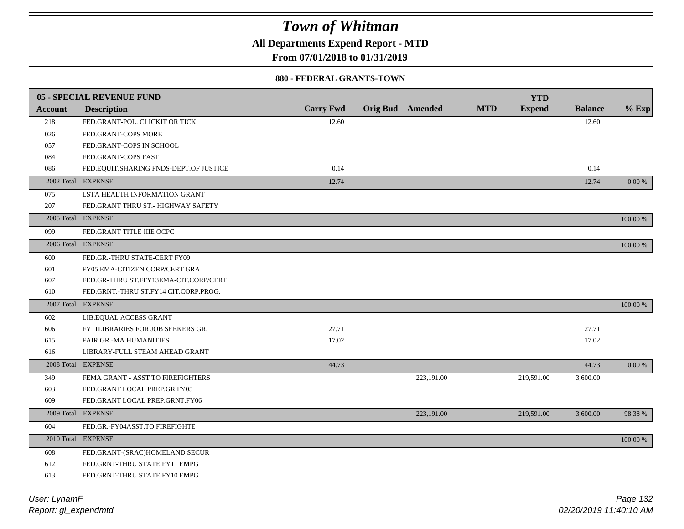**All Departments Expend Report - MTD**

**From 07/01/2018 to 01/31/2019**

### **880 - FEDERAL GRANTS-TOWN**

|                | <b>05 - SPECIAL REVENUE FUND</b>       |                  |                         |            | <b>YTD</b>    |                |          |
|----------------|----------------------------------------|------------------|-------------------------|------------|---------------|----------------|----------|
| <b>Account</b> | <b>Description</b>                     | <b>Carry Fwd</b> | <b>Orig Bud</b> Amended | <b>MTD</b> | <b>Expend</b> | <b>Balance</b> | $%$ Exp  |
| 218            | FED.GRANT-POL. CLICKIT OR TICK         | 12.60            |                         |            |               | 12.60          |          |
| 026            | FED.GRANT-COPS MORE                    |                  |                         |            |               |                |          |
| 057            | FED.GRANT-COPS IN SCHOOL               |                  |                         |            |               |                |          |
| 084            | FED.GRANT-COPS FAST                    |                  |                         |            |               |                |          |
| 086            | FED.EQUIT.SHARING FNDS-DEPT.OF JUSTICE | 0.14             |                         |            |               | 0.14           |          |
|                | 2002 Total EXPENSE                     | 12.74            |                         |            |               | 12.74          | 0.00 %   |
| 075            | LSTA HEALTH INFORMATION GRANT          |                  |                         |            |               |                |          |
| 207            | FED.GRANT THRU ST.- HIGHWAY SAFETY     |                  |                         |            |               |                |          |
|                | 2005 Total EXPENSE                     |                  |                         |            |               |                | 100.00 % |
| 099            | FED.GRANT TITLE IIIE OCPC              |                  |                         |            |               |                |          |
|                | 2006 Total EXPENSE                     |                  |                         |            |               |                | 100.00 % |
| 600            | FED.GR.-THRU STATE-CERT FY09           |                  |                         |            |               |                |          |
| 601            | FY05 EMA-CITIZEN CORP/CERT GRA         |                  |                         |            |               |                |          |
| 607            | FED.GR-THRU ST.FFY13EMA-CIT.CORP/CERT  |                  |                         |            |               |                |          |
| 610            | FED.GRNT.-THRU ST.FY14 CIT.CORP.PROG.  |                  |                         |            |               |                |          |
|                | 2007 Total EXPENSE                     |                  |                         |            |               |                | 100.00 % |
| 602            | LIB.EQUAL ACCESS GRANT                 |                  |                         |            |               |                |          |
| 606            | FY11LIBRARIES FOR JOB SEEKERS GR.      | 27.71            |                         |            |               | 27.71          |          |
| 615            | <b>FAIR GR.-MA HUMANITIES</b>          | 17.02            |                         |            |               | 17.02          |          |
| 616            | LIBRARY-FULL STEAM AHEAD GRANT         |                  |                         |            |               |                |          |
|                | 2008 Total EXPENSE                     | 44.73            |                         |            |               | 44.73          | $0.00\%$ |
| 349            | FEMA GRANT - ASST TO FIREFIGHTERS      |                  | 223,191.00              |            | 219,591.00    | 3,600.00       |          |
| 603            | FED.GRANT LOCAL PREP.GR.FY05           |                  |                         |            |               |                |          |
| 609            | FED.GRANT LOCAL PREP.GRNT.FY06         |                  |                         |            |               |                |          |
|                | 2009 Total EXPENSE                     |                  | 223,191.00              |            | 219,591.00    | 3,600.00       | 98.38%   |
| 604            | FED.GR.-FY04ASST.TO FIREFIGHTE         |                  |                         |            |               |                |          |
|                | 2010 Total EXPENSE                     |                  |                         |            |               |                | 100.00 % |
| 608            | FED.GRANT-(SRAC)HOMELAND SECUR         |                  |                         |            |               |                |          |
| 612            | FED.GRNT-THRU STATE FY11 EMPG          |                  |                         |            |               |                |          |
| 613            | FED.GRNT-THRU STATE FY10 EMPG          |                  |                         |            |               |                |          |
|                |                                        |                  |                         |            |               |                |          |

*Report: gl\_expendmtd User: LynamF*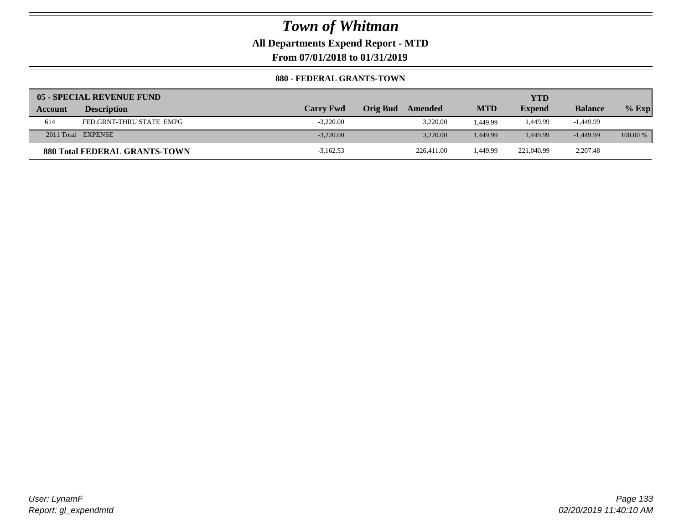**All Departments Expend Report - MTD**

**From 07/01/2018 to 01/31/2019**

### **880 - FEDERAL GRANTS-TOWN**

|                | 05 - SPECIAL REVENUE FUND            |                  |                            |            | YTD           |                |            |
|----------------|--------------------------------------|------------------|----------------------------|------------|---------------|----------------|------------|
| <b>Account</b> | <b>Description</b>                   | <b>Carry Fwd</b> | <b>Orig Bud</b><br>Amended | <b>MTD</b> | <b>Expend</b> | <b>Balance</b> | $%$ Exp    |
| 614            | FED.GRNT-THRU STATE EMPG             | $-3.220.00$      | 3.220.00                   | .449.99    | 1.449.99      | -1,449.99      |            |
|                | 2011 Total EXPENSE                   | $-3.220.00$      | 3.220.00                   | 1.449.99   | 1.449.99      | $-1.449.99$    | $100.00\%$ |
|                | <b>880 Total FEDERAL GRANTS-TOWN</b> | $-3,162.53$      | 226,411.00                 | .449.99    | 221,040.99    | 2,207.48       |            |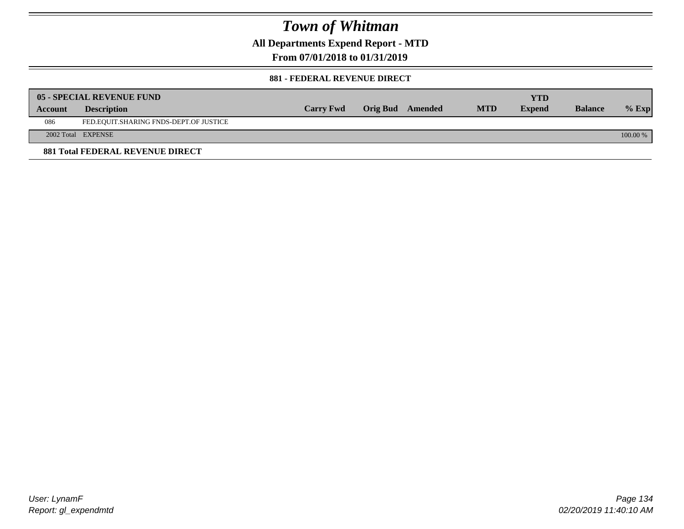**All Departments Expend Report - MTD**

**From 07/01/2018 to 01/31/2019**

#### **881 - FEDERAL REVENUE DIRECT**

|         | <b>05 - SPECIAL REVENUE FUND</b>        |                  |                  |            | YTD           |                |          |
|---------|-----------------------------------------|------------------|------------------|------------|---------------|----------------|----------|
| Account | <b>Description</b>                      | <b>Carry Fwd</b> | Orig Bud Amended | <b>MTD</b> | <b>Expend</b> | <b>Balance</b> | $%$ Exp  |
| 086     | FED.EQUIT.SHARING FNDS-DEPT.OF JUSTICE  |                  |                  |            |               |                |          |
|         | 2002 Total EXPENSE                      |                  |                  |            |               |                | 100.00 % |
|         | <b>881 Total FEDERAL REVENUE DIRECT</b> |                  |                  |            |               |                |          |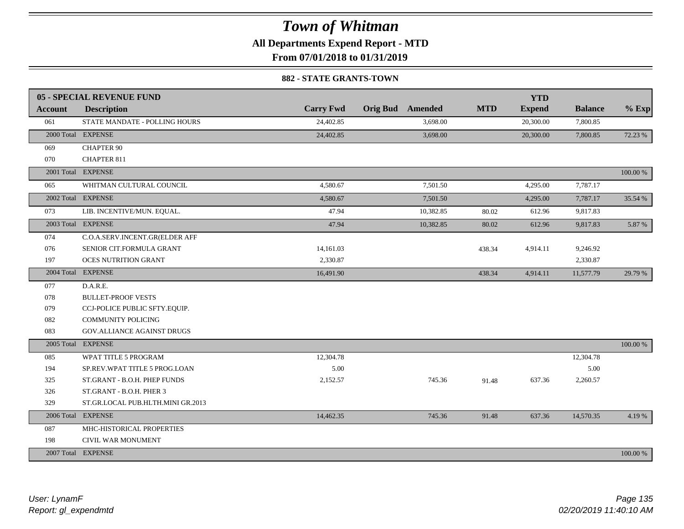**All Departments Expend Report - MTD**

**From 07/01/2018 to 01/31/2019**

#### **882 - STATE GRANTS-TOWN**

|                | 05 - SPECIAL REVENUE FUND         |                  |                  |            | <b>YTD</b>    |                |          |
|----------------|-----------------------------------|------------------|------------------|------------|---------------|----------------|----------|
| <b>Account</b> | <b>Description</b>                | <b>Carry Fwd</b> | Orig Bud Amended | <b>MTD</b> | <b>Expend</b> | <b>Balance</b> | $%$ Exp  |
| 061            | STATE MANDATE - POLLING HOURS     | 24,402.85        | 3,698.00         |            | 20,300.00     | 7,800.85       |          |
|                | 2000 Total EXPENSE                | 24,402.85        | 3,698.00         |            | 20,300.00     | 7,800.85       | 72.23 %  |
| 069            | <b>CHAPTER 90</b>                 |                  |                  |            |               |                |          |
| 070            | <b>CHAPTER 811</b>                |                  |                  |            |               |                |          |
|                | 2001 Total EXPENSE                |                  |                  |            |               |                | 100.00 % |
| 065            | WHITMAN CULTURAL COUNCIL          | 4,580.67         | 7,501.50         |            | 4,295.00      | 7,787.17       |          |
|                | 2002 Total EXPENSE                | 4,580.67         | 7,501.50         |            | 4,295.00      | 7,787.17       | 35.54 %  |
| 073            | LIB. INCENTIVE/MUN. EQUAL.        | 47.94            | 10,382.85        | 80.02      | 612.96        | 9,817.83       |          |
|                | 2003 Total EXPENSE                | 47.94            | 10,382.85        | 80.02      | 612.96        | 9,817.83       | 5.87 %   |
| 074            | C.O.A.SERV.INCENT.GR(ELDER AFF    |                  |                  |            |               |                |          |
| 076            | SENIOR CIT.FORMULA GRANT          | 14,161.03        |                  | 438.34     | 4,914.11      | 9,246.92       |          |
| 197            | <b>OCES NUTRITION GRANT</b>       | 2,330.87         |                  |            |               | 2,330.87       |          |
|                | 2004 Total EXPENSE                | 16,491.90        |                  | 438.34     | 4,914.11      | 11,577.79      | 29.79 %  |
| 077            | D.A.R.E.                          |                  |                  |            |               |                |          |
| 078            | <b>BULLET-PROOF VESTS</b>         |                  |                  |            |               |                |          |
| 079            | CCJ-POLICE PUBLIC SFTY.EQUIP.     |                  |                  |            |               |                |          |
| 082            | <b>COMMUNITY POLICING</b>         |                  |                  |            |               |                |          |
| 083            | GOV. ALLIANCE AGAINST DRUGS       |                  |                  |            |               |                |          |
|                | 2005 Total EXPENSE                |                  |                  |            |               |                | 100.00 % |
| 085            | WPAT TITLE 5 PROGRAM              | 12,304.78        |                  |            |               | 12,304.78      |          |
| 194            | SP.REV.WPAT TITLE 5 PROG.LOAN     | 5.00             |                  |            |               | 5.00           |          |
| 325            | ST.GRANT - B.O.H. PHEP FUNDS      | 2,152.57         | 745.36           | 91.48      | 637.36        | 2,260.57       |          |
| 326            | ST.GRANT - B.O.H. PHER 3          |                  |                  |            |               |                |          |
| 329            | ST.GR.LOCAL PUB.HLTH.MINI GR.2013 |                  |                  |            |               |                |          |
|                | 2006 Total EXPENSE                | 14,462.35        | 745.36           | 91.48      | 637.36        | 14,570.35      | 4.19 %   |
| 087            | MHC-HISTORICAL PROPERTIES         |                  |                  |            |               |                |          |
| 198            | CIVIL WAR MONUMENT                |                  |                  |            |               |                |          |
|                | 2007 Total EXPENSE                |                  |                  |            |               |                | 100.00 % |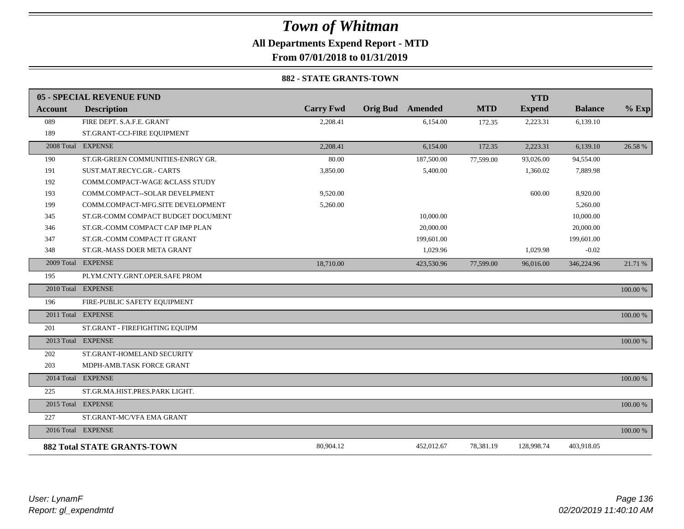### *Town of Whitman* **All Departments Expend Report - MTD From 07/01/2018 to 01/31/2019**

#### **882 - STATE GRANTS-TOWN**

|                | 05 - SPECIAL REVENUE FUND          |                  |                         |            | <b>YTD</b>    |                |          |
|----------------|------------------------------------|------------------|-------------------------|------------|---------------|----------------|----------|
| <b>Account</b> | <b>Description</b>                 | <b>Carry Fwd</b> | <b>Orig Bud</b> Amended | <b>MTD</b> | <b>Expend</b> | <b>Balance</b> | $%$ Exp  |
| 089            | FIRE DEPT. S.A.F.E. GRANT          | 2,208.41         | 6,154.00                | 172.35     | 2,223.31      | 6,139.10       |          |
| 189            | ST.GRANT-CCJ-FIRE EQUIPMENT        |                  |                         |            |               |                |          |
|                | 2008 Total EXPENSE                 | 2,208.41         | 6,154.00                | 172.35     | 2,223.31      | 6,139.10       | 26.58 %  |
| 190            | ST.GR-GREEN COMMUNITIES-ENRGY GR.  | 80.00            | 187,500.00              | 77,599.00  | 93,026.00     | 94,554.00      |          |
| 191            | SUST.MAT.RECYC.GR.- CARTS          | 3,850.00         | 5,400.00                |            | 1,360.02      | 7,889.98       |          |
| 192            | COMM.COMPACT-WAGE &CLASS STUDY     |                  |                         |            |               |                |          |
| 193            | COMM.COMPACT--SOLAR DEVELPMENT     | 9,520.00         |                         |            | 600.00        | 8,920.00       |          |
| 199            | COMM.COMPACT-MFG.SITE DEVELOPMENT  | 5,260.00         |                         |            |               | 5,260.00       |          |
| 345            | ST.GR-COMM COMPACT BUDGET DOCUMENT |                  | 10,000.00               |            |               | 10,000.00      |          |
| 346            | ST.GR.-COMM COMPACT CAP IMP PLAN   |                  | 20,000.00               |            |               | 20,000.00      |          |
| 347            | ST.GR.-COMM COMPACT IT GRANT       |                  | 199,601.00              |            |               | 199,601.00     |          |
| 348            | ST.GR.-MASS DOER META GRANT        |                  | 1,029.96                |            | 1,029.98      | $-0.02$        |          |
|                | 2009 Total EXPENSE                 | 18,710.00        | 423,530.96              | 77,599.00  | 96,016.00     | 346,224.96     | 21.71 %  |
| 195            | PLYM.CNTY.GRNT.OPER.SAFE PROM      |                  |                         |            |               |                |          |
|                | 2010 Total EXPENSE                 |                  |                         |            |               |                | 100.00 % |
| 196            | FIRE-PUBLIC SAFETY EQUIPMENT       |                  |                         |            |               |                |          |
|                | 2011 Total EXPENSE                 |                  |                         |            |               |                | 100.00 % |
| 201            | ST.GRANT - FIREFIGHTING EQUIPM     |                  |                         |            |               |                |          |
|                | 2013 Total EXPENSE                 |                  |                         |            |               |                | 100.00 % |
| 202            | ST.GRANT-HOMELAND SECURITY         |                  |                         |            |               |                |          |
| 203            | MDPH-AMB.TASK FORCE GRANT          |                  |                         |            |               |                |          |
|                | 2014 Total EXPENSE                 |                  |                         |            |               |                | 100.00 % |
| 225            | ST.GR.MA.HIST.PRES.PARK LIGHT.     |                  |                         |            |               |                |          |
|                | 2015 Total EXPENSE                 |                  |                         |            |               |                | 100.00 % |
| 227            | ST.GRANT-MC/VFA EMA GRANT          |                  |                         |            |               |                |          |
|                | 2016 Total EXPENSE                 |                  |                         |            |               |                | 100.00 % |
|                | <b>882 Total STATE GRANTS-TOWN</b> | 80,904.12        | 452,012.67              | 78,381.19  | 128,998.74    | 403,918.05     |          |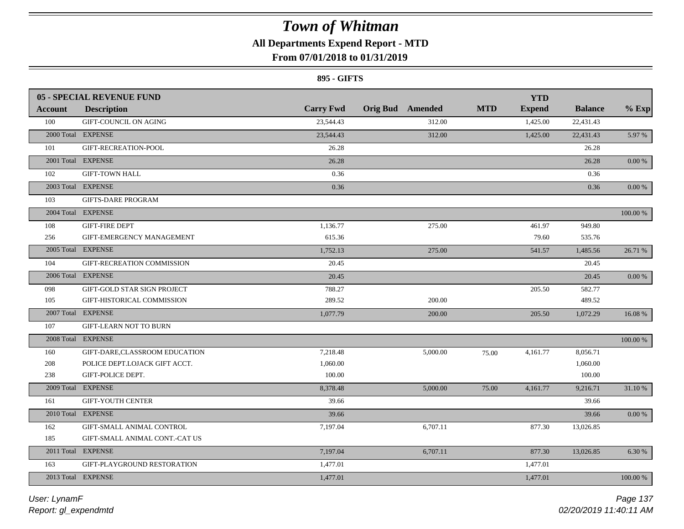## **All Departments Expend Report - MTD**

## **From 07/01/2018 to 01/31/2019**

#### **895 - GIFTS**

| <b>Carry Fwd</b><br><b>MTD</b><br><b>Orig Bud</b> Amended<br><b>Expend</b><br><b>Balance</b><br><b>Description</b><br><b>Account</b><br>100<br><b>GIFT-COUNCIL ON AGING</b><br>23,544.43<br>312.00<br>1,425.00<br>22,431.43<br>2000 Total EXPENSE<br>312.00<br>5.97%<br>23,544.43<br>1,425.00<br>22,431.43<br>101<br>GIFT-RECREATION-POOL<br>26.28<br>26.28<br>2001 Total EXPENSE<br>26.28<br>0.00%<br>26.28<br>102<br><b>GIFT-TOWN HALL</b><br>0.36<br>0.36<br>2003 Total EXPENSE<br>0.36<br>0.36<br>$0.00\,\%$<br>103<br><b>GIFTS-DARE PROGRAM</b><br>2004 Total EXPENSE<br>100.00 %<br><b>GIFT-FIRE DEPT</b><br>108<br>1,136.77<br>275.00<br>461.97<br>949.80<br>615.36<br>79.60<br>535.76<br>256<br>GIFT-EMERGENCY MANAGEMENT<br>2005 Total EXPENSE<br>1,752.13<br>275.00<br>541.57<br>1,485.56<br>26.71 %<br>104<br>20.45<br>GIFT-RECREATION COMMISSION<br>20.45<br>2006 Total EXPENSE<br>20.45<br>20.45<br>$0.00\,\%$<br>205.50<br>582.77<br>098<br>GIFT-GOLD STAR SIGN PROJECT<br>788.27<br>105<br>289.52<br>200.00<br>489.52<br>GIFT-HISTORICAL COMMISSION<br>2007 Total EXPENSE<br>205.50<br>1,077.79<br>200.00<br>1,072.29<br>16.08 %<br>107<br><b>GIFT-LEARN NOT TO BURN</b><br>2008 Total EXPENSE<br>100.00 %<br>160<br>GIFT-DARE, CLASSROOM EDUCATION<br>7,218.48<br>5,000.00<br>4,161.77<br>8,056.71<br>75.00<br>1.060.00<br>208<br>POLICE DEPT.LOJACK GIFT ACCT.<br>1,060.00<br>GIFT-POLICE DEPT.<br>100.00<br>100.00<br>238<br>2009 Total EXPENSE<br>8,378.48<br>5,000.00<br>75.00<br>4,161.77<br>9,216.71<br>31.10 %<br>39.66<br>161<br><b>GIFT-YOUTH CENTER</b><br>39.66<br>2010 Total EXPENSE<br>0.00 %<br>39.66<br>39.66<br>162<br>GIFT-SMALL ANIMAL CONTROL<br>7,197.04<br>6,707.11<br>877.30<br>13,026.85<br>185<br>GIFT-SMALL ANIMAL CONT.-CAT US<br>2011 Total EXPENSE<br>7,197.04<br>6,707.11<br>877.30<br>6.30 %<br>13,026.85<br>163<br>GIFT-PLAYGROUND RESTORATION<br>1,477.01<br>1,477.01<br>2013 Total EXPENSE<br>1,477.01<br>100.00 %<br>1,477.01 | <b>05 - SPECIAL REVENUE FUND</b> |  |  | <b>YTD</b> |         |
|---------------------------------------------------------------------------------------------------------------------------------------------------------------------------------------------------------------------------------------------------------------------------------------------------------------------------------------------------------------------------------------------------------------------------------------------------------------------------------------------------------------------------------------------------------------------------------------------------------------------------------------------------------------------------------------------------------------------------------------------------------------------------------------------------------------------------------------------------------------------------------------------------------------------------------------------------------------------------------------------------------------------------------------------------------------------------------------------------------------------------------------------------------------------------------------------------------------------------------------------------------------------------------------------------------------------------------------------------------------------------------------------------------------------------------------------------------------------------------------------------------------------------------------------------------------------------------------------------------------------------------------------------------------------------------------------------------------------------------------------------------------------------------------------------------------------------------------------------------------------------------------------------------------------------------------------------------------------------------|----------------------------------|--|--|------------|---------|
|                                                                                                                                                                                                                                                                                                                                                                                                                                                                                                                                                                                                                                                                                                                                                                                                                                                                                                                                                                                                                                                                                                                                                                                                                                                                                                                                                                                                                                                                                                                                                                                                                                                                                                                                                                                                                                                                                                                                                                                 |                                  |  |  |            | $%$ Exp |
|                                                                                                                                                                                                                                                                                                                                                                                                                                                                                                                                                                                                                                                                                                                                                                                                                                                                                                                                                                                                                                                                                                                                                                                                                                                                                                                                                                                                                                                                                                                                                                                                                                                                                                                                                                                                                                                                                                                                                                                 |                                  |  |  |            |         |
|                                                                                                                                                                                                                                                                                                                                                                                                                                                                                                                                                                                                                                                                                                                                                                                                                                                                                                                                                                                                                                                                                                                                                                                                                                                                                                                                                                                                                                                                                                                                                                                                                                                                                                                                                                                                                                                                                                                                                                                 |                                  |  |  |            |         |
|                                                                                                                                                                                                                                                                                                                                                                                                                                                                                                                                                                                                                                                                                                                                                                                                                                                                                                                                                                                                                                                                                                                                                                                                                                                                                                                                                                                                                                                                                                                                                                                                                                                                                                                                                                                                                                                                                                                                                                                 |                                  |  |  |            |         |
|                                                                                                                                                                                                                                                                                                                                                                                                                                                                                                                                                                                                                                                                                                                                                                                                                                                                                                                                                                                                                                                                                                                                                                                                                                                                                                                                                                                                                                                                                                                                                                                                                                                                                                                                                                                                                                                                                                                                                                                 |                                  |  |  |            |         |
|                                                                                                                                                                                                                                                                                                                                                                                                                                                                                                                                                                                                                                                                                                                                                                                                                                                                                                                                                                                                                                                                                                                                                                                                                                                                                                                                                                                                                                                                                                                                                                                                                                                                                                                                                                                                                                                                                                                                                                                 |                                  |  |  |            |         |
|                                                                                                                                                                                                                                                                                                                                                                                                                                                                                                                                                                                                                                                                                                                                                                                                                                                                                                                                                                                                                                                                                                                                                                                                                                                                                                                                                                                                                                                                                                                                                                                                                                                                                                                                                                                                                                                                                                                                                                                 |                                  |  |  |            |         |
|                                                                                                                                                                                                                                                                                                                                                                                                                                                                                                                                                                                                                                                                                                                                                                                                                                                                                                                                                                                                                                                                                                                                                                                                                                                                                                                                                                                                                                                                                                                                                                                                                                                                                                                                                                                                                                                                                                                                                                                 |                                  |  |  |            |         |
|                                                                                                                                                                                                                                                                                                                                                                                                                                                                                                                                                                                                                                                                                                                                                                                                                                                                                                                                                                                                                                                                                                                                                                                                                                                                                                                                                                                                                                                                                                                                                                                                                                                                                                                                                                                                                                                                                                                                                                                 |                                  |  |  |            |         |
|                                                                                                                                                                                                                                                                                                                                                                                                                                                                                                                                                                                                                                                                                                                                                                                                                                                                                                                                                                                                                                                                                                                                                                                                                                                                                                                                                                                                                                                                                                                                                                                                                                                                                                                                                                                                                                                                                                                                                                                 |                                  |  |  |            |         |
|                                                                                                                                                                                                                                                                                                                                                                                                                                                                                                                                                                                                                                                                                                                                                                                                                                                                                                                                                                                                                                                                                                                                                                                                                                                                                                                                                                                                                                                                                                                                                                                                                                                                                                                                                                                                                                                                                                                                                                                 |                                  |  |  |            |         |
|                                                                                                                                                                                                                                                                                                                                                                                                                                                                                                                                                                                                                                                                                                                                                                                                                                                                                                                                                                                                                                                                                                                                                                                                                                                                                                                                                                                                                                                                                                                                                                                                                                                                                                                                                                                                                                                                                                                                                                                 |                                  |  |  |            |         |
|                                                                                                                                                                                                                                                                                                                                                                                                                                                                                                                                                                                                                                                                                                                                                                                                                                                                                                                                                                                                                                                                                                                                                                                                                                                                                                                                                                                                                                                                                                                                                                                                                                                                                                                                                                                                                                                                                                                                                                                 |                                  |  |  |            |         |
|                                                                                                                                                                                                                                                                                                                                                                                                                                                                                                                                                                                                                                                                                                                                                                                                                                                                                                                                                                                                                                                                                                                                                                                                                                                                                                                                                                                                                                                                                                                                                                                                                                                                                                                                                                                                                                                                                                                                                                                 |                                  |  |  |            |         |
|                                                                                                                                                                                                                                                                                                                                                                                                                                                                                                                                                                                                                                                                                                                                                                                                                                                                                                                                                                                                                                                                                                                                                                                                                                                                                                                                                                                                                                                                                                                                                                                                                                                                                                                                                                                                                                                                                                                                                                                 |                                  |  |  |            |         |
|                                                                                                                                                                                                                                                                                                                                                                                                                                                                                                                                                                                                                                                                                                                                                                                                                                                                                                                                                                                                                                                                                                                                                                                                                                                                                                                                                                                                                                                                                                                                                                                                                                                                                                                                                                                                                                                                                                                                                                                 |                                  |  |  |            |         |
|                                                                                                                                                                                                                                                                                                                                                                                                                                                                                                                                                                                                                                                                                                                                                                                                                                                                                                                                                                                                                                                                                                                                                                                                                                                                                                                                                                                                                                                                                                                                                                                                                                                                                                                                                                                                                                                                                                                                                                                 |                                  |  |  |            |         |
|                                                                                                                                                                                                                                                                                                                                                                                                                                                                                                                                                                                                                                                                                                                                                                                                                                                                                                                                                                                                                                                                                                                                                                                                                                                                                                                                                                                                                                                                                                                                                                                                                                                                                                                                                                                                                                                                                                                                                                                 |                                  |  |  |            |         |
|                                                                                                                                                                                                                                                                                                                                                                                                                                                                                                                                                                                                                                                                                                                                                                                                                                                                                                                                                                                                                                                                                                                                                                                                                                                                                                                                                                                                                                                                                                                                                                                                                                                                                                                                                                                                                                                                                                                                                                                 |                                  |  |  |            |         |
|                                                                                                                                                                                                                                                                                                                                                                                                                                                                                                                                                                                                                                                                                                                                                                                                                                                                                                                                                                                                                                                                                                                                                                                                                                                                                                                                                                                                                                                                                                                                                                                                                                                                                                                                                                                                                                                                                                                                                                                 |                                  |  |  |            |         |
|                                                                                                                                                                                                                                                                                                                                                                                                                                                                                                                                                                                                                                                                                                                                                                                                                                                                                                                                                                                                                                                                                                                                                                                                                                                                                                                                                                                                                                                                                                                                                                                                                                                                                                                                                                                                                                                                                                                                                                                 |                                  |  |  |            |         |
|                                                                                                                                                                                                                                                                                                                                                                                                                                                                                                                                                                                                                                                                                                                                                                                                                                                                                                                                                                                                                                                                                                                                                                                                                                                                                                                                                                                                                                                                                                                                                                                                                                                                                                                                                                                                                                                                                                                                                                                 |                                  |  |  |            |         |
|                                                                                                                                                                                                                                                                                                                                                                                                                                                                                                                                                                                                                                                                                                                                                                                                                                                                                                                                                                                                                                                                                                                                                                                                                                                                                                                                                                                                                                                                                                                                                                                                                                                                                                                                                                                                                                                                                                                                                                                 |                                  |  |  |            |         |
|                                                                                                                                                                                                                                                                                                                                                                                                                                                                                                                                                                                                                                                                                                                                                                                                                                                                                                                                                                                                                                                                                                                                                                                                                                                                                                                                                                                                                                                                                                                                                                                                                                                                                                                                                                                                                                                                                                                                                                                 |                                  |  |  |            |         |
|                                                                                                                                                                                                                                                                                                                                                                                                                                                                                                                                                                                                                                                                                                                                                                                                                                                                                                                                                                                                                                                                                                                                                                                                                                                                                                                                                                                                                                                                                                                                                                                                                                                                                                                                                                                                                                                                                                                                                                                 |                                  |  |  |            |         |
|                                                                                                                                                                                                                                                                                                                                                                                                                                                                                                                                                                                                                                                                                                                                                                                                                                                                                                                                                                                                                                                                                                                                                                                                                                                                                                                                                                                                                                                                                                                                                                                                                                                                                                                                                                                                                                                                                                                                                                                 |                                  |  |  |            |         |
|                                                                                                                                                                                                                                                                                                                                                                                                                                                                                                                                                                                                                                                                                                                                                                                                                                                                                                                                                                                                                                                                                                                                                                                                                                                                                                                                                                                                                                                                                                                                                                                                                                                                                                                                                                                                                                                                                                                                                                                 |                                  |  |  |            |         |
|                                                                                                                                                                                                                                                                                                                                                                                                                                                                                                                                                                                                                                                                                                                                                                                                                                                                                                                                                                                                                                                                                                                                                                                                                                                                                                                                                                                                                                                                                                                                                                                                                                                                                                                                                                                                                                                                                                                                                                                 |                                  |  |  |            |         |
|                                                                                                                                                                                                                                                                                                                                                                                                                                                                                                                                                                                                                                                                                                                                                                                                                                                                                                                                                                                                                                                                                                                                                                                                                                                                                                                                                                                                                                                                                                                                                                                                                                                                                                                                                                                                                                                                                                                                                                                 |                                  |  |  |            |         |
|                                                                                                                                                                                                                                                                                                                                                                                                                                                                                                                                                                                                                                                                                                                                                                                                                                                                                                                                                                                                                                                                                                                                                                                                                                                                                                                                                                                                                                                                                                                                                                                                                                                                                                                                                                                                                                                                                                                                                                                 |                                  |  |  |            |         |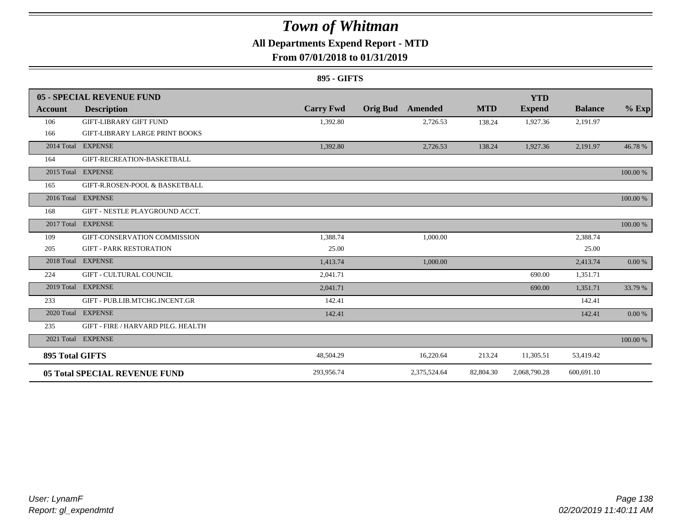### **All Departments Expend Report - MTD**

### **From 07/01/2018 to 01/31/2019**

#### **895 - GIFTS**

|                        | <b>05 - SPECIAL REVENUE FUND</b>      |                  |                            |                           | <b>YTD</b>    |                |          |
|------------------------|---------------------------------------|------------------|----------------------------|---------------------------|---------------|----------------|----------|
| Account                | <b>Description</b>                    | <b>Carry Fwd</b> | <b>Orig Bud</b><br>Amended | <b>MTD</b>                | <b>Expend</b> | <b>Balance</b> | $%$ Exp  |
| 106                    | <b>GIFT-LIBRARY GIFT FUND</b>         | 1,392.80         |                            | 2,726.53<br>138.24        | 1,927.36      | 2,191.97       |          |
| 166                    | <b>GIFT-LIBRARY LARGE PRINT BOOKS</b> |                  |                            |                           |               |                |          |
|                        | 2014 Total EXPENSE                    | 1,392.80         |                            | 2,726.53<br>138.24        | 1,927.36      | 2,191.97       | 46.78 %  |
| 164                    | GIFT-RECREATION-BASKETBALL            |                  |                            |                           |               |                |          |
|                        | 2015 Total EXPENSE                    |                  |                            |                           |               |                | 100.00 % |
| 165                    | GIFT-R.ROSEN-POOL & BASKETBALL        |                  |                            |                           |               |                |          |
|                        | 2016 Total EXPENSE                    |                  |                            |                           |               |                | 100.00 % |
| 168                    | GIFT - NESTLE PLAYGROUND ACCT.        |                  |                            |                           |               |                |          |
|                        | 2017 Total EXPENSE                    |                  |                            |                           |               |                | 100.00 % |
| 109                    | GIFT-CONSERVATION COMMISSION          | 1.388.74         |                            | 1,000.00                  |               | 2,388.74       |          |
| 205                    | <b>GIFT - PARK RESTORATION</b>        | 25.00            |                            |                           |               | 25.00          |          |
| 2018 Total             | <b>EXPENSE</b>                        | 1,413.74         |                            | 1,000.00                  |               | 2,413.74       | 0.00 %   |
| 224                    | <b>GIFT - CULTURAL COUNCIL</b>        | 2,041.71         |                            |                           | 690.00        | 1,351.71       |          |
|                        | 2019 Total EXPENSE                    | 2,041.71         |                            |                           | 690.00        | 1,351.71       | 33.79 %  |
| 233                    | GIFT - PUB.LIB.MTCHG.INCENT.GR        | 142.41           |                            |                           |               | 142.41         |          |
|                        | 2020 Total EXPENSE                    | 142.41           |                            |                           |               | 142.41         | 0.00 %   |
| 235                    | GIFT - FIRE / HARVARD PILG. HEALTH    |                  |                            |                           |               |                |          |
|                        | 2021 Total EXPENSE                    |                  |                            |                           |               |                | 100.00 % |
| <b>895 Total GIFTS</b> |                                       | 48,504.29        |                            | 16,220.64<br>213.24       | 11,305.51     | 53,419.42      |          |
|                        | <b>05 Total SPECIAL REVENUE FUND</b>  | 293,956.74       |                            | 2,375,524.64<br>82,804.30 | 2,068,790.28  | 600,691.10     |          |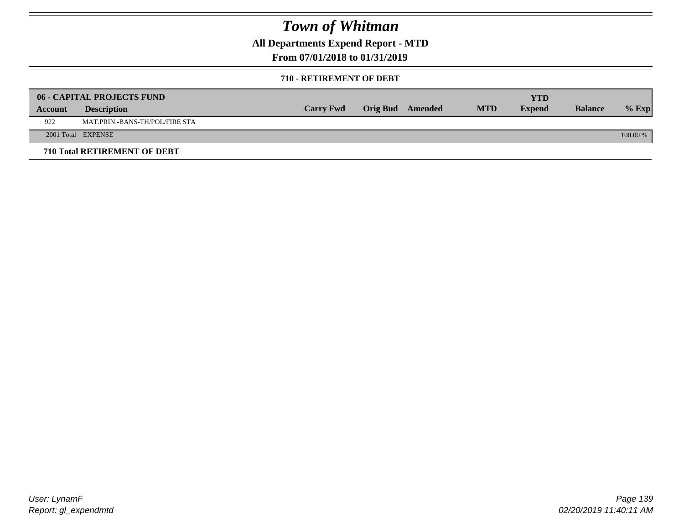**All Departments Expend Report - MTD**

### **From 07/01/2018 to 01/31/2019**

#### **710 - RETIREMENT OF DEBT**

|         | <b>06 - CAPITAL PROJECTS FUND</b> |                  |                  |            | YTD           |                |          |
|---------|-----------------------------------|------------------|------------------|------------|---------------|----------------|----------|
| Account | <b>Description</b>                | <b>Carry Fwd</b> | Orig Bud Amended | <b>MTD</b> | <b>Expend</b> | <b>Balance</b> | $%$ Exp  |
| 922     | MAT.PRIN.-BANS-TH/POL/FIRE STA    |                  |                  |            |               |                |          |
|         | 2001 Total EXPENSE                |                  |                  |            |               |                | 100.00 % |
|         | 710 Total RETIREMENT OF DEBT      |                  |                  |            |               |                |          |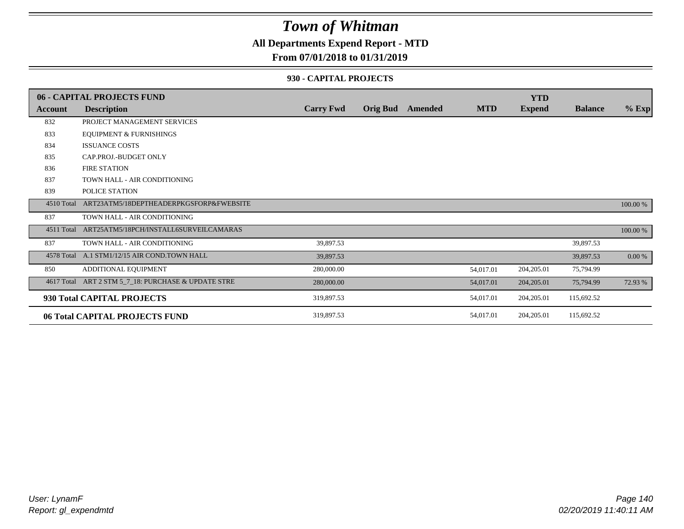### **All Departments Expend Report - MTD**

### **From 07/01/2018 to 01/31/2019**

#### **930 - CAPITAL PROJECTS**

|                | 06 - CAPITAL PROJECTS FUND                   |                  |                 |         |            | <b>YTD</b>    |                |          |
|----------------|----------------------------------------------|------------------|-----------------|---------|------------|---------------|----------------|----------|
| <b>Account</b> | <b>Description</b>                           | <b>Carry Fwd</b> | <b>Orig Bud</b> | Amended | <b>MTD</b> | <b>Expend</b> | <b>Balance</b> | $%$ Exp  |
| 832            | PROJECT MANAGEMENT SERVICES                  |                  |                 |         |            |               |                |          |
| 833            | <b>EQUIPMENT &amp; FURNISHINGS</b>           |                  |                 |         |            |               |                |          |
| 834            | <b>ISSUANCE COSTS</b>                        |                  |                 |         |            |               |                |          |
| 835            | CAP.PROJ.-BUDGET ONLY                        |                  |                 |         |            |               |                |          |
| 836            | <b>FIRE STATION</b>                          |                  |                 |         |            |               |                |          |
| 837            | TOWN HALL - AIR CONDITIONING                 |                  |                 |         |            |               |                |          |
| 839            | POLICE STATION                               |                  |                 |         |            |               |                |          |
| 4510 Total     | ART23ATM5/18DEPTHEADERPKGSFORP&FWEBSITE      |                  |                 |         |            |               |                | 100.00 % |
| 837            | TOWN HALL - AIR CONDITIONING                 |                  |                 |         |            |               |                |          |
| 4511 Total     | ART25ATM5/18PCH/INSTALL6SURVEILCAMARAS       |                  |                 |         |            |               |                | 100.00 % |
| 837            | TOWN HALL - AIR CONDITIONING                 | 39,897.53        |                 |         |            |               | 39,897.53      |          |
|                | 4578 Total A.1 STM1/12/15 AIR COND.TOWN HALL | 39,897.53        |                 |         |            |               | 39,897.53      | 0.00 %   |
| 850            | ADDITIONAL EQUIPMENT                         | 280,000.00       |                 |         | 54,017.01  | 204,205.01    | 75,794.99      |          |
| 4617 Total     | ART 2 STM 5_7_18: PURCHASE & UPDATE STRE     | 280,000.00       |                 |         | 54,017.01  | 204,205.01    | 75,794.99      | 72.93 %  |
|                | 930 Total CAPITAL PROJECTS                   | 319,897.53       |                 |         | 54,017.01  | 204, 205.01   | 115,692.52     |          |
|                | 06 Total CAPITAL PROJECTS FUND               | 319,897.53       |                 |         | 54,017.01  | 204, 205.01   | 115,692.52     |          |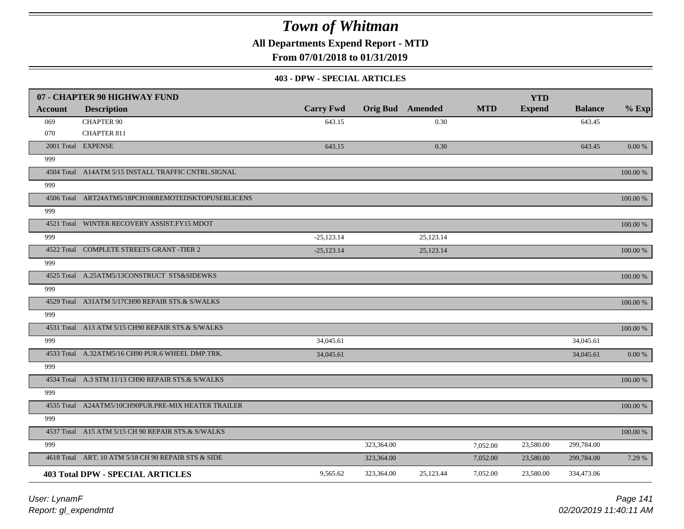**All Departments Expend Report - MTD**

**From 07/01/2018 to 01/31/2019**

#### **403 - DPW - SPECIAL ARTICLES**

|         | 07 - CHAPTER 90 HIGHWAY FUND                        |                  |            |                         |            | <b>YTD</b>    |                |             |
|---------|-----------------------------------------------------|------------------|------------|-------------------------|------------|---------------|----------------|-------------|
| Account | <b>Description</b>                                  | <b>Carry Fwd</b> |            | <b>Orig Bud</b> Amended | <b>MTD</b> | <b>Expend</b> | <b>Balance</b> | $%$ Exp     |
| 069     | <b>CHAPTER 90</b>                                   | 643.15           |            | 0.30                    |            |               | 643.45         |             |
| 070     | <b>CHAPTER 811</b>                                  |                  |            |                         |            |               |                |             |
|         | 2001 Total EXPENSE                                  | 643.15           |            | 0.30                    |            |               | 643.45         | $0.00 \%$   |
| 999     |                                                     |                  |            |                         |            |               |                |             |
|         | 4504 Total A14ATM 5/15 INSTALL TRAFFIC CNTRL.SIGNAL |                  |            |                         |            |               |                | 100.00 %    |
| 999     |                                                     |                  |            |                         |            |               |                |             |
|         | 4506 Total ART24ATM5/18PCH100REMOTEDSKTOPUSERLICENS |                  |            |                         |            |               |                | 100.00 %    |
| 999     |                                                     |                  |            |                         |            |               |                |             |
|         | 4521 Total WINTER RECOVERY ASSIST.FY15 MDOT         |                  |            |                         |            |               |                | 100.00 %    |
| 999     |                                                     | $-25,123.14$     |            | 25,123.14               |            |               |                |             |
|         | 4522 Total COMPLETE STREETS GRANT -TIER 2           | $-25,123.14$     |            | 25,123.14               |            |               |                | 100.00 %    |
| 999     |                                                     |                  |            |                         |            |               |                |             |
|         | 4525 Total A.25ATM5/13CONSTRUCT STS&SIDEWKS         |                  |            |                         |            |               |                | 100.00 %    |
| 999     |                                                     |                  |            |                         |            |               |                |             |
|         | 4529 Total A31ATM 5/17CH90 REPAIR STS.& S/WALKS     |                  |            |                         |            |               |                | 100.00 %    |
| 999     |                                                     |                  |            |                         |            |               |                |             |
|         | 4531 Total A13 ATM 5/15 CH90 REPAIR STS.& S/WALKS   |                  |            |                         |            |               |                | 100.00 %    |
| 999     |                                                     | 34,045.61        |            |                         |            |               | 34,045.61      |             |
|         | 4533 Total A.32ATM5/16 CH90 PUR.6 WHEEL DMP.TRK.    | 34,045.61        |            |                         |            |               | 34,045.61      | $0.00\ \%$  |
| 999     |                                                     |                  |            |                         |            |               |                |             |
|         | 4534 Total A.3 STM 11/13 CH90 REPAIR STS.& S/WALKS  |                  |            |                         |            |               |                | $100.00~\%$ |
| 999     |                                                     |                  |            |                         |            |               |                |             |
|         | 4535 Total A24ATM5/10CH90PUR.PRE-MIX HEATER TRAILER |                  |            |                         |            |               |                | 100.00 %    |
| 999     |                                                     |                  |            |                         |            |               |                |             |
|         | 4537 Total A15 ATM 5/15 CH 90 REPAIR STS.& S/WALKS  |                  |            |                         |            |               |                | 100.00 %    |
| 999     |                                                     |                  | 323,364.00 |                         | 7,052.00   | 23,580.00     | 299,784.00     |             |
|         | 4618 Total ART. 10 ATM 5/18 CH 90 REPAIR STS & SIDE |                  | 323,364.00 |                         | 7,052.00   | 23,580.00     | 299,784.00     | 7.29 %      |
|         |                                                     |                  |            |                         |            |               |                |             |
|         | <b>403 Total DPW - SPECIAL ARTICLES</b>             | 9,565.62         | 323,364.00 | 25,123.44               | 7,052.00   | 23,580.00     | 334,473.06     |             |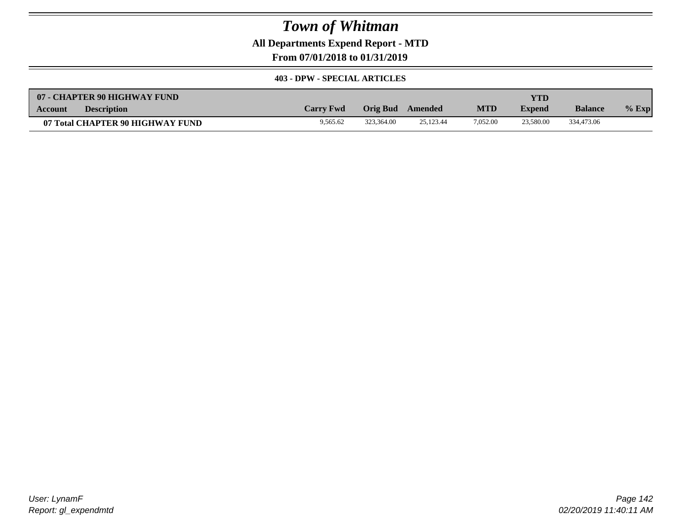**All Departments Expend Report - MTD**

**From 07/01/2018 to 01/31/2019**

#### **403 - DPW - SPECIAL ARTICLES**

| 07 - CHAPTER 90 HIGHWAY FUND         |                  |            |           |            | YTD           |                |         |
|--------------------------------------|------------------|------------|-----------|------------|---------------|----------------|---------|
| <b>Description</b><br><b>Account</b> | <b>Carry Fwd</b> | Orig Bud   | Amended   | <b>MTD</b> | <b>Expend</b> | <b>Balance</b> | $%$ Exp |
| 07 Total CHAPTER 90 HIGHWAY FUND     | 9,565.62         | 323,364.00 | 25.123.44 | 7.052.00   | 23,580.00     | 334,473.06     |         |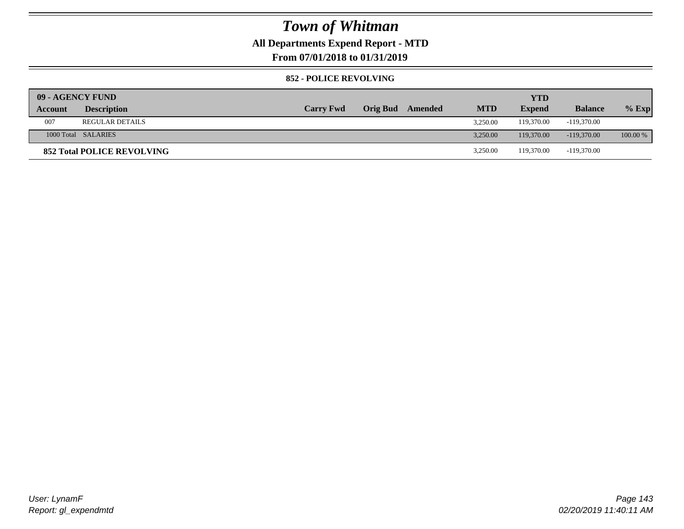### **All Departments Expend Report - MTD**

**From 07/01/2018 to 01/31/2019**

#### **852 - POLICE REVOLVING**

| 09 - AGENCY FUND |                                   |                  |                         |            | <b>YTD</b>    |                |            |
|------------------|-----------------------------------|------------------|-------------------------|------------|---------------|----------------|------------|
| Account          | <b>Description</b>                | <b>Carry Fwd</b> | <b>Orig Bud</b> Amended | <b>MTD</b> | <b>Expend</b> | <b>Balance</b> | $%$ Exp    |
| 007              | <b>REGULAR DETAILS</b>            |                  |                         | 3.250.00   | 119,370.00    | $-119,370.00$  |            |
|                  | 1000 Total SALARIES               |                  |                         | 3.250.00   | 119,370.00    | $-119,370,00$  | $100.00\%$ |
|                  | <b>852 Total POLICE REVOLVING</b> |                  |                         | 3,250.00   | 119.370.00    | -119,370.00    |            |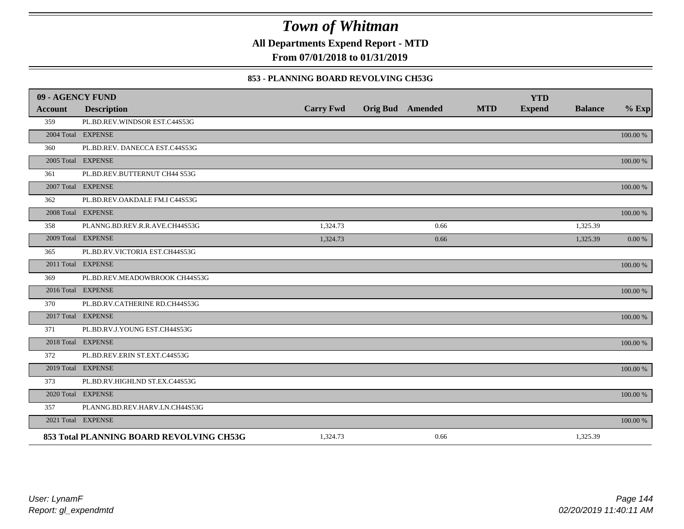**All Departments Expend Report - MTD**

**From 07/01/2018 to 01/31/2019**

### **853 - PLANNING BOARD REVOLVING CH53G**

| 09 - AGENCY FUND |                                          |                  |                         |            | <b>YTD</b>    |                |          |
|------------------|------------------------------------------|------------------|-------------------------|------------|---------------|----------------|----------|
| <b>Account</b>   | <b>Description</b>                       | <b>Carry Fwd</b> | <b>Orig Bud</b> Amended | <b>MTD</b> | <b>Expend</b> | <b>Balance</b> | $%$ Exp  |
| 359              | PL.BD.REV.WINDSOR EST.C44S53G            |                  |                         |            |               |                |          |
|                  | 2004 Total EXPENSE                       |                  |                         |            |               |                | 100.00 % |
| 360              | PL.BD.REV. DANECCA EST.C44S53G           |                  |                         |            |               |                |          |
|                  | 2005 Total EXPENSE                       |                  |                         |            |               |                | 100.00 % |
| 361              | PL.BD.REV.BUTTERNUT CH44 S53G            |                  |                         |            |               |                |          |
|                  | 2007 Total EXPENSE                       |                  |                         |            |               |                | 100.00 % |
| 362              | PL.BD.REV.OAKDALE FM.I C44S53G           |                  |                         |            |               |                |          |
|                  | 2008 Total EXPENSE                       |                  |                         |            |               |                | 100.00 % |
| 358              | PLANNG.BD.REV.R.R.AVE.CH44S53G           | 1,324.73         | 0.66                    |            |               | 1,325.39       |          |
|                  | 2009 Total EXPENSE                       | 1,324.73         | 0.66                    |            |               | 1,325.39       | 0.00 %   |
| 365              | PL.BD.RV.VICTORIA EST.CH44S53G           |                  |                         |            |               |                |          |
|                  | 2011 Total EXPENSE                       |                  |                         |            |               |                | 100.00 % |
| 369              | PL.BD.REV.MEADOWBROOK CH44S53G           |                  |                         |            |               |                |          |
|                  | 2016 Total EXPENSE                       |                  |                         |            |               |                | 100.00 % |
| 370              | PL.BD.RV.CATHERINE RD.CH44S53G           |                  |                         |            |               |                |          |
|                  | 2017 Total EXPENSE                       |                  |                         |            |               |                | 100.00 % |
| 371              | PL.BD.RV.J.YOUNG EST.CH44S53G            |                  |                         |            |               |                |          |
|                  | 2018 Total EXPENSE                       |                  |                         |            |               |                | 100.00 % |
| 372              | PL.BD.REV.ERIN ST.EXT.C44S53G            |                  |                         |            |               |                |          |
|                  | 2019 Total EXPENSE                       |                  |                         |            |               |                | 100.00 % |
| 373              | PL.BD.RV.HIGHLND ST.EX.C44S53G           |                  |                         |            |               |                |          |
|                  | 2020 Total EXPENSE                       |                  |                         |            |               |                | 100.00 % |
| 357              | PLANNG.BD.REV.HARV.LN.CH44S53G           |                  |                         |            |               |                |          |
|                  | 2021 Total EXPENSE                       |                  |                         |            |               |                | 100.00 % |
|                  | 853 Total PLANNING BOARD REVOLVING CH53G | 1,324.73         | 0.66                    |            |               | 1,325.39       |          |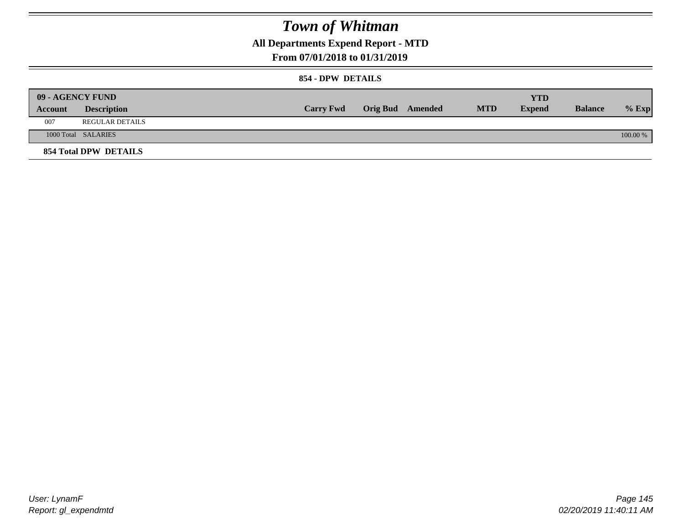**All Departments Expend Report - MTD**

### **From 07/01/2018 to 01/31/2019**

#### **854 - DPW DETAILS**

|         | 09 - AGENCY FUND             |                  |                         |            | <b>YTD</b>    |                |          |
|---------|------------------------------|------------------|-------------------------|------------|---------------|----------------|----------|
| Account | <b>Description</b>           | <b>Carry Fwd</b> | <b>Orig Bud</b> Amended | <b>MTD</b> | <b>Expend</b> | <b>Balance</b> | $%$ Exp  |
| 007     | <b>REGULAR DETAILS</b>       |                  |                         |            |               |                |          |
|         | 1000 Total SALARIES          |                  |                         |            |               |                | 100.00 % |
|         | <b>854 Total DPW DETAILS</b> |                  |                         |            |               |                |          |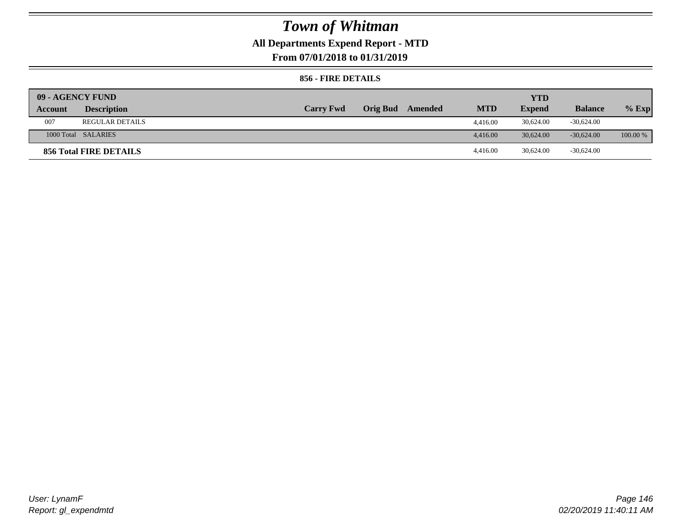## **All Departments Expend Report - MTD**

**From 07/01/2018 to 01/31/2019**

#### **856 - FIRE DETAILS**

| 09 - AGENCY FUND |                        |                  |                 |         |            | YTD           |                |            |
|------------------|------------------------|------------------|-----------------|---------|------------|---------------|----------------|------------|
| Account          | <b>Description</b>     | <b>Carry Fwd</b> | <b>Orig Bud</b> | Amended | <b>MTD</b> | <b>Expend</b> | <b>Balance</b> | $%$ Exp    |
| 007              | <b>REGULAR DETAILS</b> |                  |                 |         | 4,416.00   | 30,624.00     | $-30,624.00$   |            |
|                  | 1000 Total SALARIES    |                  |                 |         | 4,416.00   | 30.624.00     | $-30.624.00$   | $100.00\%$ |
|                  | 856 Total FIRE DETAILS |                  |                 |         | 4,416.00   | 30,624.00     | $-30,624.00$   |            |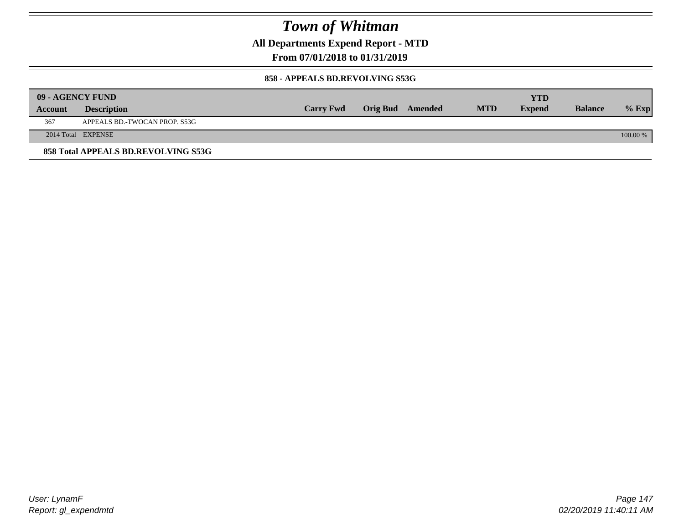**All Departments Expend Report - MTD**

### **From 07/01/2018 to 01/31/2019**

#### **858 - APPEALS BD.REVOLVING S53G**

| 09 - AGENCY FUND |                                     |                  |                  |            | <b>YTD</b>    |                |            |
|------------------|-------------------------------------|------------------|------------------|------------|---------------|----------------|------------|
| <b>Account</b>   | <b>Description</b>                  | <b>Carry Fwd</b> | Orig Bud Amended | <b>MTD</b> | <b>Expend</b> | <b>Balance</b> | $\%$ Exp   |
| 367              | APPEALS BD.-TWOCAN PROP. S53G       |                  |                  |            |               |                |            |
|                  | 2014 Total EXPENSE                  |                  |                  |            |               |                | $100.00\%$ |
|                  | 858 Total APPEALS BD.REVOLVING S53G |                  |                  |            |               |                |            |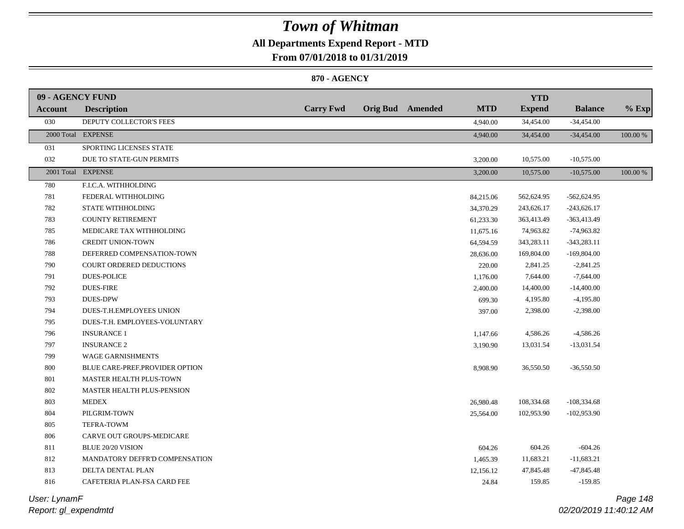## **All Departments Expend Report - MTD**

**From 07/01/2018 to 01/31/2019**

#### **870 - AGENCY**

| 09 - AGENCY FUND |                                   |                  |                         |            | <b>YTD</b>    |                |          |
|------------------|-----------------------------------|------------------|-------------------------|------------|---------------|----------------|----------|
| <b>Account</b>   | <b>Description</b>                | <b>Carry Fwd</b> | <b>Orig Bud</b> Amended | <b>MTD</b> | <b>Expend</b> | <b>Balance</b> | $%$ Exp  |
| 030              | DEPUTY COLLECTOR'S FEES           |                  |                         | 4,940.00   | 34,454.00     | $-34,454.00$   |          |
|                  | 2000 Total EXPENSE                |                  |                         | 4,940.00   | 34,454.00     | $-34,454.00$   | 100.00 % |
| 031              | SPORTING LICENSES STATE           |                  |                         |            |               |                |          |
| 032              | DUE TO STATE-GUN PERMITS          |                  |                         | 3,200.00   | 10,575.00     | $-10,575.00$   |          |
|                  | 2001 Total EXPENSE                |                  |                         | 3,200.00   | 10,575.00     | $-10,575.00$   | 100.00 % |
| 780              | F.I.C.A. WITHHOLDING              |                  |                         |            |               |                |          |
| 781              | FEDERAL WITHHOLDING               |                  |                         | 84,215.06  | 562,624.95    | $-562,624.95$  |          |
| 782              | STATE WITHHOLDING                 |                  |                         | 34,370.29  | 243,626.17    | $-243,626.17$  |          |
| 783              | <b>COUNTY RETIREMENT</b>          |                  |                         | 61,233.30  | 363,413.49    | $-363,413.49$  |          |
| 785              | MEDICARE TAX WITHHOLDING          |                  |                         | 11,675.16  | 74,963.82     | -74,963.82     |          |
| 786              | <b>CREDIT UNION-TOWN</b>          |                  |                         | 64,594.59  | 343,283.11    | $-343,283.11$  |          |
| 788              | DEFERRED COMPENSATION-TOWN        |                  |                         | 28,636.00  | 169,804.00    | $-169,804.00$  |          |
| 790              | COURT ORDERED DEDUCTIONS          |                  |                         | 220.00     | 2,841.25      | $-2,841.25$    |          |
| 791              | <b>DUES-POLICE</b>                |                  |                         | 1,176.00   | 7,644.00      | $-7,644.00$    |          |
| 792              | <b>DUES-FIRE</b>                  |                  |                         | 2,400.00   | 14,400.00     | $-14,400.00$   |          |
| 793              | <b>DUES-DPW</b>                   |                  |                         | 699.30     | 4,195.80      | $-4,195.80$    |          |
| 794              | DUES-T.H.EMPLOYEES UNION          |                  |                         | 397.00     | 2,398.00      | $-2,398.00$    |          |
| 795              | DUES-T.H. EMPLOYEES-VOLUNTARY     |                  |                         |            |               |                |          |
| 796              | <b>INSURANCE 1</b>                |                  |                         | 1,147.66   | 4,586.26      | $-4,586.26$    |          |
| 797              | <b>INSURANCE 2</b>                |                  |                         | 3,190.90   | 13,031.54     | $-13,031.54$   |          |
| 799              | <b>WAGE GARNISHMENTS</b>          |                  |                         |            |               |                |          |
| $800\,$          | BLUE CARE-PREF.PROVIDER OPTION    |                  |                         | 8,908.90   | 36,550.50     | $-36,550.50$   |          |
| 801              | MASTER HEALTH PLUS-TOWN           |                  |                         |            |               |                |          |
| 802              | <b>MASTER HEALTH PLUS-PENSION</b> |                  |                         |            |               |                |          |
| 803              | <b>MEDEX</b>                      |                  |                         | 26,980.48  | 108,334.68    | $-108,334.68$  |          |
| 804              | PILGRIM-TOWN                      |                  |                         | 25,564.00  | 102,953.90    | $-102,953.90$  |          |
| 805              | TEFRA-TOWM                        |                  |                         |            |               |                |          |
| 806              | CARVE OUT GROUPS-MEDICARE         |                  |                         |            |               |                |          |
| 811              | <b>BLUE 20/20 VISION</b>          |                  |                         | 604.26     | 604.26        | $-604.26$      |          |
| 812              | MANDATORY DEFFR'D COMPENSATION    |                  |                         | 1,465.39   | 11,683.21     | $-11,683.21$   |          |
| 813              | DELTA DENTAL PLAN                 |                  |                         | 12,156.12  | 47,845.48     | $-47,845.48$   |          |
| 816              | CAFETERIA PLAN-FSA CARD FEE       |                  |                         | 24.84      | 159.85        | $-159.85$      |          |
|                  |                                   |                  |                         |            |               |                |          |

*Report: gl\_expendmtd User: LynamF*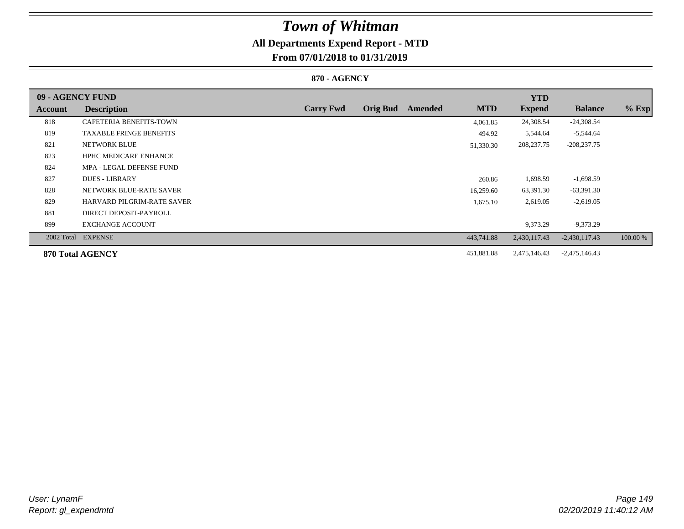# **All Departments Expend Report - MTD**

## **From 07/01/2018 to 01/31/2019**

#### **870 - AGENCY**

| 09 - AGENCY FUND |                                   |                  |                 |         |            | <b>YTD</b>    |                 |          |
|------------------|-----------------------------------|------------------|-----------------|---------|------------|---------------|-----------------|----------|
| Account          | <b>Description</b>                | <b>Carry Fwd</b> | <b>Orig Bud</b> | Amended | <b>MTD</b> | <b>Expend</b> | <b>Balance</b>  | $%$ Exp  |
| 818              | CAFETERIA BENEFITS-TOWN           |                  |                 |         | 4,061.85   | 24,308.54     | $-24,308.54$    |          |
| 819              | <b>TAXABLE FRINGE BENEFITS</b>    |                  |                 |         | 494.92     | 5,544.64      | -5,544.64       |          |
| 821              | <b>NETWORK BLUE</b>               |                  |                 |         | 51,330.30  | 208, 237. 75  | $-208,237.75$   |          |
| 823              | <b>HPHC MEDICARE ENHANCE</b>      |                  |                 |         |            |               |                 |          |
| 824              | MPA - LEGAL DEFENSE FUND          |                  |                 |         |            |               |                 |          |
| 827              | <b>DUES - LIBRARY</b>             |                  |                 |         | 260.86     | 1,698.59      | $-1,698.59$     |          |
| 828              | NETWORK BLUE-RATE SAVER           |                  |                 |         | 16,259.60  | 63,391.30     | $-63,391.30$    |          |
| 829              | <b>HARVARD PILGRIM-RATE SAVER</b> |                  |                 |         | 1,675.10   | 2,619.05      | $-2,619.05$     |          |
| 881              | DIRECT DEPOSIT-PAYROLL            |                  |                 |         |            |               |                 |          |
| 899              | <b>EXCHANGE ACCOUNT</b>           |                  |                 |         |            | 9,373.29      | $-9,373.29$     |          |
|                  | 2002 Total EXPENSE                |                  |                 |         | 443,741.88 | 2,430,117.43  | $-2,430,117.43$ | 100.00 % |
|                  | 870 Total AGENCY                  |                  |                 |         | 451,881.88 | 2,475,146.43  | $-2,475,146.43$ |          |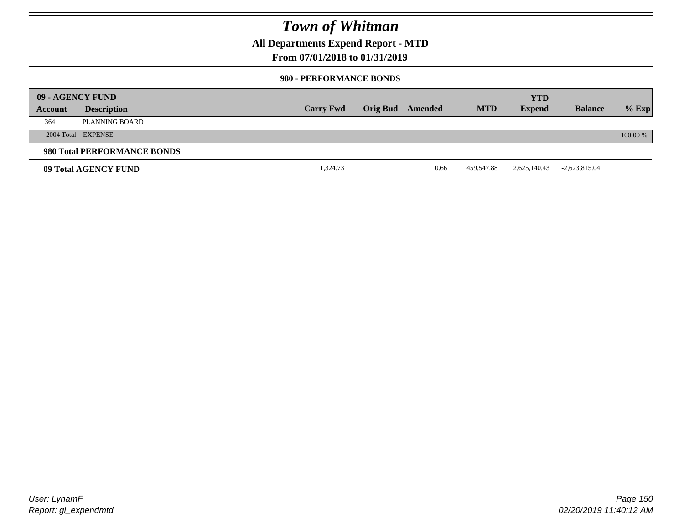**All Departments Expend Report - MTD**

### **From 07/01/2018 to 01/31/2019**

#### **980 - PERFORMANCE BONDS**

| 09 - AGENCY FUND |                             |                  |                 |         |            | <b>YTD</b>    |                 |          |
|------------------|-----------------------------|------------------|-----------------|---------|------------|---------------|-----------------|----------|
| Account          | <b>Description</b>          | <b>Carry Fwd</b> | <b>Orig Bud</b> | Amended | <b>MTD</b> | <b>Expend</b> | <b>Balance</b>  | $%$ Exp  |
| 364              | PLANNING BOARD              |                  |                 |         |            |               |                 |          |
|                  | 2004 Total EXPENSE          |                  |                 |         |            |               |                 | 100.00 % |
|                  | 980 Total PERFORMANCE BONDS |                  |                 |         |            |               |                 |          |
|                  | 09 Total AGENCY FUND        | 1,324.73         |                 | 0.66    | 459,547.88 | 2,625,140.43  | $-2,623,815.04$ |          |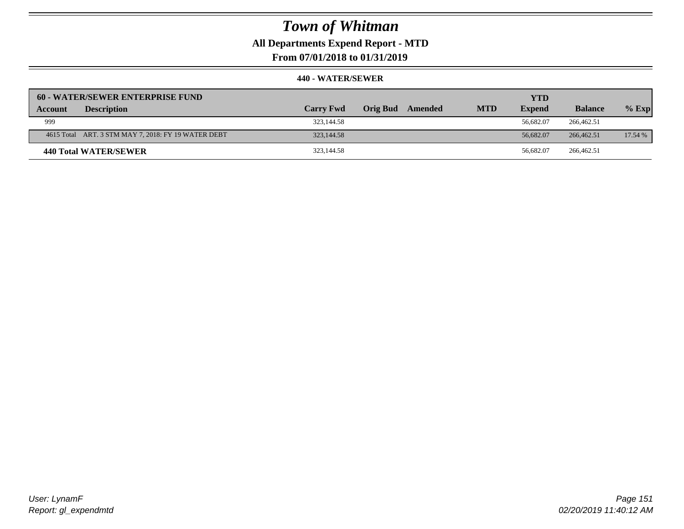**All Departments Expend Report - MTD**

**From 07/01/2018 to 01/31/2019**

|         | <b>60 - WATER/SEWER ENTERPRISE FUND</b>             |                  |          |         |            | <b>YTD</b>    |                |         |
|---------|-----------------------------------------------------|------------------|----------|---------|------------|---------------|----------------|---------|
| Account | <b>Description</b>                                  | <b>Carry Fwd</b> | Orig Bud | Amended | <b>MTD</b> | <b>Expend</b> | <b>Balance</b> | $%$ Exp |
| 999     |                                                     | 323,144.58       |          |         |            | 56.682.07     | 266,462.51     |         |
|         | 4615 Total ART. 3 STM MAY 7, 2018: FY 19 WATER DEBT | 323,144.58       |          |         |            | 56,682.07     | 266,462.51     | 17.54 % |
|         | 440 Total WATER/SEWER                               | 323,144.58       |          |         |            | 56.682.07     | 266,462.51     |         |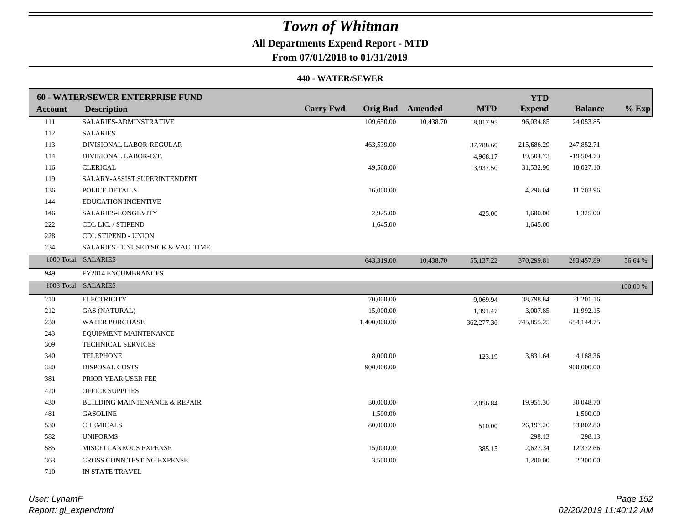### **All Departments Expend Report - MTD From 07/01/2018 to 01/31/2019**

|         | 60 - WATER/SEWER ENTERPRISE FUND         |                  |              |                         |            | <b>YTD</b>    |                |          |
|---------|------------------------------------------|------------------|--------------|-------------------------|------------|---------------|----------------|----------|
| Account | <b>Description</b>                       | <b>Carry Fwd</b> |              | <b>Orig Bud</b> Amended | <b>MTD</b> | <b>Expend</b> | <b>Balance</b> | $%$ Exp  |
| 111     | SALARIES-ADMINSTRATIVE                   |                  | 109,650.00   | 10,438.70               | 8,017.95   | 96,034.85     | 24,053.85      |          |
| 112     | <b>SALARIES</b>                          |                  |              |                         |            |               |                |          |
| 113     | DIVISIONAL LABOR-REGULAR                 |                  | 463,539.00   |                         | 37,788.60  | 215,686.29    | 247,852.71     |          |
| 114     | DIVISIONAL LABOR-O.T.                    |                  |              |                         | 4,968.17   | 19,504.73     | $-19,504.73$   |          |
| 116     | <b>CLERICAL</b>                          |                  | 49,560.00    |                         | 3,937.50   | 31,532.90     | 18,027.10      |          |
| 119     | SALARY-ASSIST.SUPERINTENDENT             |                  |              |                         |            |               |                |          |
| 136     | POLICE DETAILS                           |                  | 16,000.00    |                         |            | 4,296.04      | 11,703.96      |          |
| 144     | <b>EDUCATION INCENTIVE</b>               |                  |              |                         |            |               |                |          |
| 146     | SALARIES-LONGEVITY                       |                  | 2,925.00     |                         | 425.00     | 1,600.00      | 1,325.00       |          |
| 222     | CDL LIC. / STIPEND                       |                  | 1,645.00     |                         |            | 1,645.00      |                |          |
| 228     | <b>CDL STIPEND - UNION</b>               |                  |              |                         |            |               |                |          |
| 234     | SALARIES - UNUSED SICK & VAC. TIME       |                  |              |                         |            |               |                |          |
|         | 1000 Total SALARIES                      |                  | 643,319.00   | 10,438.70               | 55,137.22  | 370,299.81    | 283,457.89     | 56.64 %  |
| 949     | FY2014 ENCUMBRANCES                      |                  |              |                         |            |               |                |          |
|         | 1003 Total SALARIES                      |                  |              |                         |            |               |                | 100.00 % |
| 210     | <b>ELECTRICITY</b>                       |                  | 70,000.00    |                         | 9,069.94   | 38,798.84     | 31,201.16      |          |
| 212     | <b>GAS (NATURAL)</b>                     |                  | 15,000.00    |                         | 1,391.47   | 3,007.85      | 11,992.15      |          |
| 230     | <b>WATER PURCHASE</b>                    |                  | 1,400,000.00 |                         | 362,277.36 | 745,855.25    | 654,144.75     |          |
| 243     | EQUIPMENT MAINTENANCE                    |                  |              |                         |            |               |                |          |
| 309     | TECHNICAL SERVICES                       |                  |              |                         |            |               |                |          |
| 340     | <b>TELEPHONE</b>                         |                  | 8,000.00     |                         | 123.19     | 3,831.64      | 4,168.36       |          |
| 380     | <b>DISPOSAL COSTS</b>                    |                  | 900,000.00   |                         |            |               | 900,000.00     |          |
| 381     | PRIOR YEAR USER FEE                      |                  |              |                         |            |               |                |          |
| 420     | <b>OFFICE SUPPLIES</b>                   |                  |              |                         |            |               |                |          |
| 430     | <b>BUILDING MAINTENANCE &amp; REPAIR</b> |                  | 50,000.00    |                         | 2,056.84   | 19,951.30     | 30,048.70      |          |
| 481     | <b>GASOLINE</b>                          |                  | 1,500.00     |                         |            |               | 1,500.00       |          |
| 530     | <b>CHEMICALS</b>                         |                  | 80,000.00    |                         | 510.00     | 26,197.20     | 53,802.80      |          |
| 582     | <b>UNIFORMS</b>                          |                  |              |                         |            | 298.13        | $-298.13$      |          |
| 585     | MISCELLANEOUS EXPENSE                    |                  | 15,000.00    |                         | 385.15     | 2,627.34      | 12,372.66      |          |
| 363     | CROSS CONN.TESTING EXPENSE               |                  | 3,500.00     |                         |            | 1,200.00      | 2,300.00       |          |
| 710     | IN STATE TRAVEL                          |                  |              |                         |            |               |                |          |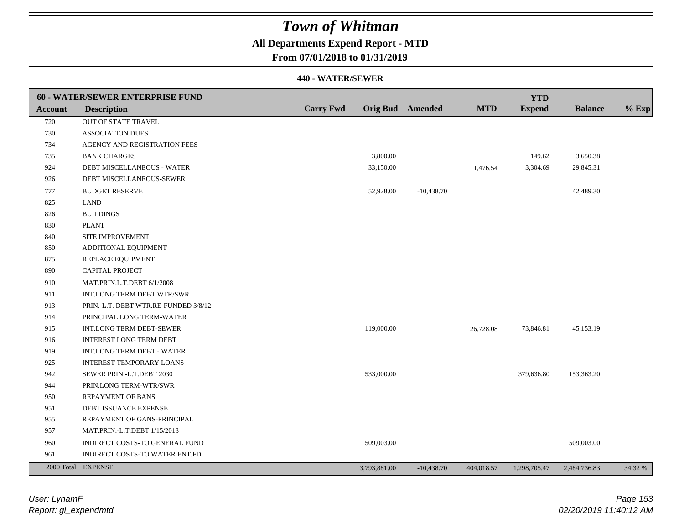## **All Departments Expend Report - MTD**

### **From 07/01/2018 to 01/31/2019**

|         | 60 - WATER/SEWER ENTERPRISE FUND     |                  |                  |              |            | <b>YTD</b>    |                |         |
|---------|--------------------------------------|------------------|------------------|--------------|------------|---------------|----------------|---------|
| Account | <b>Description</b>                   | <b>Carry Fwd</b> | Orig Bud Amended |              | <b>MTD</b> | <b>Expend</b> | <b>Balance</b> | $%$ Exp |
| 720     | <b>OUT OF STATE TRAVEL</b>           |                  |                  |              |            |               |                |         |
| 730     | <b>ASSOCIATION DUES</b>              |                  |                  |              |            |               |                |         |
| 734     | AGENCY AND REGISTRATION FEES         |                  |                  |              |            |               |                |         |
| 735     | <b>BANK CHARGES</b>                  |                  | 3,800.00         |              |            | 149.62        | 3,650.38       |         |
| 924     | DEBT MISCELLANEOUS - WATER           |                  | 33,150.00        |              | 1,476.54   | 3,304.69      | 29,845.31      |         |
| 926     | DEBT MISCELLANEOUS-SEWER             |                  |                  |              |            |               |                |         |
| 777     | <b>BUDGET RESERVE</b>                |                  | 52,928.00        | $-10,438.70$ |            |               | 42,489.30      |         |
| 825     | <b>LAND</b>                          |                  |                  |              |            |               |                |         |
| 826     | <b>BUILDINGS</b>                     |                  |                  |              |            |               |                |         |
| 830     | <b>PLANT</b>                         |                  |                  |              |            |               |                |         |
| 840     | SITE IMPROVEMENT                     |                  |                  |              |            |               |                |         |
| 850     | ADDITIONAL EQUIPMENT                 |                  |                  |              |            |               |                |         |
| 875     | REPLACE EQUIPMENT                    |                  |                  |              |            |               |                |         |
| 890     | CAPITAL PROJECT                      |                  |                  |              |            |               |                |         |
| 910     | MAT.PRIN.L.T.DEBT 6/1/2008           |                  |                  |              |            |               |                |         |
| 911     | <b>INT.LONG TERM DEBT WTR/SWR</b>    |                  |                  |              |            |               |                |         |
| 913     | PRIN.-L.T. DEBT WTR.RE-FUNDED 3/8/12 |                  |                  |              |            |               |                |         |
| 914     | PRINCIPAL LONG TERM-WATER            |                  |                  |              |            |               |                |         |
| 915     | INT.LONG TERM DEBT-SEWER             |                  | 119,000.00       |              | 26,728.08  | 73,846.81     | 45,153.19      |         |
| 916     | <b>INTEREST LONG TERM DEBT</b>       |                  |                  |              |            |               |                |         |
| 919     | INT.LONG TERM DEBT - WATER           |                  |                  |              |            |               |                |         |
| 925     | <b>INTEREST TEMPORARY LOANS</b>      |                  |                  |              |            |               |                |         |
| 942     | SEWER PRIN.-L.T.DEBT 2030            |                  | 533,000.00       |              |            | 379,636.80    | 153,363.20     |         |
| 944     | PRIN.LONG TERM-WTR/SWR               |                  |                  |              |            |               |                |         |
| 950     | REPAYMENT OF BANS                    |                  |                  |              |            |               |                |         |
| 951     | DEBT ISSUANCE EXPENSE                |                  |                  |              |            |               |                |         |
| 955     | REPAYMENT OF GANS-PRINCIPAL          |                  |                  |              |            |               |                |         |
| 957     | MAT.PRIN.-L.T.DEBT 1/15/2013         |                  |                  |              |            |               |                |         |
| 960     | INDIRECT COSTS-TO GENERAL FUND       |                  | 509,003.00       |              |            |               | 509,003.00     |         |
| 961     | INDIRECT COSTS-TO WATER ENT.FD       |                  |                  |              |            |               |                |         |
|         | 2000 Total EXPENSE                   |                  | 3,793,881.00     | $-10,438.70$ | 404,018.57 | 1,298,705.47  | 2,484,736.83   | 34.32 % |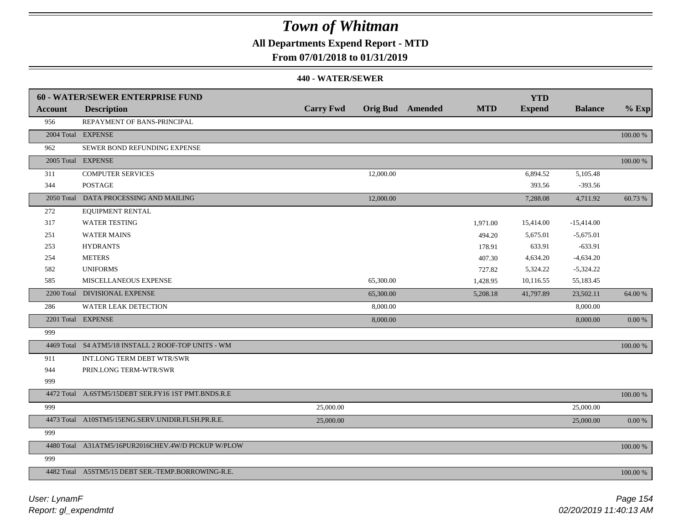**All Departments Expend Report - MTD**

### **From 07/01/2018 to 01/31/2019**

|                | 60 - WATER/SEWER ENTERPRISE FUND                    |                  |                         |            | <b>YTD</b>    |                |             |
|----------------|-----------------------------------------------------|------------------|-------------------------|------------|---------------|----------------|-------------|
| <b>Account</b> | <b>Description</b>                                  | <b>Carry Fwd</b> | <b>Orig Bud</b> Amended | <b>MTD</b> | <b>Expend</b> | <b>Balance</b> | $%$ Exp     |
| 956            | REPAYMENT OF BANS-PRINCIPAL                         |                  |                         |            |               |                |             |
|                | 2004 Total EXPENSE                                  |                  |                         |            |               |                | $100.00~\%$ |
| 962            | SEWER BOND REFUNDING EXPENSE                        |                  |                         |            |               |                |             |
|                | 2005 Total EXPENSE                                  |                  |                         |            |               |                | 100.00 %    |
| 311            | <b>COMPUTER SERVICES</b>                            |                  | 12,000.00               |            | 6,894.52      | 5,105.48       |             |
| 344            | <b>POSTAGE</b>                                      |                  |                         |            | 393.56        | $-393.56$      |             |
|                | 2050 Total DATA PROCESSING AND MAILING              |                  | 12,000.00               |            | 7,288.08      | 4,711.92       | 60.73 %     |
| 272            | EQUIPMENT RENTAL                                    |                  |                         |            |               |                |             |
| 317            | <b>WATER TESTING</b>                                |                  |                         | 1,971.00   | 15,414.00     | $-15,414.00$   |             |
| 251            | <b>WATER MAINS</b>                                  |                  |                         | 494.20     | 5,675.01      | $-5,675.01$    |             |
| 253            | <b>HYDRANTS</b>                                     |                  |                         | 178.91     | 633.91        | $-633.91$      |             |
| 254            | <b>METERS</b>                                       |                  |                         | 407.30     | 4,634.20      | $-4,634.20$    |             |
| 582            | <b>UNIFORMS</b>                                     |                  |                         | 727.82     | 5,324.22      | $-5,324.22$    |             |
| 585            | MISCELLANEOUS EXPENSE                               |                  | 65,300.00               | 1,428.95   | 10,116.55     | 55,183.45      |             |
|                | 2200 Total DIVISIONAL EXPENSE                       |                  | 65,300.00               | 5,208.18   | 41,797.89     | 23,502.11      | 64.00 %     |
| 286            | <b>WATER LEAK DETECTION</b>                         |                  | 8,000.00                |            |               | 8,000.00       |             |
|                | 2201 Total EXPENSE                                  |                  | 8,000.00                |            |               | 8,000.00       | 0.00 %      |
| 999            |                                                     |                  |                         |            |               |                |             |
|                | 4469 Total S4 ATM5/18 INSTALL 2 ROOF-TOP UNITS - WM |                  |                         |            |               |                | 100.00 %    |
| 911            | INT.LONG TERM DEBT WTR/SWR                          |                  |                         |            |               |                |             |
| 944            | PRIN.LONG TERM-WTR/SWR                              |                  |                         |            |               |                |             |
| 999            |                                                     |                  |                         |            |               |                |             |
|                | 4472 Total A.6STM5/15DEBT SER.FY16 1ST PMT.BNDS.R.E |                  |                         |            |               |                | 100.00 %    |
| 999            |                                                     | 25,000.00        |                         |            |               | 25,000.00      |             |
|                | 4473 Total A10STM5/15ENG.SERV.UNIDIR.FLSH.PR.R.E.   | 25,000.00        |                         |            |               | 25,000.00      | 0.00 %      |
| 999            |                                                     |                  |                         |            |               |                |             |
|                | 4480 Total A31ATM5/16PUR2016CHEV.4W/D PICKUP W/PLOW |                  |                         |            |               |                | 100.00 %    |
| 999            |                                                     |                  |                         |            |               |                |             |
|                | 4482 Total A5STM5/15 DEBT SER.-TEMP.BORROWING-R.E.  |                  |                         |            |               |                | 100.00 %    |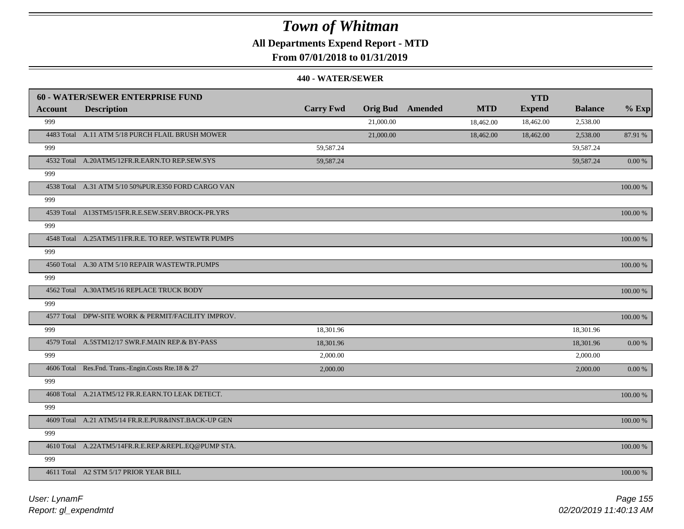## **All Departments Expend Report - MTD**

### **From 07/01/2018 to 01/31/2019**

|         | <b>60 - WATER/SEWER ENTERPRISE FUND</b>              |                  |           |                         |            | <b>YTD</b>    |                |            |
|---------|------------------------------------------------------|------------------|-----------|-------------------------|------------|---------------|----------------|------------|
| Account | <b>Description</b>                                   | <b>Carry Fwd</b> |           | <b>Orig Bud</b> Amended | <b>MTD</b> | <b>Expend</b> | <b>Balance</b> | $%$ Exp    |
| 999     |                                                      |                  | 21,000.00 |                         | 18,462.00  | 18,462.00     | 2,538.00       |            |
|         | 4483 Total A.11 ATM 5/18 PURCH FLAIL BRUSH MOWER     |                  | 21,000.00 |                         | 18,462.00  | 18,462.00     | 2,538.00       | 87.91 %    |
| 999     |                                                      | 59,587.24        |           |                         |            |               | 59,587.24      |            |
|         | 4532 Total A.20ATM5/12FR.R.EARN.TO REP.SEW.SYS       | 59,587.24        |           |                         |            |               | 59,587.24      | $0.00\%$   |
| 999     |                                                      |                  |           |                         |            |               |                |            |
|         | 4538 Total A.31 ATM 5/10 50% PUR.E350 FORD CARGO VAN |                  |           |                         |            |               |                | 100.00 %   |
| 999     |                                                      |                  |           |                         |            |               |                |            |
|         | 4539 Total A13STM5/15FR.R.E.SEW.SERV.BROCK-PR.YRS    |                  |           |                         |            |               |                | 100.00 %   |
| 999     |                                                      |                  |           |                         |            |               |                |            |
|         | 4548 Total A.25ATM5/11FR.R.E. TO REP. WSTEWTR PUMPS  |                  |           |                         |            |               |                | 100.00 %   |
| 999     |                                                      |                  |           |                         |            |               |                |            |
|         | 4560 Total A.30 ATM 5/10 REPAIR WASTEWTR.PUMPS       |                  |           |                         |            |               |                | 100.00 %   |
| 999     |                                                      |                  |           |                         |            |               |                |            |
|         | 4562 Total A.30ATM5/16 REPLACE TRUCK BODY            |                  |           |                         |            |               |                | 100.00 %   |
| 999     |                                                      |                  |           |                         |            |               |                |            |
|         | 4577 Total DPW-SITE WORK & PERMIT/FACILITY IMPROV.   |                  |           |                         |            |               |                | 100.00 %   |
| 999     |                                                      | 18,301.96        |           |                         |            |               | 18,301.96      |            |
|         | 4579 Total A.5STM12/17 SWR.F.MAIN REP.& BY-PASS      | 18,301.96        |           |                         |            |               | 18,301.96      | $0.00\:\%$ |
| 999     |                                                      | 2,000.00         |           |                         |            |               | 2,000.00       |            |
|         | 4606 Total Res.Fnd. Trans.-Engin.Costs Rte.18 & 27   | 2,000.00         |           |                         |            |               | 2,000.00       | 0.00 %     |
| 999     |                                                      |                  |           |                         |            |               |                |            |
|         | 4608 Total A.21ATM5/12 FR.R.EARN.TO LEAK DETECT.     |                  |           |                         |            |               |                | 100.00 %   |
| 999     |                                                      |                  |           |                         |            |               |                |            |
|         | 4609 Total A.21 ATM5/14 FR.R.E.PUR&INST.BACK-UP GEN  |                  |           |                         |            |               |                | 100.00 %   |
| 999     |                                                      |                  |           |                         |            |               |                |            |
|         | 4610 Total A.22ATM5/14FR.R.E.REP.&REPL.EQ@PUMP STA.  |                  |           |                         |            |               |                | 100.00 %   |
| 999     |                                                      |                  |           |                         |            |               |                |            |
|         | 4611 Total A2 STM 5/17 PRIOR YEAR BILL               |                  |           |                         |            |               |                | 100.00 %   |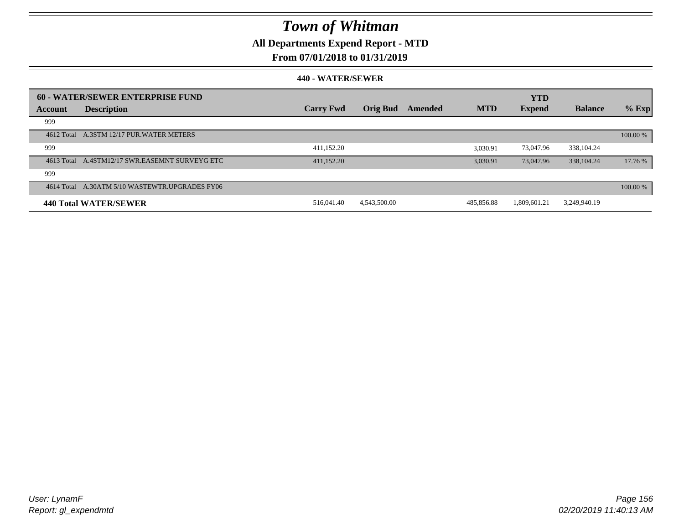## **All Departments Expend Report - MTD**

### **From 07/01/2018 to 01/31/2019**

|         | 60 - WATER/SEWER ENTERPRISE FUND               |                  |                 |         |            | <b>YTD</b>    |                |          |
|---------|------------------------------------------------|------------------|-----------------|---------|------------|---------------|----------------|----------|
| Account | <b>Description</b>                             | <b>Carry Fwd</b> | <b>Orig Bud</b> | Amended | <b>MTD</b> | <b>Expend</b> | <b>Balance</b> | $%$ Exp  |
| 999     |                                                |                  |                 |         |            |               |                |          |
|         | 4612 Total A.3STM 12/17 PUR. WATER METERS      |                  |                 |         |            |               |                | 100.00 % |
| 999     |                                                | 411,152.20       |                 |         | 3.030.91   | 73,047.96     | 338, 104.24    |          |
|         | 4613 Total A.4STM12/17 SWR.EASEMNT SURVEYG ETC | 411,152.20       |                 |         | 3,030.91   | 73,047.96     | 338, 104. 24   | 17.76 %  |
| 999     |                                                |                  |                 |         |            |               |                |          |
|         | 4614 Total A.30ATM 5/10 WASTEWTR.UPGRADES FY06 |                  |                 |         |            |               |                | 100.00 % |
|         | <b>440 Total WATER/SEWER</b>                   | 516,041.40       | 4,543,500.00    |         | 485,856.88 | 1.809.601.21  | 3,249,940.19   |          |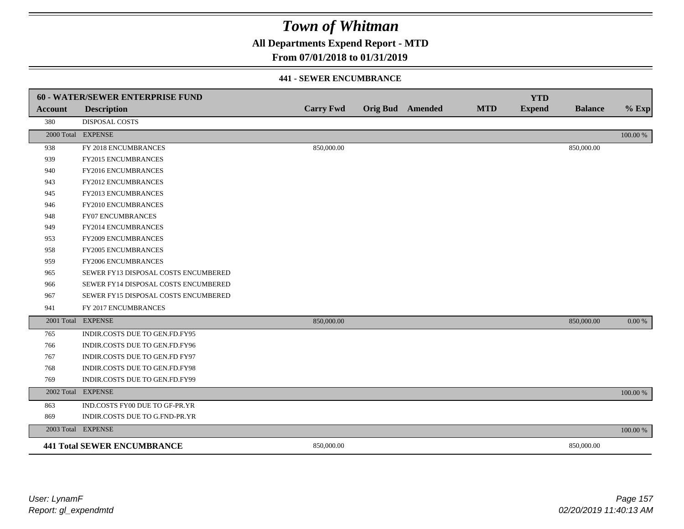**All Departments Expend Report - MTD**

### **From 07/01/2018 to 01/31/2019**

#### **441 - SEWER ENCUMBRANCE**

|         | <b>60 - WATER/SEWER ENTERPRISE FUND</b> |                  |                         |            | <b>YTD</b>    |                |          |
|---------|-----------------------------------------|------------------|-------------------------|------------|---------------|----------------|----------|
| Account | <b>Description</b>                      | <b>Carry Fwd</b> | <b>Orig Bud</b> Amended | <b>MTD</b> | <b>Expend</b> | <b>Balance</b> | $%$ Exp  |
| 380     | <b>DISPOSAL COSTS</b>                   |                  |                         |            |               |                |          |
|         | 2000 Total EXPENSE                      |                  |                         |            |               |                | 100.00 % |
| 938     | FY 2018 ENCUMBRANCES                    | 850,000.00       |                         |            |               | 850,000.00     |          |
| 939     | <b>FY2015 ENCUMBRANCES</b>              |                  |                         |            |               |                |          |
| 940     | FY2016 ENCUMBRANCES                     |                  |                         |            |               |                |          |
| 943     | <b>FY2012 ENCUMBRANCES</b>              |                  |                         |            |               |                |          |
| 945     | FY2013 ENCUMBRANCES                     |                  |                         |            |               |                |          |
| 946     | FY2010 ENCUMBRANCES                     |                  |                         |            |               |                |          |
| 948     | <b>FY07 ENCUMBRANCES</b>                |                  |                         |            |               |                |          |
| 949     | FY2014 ENCUMBRANCES                     |                  |                         |            |               |                |          |
| 953     | <b>FY2009 ENCUMBRANCES</b>              |                  |                         |            |               |                |          |
| 958     | <b>FY2005 ENCUMBRANCES</b>              |                  |                         |            |               |                |          |
| 959     | FY2006 ENCUMBRANCES                     |                  |                         |            |               |                |          |
| 965     | SEWER FY13 DISPOSAL COSTS ENCUMBERED    |                  |                         |            |               |                |          |
| 966     | SEWER FY14 DISPOSAL COSTS ENCUMBERED    |                  |                         |            |               |                |          |
| 967     | SEWER FY15 DISPOSAL COSTS ENCUMBERED    |                  |                         |            |               |                |          |
| 941     | FY 2017 ENCUMBRANCES                    |                  |                         |            |               |                |          |
|         | 2001 Total EXPENSE                      | 850,000.00       |                         |            |               | 850,000.00     | 0.00 %   |
| 765     | INDIR.COSTS DUE TO GEN.FD.FY95          |                  |                         |            |               |                |          |
| 766     | INDIR.COSTS DUE TO GEN.FD.FY96          |                  |                         |            |               |                |          |
| 767     | INDIR.COSTS DUE TO GEN.FD FY97          |                  |                         |            |               |                |          |
| 768     | INDIR.COSTS DUE TO GEN.FD.FY98          |                  |                         |            |               |                |          |
| 769     | INDIR.COSTS DUE TO GEN.FD.FY99          |                  |                         |            |               |                |          |
|         | 2002 Total EXPENSE                      |                  |                         |            |               |                | 100.00 % |
| 863     | IND.COSTS FY00 DUE TO GF-PR.YR          |                  |                         |            |               |                |          |
| 869     | INDIR.COSTS DUE TO G.FND-PR.YR          |                  |                         |            |               |                |          |
|         | 2003 Total EXPENSE                      |                  |                         |            |               |                | 100.00 % |
|         | <b>441 Total SEWER ENCUMBRANCE</b>      | 850,000.00       |                         |            |               | 850,000.00     |          |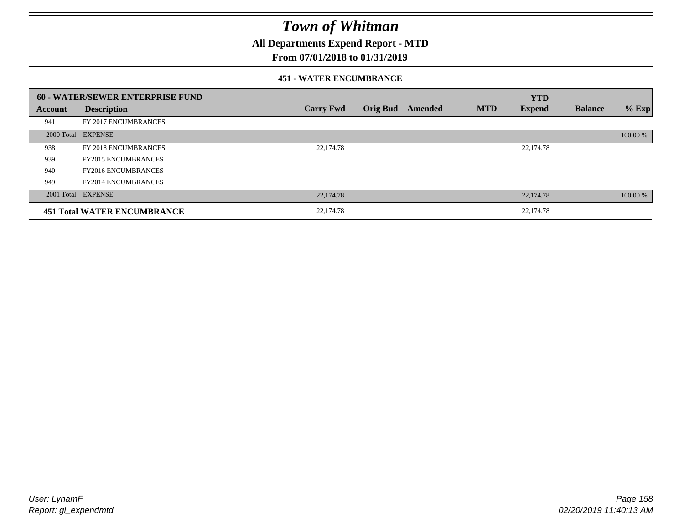**All Departments Expend Report - MTD**

### **From 07/01/2018 to 01/31/2019**

#### **451 - WATER ENCUMBRANCE**

|         | 60 - WATER/SEWER ENTERPRISE FUND   |                  |                 |         |            | <b>YTD</b>    |                |          |
|---------|------------------------------------|------------------|-----------------|---------|------------|---------------|----------------|----------|
| Account | <b>Description</b>                 | <b>Carry Fwd</b> | <b>Orig Bud</b> | Amended | <b>MTD</b> | <b>Expend</b> | <b>Balance</b> | $%$ Exp  |
| 941     | FY 2017 ENCUMBRANCES               |                  |                 |         |            |               |                |          |
|         | 2000 Total EXPENSE                 |                  |                 |         |            |               |                | 100.00 % |
| 938     | FY 2018 ENCUMBRANCES               | 22,174.78        |                 |         |            | 22,174.78     |                |          |
| 939     | <b>FY2015 ENCUMBRANCES</b>         |                  |                 |         |            |               |                |          |
| 940     | <b>FY2016 ENCUMBRANCES</b>         |                  |                 |         |            |               |                |          |
| 949     | <b>FY2014 ENCUMBRANCES</b>         |                  |                 |         |            |               |                |          |
|         | 2001 Total EXPENSE                 | 22,174.78        |                 |         |            | 22,174.78     |                | 100.00 % |
|         | <b>451 Total WATER ENCUMBRANCE</b> | 22,174.78        |                 |         |            | 22,174.78     |                |          |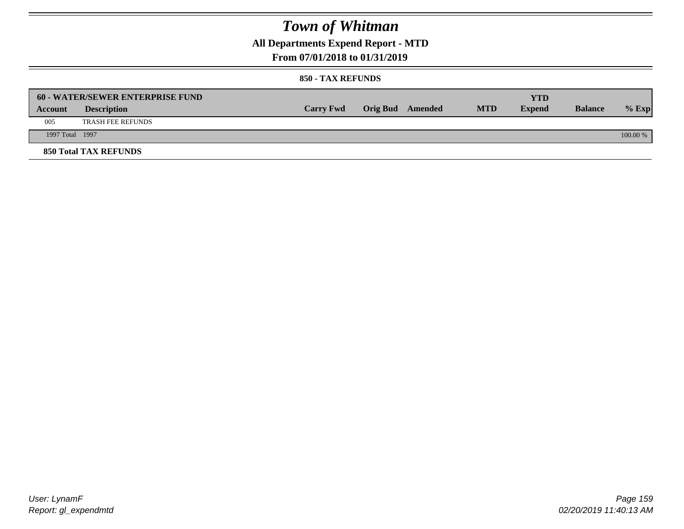**All Departments Expend Report - MTD**

### **From 07/01/2018 to 01/31/2019**

|                 | <b>60 - WATER/SEWER ENTERPRISE FUND</b> |                  |                         |            | YTD           |                |            |
|-----------------|-----------------------------------------|------------------|-------------------------|------------|---------------|----------------|------------|
| Account         | <b>Description</b>                      | <b>Carry Fwd</b> | <b>Orig Bud</b> Amended | <b>MTD</b> | <b>Expend</b> | <b>Balance</b> | $%$ Exp    |
| 005             | <b>TRASH FEE REFUNDS</b>                |                  |                         |            |               |                |            |
| 1997 Total 1997 |                                         |                  |                         |            |               |                | $100.00\%$ |
|                 | <b>850 Total TAX REFUNDS</b>            |                  |                         |            |               |                |            |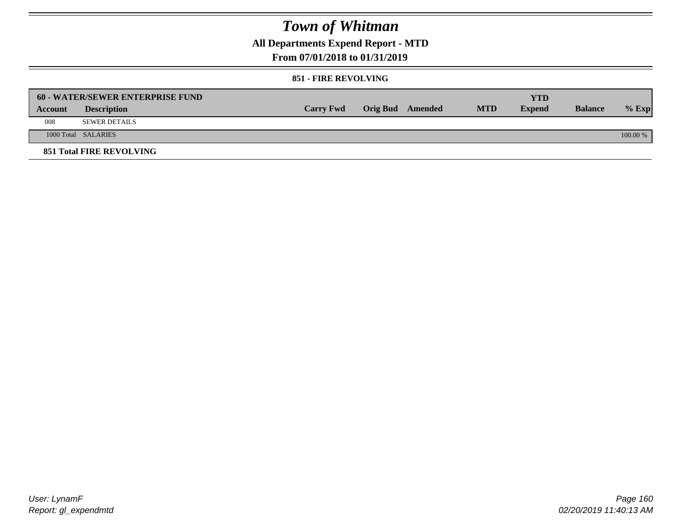**All Departments Expend Report - MTD**

### **From 07/01/2018 to 01/31/2019**

#### **851 - FIRE REVOLVING**

|         | <b>60 - WATER/SEWER ENTERPRISE FUND</b> |                  |                  |            | YTD           |                |            |
|---------|-----------------------------------------|------------------|------------------|------------|---------------|----------------|------------|
| Account | <b>Description</b>                      | <b>Carry Fwd</b> | Orig Bud Amended | <b>MTD</b> | <b>Expend</b> | <b>Balance</b> | $%$ Exp    |
| 008     | SEWER DETAILS                           |                  |                  |            |               |                |            |
|         | 1000 Total SALARIES                     |                  |                  |            |               |                | $100.00\%$ |
|         | <b>851 Total FIRE REVOLVING</b>         |                  |                  |            |               |                |            |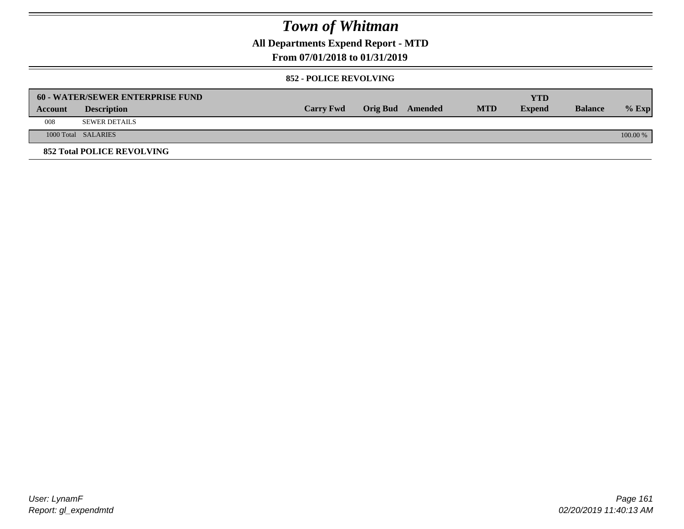**All Departments Expend Report - MTD**

### **From 07/01/2018 to 01/31/2019**

#### **852 - POLICE REVOLVING**

|         | 60 - WATER/SEWER ENTERPRISE FUND  |                  |                  |            | YTD           |                |            |
|---------|-----------------------------------|------------------|------------------|------------|---------------|----------------|------------|
| Account | <b>Description</b>                | <b>Carry Fwd</b> | Orig Bud Amended | <b>MTD</b> | <b>Expend</b> | <b>Balance</b> | $%$ Exp    |
| 008     | <b>SEWER DETAILS</b>              |                  |                  |            |               |                |            |
|         | 1000 Total SALARIES               |                  |                  |            |               |                | $100.00\%$ |
|         | <b>852 Total POLICE REVOLVING</b> |                  |                  |            |               |                |            |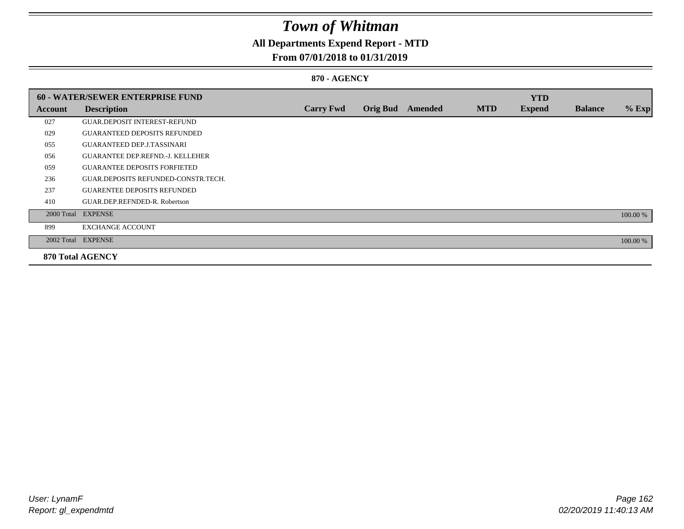## **All Departments Expend Report - MTD**

### **From 07/01/2018 to 01/31/2019**

#### **870 - AGENCY**

|         | 60 - WATER/SEWER ENTERPRISE FUND        |                  |                 |         |            | <b>YTD</b>    |                |          |
|---------|-----------------------------------------|------------------|-----------------|---------|------------|---------------|----------------|----------|
| Account | <b>Description</b>                      | <b>Carry Fwd</b> | <b>Orig Bud</b> | Amended | <b>MTD</b> | <b>Expend</b> | <b>Balance</b> | $%$ Exp  |
| 027     | <b>GUAR DEPOSIT INTEREST-REFUND</b>     |                  |                 |         |            |               |                |          |
| 029     | <b>GUARANTEED DEPOSITS REFUNDED</b>     |                  |                 |         |            |               |                |          |
| 055     | <b>GUARANTEED DEP.J.TASSINARI</b>       |                  |                 |         |            |               |                |          |
| 056     | <b>GUARANTEE DEP.REFND.-J. KELLEHER</b> |                  |                 |         |            |               |                |          |
| 059     | <b>GUARANTEE DEPOSITS FORFIETED</b>     |                  |                 |         |            |               |                |          |
| 236     | GUAR.DEPOSITS REFUNDED-CONSTR.TECH.     |                  |                 |         |            |               |                |          |
| 237     | <b>GUARENTEE DEPOSITS REFUNDED</b>      |                  |                 |         |            |               |                |          |
| 410     | GUAR.DEP.REFNDED-R. Robertson           |                  |                 |         |            |               |                |          |
|         | 2000 Total EXPENSE                      |                  |                 |         |            |               |                | 100.00 % |
| 899     | <b>EXCHANGE ACCOUNT</b>                 |                  |                 |         |            |               |                |          |
|         | 2002 Total EXPENSE                      |                  |                 |         |            |               |                | 100.00 % |
|         | <b>870 Total AGENCY</b>                 |                  |                 |         |            |               |                |          |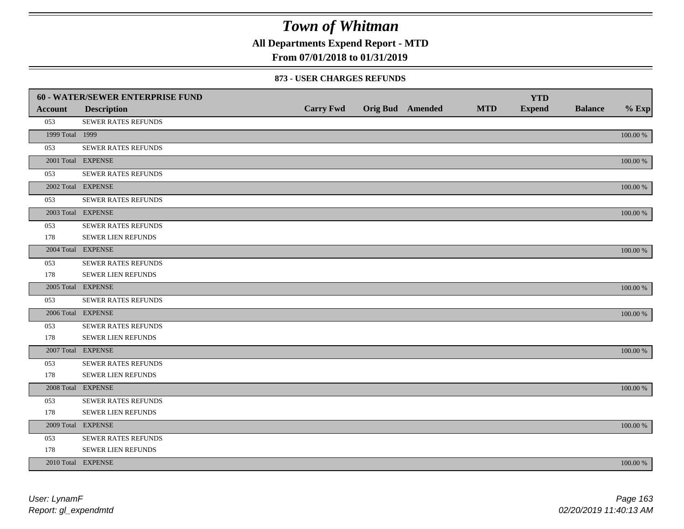**All Departments Expend Report - MTD**

### **From 07/01/2018 to 01/31/2019**

#### **873 - USER CHARGES REFUNDS**

|                 | 60 - WATER/SEWER ENTERPRISE FUND |                  |                         |            | <b>YTD</b>    |                |             |
|-----------------|----------------------------------|------------------|-------------------------|------------|---------------|----------------|-------------|
| <b>Account</b>  | <b>Description</b>               | <b>Carry Fwd</b> | <b>Orig Bud</b> Amended | <b>MTD</b> | <b>Expend</b> | <b>Balance</b> | $%$ Exp     |
| 053             | SEWER RATES REFUNDS              |                  |                         |            |               |                |             |
| 1999 Total 1999 |                                  |                  |                         |            |               |                | 100.00 %    |
| 053             | SEWER RATES REFUNDS              |                  |                         |            |               |                |             |
|                 | 2001 Total EXPENSE               |                  |                         |            |               |                | 100.00 %    |
| 053             | SEWER RATES REFUNDS              |                  |                         |            |               |                |             |
|                 | 2002 Total EXPENSE               |                  |                         |            |               |                | $100.00~\%$ |
| 053             | SEWER RATES REFUNDS              |                  |                         |            |               |                |             |
|                 | 2003 Total EXPENSE               |                  |                         |            |               |                | 100.00 %    |
| 053             | SEWER RATES REFUNDS              |                  |                         |            |               |                |             |
| 178             | <b>SEWER LIEN REFUNDS</b>        |                  |                         |            |               |                |             |
|                 | 2004 Total EXPENSE               |                  |                         |            |               |                | 100.00 %    |
| 053             | SEWER RATES REFUNDS              |                  |                         |            |               |                |             |
| 178             | SEWER LIEN REFUNDS               |                  |                         |            |               |                |             |
|                 | 2005 Total EXPENSE               |                  |                         |            |               |                | 100.00 %    |
| 053             | <b>SEWER RATES REFUNDS</b>       |                  |                         |            |               |                |             |
|                 | 2006 Total EXPENSE               |                  |                         |            |               |                | 100.00 %    |
| 053             | <b>SEWER RATES REFUNDS</b>       |                  |                         |            |               |                |             |
| 178             | SEWER LIEN REFUNDS               |                  |                         |            |               |                |             |
|                 | 2007 Total EXPENSE               |                  |                         |            |               |                | 100.00 %    |
| 053             | SEWER RATES REFUNDS              |                  |                         |            |               |                |             |
| 178             | <b>SEWER LIEN REFUNDS</b>        |                  |                         |            |               |                |             |
|                 | 2008 Total EXPENSE               |                  |                         |            |               |                | 100.00 %    |
| 053             | <b>SEWER RATES REFUNDS</b>       |                  |                         |            |               |                |             |
| 178             | SEWER LIEN REFUNDS               |                  |                         |            |               |                |             |
|                 | 2009 Total EXPENSE               |                  |                         |            |               |                | 100.00 %    |
| 053             | SEWER RATES REFUNDS              |                  |                         |            |               |                |             |
| 178             | <b>SEWER LIEN REFUNDS</b>        |                  |                         |            |               |                |             |
|                 | 2010 Total EXPENSE               |                  |                         |            |               |                | 100.00 %    |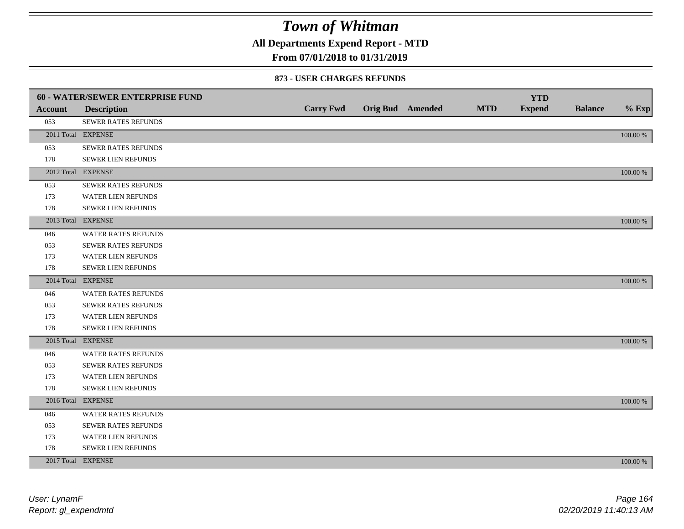**All Departments Expend Report - MTD**

### **From 07/01/2018 to 01/31/2019**

#### **873 - USER CHARGES REFUNDS**

|         | <b>60 - WATER/SEWER ENTERPRISE FUND</b> |                  |                         |            | <b>YTD</b>    |                |          |
|---------|-----------------------------------------|------------------|-------------------------|------------|---------------|----------------|----------|
| Account | <b>Description</b>                      | <b>Carry Fwd</b> | <b>Orig Bud</b> Amended | <b>MTD</b> | <b>Expend</b> | <b>Balance</b> | $%$ Exp  |
| 053     | SEWER RATES REFUNDS                     |                  |                         |            |               |                |          |
|         | 2011 Total EXPENSE                      |                  |                         |            |               |                | 100.00 % |
| 053     | SEWER RATES REFUNDS                     |                  |                         |            |               |                |          |
| 178     | SEWER LIEN REFUNDS                      |                  |                         |            |               |                |          |
|         | 2012 Total EXPENSE                      |                  |                         |            |               |                | 100.00 % |
| 053     | SEWER RATES REFUNDS                     |                  |                         |            |               |                |          |
| 173     | <b>WATER LIEN REFUNDS</b>               |                  |                         |            |               |                |          |
| 178     | SEWER LIEN REFUNDS                      |                  |                         |            |               |                |          |
|         | 2013 Total EXPENSE                      |                  |                         |            |               |                | 100.00 % |
| 046     | WATER RATES REFUNDS                     |                  |                         |            |               |                |          |
| 053     | <b>SEWER RATES REFUNDS</b>              |                  |                         |            |               |                |          |
| 173     | WATER LIEN REFUNDS                      |                  |                         |            |               |                |          |
| 178     | <b>SEWER LIEN REFUNDS</b>               |                  |                         |            |               |                |          |
|         | 2014 Total EXPENSE                      |                  |                         |            |               |                | 100.00 % |
| 046     | <b>WATER RATES REFUNDS</b>              |                  |                         |            |               |                |          |
| 053     | SEWER RATES REFUNDS                     |                  |                         |            |               |                |          |
| 173     | WATER LIEN REFUNDS                      |                  |                         |            |               |                |          |
| 178     | SEWER LIEN REFUNDS                      |                  |                         |            |               |                |          |
|         | 2015 Total EXPENSE                      |                  |                         |            |               |                | 100.00 % |
| 046     | WATER RATES REFUNDS                     |                  |                         |            |               |                |          |
| 053     | SEWER RATES REFUNDS                     |                  |                         |            |               |                |          |
| 173     | <b>WATER LIEN REFUNDS</b>               |                  |                         |            |               |                |          |
| 178     | SEWER LIEN REFUNDS                      |                  |                         |            |               |                |          |
|         | 2016 Total EXPENSE                      |                  |                         |            |               |                | 100.00 % |
| 046     | <b>WATER RATES REFUNDS</b>              |                  |                         |            |               |                |          |
| 053     | <b>SEWER RATES REFUNDS</b>              |                  |                         |            |               |                |          |
| 173     | WATER LIEN REFUNDS                      |                  |                         |            |               |                |          |
| 178     | SEWER LIEN REFUNDS                      |                  |                         |            |               |                |          |
|         | 2017 Total EXPENSE                      |                  |                         |            |               |                | 100.00 % |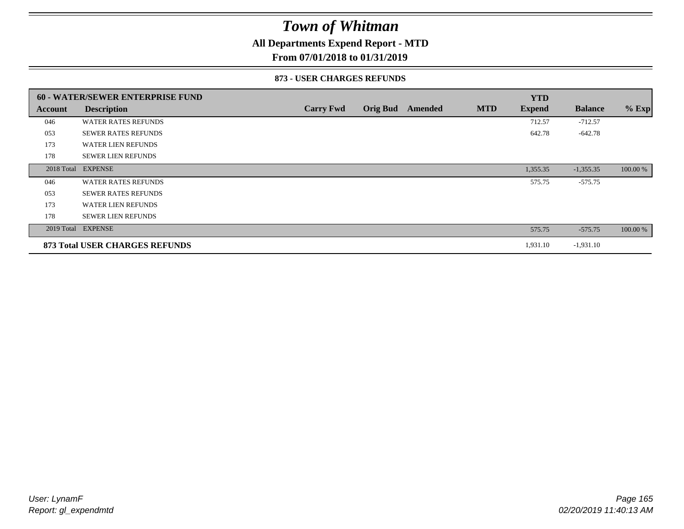### **All Departments Expend Report - MTD**

### **From 07/01/2018 to 01/31/2019**

#### **873 - USER CHARGES REFUNDS**

|            | <b>60 - WATER/SEWER ENTERPRISE FUND</b> |                  |                 |         |            | <b>YTD</b>    |                |          |
|------------|-----------------------------------------|------------------|-----------------|---------|------------|---------------|----------------|----------|
| Account    | <b>Description</b>                      | <b>Carry Fwd</b> | <b>Orig Bud</b> | Amended | <b>MTD</b> | <b>Expend</b> | <b>Balance</b> | $%$ Exp  |
| 046        | <b>WATER RATES REFUNDS</b>              |                  |                 |         |            | 712.57        | $-712.57$      |          |
| 053        | <b>SEWER RATES REFUNDS</b>              |                  |                 |         |            | 642.78        | $-642.78$      |          |
| 173        | <b>WATER LIEN REFUNDS</b>               |                  |                 |         |            |               |                |          |
| 178        | <b>SEWER LIEN REFUNDS</b>               |                  |                 |         |            |               |                |          |
| 2018 Total | <b>EXPENSE</b>                          |                  |                 |         |            | 1,355.35      | $-1,355.35$    | 100.00 % |
| 046        | <b>WATER RATES REFUNDS</b>              |                  |                 |         |            | 575.75        | $-575.75$      |          |
| 053        | <b>SEWER RATES REFUNDS</b>              |                  |                 |         |            |               |                |          |
| 173        | <b>WATER LIEN REFUNDS</b>               |                  |                 |         |            |               |                |          |
| 178        | <b>SEWER LIEN REFUNDS</b>               |                  |                 |         |            |               |                |          |
|            | 2019 Total EXPENSE                      |                  |                 |         |            | 575.75        | $-575.75$      | 100.00 % |
|            | <b>873 Total USER CHARGES REFUNDS</b>   |                  |                 |         |            | 1,931.10      | $-1,931.10$    |          |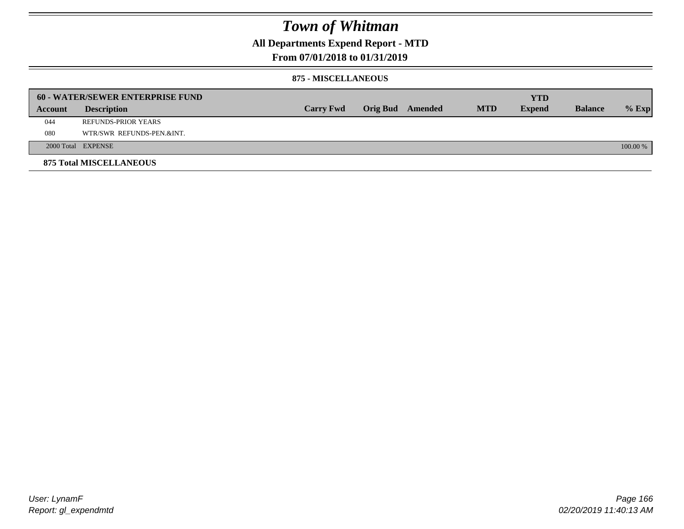### **All Departments Expend Report - MTD**

### **From 07/01/2018 to 01/31/2019**

#### **875 - MISCELLANEOUS**

|         | <b>60 - WATER/SEWER ENTERPRISE FUND</b> |                  |  |                  |            | <b>YTD</b>    |                |            |
|---------|-----------------------------------------|------------------|--|------------------|------------|---------------|----------------|------------|
| Account | <b>Description</b>                      | <b>Carry Fwd</b> |  | Orig Bud Amended | <b>MTD</b> | <b>Expend</b> | <b>Balance</b> | $%$ Exp    |
| 044     | REFUNDS-PRIOR YEARS                     |                  |  |                  |            |               |                |            |
| 080     | WTR/SWR REFUNDS-PEN.&INT.               |                  |  |                  |            |               |                |            |
|         | 2000 Total EXPENSE                      |                  |  |                  |            |               |                | $100.00\%$ |
|         | <b>875 Total MISCELLANEOUS</b>          |                  |  |                  |            |               |                |            |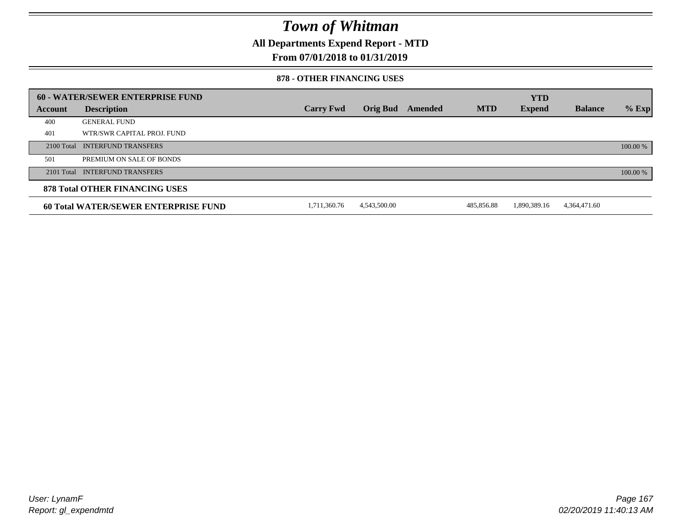**All Departments Expend Report - MTD**

### **From 07/01/2018 to 01/31/2019**

#### **878 - OTHER FINANCING USES**

|         | 60 - WATER/SEWER ENTERPRISE FUND            |                  |                 |                |            | <b>YTD</b>    |                |          |
|---------|---------------------------------------------|------------------|-----------------|----------------|------------|---------------|----------------|----------|
| Account | <b>Description</b>                          | <b>Carry Fwd</b> | <b>Orig Bud</b> | <b>Amended</b> | <b>MTD</b> | <b>Expend</b> | <b>Balance</b> | $%$ Exp  |
| 400     | <b>GENERAL FUND</b>                         |                  |                 |                |            |               |                |          |
| 401     | WTR/SWR CAPITAL PROJ. FUND                  |                  |                 |                |            |               |                |          |
|         | 2100 Total INTERFUND TRANSFERS              |                  |                 |                |            |               |                | 100.00 % |
| 501     | PREMIUM ON SALE OF BONDS                    |                  |                 |                |            |               |                |          |
|         | 2101 Total INTERFUND TRANSFERS              |                  |                 |                |            |               |                | 100.00 % |
|         | <b>878 Total OTHER FINANCING USES</b>       |                  |                 |                |            |               |                |          |
|         | <b>60 Total WATER/SEWER ENTERPRISE FUND</b> | 1,711,360.76     | 4,543,500.00    |                | 485,856.88 | 1,890,389.16  | 4,364,471.60   |          |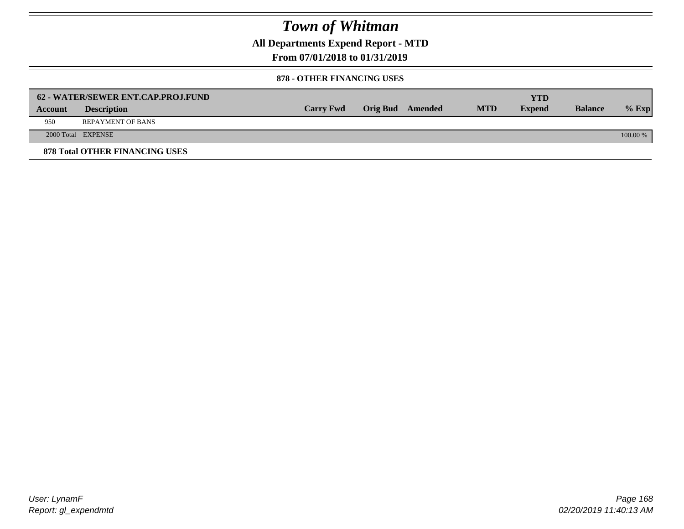**All Departments Expend Report - MTD**

**From 07/01/2018 to 01/31/2019**

#### **878 - OTHER FINANCING USES**

|                | 62 - WATER/SEWER ENT.CAP.PROJ.FUND    |                  |                  |            | YTD           |                |            |
|----------------|---------------------------------------|------------------|------------------|------------|---------------|----------------|------------|
| <b>Account</b> | <b>Description</b>                    | <b>Carry Fwd</b> | Orig Bud Amended | <b>MTD</b> | <b>Expend</b> | <b>Balance</b> | $%$ Exp    |
| 950            | <b>REPAYMENT OF BANS</b>              |                  |                  |            |               |                |            |
|                | 2000 Total EXPENSE                    |                  |                  |            |               |                | $100.00\%$ |
|                | <b>878 Total OTHER FINANCING USES</b> |                  |                  |            |               |                |            |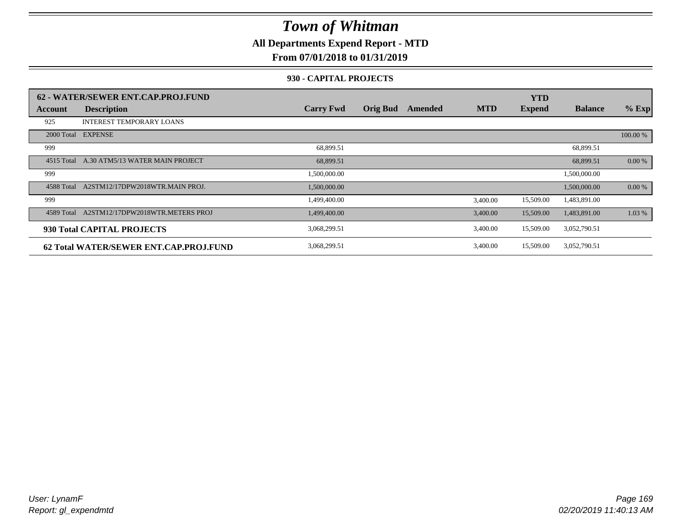### **All Departments Expend Report - MTD**

### **From 07/01/2018 to 01/31/2019**

#### **930 - CAPITAL PROJECTS**

|            | 62 - WATER/SEWER ENT.CAP.PROJ.FUND     |                  |                 |         |            | <b>YTD</b>    |                |          |
|------------|----------------------------------------|------------------|-----------------|---------|------------|---------------|----------------|----------|
| Account    | <b>Description</b>                     | <b>Carry Fwd</b> | <b>Orig Bud</b> | Amended | <b>MTD</b> | <b>Expend</b> | <b>Balance</b> | $%$ Exp  |
| 925        | <b>INTEREST TEMPORARY LOANS</b>        |                  |                 |         |            |               |                |          |
|            | 2000 Total EXPENSE                     |                  |                 |         |            |               |                | 100.00 % |
| 999        |                                        | 68,899.51        |                 |         |            |               | 68,899.51      |          |
| 4515 Total | A.30 ATM5/13 WATER MAIN PROJECT        | 68,899.51        |                 |         |            |               | 68,899.51      | 0.00 %   |
| 999        |                                        | 1,500,000.00     |                 |         |            |               | 1,500,000.00   |          |
| 4588 Total | A2STM12/17DPW2018WTR.MAIN PROJ.        | 1,500,000.00     |                 |         |            |               | 1,500,000.00   | 0.00 %   |
| 999        |                                        | 1,499,400.00     |                 |         | 3,400.00   | 15,509.00     | 1,483,891.00   |          |
| 4589 Total | A2STM12/17DPW2018WTR.METERS PROJ       | 1,499,400.00     |                 |         | 3,400.00   | 15,509.00     | 1,483,891.00   | 1.03 %   |
|            | 930 Total CAPITAL PROJECTS             | 3,068,299.51     |                 |         | 3,400.00   | 15,509.00     | 3,052,790.51   |          |
|            | 62 Total WATER/SEWER ENT.CAP.PROJ.FUND | 3,068,299.51     |                 |         | 3,400.00   | 15,509.00     | 3,052,790.51   |          |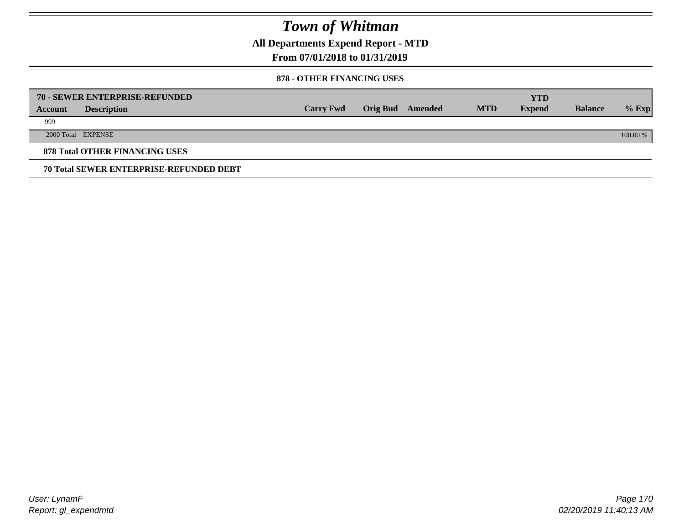**All Departments Expend Report - MTD**

### **From 07/01/2018 to 01/31/2019**

#### **878 - OTHER FINANCING USES**

|         | 70 - SEWER ENTERPRISE-REFUNDED                 |                  |                 |         |            | <b>YTD</b>    |                |          |
|---------|------------------------------------------------|------------------|-----------------|---------|------------|---------------|----------------|----------|
| Account | <b>Description</b>                             | <b>Carry Fwd</b> | <b>Orig Bud</b> | Amended | <b>MTD</b> | <b>Expend</b> | <b>Balance</b> | $%$ Exp  |
| 999     |                                                |                  |                 |         |            |               |                |          |
|         | 2000 Total EXPENSE                             |                  |                 |         |            |               |                | 100.00 % |
|         | <b>878 Total OTHER FINANCING USES</b>          |                  |                 |         |            |               |                |          |
|         | <b>70 Total SEWER ENTERPRISE-REFUNDED DEBT</b> |                  |                 |         |            |               |                |          |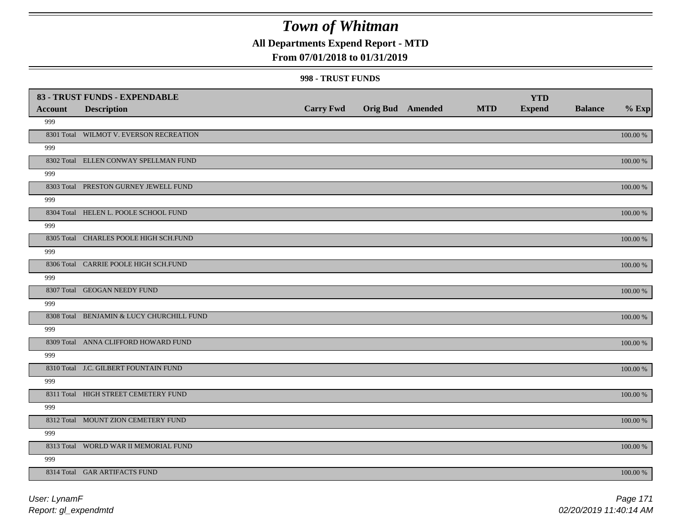## **All Departments Expend Report - MTD**

### **From 07/01/2018 to 01/31/2019**

#### **998 - TRUST FUNDS**

|                | 83 - TRUST FUNDS - EXPENDABLE             |                  |                         |            | <b>YTD</b>    |                |             |
|----------------|-------------------------------------------|------------------|-------------------------|------------|---------------|----------------|-------------|
| <b>Account</b> | <b>Description</b>                        | <b>Carry Fwd</b> | <b>Orig Bud Amended</b> | <b>MTD</b> | <b>Expend</b> | <b>Balance</b> | $%$ Exp     |
| 999            |                                           |                  |                         |            |               |                |             |
|                | 8301 Total WILMOT V. EVERSON RECREATION   |                  |                         |            |               |                | $100.00~\%$ |
| 999            |                                           |                  |                         |            |               |                |             |
|                | 8302 Total ELLEN CONWAY SPELLMAN FUND     |                  |                         |            |               |                | 100.00 %    |
| 999            |                                           |                  |                         |            |               |                |             |
|                | 8303 Total PRESTON GURNEY JEWELL FUND     |                  |                         |            |               |                | 100.00 %    |
| 999            |                                           |                  |                         |            |               |                |             |
|                | 8304 Total HELEN L. POOLE SCHOOL FUND     |                  |                         |            |               |                | 100.00 %    |
| 999            |                                           |                  |                         |            |               |                |             |
|                | 8305 Total CHARLES POOLE HIGH SCH.FUND    |                  |                         |            |               |                | 100.00 %    |
| 999            |                                           |                  |                         |            |               |                |             |
|                | 8306 Total CARRIE POOLE HIGH SCH.FUND     |                  |                         |            |               |                | 100.00 %    |
| 999            |                                           |                  |                         |            |               |                |             |
|                | 8307 Total GEOGAN NEEDY FUND              |                  |                         |            |               |                | 100.00 %    |
| 999            |                                           |                  |                         |            |               |                |             |
|                | 8308 Total BENJAMIN & LUCY CHURCHILL FUND |                  |                         |            |               |                | $100.00~\%$ |
| 999            |                                           |                  |                         |            |               |                |             |
|                | 8309 Total ANNA CLIFFORD HOWARD FUND      |                  |                         |            |               |                | $100.00~\%$ |
| 999            |                                           |                  |                         |            |               |                |             |
|                | 8310 Total J.C. GILBERT FOUNTAIN FUND     |                  |                         |            |               |                | 100.00 %    |
| 999            |                                           |                  |                         |            |               |                |             |
|                | 8311 Total HIGH STREET CEMETERY FUND      |                  |                         |            |               |                | 100.00 %    |
| 999            |                                           |                  |                         |            |               |                |             |
|                | 8312 Total MOUNT ZION CEMETERY FUND       |                  |                         |            |               |                | 100.00 %    |
| 999            |                                           |                  |                         |            |               |                |             |
|                | 8313 Total WORLD WAR II MEMORIAL FUND     |                  |                         |            |               |                | 100.00 %    |
| 999            |                                           |                  |                         |            |               |                |             |
|                | 8314 Total GAR ARTIFACTS FUND             |                  |                         |            |               |                | 100.00 %    |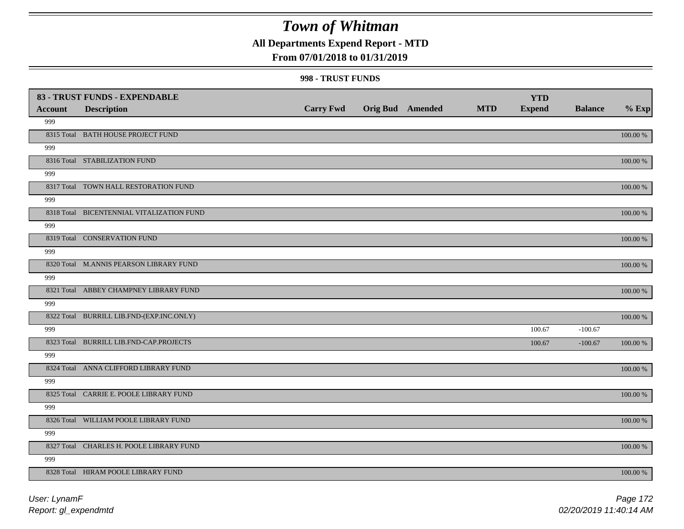**All Departments Expend Report - MTD**

### **From 07/01/2018 to 01/31/2019**

#### **998 - TRUST FUNDS**

|                | 83 - TRUST FUNDS - EXPENDABLE             |                  |                         |            | <b>YTD</b>    |                |             |
|----------------|-------------------------------------------|------------------|-------------------------|------------|---------------|----------------|-------------|
| <b>Account</b> | <b>Description</b>                        | <b>Carry Fwd</b> | <b>Orig Bud</b> Amended | <b>MTD</b> | <b>Expend</b> | <b>Balance</b> | $%$ Exp     |
| 999            |                                           |                  |                         |            |               |                |             |
|                | 8315 Total BATH HOUSE PROJECT FUND        |                  |                         |            |               |                | 100.00 %    |
| 999            |                                           |                  |                         |            |               |                |             |
|                | 8316 Total STABILIZATION FUND             |                  |                         |            |               |                | 100.00 %    |
| 999            |                                           |                  |                         |            |               |                |             |
|                | 8317 Total TOWN HALL RESTORATION FUND     |                  |                         |            |               |                | $100.00~\%$ |
| 999            |                                           |                  |                         |            |               |                |             |
|                | 8318 Total BICENTENNIAL VITALIZATION FUND |                  |                         |            |               |                | 100.00 %    |
| 999            |                                           |                  |                         |            |               |                |             |
|                | 8319 Total CONSERVATION FUND              |                  |                         |            |               |                | 100.00 %    |
| 999            |                                           |                  |                         |            |               |                |             |
|                | 8320 Total M.ANNIS PEARSON LIBRARY FUND   |                  |                         |            |               |                | 100.00 %    |
| 999            |                                           |                  |                         |            |               |                |             |
|                | 8321 Total ABBEY CHAMPNEY LIBRARY FUND    |                  |                         |            |               |                | 100.00 %    |
| 999            |                                           |                  |                         |            |               |                |             |
|                | 8322 Total BURRILL LIB.FND-(EXP.INC.ONLY) |                  |                         |            |               |                | 100.00 %    |
| 999            |                                           |                  |                         |            | 100.67        | $-100.67$      |             |
|                | 8323 Total BURRILL LIB.FND-CAP.PROJECTS   |                  |                         |            | 100.67        | $-100.67$      | 100.00 %    |
| 999            |                                           |                  |                         |            |               |                |             |
|                | 8324 Total ANNA CLIFFORD LIBRARY FUND     |                  |                         |            |               |                | 100.00 %    |
| 999            |                                           |                  |                         |            |               |                |             |
|                | 8325 Total CARRIE E. POOLE LIBRARY FUND   |                  |                         |            |               |                | $100.00~\%$ |
| 999            |                                           |                  |                         |            |               |                |             |
|                | 8326 Total WILLIAM POOLE LIBRARY FUND     |                  |                         |            |               |                | 100.00 %    |
| 999            |                                           |                  |                         |            |               |                |             |
|                | 8327 Total CHARLES H. POOLE LIBRARY FUND  |                  |                         |            |               |                | 100.00 %    |
| 999            |                                           |                  |                         |            |               |                |             |
|                | 8328 Total HIRAM POOLE LIBRARY FUND       |                  |                         |            |               |                | 100.00 %    |
|                |                                           |                  |                         |            |               |                |             |

*Report: gl\_expendmtd User: LynamF*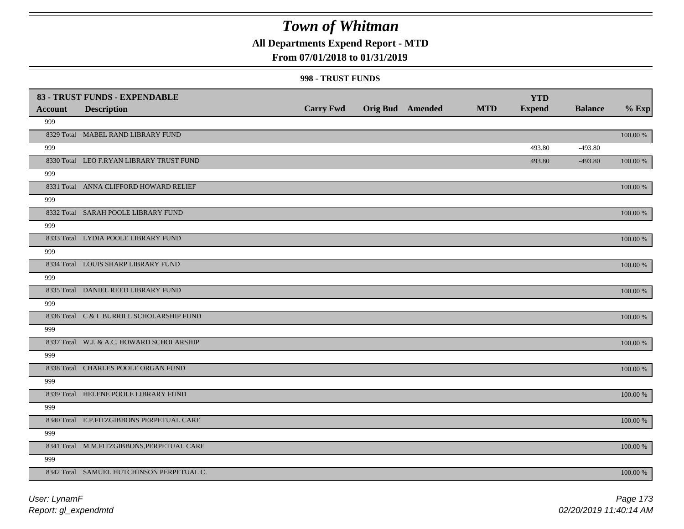## **All Departments Expend Report - MTD**

### **From 07/01/2018 to 01/31/2019**

#### **998 - TRUST FUNDS**

| <b>Account</b> | 83 - TRUST FUNDS - EXPENDABLE<br><b>Description</b> | <b>Carry Fwd</b> | <b>Orig Bud</b> Amended | <b>MTD</b> | <b>YTD</b><br><b>Expend</b> | <b>Balance</b> | $%$ Exp     |
|----------------|-----------------------------------------------------|------------------|-------------------------|------------|-----------------------------|----------------|-------------|
| 999            |                                                     |                  |                         |            |                             |                |             |
|                | 8329 Total MABEL RAND LIBRARY FUND                  |                  |                         |            |                             |                | 100.00 %    |
| 999            |                                                     |                  |                         |            | 493.80                      | $-493.80$      |             |
|                | 8330 Total LEO F.RYAN LIBRARY TRUST FUND            |                  |                         |            | 493.80                      | $-493.80$      | 100.00 %    |
| 999            |                                                     |                  |                         |            |                             |                |             |
|                | 8331 Total ANNA CLIFFORD HOWARD RELIEF              |                  |                         |            |                             |                | 100.00 %    |
| 999            |                                                     |                  |                         |            |                             |                |             |
|                | 8332 Total SARAH POOLE LIBRARY FUND                 |                  |                         |            |                             |                | 100.00 %    |
| 999            |                                                     |                  |                         |            |                             |                |             |
|                | 8333 Total LYDIA POOLE LIBRARY FUND                 |                  |                         |            |                             |                | $100.00~\%$ |
| 999            |                                                     |                  |                         |            |                             |                |             |
|                | 8334 Total LOUIS SHARP LIBRARY FUND                 |                  |                         |            |                             |                | 100.00 %    |
| 999            |                                                     |                  |                         |            |                             |                |             |
|                | 8335 Total DANIEL REED LIBRARY FUND                 |                  |                         |            |                             |                | 100.00 %    |
| 999            |                                                     |                  |                         |            |                             |                |             |
|                | 8336 Total C & L BURRILL SCHOLARSHIP FUND           |                  |                         |            |                             |                | 100.00 %    |
| 999            |                                                     |                  |                         |            |                             |                |             |
|                | 8337 Total W.J. & A.C. HOWARD SCHOLARSHIP           |                  |                         |            |                             |                | 100.00 %    |
| 999            |                                                     |                  |                         |            |                             |                |             |
|                | 8338 Total CHARLES POOLE ORGAN FUND                 |                  |                         |            |                             |                | $100.00~\%$ |
| 999            |                                                     |                  |                         |            |                             |                |             |
|                | 8339 Total HELENE POOLE LIBRARY FUND                |                  |                         |            |                             |                | $100.00~\%$ |
| 999            |                                                     |                  |                         |            |                             |                |             |
|                | 8340 Total E.P.FITZGIBBONS PERPETUAL CARE           |                  |                         |            |                             |                | $100.00~\%$ |
| 999            |                                                     |                  |                         |            |                             |                |             |
|                | 8341 Total M.M.FITZGIBBONS, PERPETUAL CARE          |                  |                         |            |                             |                | 100.00 %    |
| 999            |                                                     |                  |                         |            |                             |                |             |
|                | 8342 Total SAMUEL HUTCHINSON PERPETUAL C.           |                  |                         |            |                             |                | 100.00 %    |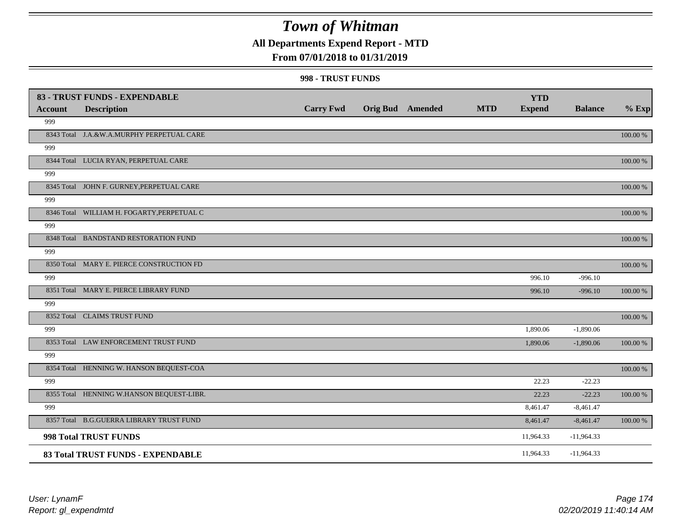## **All Departments Expend Report - MTD**

### **From 07/01/2018 to 01/31/2019**

#### **998 - TRUST FUNDS**

|                | 83 - TRUST FUNDS - EXPENDABLE              |                  |                         |            | <b>YTD</b>    |                |             |
|----------------|--------------------------------------------|------------------|-------------------------|------------|---------------|----------------|-------------|
| <b>Account</b> | <b>Description</b>                         | <b>Carry Fwd</b> | <b>Orig Bud</b> Amended | <b>MTD</b> | <b>Expend</b> | <b>Balance</b> | $%$ Exp     |
| 999            |                                            |                  |                         |            |               |                |             |
|                | 8343 Total J.A.&W.A.MURPHY PERPETUAL CARE  |                  |                         |            |               |                | 100.00 %    |
| 999            |                                            |                  |                         |            |               |                |             |
|                | 8344 Total LUCIA RYAN, PERPETUAL CARE      |                  |                         |            |               |                | 100.00 %    |
| 999            |                                            |                  |                         |            |               |                |             |
|                | 8345 Total JOHN F. GURNEY, PERPETUAL CARE  |                  |                         |            |               |                | 100.00 %    |
| 999            |                                            |                  |                         |            |               |                |             |
|                | 8346 Total WILLIAM H. FOGARTY, PERPETUAL C |                  |                         |            |               |                | 100.00 %    |
| 999            |                                            |                  |                         |            |               |                |             |
|                | 8348 Total BANDSTAND RESTORATION FUND      |                  |                         |            |               |                | 100.00 %    |
| 999            |                                            |                  |                         |            |               |                |             |
|                | 8350 Total MARY E. PIERCE CONSTRUCTION FD  |                  |                         |            |               |                | 100.00 %    |
| 999            |                                            |                  |                         |            | 996.10        | $-996.10$      |             |
|                | 8351 Total MARY E. PIERCE LIBRARY FUND     |                  |                         |            | 996.10        | $-996.10$      | 100.00 %    |
| 999            |                                            |                  |                         |            |               |                |             |
|                | 8352 Total CLAIMS TRUST FUND               |                  |                         |            |               |                | 100.00 %    |
| 999            |                                            |                  |                         |            | 1,890.06      | $-1,890.06$    |             |
|                | 8353 Total LAW ENFORCEMENT TRUST FUND      |                  |                         |            | 1,890.06      | $-1,890.06$    | 100.00 %    |
| 999            |                                            |                  |                         |            |               |                |             |
|                | 8354 Total HENNING W. HANSON BEQUEST-COA   |                  |                         |            |               |                | 100.00 %    |
| 999            |                                            |                  |                         |            | 22.23         | $-22.23$       |             |
|                | 8355 Total HENNING W.HANSON BEQUEST-LIBR.  |                  |                         |            | 22.23         | $-22.23$       | $100.00~\%$ |
| 999            |                                            |                  |                         |            | 8,461.47      | $-8,461.47$    |             |
|                | 8357 Total B.G.GUERRA LIBRARY TRUST FUND   |                  |                         |            | 8,461.47      | $-8,461.47$    | 100.00 %    |
|                | 998 Total TRUST FUNDS                      |                  |                         |            | 11,964.33     | $-11,964.33$   |             |
|                | 83 Total TRUST FUNDS - EXPENDABLE          |                  |                         |            | 11,964.33     | $-11,964.33$   |             |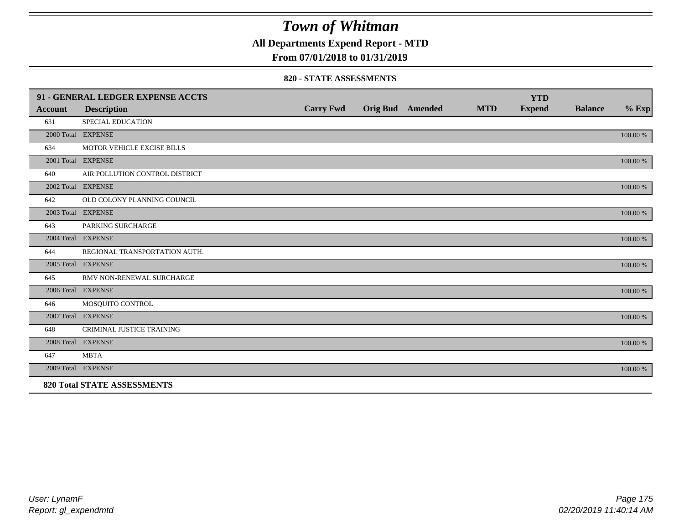**All Departments Expend Report - MTD**

### **From 07/01/2018 to 01/31/2019**

#### **820 - STATE ASSESSMENTS**

|                | 91 - GENERAL LEDGER EXPENSE ACCTS  |                  |                         |            | <b>YTD</b>    |                |          |
|----------------|------------------------------------|------------------|-------------------------|------------|---------------|----------------|----------|
| <b>Account</b> | <b>Description</b>                 | <b>Carry Fwd</b> | <b>Orig Bud Amended</b> | <b>MTD</b> | <b>Expend</b> | <b>Balance</b> | $%$ Exp  |
| 631            | SPECIAL EDUCATION                  |                  |                         |            |               |                |          |
|                | 2000 Total EXPENSE                 |                  |                         |            |               |                | 100.00 % |
| 634            | MOTOR VEHICLE EXCISE BILLS         |                  |                         |            |               |                |          |
|                | 2001 Total EXPENSE                 |                  |                         |            |               |                | 100.00 % |
| 640            | AIR POLLUTION CONTROL DISTRICT     |                  |                         |            |               |                |          |
|                | 2002 Total EXPENSE                 |                  |                         |            |               |                | 100.00 % |
| 642            | OLD COLONY PLANNING COUNCIL        |                  |                         |            |               |                |          |
|                | 2003 Total EXPENSE                 |                  |                         |            |               |                | 100.00 % |
| 643            | PARKING SURCHARGE                  |                  |                         |            |               |                |          |
|                | 2004 Total EXPENSE                 |                  |                         |            |               |                | 100.00 % |
| 644            | REGIONAL TRANSPORTATION AUTH.      |                  |                         |            |               |                |          |
|                | 2005 Total EXPENSE                 |                  |                         |            |               |                | 100.00 % |
| 645            | RMV NON-RENEWAL SURCHARGE          |                  |                         |            |               |                |          |
|                | 2006 Total EXPENSE                 |                  |                         |            |               |                | 100.00 % |
| 646            | MOSQUITO CONTROL                   |                  |                         |            |               |                |          |
|                | 2007 Total EXPENSE                 |                  |                         |            |               |                | 100.00 % |
| 648            | CRIMINAL JUSTICE TRAINING          |                  |                         |            |               |                |          |
|                | 2008 Total EXPENSE                 |                  |                         |            |               |                | 100.00 % |
| 647            | <b>MBTA</b>                        |                  |                         |            |               |                |          |
|                | 2009 Total EXPENSE                 |                  |                         |            |               |                | 100.00 % |
|                | <b>820 Total STATE ASSESSMENTS</b> |                  |                         |            |               |                |          |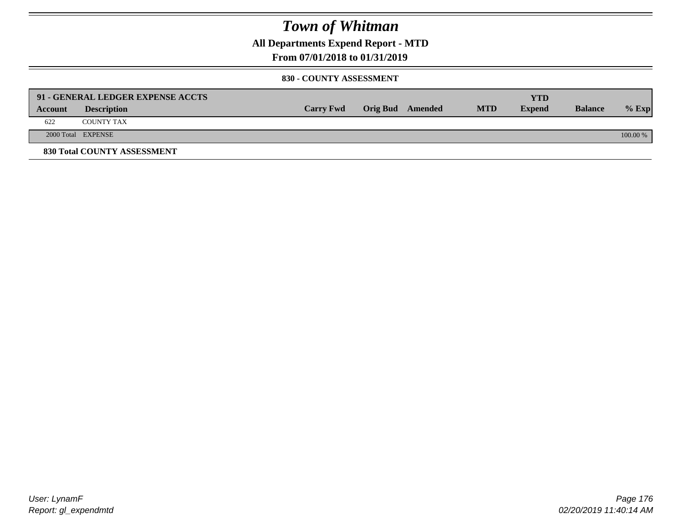**All Departments Expend Report - MTD**

### **From 07/01/2018 to 01/31/2019**

#### **830 - COUNTY ASSESSMENT**

|         | 91 - GENERAL LEDGER EXPENSE ACCTS |                  |                         |            | YTD           |                |            |
|---------|-----------------------------------|------------------|-------------------------|------------|---------------|----------------|------------|
| Account | <b>Description</b>                | <b>Carry Fwd</b> | <b>Orig Bud</b> Amended | <b>MTD</b> | <b>Expend</b> | <b>Balance</b> | $%$ Exp    |
| 622     | <b>COUNTY TAX</b>                 |                  |                         |            |               |                |            |
|         | 2000 Total EXPENSE                |                  |                         |            |               |                | $100.00\%$ |
|         | 830 Total COUNTY ASSESSMENT       |                  |                         |            |               |                |            |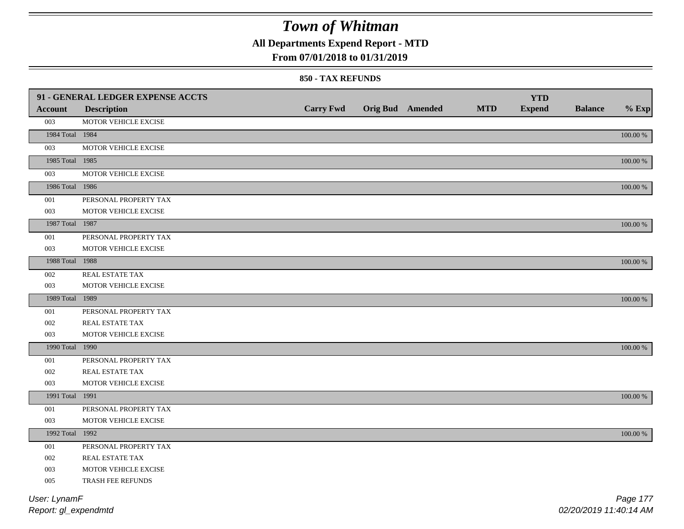**All Departments Expend Report - MTD**

### **From 07/01/2018 to 01/31/2019**

#### **850 - TAX REFUNDS**

|                 | 91 - GENERAL LEDGER EXPENSE ACCTS |                  |                         |            | <b>YTD</b>    |                |             |
|-----------------|-----------------------------------|------------------|-------------------------|------------|---------------|----------------|-------------|
| <b>Account</b>  | <b>Description</b>                | <b>Carry Fwd</b> | <b>Orig Bud Amended</b> | <b>MTD</b> | <b>Expend</b> | <b>Balance</b> | $%$ Exp     |
| 003             | MOTOR VEHICLE EXCISE              |                  |                         |            |               |                |             |
| 1984 Total 1984 |                                   |                  |                         |            |               |                | $100.00~\%$ |
| 003             | MOTOR VEHICLE EXCISE              |                  |                         |            |               |                |             |
| 1985 Total 1985 |                                   |                  |                         |            |               |                | $100.00~\%$ |
| 003             | MOTOR VEHICLE EXCISE              |                  |                         |            |               |                |             |
| 1986 Total 1986 |                                   |                  |                         |            |               |                | $100.00~\%$ |
| 001             | PERSONAL PROPERTY TAX             |                  |                         |            |               |                |             |
| 003             | MOTOR VEHICLE EXCISE              |                  |                         |            |               |                |             |
| 1987 Total 1987 |                                   |                  |                         |            |               |                | 100.00 %    |
| 001             | PERSONAL PROPERTY TAX             |                  |                         |            |               |                |             |
| 003             | MOTOR VEHICLE EXCISE              |                  |                         |            |               |                |             |
| 1988 Total 1988 |                                   |                  |                         |            |               |                | $100.00\%$  |
| 002             | REAL ESTATE TAX                   |                  |                         |            |               |                |             |
| 003             | MOTOR VEHICLE EXCISE              |                  |                         |            |               |                |             |
| 1989 Total 1989 |                                   |                  |                         |            |               |                | 100.00 %    |
| 001             | PERSONAL PROPERTY TAX             |                  |                         |            |               |                |             |
| 002             | REAL ESTATE TAX                   |                  |                         |            |               |                |             |
| 003             | MOTOR VEHICLE EXCISE              |                  |                         |            |               |                |             |
| 1990 Total 1990 |                                   |                  |                         |            |               |                | $100.00~\%$ |
| 001             | PERSONAL PROPERTY TAX             |                  |                         |            |               |                |             |
| 002             | REAL ESTATE TAX                   |                  |                         |            |               |                |             |
| 003             | MOTOR VEHICLE EXCISE              |                  |                         |            |               |                |             |
| 1991 Total 1991 |                                   |                  |                         |            |               |                | 100.00 %    |
| 001             | PERSONAL PROPERTY TAX             |                  |                         |            |               |                |             |
| 003             | MOTOR VEHICLE EXCISE              |                  |                         |            |               |                |             |
| 1992 Total 1992 |                                   |                  |                         |            |               |                | $100.00~\%$ |
| 001             | PERSONAL PROPERTY TAX             |                  |                         |            |               |                |             |
| 002             | REAL ESTATE TAX                   |                  |                         |            |               |                |             |
| 003             | MOTOR VEHICLE EXCISE              |                  |                         |            |               |                |             |
| 005             | TRASH FEE REFUNDS                 |                  |                         |            |               |                |             |
| User: LynamF    |                                   |                  |                         |            |               |                | Page 177    |

*Report: gl\_expendmtd*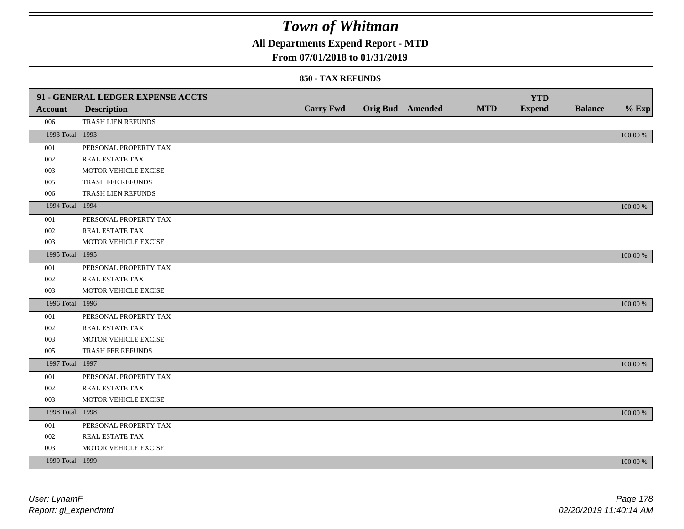**All Departments Expend Report - MTD**

### **From 07/01/2018 to 01/31/2019**

|                 | 91 - GENERAL LEDGER EXPENSE ACCTS |                  |                         |            | <b>YTD</b>    |                |          |
|-----------------|-----------------------------------|------------------|-------------------------|------------|---------------|----------------|----------|
| <b>Account</b>  | <b>Description</b>                | <b>Carry Fwd</b> | <b>Orig Bud</b> Amended | <b>MTD</b> | <b>Expend</b> | <b>Balance</b> | $%$ Exp  |
| 006             | TRASH LIEN REFUNDS                |                  |                         |            |               |                |          |
| 1993 Total 1993 |                                   |                  |                         |            |               |                | 100.00 % |
| 001             | PERSONAL PROPERTY TAX             |                  |                         |            |               |                |          |
| 002             | REAL ESTATE TAX                   |                  |                         |            |               |                |          |
| 003             | MOTOR VEHICLE EXCISE              |                  |                         |            |               |                |          |
| 005             | TRASH FEE REFUNDS                 |                  |                         |            |               |                |          |
| 006             | TRASH LIEN REFUNDS                |                  |                         |            |               |                |          |
| 1994 Total 1994 |                                   |                  |                         |            |               |                | 100.00 % |
| 001             | PERSONAL PROPERTY TAX             |                  |                         |            |               |                |          |
| 002             | REAL ESTATE TAX                   |                  |                         |            |               |                |          |
| 003             | MOTOR VEHICLE EXCISE              |                  |                         |            |               |                |          |
| 1995 Total 1995 |                                   |                  |                         |            |               |                | 100.00 % |
| 001             | PERSONAL PROPERTY TAX             |                  |                         |            |               |                |          |
| 002             | REAL ESTATE TAX                   |                  |                         |            |               |                |          |
| 003             | MOTOR VEHICLE EXCISE              |                  |                         |            |               |                |          |
| 1996 Total 1996 |                                   |                  |                         |            |               |                | 100.00 % |
| 001             | PERSONAL PROPERTY TAX             |                  |                         |            |               |                |          |
| 002             | REAL ESTATE TAX                   |                  |                         |            |               |                |          |
| 003             | MOTOR VEHICLE EXCISE              |                  |                         |            |               |                |          |
| 005             | TRASH FEE REFUNDS                 |                  |                         |            |               |                |          |
| 1997 Total 1997 |                                   |                  |                         |            |               |                | 100.00 % |
| 001             | PERSONAL PROPERTY TAX             |                  |                         |            |               |                |          |
| 002             | REAL ESTATE TAX                   |                  |                         |            |               |                |          |
| 003             | MOTOR VEHICLE EXCISE              |                  |                         |            |               |                |          |
| 1998 Total 1998 |                                   |                  |                         |            |               |                | 100.00 % |
| 001             | PERSONAL PROPERTY TAX             |                  |                         |            |               |                |          |
| 002             | REAL ESTATE TAX                   |                  |                         |            |               |                |          |
| 003             | MOTOR VEHICLE EXCISE              |                  |                         |            |               |                |          |
| 1999 Total 1999 |                                   |                  |                         |            |               |                | 100.00 % |
|                 |                                   |                  |                         |            |               |                |          |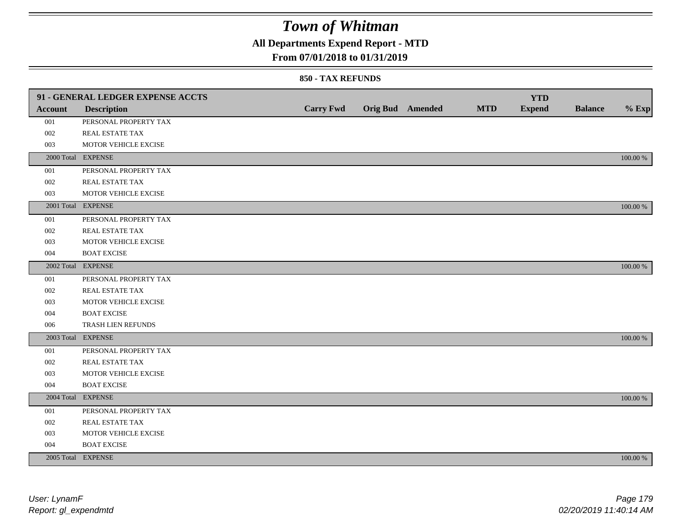## **All Departments Expend Report - MTD**

### **From 07/01/2018 to 01/31/2019**

|                | 91 - GENERAL LEDGER EXPENSE ACCTS |                  |                         |            | <b>YTD</b>    |                |             |
|----------------|-----------------------------------|------------------|-------------------------|------------|---------------|----------------|-------------|
| <b>Account</b> | <b>Description</b>                | <b>Carry Fwd</b> | <b>Orig Bud</b> Amended | <b>MTD</b> | <b>Expend</b> | <b>Balance</b> | $%$ Exp     |
| 001            | PERSONAL PROPERTY TAX             |                  |                         |            |               |                |             |
| 002            | <b>REAL ESTATE TAX</b>            |                  |                         |            |               |                |             |
| 003            | MOTOR VEHICLE EXCISE              |                  |                         |            |               |                |             |
|                | 2000 Total EXPENSE                |                  |                         |            |               |                | 100.00 %    |
| 001            | PERSONAL PROPERTY TAX             |                  |                         |            |               |                |             |
| 002            | REAL ESTATE TAX                   |                  |                         |            |               |                |             |
| 003            | MOTOR VEHICLE EXCISE              |                  |                         |            |               |                |             |
|                | 2001 Total EXPENSE                |                  |                         |            |               |                | 100.00 %    |
| 001            | PERSONAL PROPERTY TAX             |                  |                         |            |               |                |             |
| 002            | REAL ESTATE TAX                   |                  |                         |            |               |                |             |
| 003            | MOTOR VEHICLE EXCISE              |                  |                         |            |               |                |             |
| 004            | <b>BOAT EXCISE</b>                |                  |                         |            |               |                |             |
|                | 2002 Total EXPENSE                |                  |                         |            |               |                | 100.00 %    |
| 001            | PERSONAL PROPERTY TAX             |                  |                         |            |               |                |             |
| 002            | REAL ESTATE TAX                   |                  |                         |            |               |                |             |
| 003            | MOTOR VEHICLE EXCISE              |                  |                         |            |               |                |             |
| 004            | <b>BOAT EXCISE</b>                |                  |                         |            |               |                |             |
| 006            | TRASH LIEN REFUNDS                |                  |                         |            |               |                |             |
|                | 2003 Total EXPENSE                |                  |                         |            |               |                | 100.00 %    |
| 001            | PERSONAL PROPERTY TAX             |                  |                         |            |               |                |             |
| 002            | REAL ESTATE TAX                   |                  |                         |            |               |                |             |
| 003            | MOTOR VEHICLE EXCISE              |                  |                         |            |               |                |             |
| 004            | <b>BOAT EXCISE</b>                |                  |                         |            |               |                |             |
|                | 2004 Total EXPENSE                |                  |                         |            |               |                | 100.00 %    |
| 001            | PERSONAL PROPERTY TAX             |                  |                         |            |               |                |             |
| 002            | REAL ESTATE TAX                   |                  |                         |            |               |                |             |
| 003            | MOTOR VEHICLE EXCISE              |                  |                         |            |               |                |             |
| 004            | <b>BOAT EXCISE</b>                |                  |                         |            |               |                |             |
|                | 2005 Total EXPENSE                |                  |                         |            |               |                | $100.00~\%$ |
|                |                                   |                  |                         |            |               |                |             |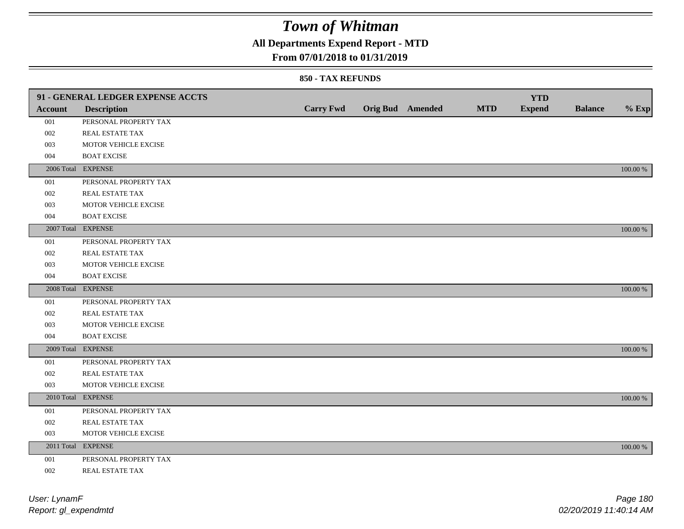## **All Departments Expend Report - MTD**

### **From 07/01/2018 to 01/31/2019**

|         | 91 - GENERAL LEDGER EXPENSE ACCTS |                  |                         |            | <b>YTD</b>    |                |             |
|---------|-----------------------------------|------------------|-------------------------|------------|---------------|----------------|-------------|
| Account | <b>Description</b>                | <b>Carry Fwd</b> | <b>Orig Bud</b> Amended | <b>MTD</b> | <b>Expend</b> | <b>Balance</b> | $%$ Exp     |
| 001     | PERSONAL PROPERTY TAX             |                  |                         |            |               |                |             |
| 002     | REAL ESTATE TAX                   |                  |                         |            |               |                |             |
| 003     | MOTOR VEHICLE EXCISE              |                  |                         |            |               |                |             |
| 004     | <b>BOAT EXCISE</b>                |                  |                         |            |               |                |             |
|         | 2006 Total EXPENSE                |                  |                         |            |               |                | 100.00 %    |
| 001     | PERSONAL PROPERTY TAX             |                  |                         |            |               |                |             |
| 002     | REAL ESTATE TAX                   |                  |                         |            |               |                |             |
| 003     | MOTOR VEHICLE EXCISE              |                  |                         |            |               |                |             |
| 004     | <b>BOAT EXCISE</b>                |                  |                         |            |               |                |             |
|         | 2007 Total EXPENSE                |                  |                         |            |               |                | 100.00 %    |
| 001     | PERSONAL PROPERTY TAX             |                  |                         |            |               |                |             |
| 002     | REAL ESTATE TAX                   |                  |                         |            |               |                |             |
| 003     | MOTOR VEHICLE EXCISE              |                  |                         |            |               |                |             |
| 004     | <b>BOAT EXCISE</b>                |                  |                         |            |               |                |             |
|         | 2008 Total EXPENSE                |                  |                         |            |               |                | 100.00 %    |
| 001     | PERSONAL PROPERTY TAX             |                  |                         |            |               |                |             |
| 002     | <b>REAL ESTATE TAX</b>            |                  |                         |            |               |                |             |
| 003     | MOTOR VEHICLE EXCISE              |                  |                         |            |               |                |             |
| 004     | <b>BOAT EXCISE</b>                |                  |                         |            |               |                |             |
|         | 2009 Total EXPENSE                |                  |                         |            |               |                | 100.00 %    |
| 001     | PERSONAL PROPERTY TAX             |                  |                         |            |               |                |             |
| 002     | REAL ESTATE TAX                   |                  |                         |            |               |                |             |
| 003     | MOTOR VEHICLE EXCISE              |                  |                         |            |               |                |             |
|         | 2010 Total EXPENSE                |                  |                         |            |               |                | 100.00 %    |
| 001     | PERSONAL PROPERTY TAX             |                  |                         |            |               |                |             |
| 002     | REAL ESTATE TAX                   |                  |                         |            |               |                |             |
| 003     | MOTOR VEHICLE EXCISE              |                  |                         |            |               |                |             |
|         | 2011 Total EXPENSE                |                  |                         |            |               |                | $100.00~\%$ |
| 001     | PERSONAL PROPERTY TAX             |                  |                         |            |               |                |             |
| 002     | REAL ESTATE TAX                   |                  |                         |            |               |                |             |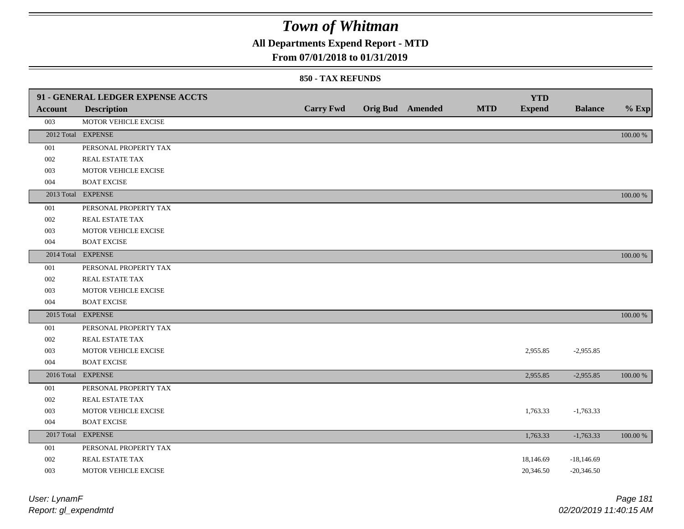**All Departments Expend Report - MTD**

## **From 07/01/2018 to 01/31/2019**

### **850 - TAX REFUNDS**

| <b>Account</b> | 91 - GENERAL LEDGER EXPENSE ACCTS<br><b>Description</b> | <b>Carry Fwd</b> | <b>Orig Bud</b> Amended | <b>MTD</b> | <b>YTD</b><br><b>Expend</b> | <b>Balance</b> | $%$ Exp  |
|----------------|---------------------------------------------------------|------------------|-------------------------|------------|-----------------------------|----------------|----------|
| 003            | MOTOR VEHICLE EXCISE                                    |                  |                         |            |                             |                |          |
|                | 2012 Total EXPENSE                                      |                  |                         |            |                             |                | 100.00 % |
| 001            | PERSONAL PROPERTY TAX                                   |                  |                         |            |                             |                |          |
| 002            | REAL ESTATE TAX                                         |                  |                         |            |                             |                |          |
| 003            | MOTOR VEHICLE EXCISE                                    |                  |                         |            |                             |                |          |
| 004            | <b>BOAT EXCISE</b>                                      |                  |                         |            |                             |                |          |
|                | 2013 Total EXPENSE                                      |                  |                         |            |                             |                | 100.00 % |
| 001            | PERSONAL PROPERTY TAX                                   |                  |                         |            |                             |                |          |
| 002            | REAL ESTATE TAX                                         |                  |                         |            |                             |                |          |
| 003            | MOTOR VEHICLE EXCISE                                    |                  |                         |            |                             |                |          |
| 004            | <b>BOAT EXCISE</b>                                      |                  |                         |            |                             |                |          |
|                | 2014 Total EXPENSE                                      |                  |                         |            |                             |                | 100.00 % |
| 001            | PERSONAL PROPERTY TAX                                   |                  |                         |            |                             |                |          |
| 002            | <b>REAL ESTATE TAX</b>                                  |                  |                         |            |                             |                |          |
| 003            | MOTOR VEHICLE EXCISE                                    |                  |                         |            |                             |                |          |
| 004            | <b>BOAT EXCISE</b>                                      |                  |                         |            |                             |                |          |
|                | 2015 Total EXPENSE                                      |                  |                         |            |                             |                | 100.00 % |
| 001            | PERSONAL PROPERTY TAX                                   |                  |                         |            |                             |                |          |
| 002            | REAL ESTATE TAX                                         |                  |                         |            |                             |                |          |
| 003            | MOTOR VEHICLE EXCISE                                    |                  |                         |            | 2,955.85                    | $-2,955.85$    |          |
| 004            | <b>BOAT EXCISE</b>                                      |                  |                         |            |                             |                |          |
|                | 2016 Total EXPENSE                                      |                  |                         |            | 2,955.85                    | $-2,955.85$    | 100.00 % |
| 001            | PERSONAL PROPERTY TAX                                   |                  |                         |            |                             |                |          |
| 002            | <b>REAL ESTATE TAX</b>                                  |                  |                         |            |                             |                |          |
| 003            | MOTOR VEHICLE EXCISE                                    |                  |                         |            | 1,763.33                    | $-1,763.33$    |          |
| 004            | <b>BOAT EXCISE</b>                                      |                  |                         |            |                             |                |          |
|                | 2017 Total EXPENSE                                      |                  |                         |            | 1,763.33                    | $-1,763.33$    | 100.00 % |
| 001            | PERSONAL PROPERTY TAX                                   |                  |                         |            |                             |                |          |
| 002            | REAL ESTATE TAX                                         |                  |                         |            | 18,146.69                   | $-18,146.69$   |          |
| 003            | MOTOR VEHICLE EXCISE                                    |                  |                         |            | 20,346.50                   | $-20,346.50$   |          |

| User: LynamF         | Page 181               |
|----------------------|------------------------|
| Report: gl_expendmtd | 02/20/2019 11:40:15 AM |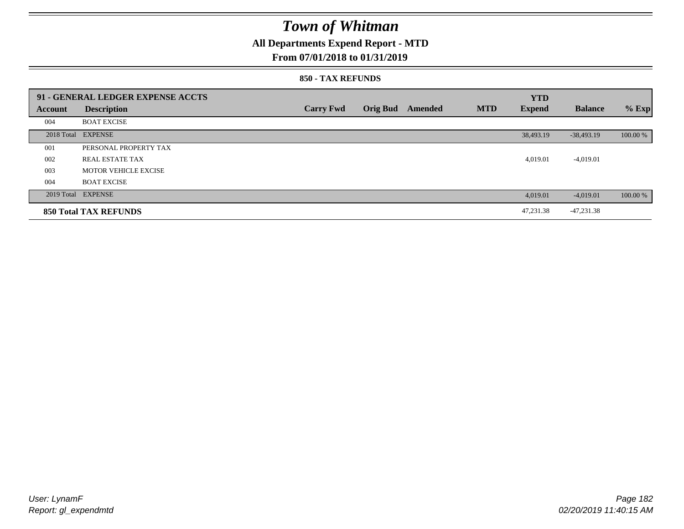## **All Departments Expend Report - MTD**

### **From 07/01/2018 to 01/31/2019**

#### **850 - TAX REFUNDS**

|                | 91 - GENERAL LEDGER EXPENSE ACCTS |                  |                 |         |            | <b>YTD</b>    |                |          |
|----------------|-----------------------------------|------------------|-----------------|---------|------------|---------------|----------------|----------|
| <b>Account</b> | <b>Description</b>                | <b>Carry Fwd</b> | <b>Orig Bud</b> | Amended | <b>MTD</b> | <b>Expend</b> | <b>Balance</b> | $%$ Exp  |
| 004            | <b>BOAT EXCISE</b>                |                  |                 |         |            |               |                |          |
|                | 2018 Total EXPENSE                |                  |                 |         |            | 38,493.19     | $-38,493.19$   | 100.00 % |
| 001            | PERSONAL PROPERTY TAX             |                  |                 |         |            |               |                |          |
| 002            | REAL ESTATE TAX                   |                  |                 |         |            | 4,019.01      | $-4,019.01$    |          |
| 003            | MOTOR VEHICLE EXCISE              |                  |                 |         |            |               |                |          |
| 004            | <b>BOAT EXCISE</b>                |                  |                 |         |            |               |                |          |
|                | 2019 Total EXPENSE                |                  |                 |         |            | 4,019.01      | $-4,019.01$    | 100.00 % |
|                | <b>850 Total TAX REFUNDS</b>      |                  |                 |         |            | 47.231.38     | $-47,231.38$   |          |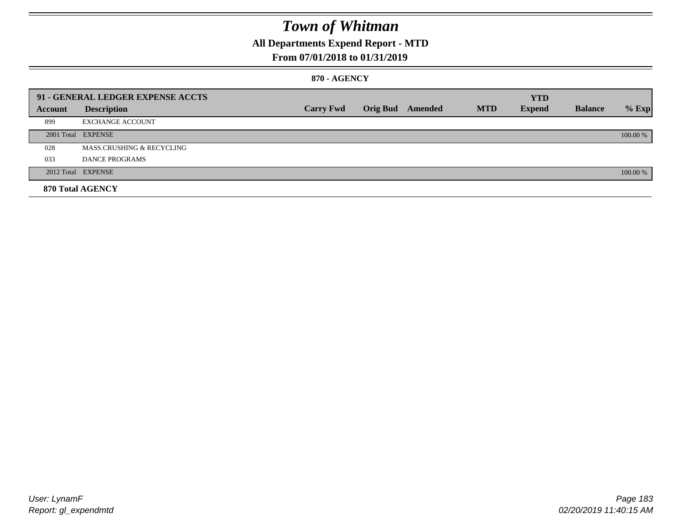## **All Departments Expend Report - MTD**

### **From 07/01/2018 to 01/31/2019**

### **870 - AGENCY**

|         | 91 - GENERAL LEDGER EXPENSE ACCTS    |                  |                         |            | <b>YTD</b>    |                |          |
|---------|--------------------------------------|------------------|-------------------------|------------|---------------|----------------|----------|
| Account | <b>Description</b>                   | <b>Carry Fwd</b> | <b>Orig Bud</b> Amended | <b>MTD</b> | <b>Expend</b> | <b>Balance</b> | $%$ Exp  |
| 899     | <b>EXCHANGE ACCOUNT</b>              |                  |                         |            |               |                |          |
|         | 2001 Total EXPENSE                   |                  |                         |            |               |                | 100.00 % |
| 028     | <b>MASS.CRUSHING &amp; RECYCLING</b> |                  |                         |            |               |                |          |
| 033     | DANCE PROGRAMS                       |                  |                         |            |               |                |          |
|         | 2012 Total EXPENSE                   |                  |                         |            |               |                | 100.00 % |
|         | 870 Total AGENCY                     |                  |                         |            |               |                |          |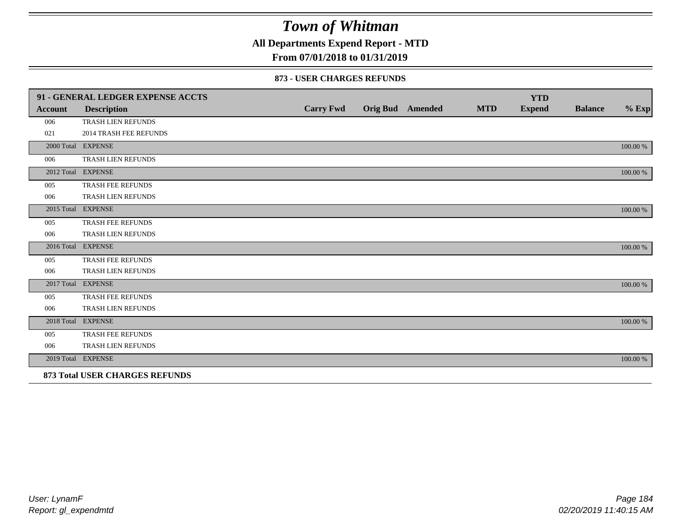**All Departments Expend Report - MTD**

## **From 07/01/2018 to 01/31/2019**

#### **873 - USER CHARGES REFUNDS**

|                | 91 - GENERAL LEDGER EXPENSE ACCTS     |                  |                         |            | <b>YTD</b>    |                |          |
|----------------|---------------------------------------|------------------|-------------------------|------------|---------------|----------------|----------|
| <b>Account</b> | <b>Description</b>                    | <b>Carry Fwd</b> | <b>Orig Bud</b> Amended | <b>MTD</b> | <b>Expend</b> | <b>Balance</b> | $\%$ Exp |
| 006            | <b>TRASH LIEN REFUNDS</b>             |                  |                         |            |               |                |          |
| 021            | <b>2014 TRASH FEE REFUNDS</b>         |                  |                         |            |               |                |          |
|                | 2000 Total EXPENSE                    |                  |                         |            |               |                | 100.00 % |
| 006            | TRASH LIEN REFUNDS                    |                  |                         |            |               |                |          |
|                | 2012 Total EXPENSE                    |                  |                         |            |               |                | 100.00 % |
| 005            | TRASH FEE REFUNDS                     |                  |                         |            |               |                |          |
| 006            | TRASH LIEN REFUNDS                    |                  |                         |            |               |                |          |
|                | 2015 Total EXPENSE                    |                  |                         |            |               |                | 100.00 % |
| 005            | <b>TRASH FEE REFUNDS</b>              |                  |                         |            |               |                |          |
| 006            | TRASH LIEN REFUNDS                    |                  |                         |            |               |                |          |
|                | 2016 Total EXPENSE                    |                  |                         |            |               |                | 100.00 % |
| 005            | TRASH FEE REFUNDS                     |                  |                         |            |               |                |          |
| 006            | TRASH LIEN REFUNDS                    |                  |                         |            |               |                |          |
|                | 2017 Total EXPENSE                    |                  |                         |            |               |                | 100.00 % |
| 005            | <b>TRASH FEE REFUNDS</b>              |                  |                         |            |               |                |          |
| 006            | TRASH LIEN REFUNDS                    |                  |                         |            |               |                |          |
|                | 2018 Total EXPENSE                    |                  |                         |            |               |                | 100.00 % |
| 005            | TRASH FEE REFUNDS                     |                  |                         |            |               |                |          |
| 006            | TRASH LIEN REFUNDS                    |                  |                         |            |               |                |          |
|                | 2019 Total EXPENSE                    |                  |                         |            |               |                | 100.00 % |
|                | <b>873 Total USER CHARGES REFUNDS</b> |                  |                         |            |               |                |          |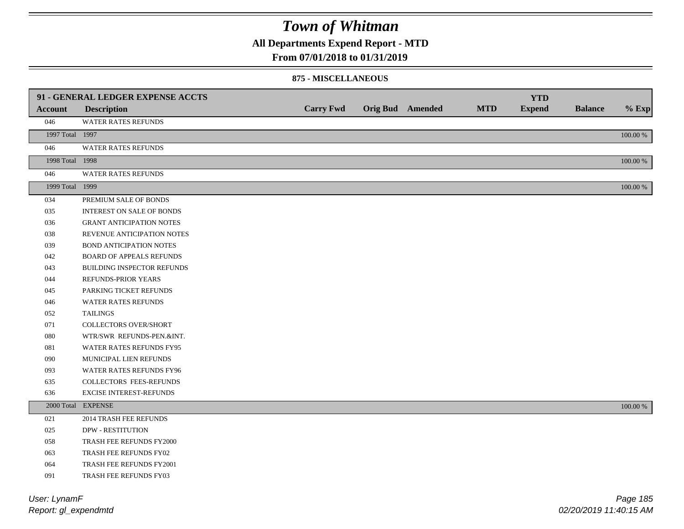**All Departments Expend Report - MTD**

### **From 07/01/2018 to 01/31/2019**

#### **875 - MISCELLANEOUS**

|                 | 91 - GENERAL LEDGER EXPENSE ACCTS |                  |                  |            | <b>YTD</b>    |                |          |
|-----------------|-----------------------------------|------------------|------------------|------------|---------------|----------------|----------|
| <b>Account</b>  | <b>Description</b>                | <b>Carry Fwd</b> | Orig Bud Amended | <b>MTD</b> | <b>Expend</b> | <b>Balance</b> | $%$ Exp  |
| 046             | WATER RATES REFUNDS               |                  |                  |            |               |                |          |
| 1997 Total 1997 |                                   |                  |                  |            |               |                | 100.00 % |
| 046             | WATER RATES REFUNDS               |                  |                  |            |               |                |          |
| 1998 Total 1998 |                                   |                  |                  |            |               |                | 100.00 % |
| 046             | WATER RATES REFUNDS               |                  |                  |            |               |                |          |
| 1999 Total 1999 |                                   |                  |                  |            |               |                | 100.00 % |
| 034             | PREMIUM SALE OF BONDS             |                  |                  |            |               |                |          |
| 035             | INTEREST ON SALE OF BONDS         |                  |                  |            |               |                |          |
| 036             | <b>GRANT ANTICIPATION NOTES</b>   |                  |                  |            |               |                |          |
| 038             | REVENUE ANTICIPATION NOTES        |                  |                  |            |               |                |          |
| 039             | <b>BOND ANTICIPATION NOTES</b>    |                  |                  |            |               |                |          |
| 042             | <b>BOARD OF APPEALS REFUNDS</b>   |                  |                  |            |               |                |          |
| 043             | BUILDING INSPECTOR REFUNDS        |                  |                  |            |               |                |          |
| 044             | REFUNDS-PRIOR YEARS               |                  |                  |            |               |                |          |
| 045             | PARKING TICKET REFUNDS            |                  |                  |            |               |                |          |
| 046             | WATER RATES REFUNDS               |                  |                  |            |               |                |          |
| 052             | <b>TAILINGS</b>                   |                  |                  |            |               |                |          |
| 071             | <b>COLLECTORS OVER/SHORT</b>      |                  |                  |            |               |                |          |
| ${\bf 080}$     | WTR/SWR REFUNDS-PEN.&INT.         |                  |                  |            |               |                |          |
| 081             | WATER RATES REFUNDS FY95          |                  |                  |            |               |                |          |
| 090             | MUNICIPAL LIEN REFUNDS            |                  |                  |            |               |                |          |
| 093             | WATER RATES REFUNDS FY96          |                  |                  |            |               |                |          |
| 635             | COLLECTORS FEES-REFUNDS           |                  |                  |            |               |                |          |
| 636             | <b>EXCISE INTEREST-REFUNDS</b>    |                  |                  |            |               |                |          |
|                 | 2000 Total EXPENSE                |                  |                  |            |               |                | 100.00 % |
| 021             | <b>2014 TRASH FEE REFUNDS</b>     |                  |                  |            |               |                |          |
| 025             | <b>DPW - RESTITUTION</b>          |                  |                  |            |               |                |          |
| 058             | TRASH FEE REFUNDS FY2000          |                  |                  |            |               |                |          |
| 063             | TRASH FEE REFUNDS FY02            |                  |                  |            |               |                |          |
| 064             | TRASH FEE REFUNDS FY2001          |                  |                  |            |               |                |          |
| 091             | <b>TRASH FEE REFUNDS FY03</b>     |                  |                  |            |               |                |          |

*Report: gl\_expendmtd User: LynamF*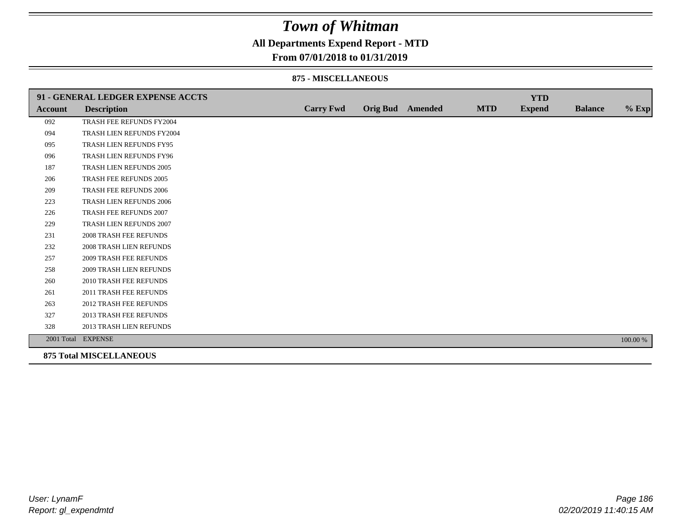## **All Departments Expend Report - MTD**

### **From 07/01/2018 to 01/31/2019**

#### **875 - MISCELLANEOUS**

|                | 91 - GENERAL LEDGER EXPENSE ACCTS |                  |                  |            | <b>YTD</b>    |                |          |
|----------------|-----------------------------------|------------------|------------------|------------|---------------|----------------|----------|
| <b>Account</b> | <b>Description</b>                | <b>Carry Fwd</b> | Orig Bud Amended | <b>MTD</b> | <b>Expend</b> | <b>Balance</b> | $%$ Exp  |
| 092            | TRASH FEE REFUNDS FY2004          |                  |                  |            |               |                |          |
| 094            | TRASH LIEN REFUNDS FY2004         |                  |                  |            |               |                |          |
| 095            | TRASH LIEN REFUNDS FY95           |                  |                  |            |               |                |          |
| 096            | TRASH LIEN REFUNDS FY96           |                  |                  |            |               |                |          |
| 187            | TRASH LIEN REFUNDS 2005           |                  |                  |            |               |                |          |
| 206            | TRASH FEE REFUNDS 2005            |                  |                  |            |               |                |          |
| 209            | <b>TRASH FEE REFUNDS 2006</b>     |                  |                  |            |               |                |          |
| 223            | <b>TRASH LIEN REFUNDS 2006</b>    |                  |                  |            |               |                |          |
| 226            | TRASH FEE REFUNDS 2007            |                  |                  |            |               |                |          |
| 229            | TRASH LIEN REFUNDS 2007           |                  |                  |            |               |                |          |
| 231            | <b>2008 TRASH FEE REFUNDS</b>     |                  |                  |            |               |                |          |
| 232            | <b>2008 TRASH LIEN REFUNDS</b>    |                  |                  |            |               |                |          |
| 257            | <b>2009 TRASH FEE REFUNDS</b>     |                  |                  |            |               |                |          |
| 258            | 2009 TRASH LIEN REFUNDS           |                  |                  |            |               |                |          |
| 260            | 2010 TRASH FEE REFUNDS            |                  |                  |            |               |                |          |
| 261            | 2011 TRASH FEE REFUNDS            |                  |                  |            |               |                |          |
| 263            | <b>2012 TRASH FEE REFUNDS</b>     |                  |                  |            |               |                |          |
| 327            | <b>2013 TRASH FEE REFUNDS</b>     |                  |                  |            |               |                |          |
| 328            | 2013 TRASH LIEN REFUNDS           |                  |                  |            |               |                |          |
|                | 2001 Total EXPENSE                |                  |                  |            |               |                | 100.00 % |
|                | <b>875 Total MISCELLANEOUS</b>    |                  |                  |            |               |                |          |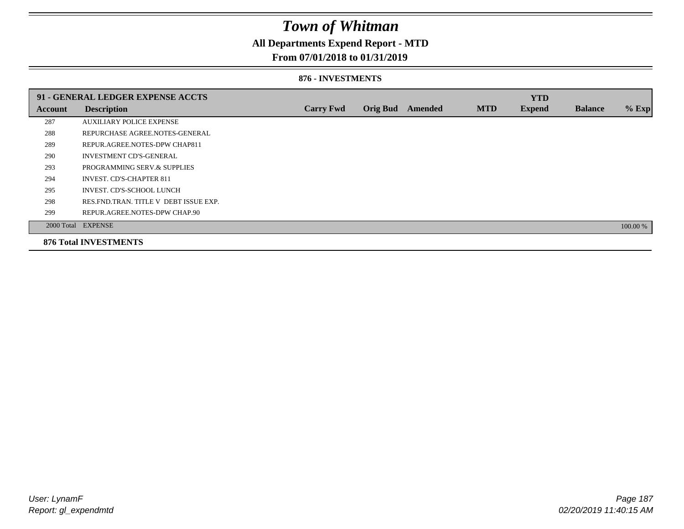## **All Departments Expend Report - MTD**

### **From 07/01/2018 to 01/31/2019**

#### **876 - INVESTMENTS**

|         | 91 - GENERAL LEDGER EXPENSE ACCTS       |                  |                 |                |            | <b>YTD</b>    |                |          |
|---------|-----------------------------------------|------------------|-----------------|----------------|------------|---------------|----------------|----------|
| Account | <b>Description</b>                      | <b>Carry Fwd</b> | <b>Orig Bud</b> | <b>Amended</b> | <b>MTD</b> | <b>Expend</b> | <b>Balance</b> | % Exp    |
| 287     | <b>AUXILIARY POLICE EXPENSE</b>         |                  |                 |                |            |               |                |          |
| 288     | REPURCHASE AGREE.NOTES-GENERAL          |                  |                 |                |            |               |                |          |
| 289     | REPUR.AGREE.NOTES-DPW CHAP811           |                  |                 |                |            |               |                |          |
| 290     | <b>INVESTMENT CD'S-GENERAL</b>          |                  |                 |                |            |               |                |          |
| 293     | PROGRAMMING SERV.& SUPPLIES             |                  |                 |                |            |               |                |          |
| 294     | <b>INVEST. CD'S-CHAPTER 811</b>         |                  |                 |                |            |               |                |          |
| 295     | INVEST. CD'S-SCHOOL LUNCH               |                  |                 |                |            |               |                |          |
| 298     | RES. FND. TRAN. TITLE V DEBT ISSUE EXP. |                  |                 |                |            |               |                |          |
| 299     | REPUR.AGREE.NOTES-DPW CHAP.90           |                  |                 |                |            |               |                |          |
|         | 2000 Total EXPENSE                      |                  |                 |                |            |               |                | 100.00 % |
|         | <b>876 Total INVESTMENTS</b>            |                  |                 |                |            |               |                |          |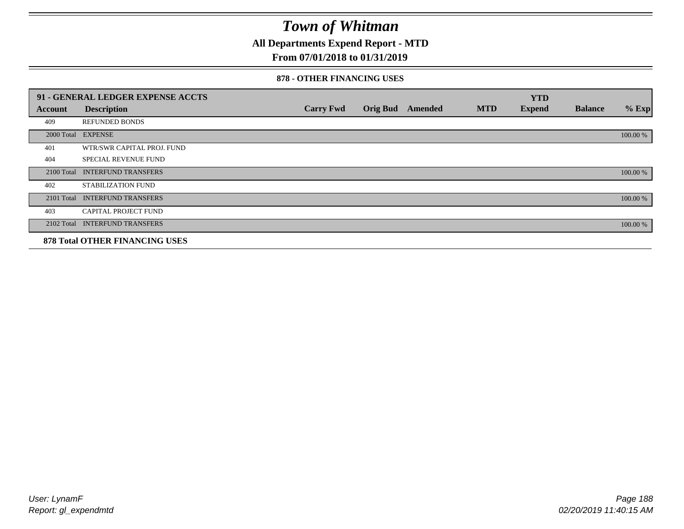**All Departments Expend Report - MTD**

## **From 07/01/2018 to 01/31/2019**

#### **878 - OTHER FINANCING USES**

|            | 91 - GENERAL LEDGER EXPENSE ACCTS     |                  |                 |         |            | <b>YTD</b>    |                |          |
|------------|---------------------------------------|------------------|-----------------|---------|------------|---------------|----------------|----------|
| Account    | <b>Description</b>                    | <b>Carry Fwd</b> | <b>Orig Bud</b> | Amended | <b>MTD</b> | <b>Expend</b> | <b>Balance</b> | $%$ Exp  |
| 409        | <b>REFUNDED BONDS</b>                 |                  |                 |         |            |               |                |          |
| 2000 Total | <b>EXPENSE</b>                        |                  |                 |         |            |               |                | 100.00 % |
| 401        | WTR/SWR CAPITAL PROJ. FUND            |                  |                 |         |            |               |                |          |
| 404        | <b>SPECIAL REVENUE FUND</b>           |                  |                 |         |            |               |                |          |
| 2100 Total | <b>INTERFUND TRANSFERS</b>            |                  |                 |         |            |               |                | 100.00 % |
| 402        | <b>STABILIZATION FUND</b>             |                  |                 |         |            |               |                |          |
| 2101 Total | <b>INTERFUND TRANSFERS</b>            |                  |                 |         |            |               |                | 100.00 % |
| 403        | CAPITAL PROJECT FUND                  |                  |                 |         |            |               |                |          |
| 2102 Total | <b>INTERFUND TRANSFERS</b>            |                  |                 |         |            |               |                | 100.00 % |
|            | <b>878 Total OTHER FINANCING USES</b> |                  |                 |         |            |               |                |          |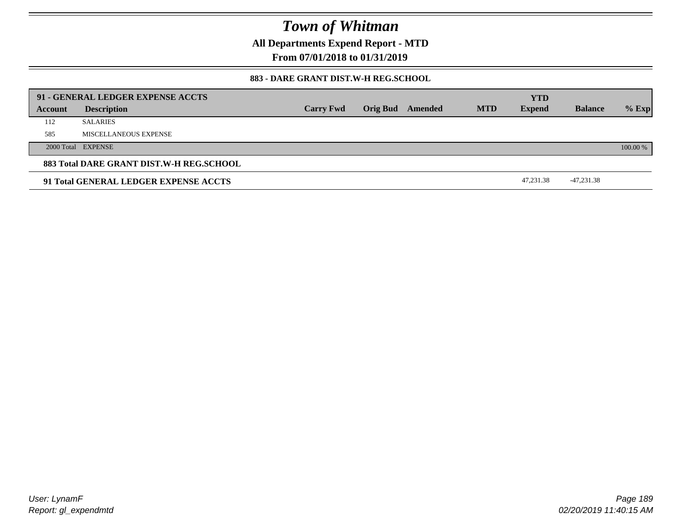**All Departments Expend Report - MTD**

**From 07/01/2018 to 01/31/2019**

### **883 - DARE GRANT DIST.W-H REG.SCHOOL**

|         | 91 - GENERAL LEDGER EXPENSE ACCTS        |                  |                 |         |            | <b>YTD</b>    |                |          |
|---------|------------------------------------------|------------------|-----------------|---------|------------|---------------|----------------|----------|
| Account | <b>Description</b>                       | <b>Carry Fwd</b> | <b>Orig Bud</b> | Amended | <b>MTD</b> | <b>Expend</b> | <b>Balance</b> | $%$ Exp  |
| 112     | <b>SALARIES</b>                          |                  |                 |         |            |               |                |          |
| 585     | MISCELLANEOUS EXPENSE                    |                  |                 |         |            |               |                |          |
|         | 2000 Total EXPENSE                       |                  |                 |         |            |               |                | 100.00 % |
|         | 883 Total DARE GRANT DIST.W-H REG.SCHOOL |                  |                 |         |            |               |                |          |
|         | 91 Total GENERAL LEDGER EXPENSE ACCTS    |                  |                 |         |            | 47,231.38     | -47,231.38     |          |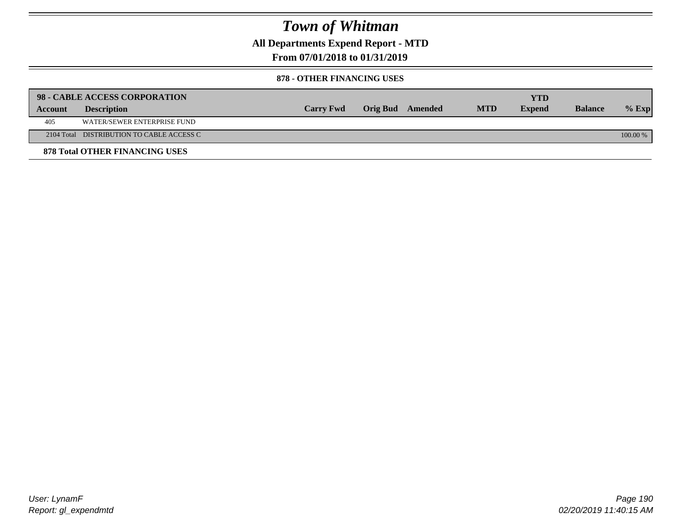**All Departments Expend Report - MTD**

## **From 07/01/2018 to 01/31/2019**

#### **878 - OTHER FINANCING USES**

|         | 98 - CABLE ACCESS CORPORATION             |                  |                  |            | <b>YTD</b>    |                |            |
|---------|-------------------------------------------|------------------|------------------|------------|---------------|----------------|------------|
| Account | <b>Description</b>                        | <b>Carry Fwd</b> | Orig Bud Amended | <b>MTD</b> | <b>Expend</b> | <b>Balance</b> | $%$ Exp    |
| 405     | WATER/SEWER ENTERPRISE FUND               |                  |                  |            |               |                |            |
|         | 2104 Total DISTRIBUTION TO CABLE ACCESS C |                  |                  |            |               |                | $100.00\%$ |
|         | <b>878 Total OTHER FINANCING USES</b>     |                  |                  |            |               |                |            |